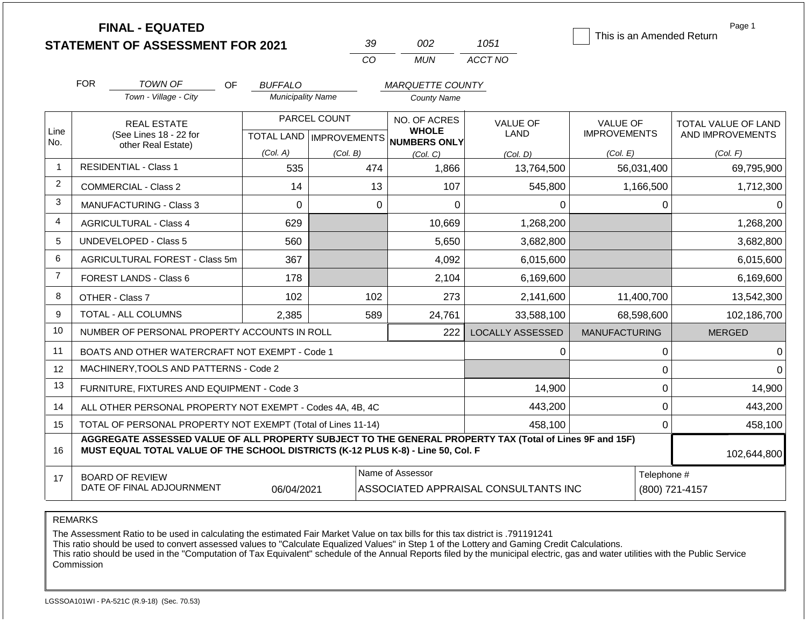|                | <b>FINAL - EQUATED</b>                                                                                                                                                                       |                           |              |                               |                                      | This is an Amended Return | Page 1              |  |  |
|----------------|----------------------------------------------------------------------------------------------------------------------------------------------------------------------------------------------|---------------------------|--------------|-------------------------------|--------------------------------------|---------------------------|---------------------|--|--|
|                | <b>STATEMENT OF ASSESSMENT FOR 2021</b>                                                                                                                                                      |                           | 39           | 002                           | 1051                                 |                           |                     |  |  |
|                |                                                                                                                                                                                              |                           | CO           | <b>MUN</b>                    | ACCT NO                              |                           |                     |  |  |
|                | <b>FOR</b><br>TOWN OF<br>OF                                                                                                                                                                  | <b>BUFFALO</b>            |              | <b>MARQUETTE COUNTY</b>       |                                      |                           |                     |  |  |
|                | Town - Village - City                                                                                                                                                                        | <b>Municipality Name</b>  |              | <b>County Name</b>            |                                      |                           |                     |  |  |
|                | <b>REAL ESTATE</b>                                                                                                                                                                           |                           | PARCEL COUNT | NO. OF ACRES                  | <b>VALUE OF</b>                      | <b>VALUE OF</b>           | TOTAL VALUE OF LAND |  |  |
| Line<br>No.    | (See Lines 18 - 22 for                                                                                                                                                                       | TOTAL LAND   IMPROVEMENTS |              | <b>WHOLE</b><br>NUMBERS ONLY  | <b>LAND</b>                          | <b>IMPROVEMENTS</b>       | AND IMPROVEMENTS    |  |  |
|                | other Real Estate)                                                                                                                                                                           | (Col. A)                  | (Col. B)     | (Col. C)                      | (Col. D)                             | (Col. E)                  | (Col. F)            |  |  |
| $\overline{1}$ | <b>RESIDENTIAL - Class 1</b>                                                                                                                                                                 | 535                       | 474          | 1,866                         | 13,764,500                           | 56,031,400                | 69,795,900          |  |  |
| 2              | <b>COMMERCIAL - Class 2</b>                                                                                                                                                                  | 14                        | 13           | 107                           | 545,800                              | 1,166,500                 | 1,712,300           |  |  |
| 3              | MANUFACTURING - Class 3                                                                                                                                                                      | $\Omega$                  |              | $\mathbf 0$<br>$\overline{0}$ | 0                                    | 0                         | 0                   |  |  |
| $\overline{4}$ | <b>AGRICULTURAL - Class 4</b>                                                                                                                                                                | 629                       |              | 10,669<br>1,268,200           |                                      |                           | 1,268,200           |  |  |
| 5              | <b>UNDEVELOPED - Class 5</b>                                                                                                                                                                 | 560<br>5,650              |              | 3,682,800                     |                                      | 3,682,800                 |                     |  |  |
| 6              | AGRICULTURAL FOREST - Class 5m                                                                                                                                                               | 367                       |              | 4,092                         | 6,015,600                            |                           | 6,015,600           |  |  |
| $\overline{7}$ | FOREST LANDS - Class 6                                                                                                                                                                       | 178                       |              | 2,104                         | 6,169,600                            |                           | 6,169,600           |  |  |
| 8              | OTHER - Class 7                                                                                                                                                                              | 102                       | 102          | 273                           | 2,141,600                            | 11,400,700                | 13,542,300          |  |  |
| 9              | TOTAL - ALL COLUMNS                                                                                                                                                                          | 2,385                     | 589          | 24,761                        | 33,588,100                           | 68,598,600                | 102,186,700         |  |  |
| 10             | NUMBER OF PERSONAL PROPERTY ACCOUNTS IN ROLL                                                                                                                                                 |                           |              | 222                           | <b>LOCALLY ASSESSED</b>              | <b>MANUFACTURING</b>      | <b>MERGED</b>       |  |  |
| 11             | BOATS AND OTHER WATERCRAFT NOT EXEMPT - Code 1                                                                                                                                               |                           |              |                               | $\Omega$                             | $\mathbf 0$               | 0                   |  |  |
| 12             | MACHINERY, TOOLS AND PATTERNS - Code 2                                                                                                                                                       |                           |              |                               |                                      | 0                         |                     |  |  |
| 13             | FURNITURE, FIXTURES AND EQUIPMENT - Code 3                                                                                                                                                   |                           |              |                               | 14,900                               | $\boldsymbol{0}$          | 14,900              |  |  |
| 14             | ALL OTHER PERSONAL PROPERTY NOT EXEMPT - Codes 4A, 4B, 4C                                                                                                                                    |                           |              |                               | 443,200                              | 0                         | 443,200             |  |  |
| 15             | TOTAL OF PERSONAL PROPERTY NOT EXEMPT (Total of Lines 11-14)                                                                                                                                 |                           |              |                               | 458,100                              | $\overline{0}$            | 458,100             |  |  |
| 16             | AGGREGATE ASSESSED VALUE OF ALL PROPERTY SUBJECT TO THE GENERAL PROPERTY TAX (Total of Lines 9F and 15F)<br>MUST EQUAL TOTAL VALUE OF THE SCHOOL DISTRICTS (K-12 PLUS K-8) - Line 50, Col. F |                           | 102,644,800  |                               |                                      |                           |                     |  |  |
| 17             | <b>BOARD OF REVIEW</b>                                                                                                                                                                       |                           |              | Name of Assessor              |                                      | Telephone #               |                     |  |  |
|                | DATE OF FINAL ADJOURNMENT                                                                                                                                                                    | 06/04/2021                |              |                               | ASSOCIATED APPRAISAL CONSULTANTS INC |                           | (800) 721-4157      |  |  |

REMARKS

The Assessment Ratio to be used in calculating the estimated Fair Market Value on tax bills for this tax district is .791191241

This ratio should be used to convert assessed values to "Calculate Equalized Values" in Step 1 of the Lottery and Gaming Credit Calculations.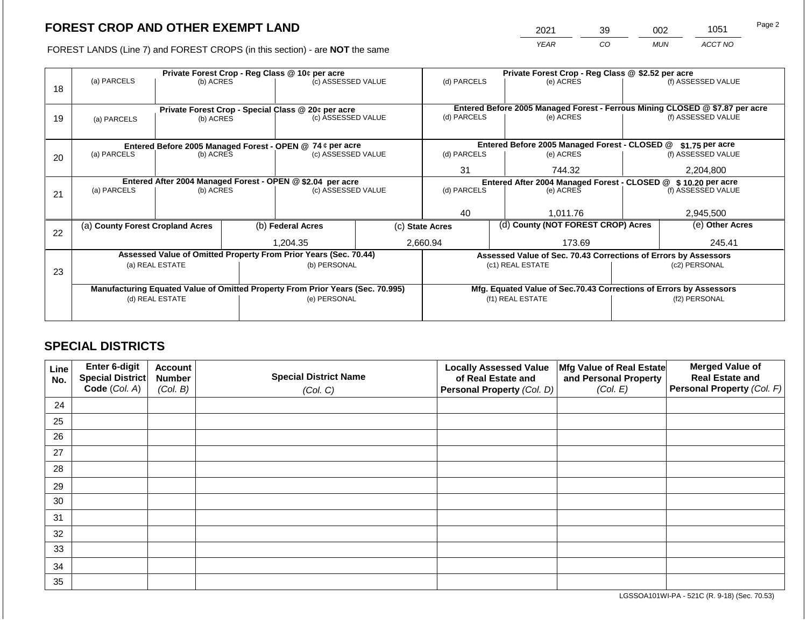2021 39 002 1051

FOREST LANDS (Line 7) and FOREST CROPS (in this section) - are **NOT** the same *YEAR CO MUN ACCT NO*

|    |                                                                                |           |  | Private Forest Crop - Reg Class @ 10¢ per acre                   |                                               | Private Forest Crop - Reg Class @ \$2.52 per acre                            |                 |                                                                 |                                                                    |                    |  |
|----|--------------------------------------------------------------------------------|-----------|--|------------------------------------------------------------------|-----------------------------------------------|------------------------------------------------------------------------------|-----------------|-----------------------------------------------------------------|--------------------------------------------------------------------|--------------------|--|
|    | (a) PARCELS                                                                    | (b) ACRES |  | (c) ASSESSED VALUE                                               |                                               | (d) PARCELS                                                                  |                 | (e) ACRES                                                       |                                                                    | (f) ASSESSED VALUE |  |
| 18 |                                                                                |           |  |                                                                  |                                               |                                                                              |                 |                                                                 |                                                                    |                    |  |
|    |                                                                                |           |  |                                                                  |                                               |                                                                              |                 |                                                                 |                                                                    |                    |  |
|    |                                                                                |           |  | Private Forest Crop - Special Class @ 20¢ per acre               |                                               | Entered Before 2005 Managed Forest - Ferrous Mining CLOSED @ \$7.87 per acre |                 |                                                                 |                                                                    | (f) ASSESSED VALUE |  |
| 19 | (b) ACRES<br>(a) PARCELS                                                       |           |  | (c) ASSESSED VALUE                                               |                                               | (d) PARCELS                                                                  |                 | (e) ACRES                                                       |                                                                    |                    |  |
|    |                                                                                |           |  |                                                                  |                                               |                                                                              |                 |                                                                 |                                                                    |                    |  |
|    | Entered Before 2005 Managed Forest - OPEN @ 74 ¢ per acre                      |           |  |                                                                  | Entered Before 2005 Managed Forest - CLOSED @ |                                                                              | \$1.75 per acre |                                                                 |                                                                    |                    |  |
| 20 | (a) PARCELS                                                                    | (b) ACRES |  | (c) ASSESSED VALUE                                               |                                               | (d) PARCELS                                                                  |                 | (e) ACRES                                                       |                                                                    | (f) ASSESSED VALUE |  |
|    |                                                                                |           |  |                                                                  |                                               |                                                                              |                 |                                                                 |                                                                    |                    |  |
|    |                                                                                |           |  |                                                                  |                                               | 31                                                                           |                 | 744.32                                                          |                                                                    | 2,204,800          |  |
|    | Entered After 2004 Managed Forest - OPEN @ \$2.04 per acre                     |           |  |                                                                  |                                               | Entered After 2004 Managed Forest - CLOSED @ \$10.20 per acre                |                 |                                                                 |                                                                    |                    |  |
| 21 | (a) PARCELS                                                                    | (b) ACRES |  | (c) ASSESSED VALUE                                               |                                               | (d) PARCELS                                                                  |                 | (e) ACRES                                                       |                                                                    | (f) ASSESSED VALUE |  |
|    |                                                                                |           |  |                                                                  |                                               |                                                                              |                 |                                                                 |                                                                    |                    |  |
|    |                                                                                |           |  |                                                                  |                                               | 40                                                                           |                 | 1,011.76                                                        |                                                                    | 2,945,500          |  |
|    | (a) County Forest Cropland Acres                                               |           |  | (b) Federal Acres                                                |                                               | (c) State Acres                                                              |                 | (d) County (NOT FOREST CROP) Acres                              |                                                                    | (e) Other Acres    |  |
| 22 |                                                                                |           |  |                                                                  |                                               |                                                                              |                 |                                                                 |                                                                    |                    |  |
|    |                                                                                |           |  | 1,204.35                                                         |                                               | 2,660.94                                                                     |                 | 173.69                                                          |                                                                    | 245.41             |  |
|    |                                                                                |           |  | Assessed Value of Omitted Property From Prior Years (Sec. 70.44) |                                               |                                                                              |                 | Assessed Value of Sec. 70.43 Corrections of Errors by Assessors |                                                                    |                    |  |
|    | (a) REAL ESTATE                                                                |           |  | (b) PERSONAL                                                     |                                               |                                                                              |                 | (c1) REAL ESTATE                                                |                                                                    | (c2) PERSONAL      |  |
| 23 |                                                                                |           |  |                                                                  |                                               |                                                                              |                 |                                                                 |                                                                    |                    |  |
|    | Manufacturing Equated Value of Omitted Property From Prior Years (Sec. 70.995) |           |  |                                                                  |                                               |                                                                              |                 |                                                                 | Mfg. Equated Value of Sec.70.43 Corrections of Errors by Assessors |                    |  |
|    | (d) REAL ESTATE                                                                |           |  | (e) PERSONAL                                                     |                                               |                                                                              |                 | (f1) REAL ESTATE                                                | (f2) PERSONAL                                                      |                    |  |
|    |                                                                                |           |  |                                                                  |                                               |                                                                              |                 |                                                                 |                                                                    |                    |  |
|    |                                                                                |           |  |                                                                  |                                               |                                                                              |                 |                                                                 |                                                                    |                    |  |

## **SPECIAL DISTRICTS**

| Line<br>No. | Enter 6-digit<br>Special District<br>Code (Col. A) | <b>Account</b><br><b>Number</b><br>(Col. B) | <b>Special District Name</b><br>(Col. C) | <b>Locally Assessed Value</b><br>of Real Estate and<br><b>Personal Property (Col. D)</b> | Mfg Value of Real Estate<br>and Personal Property<br>(Col. E) | <b>Merged Value of</b><br><b>Real Estate and</b><br>Personal Property (Col. F) |
|-------------|----------------------------------------------------|---------------------------------------------|------------------------------------------|------------------------------------------------------------------------------------------|---------------------------------------------------------------|--------------------------------------------------------------------------------|
| 24          |                                                    |                                             |                                          |                                                                                          |                                                               |                                                                                |
| 25          |                                                    |                                             |                                          |                                                                                          |                                                               |                                                                                |
| 26          |                                                    |                                             |                                          |                                                                                          |                                                               |                                                                                |
| 27          |                                                    |                                             |                                          |                                                                                          |                                                               |                                                                                |
| 28          |                                                    |                                             |                                          |                                                                                          |                                                               |                                                                                |
| 29          |                                                    |                                             |                                          |                                                                                          |                                                               |                                                                                |
| 30          |                                                    |                                             |                                          |                                                                                          |                                                               |                                                                                |
| 31          |                                                    |                                             |                                          |                                                                                          |                                                               |                                                                                |
| 32          |                                                    |                                             |                                          |                                                                                          |                                                               |                                                                                |
| 33          |                                                    |                                             |                                          |                                                                                          |                                                               |                                                                                |
| 34          |                                                    |                                             |                                          |                                                                                          |                                                               |                                                                                |
| 35          |                                                    |                                             |                                          |                                                                                          |                                                               |                                                                                |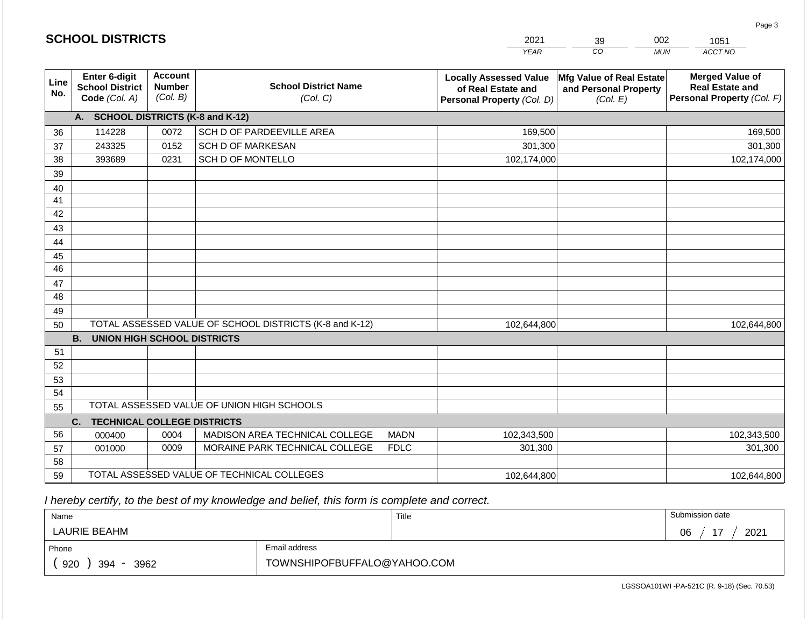|                 |                                                          |                                             |                                                         |             | <b>YEAR</b>                                                                       | $\overline{co}$<br><b>MUN</b>                                        | ACCT NO                                                                        |
|-----------------|----------------------------------------------------------|---------------------------------------------|---------------------------------------------------------|-------------|-----------------------------------------------------------------------------------|----------------------------------------------------------------------|--------------------------------------------------------------------------------|
| Line<br>No.     | Enter 6-digit<br><b>School District</b><br>Code (Col. A) | <b>Account</b><br><b>Number</b><br>(Col. B) | <b>School District Name</b><br>(Col. C)                 |             | <b>Locally Assessed Value</b><br>of Real Estate and<br>Personal Property (Col. D) | <b>Mfg Value of Real Estate</b><br>and Personal Property<br>(Col. E) | <b>Merged Value of</b><br><b>Real Estate and</b><br>Personal Property (Col. F) |
|                 | <b>SCHOOL DISTRICTS (K-8 and K-12)</b><br>A.             |                                             |                                                         |             |                                                                                   |                                                                      |                                                                                |
| 36              | 114228                                                   | 0072                                        | SCH D OF PARDEEVILLE AREA                               |             | 169,500                                                                           |                                                                      | 169,500                                                                        |
| 37              | 243325                                                   | 0152                                        | <b>SCH D OF MARKESAN</b>                                |             | 301,300                                                                           |                                                                      | 301,300                                                                        |
| 38              | 393689                                                   | 0231                                        | SCH D OF MONTELLO                                       |             | 102,174,000                                                                       |                                                                      | 102,174,000                                                                    |
| 39              |                                                          |                                             |                                                         |             |                                                                                   |                                                                      |                                                                                |
| 40              |                                                          |                                             |                                                         |             |                                                                                   |                                                                      |                                                                                |
| 41              |                                                          |                                             |                                                         |             |                                                                                   |                                                                      |                                                                                |
| 42              |                                                          |                                             |                                                         |             |                                                                                   |                                                                      |                                                                                |
| 43              |                                                          |                                             |                                                         |             |                                                                                   |                                                                      |                                                                                |
| 44              |                                                          |                                             |                                                         |             |                                                                                   |                                                                      |                                                                                |
| 45              |                                                          |                                             |                                                         |             |                                                                                   |                                                                      |                                                                                |
| $\overline{46}$ |                                                          |                                             |                                                         |             |                                                                                   |                                                                      |                                                                                |
| 47              |                                                          |                                             |                                                         |             |                                                                                   |                                                                      |                                                                                |
| 48              |                                                          |                                             |                                                         |             |                                                                                   |                                                                      |                                                                                |
| 49              |                                                          |                                             |                                                         |             |                                                                                   |                                                                      |                                                                                |
| 50              |                                                          |                                             | TOTAL ASSESSED VALUE OF SCHOOL DISTRICTS (K-8 and K-12) |             | 102,644,800                                                                       |                                                                      | 102,644,800                                                                    |
|                 | <b>B.</b><br><b>UNION HIGH SCHOOL DISTRICTS</b>          |                                             |                                                         |             |                                                                                   |                                                                      |                                                                                |
| 51              |                                                          |                                             |                                                         |             |                                                                                   |                                                                      |                                                                                |
| 52              |                                                          |                                             |                                                         |             |                                                                                   |                                                                      |                                                                                |
| 53              |                                                          |                                             |                                                         |             |                                                                                   |                                                                      |                                                                                |
| 54              |                                                          |                                             |                                                         |             |                                                                                   |                                                                      |                                                                                |
| 55              |                                                          |                                             | TOTAL ASSESSED VALUE OF UNION HIGH SCHOOLS              |             |                                                                                   |                                                                      |                                                                                |
|                 | <b>TECHNICAL COLLEGE DISTRICTS</b><br>C.                 |                                             |                                                         |             |                                                                                   |                                                                      |                                                                                |
| 56              | 000400                                                   | 0004                                        | MADISON AREA TECHNICAL COLLEGE                          | <b>MADN</b> | 102,343,500                                                                       |                                                                      | 102,343,500                                                                    |
| 57              | 001000                                                   | 0009                                        | MORAINE PARK TECHNICAL COLLEGE                          | <b>FDLC</b> | 301,300                                                                           |                                                                      | 301,300                                                                        |
| 58              |                                                          |                                             |                                                         |             |                                                                                   |                                                                      |                                                                                |
| 59              |                                                          |                                             | TOTAL ASSESSED VALUE OF TECHNICAL COLLEGES              |             | 102,644,800                                                                       |                                                                      | 102,644,800                                                                    |

| Name               |                             | Title | Submission date  |
|--------------------|-----------------------------|-------|------------------|
| LAURIE BEAHM       |                             |       | 17<br>2021<br>06 |
| Phone              | Email address               |       |                  |
| 920<br>394<br>3962 | TOWNSHIPOFBUFFALO@YAHOO.COM |       |                  |

LGSSOA101WI -PA-521C (R. 9-18) (Sec. 70.53)

Page 3

|  |  | <b>SCHOOL DISTRICTS</b> |  |  |
|--|--|-------------------------|--|--|
|  |  |                         |  |  |

2021 39 002 1051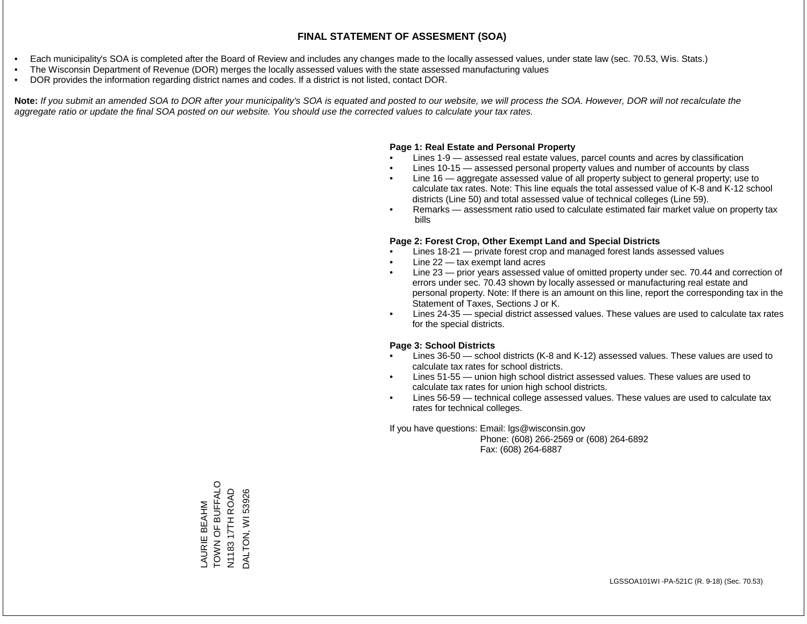- Each municipality's SOA is completed after the Board of Review and includes any changes made to the locally assessed values, under state law (sec. 70.53, Wis. Stats.)
- The Wisconsin Department of Revenue (DOR) merges the locally assessed values with the state assessed manufacturing values
- DOR provides the information regarding district names and codes. If a district is not listed, contact DOR.

Note: If you submit an amended SOA to DOR after your municipality's SOA is equated and posted to our website, we will process the SOA. However, DOR will not recalculate the *aggregate ratio or update the final SOA posted on our website. You should use the corrected values to calculate your tax rates.*

#### **Page 1: Real Estate and Personal Property**

- Lines 1-9 assessed real estate values, parcel counts and acres by classification
- Lines 10-15 assessed personal property values and number of accounts by class
- Line 16 aggregate assessed value of all property subject to general property; use to calculate tax rates. Note: This line equals the total assessed value of K-8 and K-12 school districts (Line 50) and total assessed value of technical colleges (Line 59).
- Remarks assessment ratio used to calculate estimated fair market value on property tax bills

#### **Page 2: Forest Crop, Other Exempt Land and Special Districts**

- Lines 18-21 private forest crop and managed forest lands assessed values
- Line  $22 -$  tax exempt land acres
- Line 23 prior years assessed value of omitted property under sec. 70.44 and correction of errors under sec. 70.43 shown by locally assessed or manufacturing real estate and personal property. Note: If there is an amount on this line, report the corresponding tax in the Statement of Taxes, Sections J or K.
- Lines 24-35 special district assessed values. These values are used to calculate tax rates for the special districts.

#### **Page 3: School Districts**

- Lines 36-50 school districts (K-8 and K-12) assessed values. These values are used to calculate tax rates for school districts.
- Lines 51-55 union high school district assessed values. These values are used to calculate tax rates for union high school districts.
- Lines 56-59 technical college assessed values. These values are used to calculate tax rates for technical colleges.

If you have questions: Email: lgs@wisconsin.gov

 Phone: (608) 266-2569 or (608) 264-6892 Fax: (608) 264-6887

TOWN OF BUFFALO LAURIE BEAHM N1183 17TH ROAD DALTON, WI 53926 N1183 17TH ROAD DALTON, WI 53926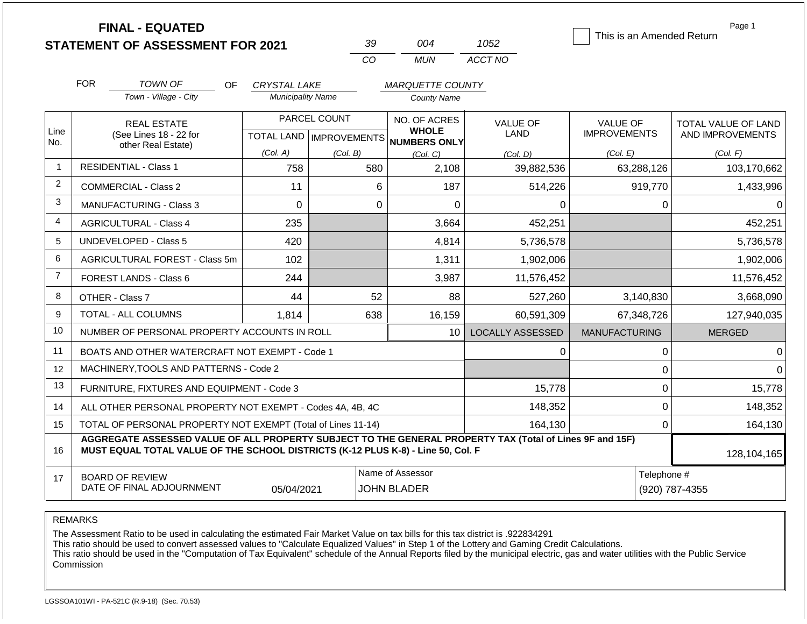|                | <b>FINAL - EQUATED</b><br><b>STATEMENT OF ASSESSMENT FOR 2021</b>                                                                                                                            |                          | 39                                        | 004                          | 1052                    | This is an Amended Return       | Page 1                                  |  |
|----------------|----------------------------------------------------------------------------------------------------------------------------------------------------------------------------------------------|--------------------------|-------------------------------------------|------------------------------|-------------------------|---------------------------------|-----------------------------------------|--|
|                |                                                                                                                                                                                              |                          | CO                                        | <b>MUN</b>                   | ACCT NO                 |                                 |                                         |  |
|                | <b>FOR</b><br><b>TOWN OF</b><br>OF                                                                                                                                                           | <b>CRYSTAL LAKE</b>      |                                           | <b>MARQUETTE COUNTY</b>      |                         |                                 |                                         |  |
|                | Town - Village - City                                                                                                                                                                        | <b>Municipality Name</b> |                                           | <b>County Name</b>           |                         |                                 |                                         |  |
| Line           | <b>REAL ESTATE</b><br>(See Lines 18 - 22 for                                                                                                                                                 |                          | PARCEL COUNT<br>TOTAL LAND   IMPROVEMENTS | NO. OF ACRES<br><b>WHOLE</b> | <b>VALUE OF</b><br>LAND | VALUE OF<br><b>IMPROVEMENTS</b> | TOTAL VALUE OF LAND<br>AND IMPROVEMENTS |  |
| No.            | other Real Estate)                                                                                                                                                                           | (Col. A)                 | (Col. B)                                  | NUMBERS ONLY<br>(Col, C)     | (Col. D)                | (Col. E)                        | (Col. F)                                |  |
| $\mathbf{1}$   | <b>RESIDENTIAL - Class 1</b>                                                                                                                                                                 | 758                      | 580                                       | 2,108                        | 39,882,536              | 63,288,126                      | 103,170,662                             |  |
| $\overline{c}$ | <b>COMMERCIAL - Class 2</b>                                                                                                                                                                  | 11                       | 6                                         | 187                          | 514,226                 | 919,770                         | 1,433,996                               |  |
| 3              | <b>MANUFACTURING - Class 3</b>                                                                                                                                                               | $\mathbf 0$              | $\Omega$                                  | $\Omega$                     | $\Omega$                | 0                               | 0                                       |  |
| 4              | <b>AGRICULTURAL - Class 4</b>                                                                                                                                                                | 235                      |                                           | 3,664                        | 452,251                 |                                 | 452,251                                 |  |
| 5              | <b>UNDEVELOPED - Class 5</b>                                                                                                                                                                 | 420                      |                                           | 4,814                        | 5,736,578               |                                 | 5,736,578                               |  |
| 6              | AGRICULTURAL FOREST - Class 5m                                                                                                                                                               | 102                      |                                           | 1,311                        | 1,902,006               |                                 | 1,902,006                               |  |
| $\overline{7}$ | FOREST LANDS - Class 6                                                                                                                                                                       | 244                      |                                           | 3,987                        | 11,576,452              |                                 | 11,576,452                              |  |
| 8              | OTHER - Class 7                                                                                                                                                                              | 44                       | 52                                        | 88                           | 527,260                 | 3,140,830                       | 3,668,090                               |  |
| 9              | <b>TOTAL - ALL COLUMNS</b>                                                                                                                                                                   | 1,814                    | 638                                       | 16,159                       | 60,591,309              | 67,348,726                      | 127,940,035                             |  |
| 10             | NUMBER OF PERSONAL PROPERTY ACCOUNTS IN ROLL                                                                                                                                                 |                          |                                           | 10 <sup>1</sup>              | <b>LOCALLY ASSESSED</b> | <b>MANUFACTURING</b>            | <b>MERGED</b>                           |  |
| 11             | BOATS AND OTHER WATERCRAFT NOT EXEMPT - Code 1                                                                                                                                               |                          |                                           |                              | 0                       | 0                               | 0                                       |  |
| 12             | MACHINERY, TOOLS AND PATTERNS - Code 2                                                                                                                                                       |                          |                                           |                              |                         | 0                               | $\Omega$                                |  |
| 13             | FURNITURE, FIXTURES AND EQUIPMENT - Code 3                                                                                                                                                   |                          |                                           |                              | 15,778                  | 0                               | 15,778                                  |  |
| 14             | ALL OTHER PERSONAL PROPERTY NOT EXEMPT - Codes 4A, 4B, 4C                                                                                                                                    |                          |                                           |                              | 148,352                 | 0                               | 148,352                                 |  |
| 15             | TOTAL OF PERSONAL PROPERTY NOT EXEMPT (Total of Lines 11-14)                                                                                                                                 |                          |                                           |                              | 164,130                 | 0                               | 164,130                                 |  |
| 16             | AGGREGATE ASSESSED VALUE OF ALL PROPERTY SUBJECT TO THE GENERAL PROPERTY TAX (Total of Lines 9F and 15F)<br>MUST EQUAL TOTAL VALUE OF THE SCHOOL DISTRICTS (K-12 PLUS K-8) - Line 50, Col. F |                          |                                           |                              |                         |                                 | 128,104,165                             |  |
| 17             | <b>BOARD OF REVIEW</b>                                                                                                                                                                       |                          |                                           | Name of Assessor             |                         | Telephone #                     |                                         |  |
|                | DATE OF FINAL ADJOURNMENT                                                                                                                                                                    | 05/04/2021               |                                           | <b>JOHN BLADER</b>           |                         |                                 | (920) 787-4355                          |  |

REMARKS

The Assessment Ratio to be used in calculating the estimated Fair Market Value on tax bills for this tax district is .922834291

This ratio should be used to convert assessed values to "Calculate Equalized Values" in Step 1 of the Lottery and Gaming Credit Calculations.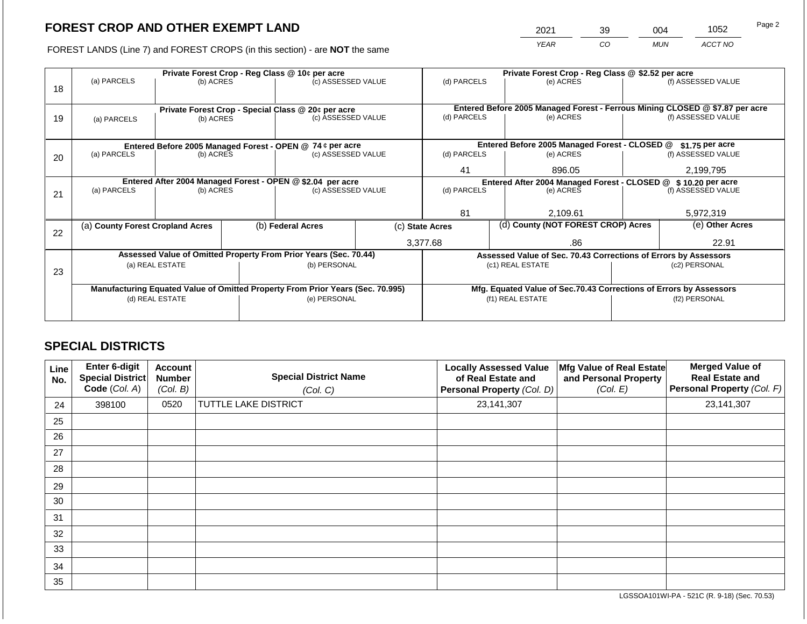2021 39 004 1052 Page 2

FOREST LANDS (Line 7) and FOREST CROPS (in this section) - are **NOT** the same *YEAR CO MUN ACCT NO*

|    |                                                                                |                 |  | Private Forest Crop - Reg Class @ 10¢ per acre                   |  | Private Forest Crop - Reg Class @ \$2.52 per acre             |                                                                              |                                                                    |               |                    |
|----|--------------------------------------------------------------------------------|-----------------|--|------------------------------------------------------------------|--|---------------------------------------------------------------|------------------------------------------------------------------------------|--------------------------------------------------------------------|---------------|--------------------|
| 18 | (a) PARCELS                                                                    | (b) ACRES       |  | (c) ASSESSED VALUE                                               |  | (d) PARCELS                                                   |                                                                              | (e) ACRES                                                          |               | (f) ASSESSED VALUE |
|    |                                                                                |                 |  | Private Forest Crop - Special Class @ 20¢ per acre               |  |                                                               | Entered Before 2005 Managed Forest - Ferrous Mining CLOSED @ \$7.87 per acre |                                                                    |               |                    |
| 19 | (a) PARCELS                                                                    | (b) ACRES       |  | (c) ASSESSED VALUE                                               |  | (d) PARCELS                                                   |                                                                              | (e) ACRES                                                          |               | (f) ASSESSED VALUE |
|    |                                                                                |                 |  |                                                                  |  |                                                               |                                                                              |                                                                    |               |                    |
|    |                                                                                |                 |  | Entered Before 2005 Managed Forest - OPEN @ 74 ¢ per acre        |  |                                                               |                                                                              | Entered Before 2005 Managed Forest - CLOSED @                      |               | $$1.75$ per acre   |
| 20 | (a) PARCELS                                                                    | (b) ACRES       |  | (c) ASSESSED VALUE                                               |  | (d) PARCELS                                                   |                                                                              | (e) ACRES                                                          |               | (f) ASSESSED VALUE |
|    |                                                                                |                 |  |                                                                  |  | 41                                                            |                                                                              | 896.05                                                             |               | 2,199,795          |
|    |                                                                                |                 |  | Entered After 2004 Managed Forest - OPEN @ \$2.04 per acre       |  | Entered After 2004 Managed Forest - CLOSED @ \$10.20 per acre |                                                                              |                                                                    |               |                    |
| 21 | (a) PARCELS                                                                    | (b) ACRES       |  | (c) ASSESSED VALUE                                               |  | (d) PARCELS                                                   |                                                                              | (e) ACRES                                                          |               | (f) ASSESSED VALUE |
|    |                                                                                |                 |  |                                                                  |  |                                                               |                                                                              |                                                                    |               |                    |
|    |                                                                                |                 |  |                                                                  |  | 81                                                            |                                                                              | 2,109.61                                                           |               | 5,972,319          |
| 22 | (a) County Forest Cropland Acres                                               |                 |  | (b) Federal Acres<br>(c) State Acres                             |  |                                                               |                                                                              | (d) County (NOT FOREST CROP) Acres                                 |               | (e) Other Acres    |
|    |                                                                                |                 |  |                                                                  |  | 3,377.68                                                      |                                                                              | .86                                                                |               | 22.91              |
|    |                                                                                |                 |  | Assessed Value of Omitted Property From Prior Years (Sec. 70.44) |  |                                                               |                                                                              | Assessed Value of Sec. 70.43 Corrections of Errors by Assessors    |               |                    |
| 23 |                                                                                | (a) REAL ESTATE |  | (b) PERSONAL                                                     |  |                                                               |                                                                              | (c1) REAL ESTATE                                                   |               | (c2) PERSONAL      |
|    |                                                                                |                 |  |                                                                  |  |                                                               |                                                                              |                                                                    |               |                    |
|    | Manufacturing Equated Value of Omitted Property From Prior Years (Sec. 70.995) |                 |  |                                                                  |  |                                                               |                                                                              | Mfg. Equated Value of Sec.70.43 Corrections of Errors by Assessors |               |                    |
|    |                                                                                | (d) REAL ESTATE |  | (e) PERSONAL                                                     |  |                                                               |                                                                              | (f1) REAL ESTATE                                                   | (f2) PERSONAL |                    |
|    |                                                                                |                 |  |                                                                  |  |                                                               |                                                                              |                                                                    |               |                    |
|    |                                                                                |                 |  |                                                                  |  |                                                               |                                                                              |                                                                    |               |                    |

## **SPECIAL DISTRICTS**

| Line<br>No. | Enter 6-digit<br>Special District<br>Code (Col. A) | <b>Account</b><br><b>Number</b><br>(Col. B) | <b>Special District Name</b><br>(Col. C) | <b>Locally Assessed Value</b><br>of Real Estate and<br>Personal Property (Col. D) | Mfg Value of Real Estate<br>and Personal Property<br>(Col. E) | <b>Merged Value of</b><br><b>Real Estate and</b><br>Personal Property (Col. F) |
|-------------|----------------------------------------------------|---------------------------------------------|------------------------------------------|-----------------------------------------------------------------------------------|---------------------------------------------------------------|--------------------------------------------------------------------------------|
| 24          | 398100                                             | 0520                                        | <b>TUTTLE LAKE DISTRICT</b>              | 23,141,307                                                                        |                                                               | 23, 141, 307                                                                   |
| 25          |                                                    |                                             |                                          |                                                                                   |                                                               |                                                                                |
| 26          |                                                    |                                             |                                          |                                                                                   |                                                               |                                                                                |
| 27          |                                                    |                                             |                                          |                                                                                   |                                                               |                                                                                |
| 28          |                                                    |                                             |                                          |                                                                                   |                                                               |                                                                                |
| 29          |                                                    |                                             |                                          |                                                                                   |                                                               |                                                                                |
| 30          |                                                    |                                             |                                          |                                                                                   |                                                               |                                                                                |
| 31          |                                                    |                                             |                                          |                                                                                   |                                                               |                                                                                |
| 32          |                                                    |                                             |                                          |                                                                                   |                                                               |                                                                                |
| 33          |                                                    |                                             |                                          |                                                                                   |                                                               |                                                                                |
| 34          |                                                    |                                             |                                          |                                                                                   |                                                               |                                                                                |
| 35          |                                                    |                                             |                                          |                                                                                   |                                                               |                                                                                |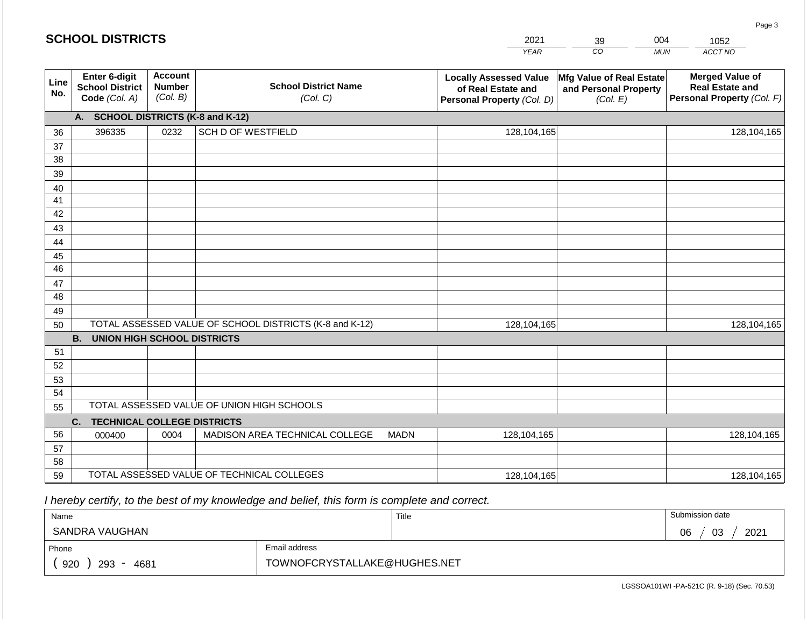|             | <b>SCHOOL DISTRICTS</b>                                  |                                             |                                                         |             | 2021                                                                              | 39                                                            | 004        | 1052                                                                           |
|-------------|----------------------------------------------------------|---------------------------------------------|---------------------------------------------------------|-------------|-----------------------------------------------------------------------------------|---------------------------------------------------------------|------------|--------------------------------------------------------------------------------|
|             |                                                          |                                             |                                                         |             | <b>YEAR</b>                                                                       | CO                                                            | <b>MUN</b> | ACCT NO                                                                        |
| Line<br>No. | Enter 6-digit<br><b>School District</b><br>Code (Col. A) | <b>Account</b><br><b>Number</b><br>(Col. B) | <b>School District Name</b><br>(Col. C)                 |             | <b>Locally Assessed Value</b><br>of Real Estate and<br>Personal Property (Col. D) | Mfg Value of Real Estate<br>and Personal Property<br>(Col. E) |            | <b>Merged Value of</b><br><b>Real Estate and</b><br>Personal Property (Col. F) |
|             | A.                                                       |                                             | <b>SCHOOL DISTRICTS (K-8 and K-12)</b>                  |             |                                                                                   |                                                               |            |                                                                                |
| 36          | 396335                                                   | 0232                                        | <b>SCH D OF WESTFIELD</b>                               |             | 128,104,165                                                                       |                                                               |            | 128,104,165                                                                    |
| 37          |                                                          |                                             |                                                         |             |                                                                                   |                                                               |            |                                                                                |
| 38          |                                                          |                                             |                                                         |             |                                                                                   |                                                               |            |                                                                                |
| 39          |                                                          |                                             |                                                         |             |                                                                                   |                                                               |            |                                                                                |
| 40<br>41    |                                                          |                                             |                                                         |             |                                                                                   |                                                               |            |                                                                                |
| 42          |                                                          |                                             |                                                         |             |                                                                                   |                                                               |            |                                                                                |
| 43          |                                                          |                                             |                                                         |             |                                                                                   |                                                               |            |                                                                                |
| 44          |                                                          |                                             |                                                         |             |                                                                                   |                                                               |            |                                                                                |
| 45          |                                                          |                                             |                                                         |             |                                                                                   |                                                               |            |                                                                                |
| 46          |                                                          |                                             |                                                         |             |                                                                                   |                                                               |            |                                                                                |
| 47          |                                                          |                                             |                                                         |             |                                                                                   |                                                               |            |                                                                                |
| 48          |                                                          |                                             |                                                         |             |                                                                                   |                                                               |            |                                                                                |
| 49          |                                                          |                                             |                                                         |             |                                                                                   |                                                               |            |                                                                                |
| 50          |                                                          |                                             | TOTAL ASSESSED VALUE OF SCHOOL DISTRICTS (K-8 and K-12) |             | 128,104,165                                                                       |                                                               |            | 128,104,165                                                                    |
|             | <b>B.</b><br><b>UNION HIGH SCHOOL DISTRICTS</b>          |                                             |                                                         |             |                                                                                   |                                                               |            |                                                                                |
| 51<br>52    |                                                          |                                             |                                                         |             |                                                                                   |                                                               |            |                                                                                |
| 53          |                                                          |                                             |                                                         |             |                                                                                   |                                                               |            |                                                                                |
| 54          |                                                          |                                             |                                                         |             |                                                                                   |                                                               |            |                                                                                |
| 55          |                                                          |                                             | TOTAL ASSESSED VALUE OF UNION HIGH SCHOOLS              |             |                                                                                   |                                                               |            |                                                                                |
|             | <b>TECHNICAL COLLEGE DISTRICTS</b><br>C.                 |                                             |                                                         |             |                                                                                   |                                                               |            |                                                                                |
| 56          | 000400                                                   | 0004                                        | MADISON AREA TECHNICAL COLLEGE                          | <b>MADN</b> | 128,104,165                                                                       |                                                               |            | 128,104,165                                                                    |
| 57          |                                                          |                                             |                                                         |             |                                                                                   |                                                               |            |                                                                                |
| 58          |                                                          |                                             |                                                         |             |                                                                                   |                                                               |            |                                                                                |
| 59          |                                                          |                                             | TOTAL ASSESSED VALUE OF TECHNICAL COLLEGES              |             | 128,104,165                                                                       |                                                               |            | 128,104,165                                                                    |

| Name               |                              | Title | Submission date  |
|--------------------|------------------------------|-------|------------------|
| SANDRA VAUGHAN     |                              |       | 2021<br>06<br>03 |
| Phone              | Email address                |       |                  |
| 920<br>293<br>4681 | TOWNOFCRYSTALLAKE@HUGHES.NET |       |                  |

Page 3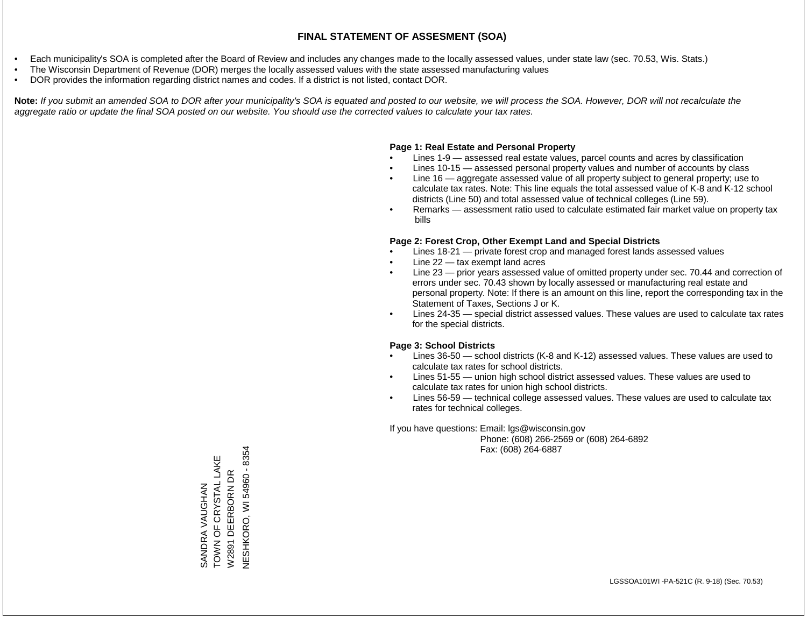- Each municipality's SOA is completed after the Board of Review and includes any changes made to the locally assessed values, under state law (sec. 70.53, Wis. Stats.)
- The Wisconsin Department of Revenue (DOR) merges the locally assessed values with the state assessed manufacturing values
- DOR provides the information regarding district names and codes. If a district is not listed, contact DOR.

Note: If you submit an amended SOA to DOR after your municipality's SOA is equated and posted to our website, we will process the SOA. However, DOR will not recalculate the *aggregate ratio or update the final SOA posted on our website. You should use the corrected values to calculate your tax rates.*

### **Page 1: Real Estate and Personal Property**

- Lines 1-9 assessed real estate values, parcel counts and acres by classification
- Lines 10-15 assessed personal property values and number of accounts by class
- Line 16 aggregate assessed value of all property subject to general property; use to calculate tax rates. Note: This line equals the total assessed value of K-8 and K-12 school districts (Line 50) and total assessed value of technical colleges (Line 59).
- Remarks assessment ratio used to calculate estimated fair market value on property tax bills

### **Page 2: Forest Crop, Other Exempt Land and Special Districts**

- Lines 18-21 private forest crop and managed forest lands assessed values
- Line  $22 -$  tax exempt land acres
- Line 23 prior years assessed value of omitted property under sec. 70.44 and correction of errors under sec. 70.43 shown by locally assessed or manufacturing real estate and personal property. Note: If there is an amount on this line, report the corresponding tax in the Statement of Taxes, Sections J or K.
- Lines 24-35 special district assessed values. These values are used to calculate tax rates for the special districts.

### **Page 3: School Districts**

- Lines 36-50 school districts (K-8 and K-12) assessed values. These values are used to calculate tax rates for school districts.
- Lines 51-55 union high school district assessed values. These values are used to calculate tax rates for union high school districts.
- Lines 56-59 technical college assessed values. These values are used to calculate tax rates for technical colleges.

If you have questions: Email: lgs@wisconsin.gov

 Phone: (608) 266-2569 or (608) 264-6892 Fax: (608) 264-6887

**NESHKORO, WI 54960 - 8354** NESHKORO, WI 54960 - 8354SANDRA VAUGHAN<br>TOWN OF CRYSTAL LAKE TOWN OF CRYSTAL LAKE DEERBORN DR W2891 DEERBORN DR SANDRA VAUGHAN W2891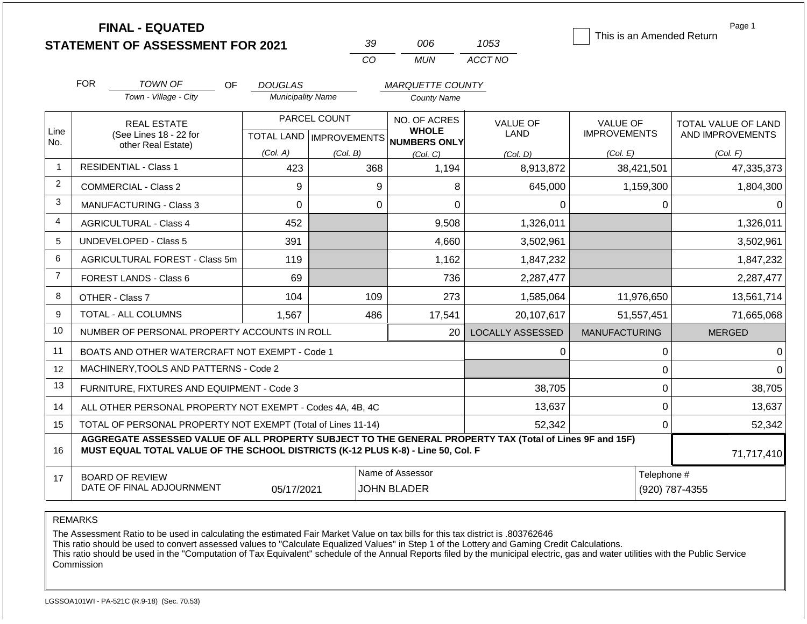|             | <b>FINAL - EQUATED</b>                                                                                                                                                                       |                          |                           |                                     |                         | This is an Amended Return | Page 1              |  |  |  |
|-------------|----------------------------------------------------------------------------------------------------------------------------------------------------------------------------------------------|--------------------------|---------------------------|-------------------------------------|-------------------------|---------------------------|---------------------|--|--|--|
|             | <b>STATEMENT OF ASSESSMENT FOR 2021</b>                                                                                                                                                      |                          | 39                        | 006                                 | 1053                    |                           |                     |  |  |  |
|             |                                                                                                                                                                                              |                          | CO                        | <b>MUN</b>                          | ACCT NO                 |                           |                     |  |  |  |
|             | <b>FOR</b><br>TOWN OF<br><b>OF</b>                                                                                                                                                           | <b>DOUGLAS</b>           |                           | <b>MARQUETTE COUNTY</b>             |                         |                           |                     |  |  |  |
|             | Town - Village - City                                                                                                                                                                        | <b>Municipality Name</b> |                           | <b>County Name</b>                  |                         |                           |                     |  |  |  |
|             | <b>REAL ESTATE</b>                                                                                                                                                                           |                          | PARCEL COUNT              | NO. OF ACRES                        | VALUE OF                | <b>VALUE OF</b>           | TOTAL VALUE OF LAND |  |  |  |
| Line<br>No. | (See Lines 18 - 22 for<br>other Real Estate)                                                                                                                                                 |                          | TOTAL LAND   IMPROVEMENTS | <b>WHOLE</b><br><b>NUMBERS ONLY</b> | <b>LAND</b>             | <b>IMPROVEMENTS</b>       | AND IMPROVEMENTS    |  |  |  |
|             |                                                                                                                                                                                              | (Col. A)                 | (Col. B)                  | (Col. C)                            | (Col. D)                | (Col. E)                  | (Col. F)            |  |  |  |
| -1          | <b>RESIDENTIAL - Class 1</b>                                                                                                                                                                 | 423                      | 368                       | 1,194                               | 8,913,872               | 38,421,501                | 47,335,373          |  |  |  |
| 2           | <b>COMMERCIAL - Class 2</b>                                                                                                                                                                  | 9                        | 9                         | 8                                   | 645,000                 | 1,159,300                 | 1,804,300           |  |  |  |
| 3           | <b>MANUFACTURING - Class 3</b>                                                                                                                                                               | $\mathbf 0$              | $\mathbf 0$               | 0                                   | 0                       | $\mathbf 0$               |                     |  |  |  |
| 4           | <b>AGRICULTURAL - Class 4</b>                                                                                                                                                                | 452                      |                           | 9,508                               | 1,326,011               |                           | 1,326,011           |  |  |  |
| 5           | <b>UNDEVELOPED - Class 5</b>                                                                                                                                                                 | 391                      |                           | 4,660                               | 3,502,961               |                           | 3,502,961           |  |  |  |
| 6           | AGRICULTURAL FOREST - Class 5m                                                                                                                                                               | 119                      |                           | 1,162                               | 1,847,232               |                           | 1,847,232           |  |  |  |
| 7           | FOREST LANDS - Class 6                                                                                                                                                                       | 69                       |                           | 736                                 | 2,287,477               |                           | 2,287,477           |  |  |  |
| 8           | OTHER - Class 7                                                                                                                                                                              | 104                      | 109                       | 273                                 | 1,585,064               | 11,976,650                | 13,561,714          |  |  |  |
| 9           | TOTAL - ALL COLUMNS                                                                                                                                                                          | 1,567                    | 486                       | 17,541                              | 20,107,617              | 51,557,451                | 71,665,068          |  |  |  |
| 10          | NUMBER OF PERSONAL PROPERTY ACCOUNTS IN ROLL                                                                                                                                                 |                          |                           | 20                                  | <b>LOCALLY ASSESSED</b> | <b>MANUFACTURING</b>      | <b>MERGED</b>       |  |  |  |
| 11          | BOATS AND OTHER WATERCRAFT NOT EXEMPT - Code 1                                                                                                                                               |                          |                           |                                     | 0                       | 0                         |                     |  |  |  |
| 12          | MACHINERY, TOOLS AND PATTERNS - Code 2                                                                                                                                                       |                          |                           |                                     |                         | 0                         |                     |  |  |  |
| 13          | FURNITURE, FIXTURES AND EQUIPMENT - Code 3                                                                                                                                                   |                          |                           |                                     | 38,705                  | $\mathbf 0$               | 38,705              |  |  |  |
| 14          | ALL OTHER PERSONAL PROPERTY NOT EXEMPT - Codes 4A, 4B, 4C                                                                                                                                    |                          |                           |                                     | 13,637                  | $\mathbf 0$               | 13,637              |  |  |  |
| 15          | TOTAL OF PERSONAL PROPERTY NOT EXEMPT (Total of Lines 11-14)                                                                                                                                 |                          |                           |                                     | 52,342                  | $\mathbf 0$               | 52,342              |  |  |  |
| 16          | AGGREGATE ASSESSED VALUE OF ALL PROPERTY SUBJECT TO THE GENERAL PROPERTY TAX (Total of Lines 9F and 15F)<br>MUST EQUAL TOTAL VALUE OF THE SCHOOL DISTRICTS (K-12 PLUS K-8) - Line 50, Col. F |                          |                           |                                     |                         |                           |                     |  |  |  |
| 17          | <b>BOARD OF REVIEW</b>                                                                                                                                                                       |                          |                           | Name of Assessor                    |                         | Telephone #               |                     |  |  |  |
|             | DATE OF FINAL ADJOURNMENT                                                                                                                                                                    | 05/17/2021               |                           | <b>JOHN BLADER</b>                  |                         |                           | (920) 787-4355      |  |  |  |

REMARKS

The Assessment Ratio to be used in calculating the estimated Fair Market Value on tax bills for this tax district is .803762646

This ratio should be used to convert assessed values to "Calculate Equalized Values" in Step 1 of the Lottery and Gaming Credit Calculations.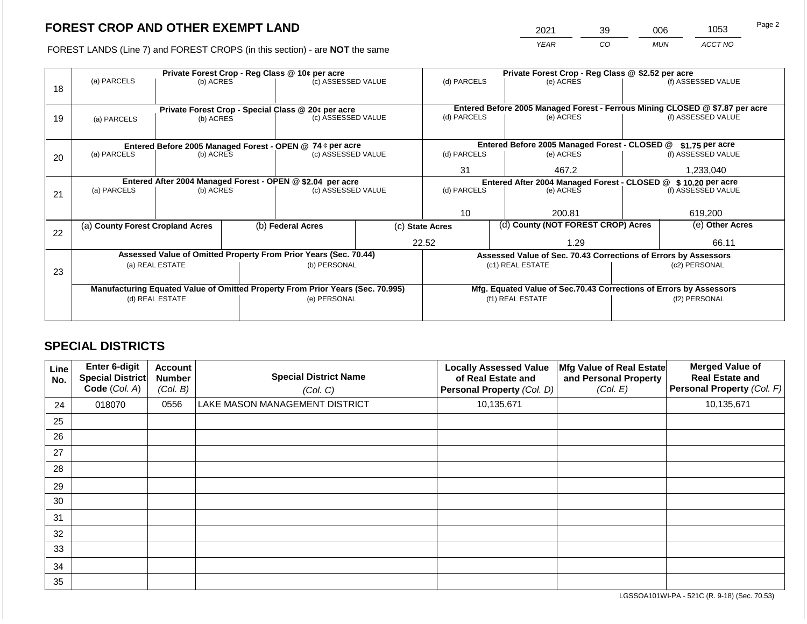2021 39 006 1053

FOREST LANDS (Line 7) and FOREST CROPS (in this section) - are **NOT** the same *YEAR CO MUN ACCT NO*

|    | Private Forest Crop - Reg Class @ 10¢ per acre             |                 |  |                                                                                |                 | Private Forest Crop - Reg Class @ \$2.52 per acre             |       |                                                                              |               |                    |
|----|------------------------------------------------------------|-----------------|--|--------------------------------------------------------------------------------|-----------------|---------------------------------------------------------------|-------|------------------------------------------------------------------------------|---------------|--------------------|
|    | (a) PARCELS                                                | (b) ACRES       |  | (c) ASSESSED VALUE                                                             |                 | (d) PARCELS                                                   |       | (e) ACRES                                                                    |               | (f) ASSESSED VALUE |
| 18 |                                                            |                 |  |                                                                                |                 |                                                               |       |                                                                              |               |                    |
|    |                                                            |                 |  |                                                                                |                 |                                                               |       |                                                                              |               |                    |
|    |                                                            |                 |  | Private Forest Crop - Special Class @ 20¢ per acre                             |                 |                                                               |       | Entered Before 2005 Managed Forest - Ferrous Mining CLOSED @ \$7.87 per acre |               |                    |
| 19 | (a) PARCELS                                                | (b) ACRES       |  | (c) ASSESSED VALUE                                                             |                 | (d) PARCELS                                                   |       | (e) ACRES                                                                    |               | (f) ASSESSED VALUE |
|    |                                                            |                 |  |                                                                                |                 |                                                               |       |                                                                              |               |                    |
|    | Entered Before 2005 Managed Forest - OPEN @ 74 ¢ per acre  |                 |  |                                                                                |                 |                                                               |       | Entered Before 2005 Managed Forest - CLOSED @                                |               | \$1.75 per acre    |
| 20 | (a) PARCELS                                                | (b) ACRES       |  | (c) ASSESSED VALUE                                                             |                 | (d) PARCELS                                                   |       | (e) ACRES                                                                    |               | (f) ASSESSED VALUE |
|    |                                                            |                 |  |                                                                                |                 |                                                               |       |                                                                              |               |                    |
|    |                                                            |                 |  |                                                                                | 31              |                                                               | 467.2 |                                                                              | 1,233,040     |                    |
|    | Entered After 2004 Managed Forest - OPEN @ \$2.04 per acre |                 |  |                                                                                |                 | Entered After 2004 Managed Forest - CLOSED @ \$10.20 per acre |       |                                                                              |               |                    |
| 21 | (a) PARCELS                                                | (b) ACRES       |  | (c) ASSESSED VALUE                                                             |                 | (d) PARCELS                                                   |       | (e) ACRES                                                                    |               | (f) ASSESSED VALUE |
|    |                                                            |                 |  |                                                                                |                 |                                                               |       |                                                                              |               |                    |
|    |                                                            |                 |  |                                                                                |                 | 10                                                            |       | 200.81                                                                       |               | 619,200            |
|    | (a) County Forest Cropland Acres                           |                 |  | (b) Federal Acres                                                              | (c) State Acres |                                                               |       | (d) County (NOT FOREST CROP) Acres                                           |               | (e) Other Acres    |
| 22 |                                                            |                 |  |                                                                                |                 |                                                               |       |                                                                              |               |                    |
|    |                                                            |                 |  |                                                                                |                 | 22.52                                                         |       | 1.29                                                                         |               | 66.11              |
|    |                                                            |                 |  | Assessed Value of Omitted Property From Prior Years (Sec. 70.44)               |                 |                                                               |       | Assessed Value of Sec. 70.43 Corrections of Errors by Assessors              |               |                    |
|    |                                                            | (a) REAL ESTATE |  | (b) PERSONAL                                                                   |                 |                                                               |       | (c1) REAL ESTATE                                                             |               | (c2) PERSONAL      |
| 23 |                                                            |                 |  |                                                                                |                 |                                                               |       |                                                                              |               |                    |
|    |                                                            |                 |  | Manufacturing Equated Value of Omitted Property From Prior Years (Sec. 70.995) |                 |                                                               |       | Mfg. Equated Value of Sec.70.43 Corrections of Errors by Assessors           |               |                    |
|    |                                                            | (d) REAL ESTATE |  | (e) PERSONAL                                                                   |                 |                                                               |       | (f1) REAL ESTATE                                                             | (f2) PERSONAL |                    |
|    |                                                            |                 |  |                                                                                |                 |                                                               |       |                                                                              |               |                    |
|    |                                                            |                 |  |                                                                                |                 |                                                               |       |                                                                              |               |                    |

## **SPECIAL DISTRICTS**

| Line<br>No. | <b>Enter 6-digit</b><br>Special District<br>Code (Col. A) | <b>Account</b><br><b>Number</b><br>(Col. B) | <b>Special District Name</b><br>(Col. C) | <b>Locally Assessed Value</b><br>of Real Estate and<br>Personal Property (Col. D) | Mfg Value of Real Estate<br>and Personal Property<br>(Col. E) | <b>Merged Value of</b><br><b>Real Estate and</b><br>Personal Property (Col. F) |
|-------------|-----------------------------------------------------------|---------------------------------------------|------------------------------------------|-----------------------------------------------------------------------------------|---------------------------------------------------------------|--------------------------------------------------------------------------------|
| 24          | 018070                                                    | 0556                                        | LAKE MASON MANAGEMENT DISTRICT           | 10,135,671                                                                        |                                                               | 10,135,671                                                                     |
| 25          |                                                           |                                             |                                          |                                                                                   |                                                               |                                                                                |
| 26          |                                                           |                                             |                                          |                                                                                   |                                                               |                                                                                |
| 27          |                                                           |                                             |                                          |                                                                                   |                                                               |                                                                                |
| 28          |                                                           |                                             |                                          |                                                                                   |                                                               |                                                                                |
| 29          |                                                           |                                             |                                          |                                                                                   |                                                               |                                                                                |
| 30          |                                                           |                                             |                                          |                                                                                   |                                                               |                                                                                |
| 31          |                                                           |                                             |                                          |                                                                                   |                                                               |                                                                                |
| 32          |                                                           |                                             |                                          |                                                                                   |                                                               |                                                                                |
| 33          |                                                           |                                             |                                          |                                                                                   |                                                               |                                                                                |
| 34          |                                                           |                                             |                                          |                                                                                   |                                                               |                                                                                |
| 35          |                                                           |                                             |                                          |                                                                                   |                                                               |                                                                                |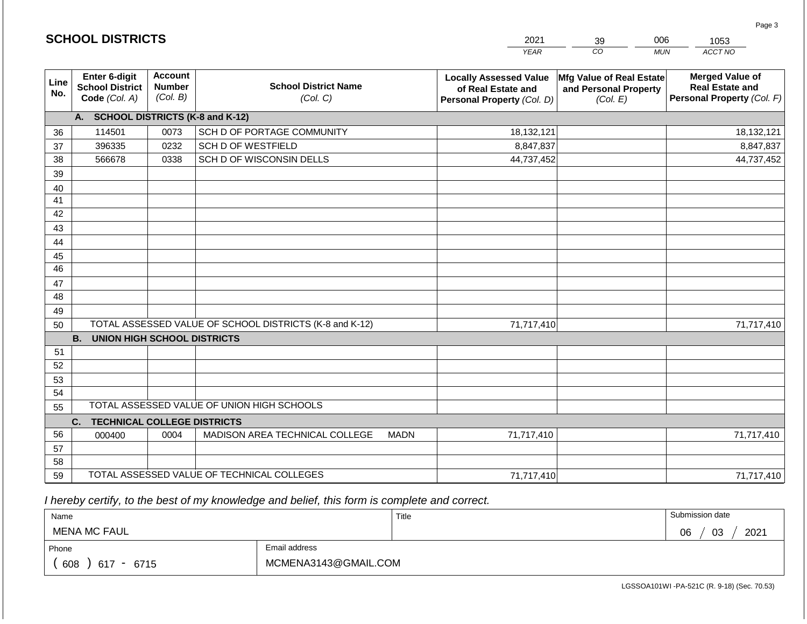|                 |                                                          |                                             |                                                         |             | <b>YEAR</b>                                                                       | $\overline{co}$<br><b>MUN</b>                                 | ACCT NO                                                                        |
|-----------------|----------------------------------------------------------|---------------------------------------------|---------------------------------------------------------|-------------|-----------------------------------------------------------------------------------|---------------------------------------------------------------|--------------------------------------------------------------------------------|
| Line<br>No.     | Enter 6-digit<br><b>School District</b><br>Code (Col. A) | <b>Account</b><br><b>Number</b><br>(Col. B) | <b>School District Name</b><br>(Col. C)                 |             | <b>Locally Assessed Value</b><br>of Real Estate and<br>Personal Property (Col. D) | Mfg Value of Real Estate<br>and Personal Property<br>(Col. E) | <b>Merged Value of</b><br><b>Real Estate and</b><br>Personal Property (Col. F) |
|                 | A. SCHOOL DISTRICTS (K-8 and K-12)                       |                                             |                                                         |             |                                                                                   |                                                               |                                                                                |
| 36              | 114501                                                   | 0073                                        | SCH D OF PORTAGE COMMUNITY                              |             | 18,132,121                                                                        |                                                               | 18,132,121                                                                     |
| 37              | 396335                                                   | 0232                                        | <b>SCH D OF WESTFIELD</b>                               |             | 8,847,837                                                                         |                                                               | 8,847,837                                                                      |
| 38              | 566678                                                   | 0338                                        | SCH D OF WISCONSIN DELLS                                |             | 44,737,452                                                                        |                                                               | 44,737,452                                                                     |
| 39              |                                                          |                                             |                                                         |             |                                                                                   |                                                               |                                                                                |
| 40              |                                                          |                                             |                                                         |             |                                                                                   |                                                               |                                                                                |
| 41              |                                                          |                                             |                                                         |             |                                                                                   |                                                               |                                                                                |
| 42              |                                                          |                                             |                                                         |             |                                                                                   |                                                               |                                                                                |
| 43              |                                                          |                                             |                                                         |             |                                                                                   |                                                               |                                                                                |
| 44              |                                                          |                                             |                                                         |             |                                                                                   |                                                               |                                                                                |
| 45              |                                                          |                                             |                                                         |             |                                                                                   |                                                               |                                                                                |
| $\overline{46}$ |                                                          |                                             |                                                         |             |                                                                                   |                                                               |                                                                                |
| 47              |                                                          |                                             |                                                         |             |                                                                                   |                                                               |                                                                                |
| 48              |                                                          |                                             |                                                         |             |                                                                                   |                                                               |                                                                                |
| 49              |                                                          |                                             |                                                         |             |                                                                                   |                                                               |                                                                                |
| 50              |                                                          |                                             | TOTAL ASSESSED VALUE OF SCHOOL DISTRICTS (K-8 and K-12) |             | 71,717,410                                                                        |                                                               | 71,717,410                                                                     |
| 51              | <b>B.</b><br><b>UNION HIGH SCHOOL DISTRICTS</b>          |                                             |                                                         |             |                                                                                   |                                                               |                                                                                |
| 52              |                                                          |                                             |                                                         |             |                                                                                   |                                                               |                                                                                |
| 53              |                                                          |                                             |                                                         |             |                                                                                   |                                                               |                                                                                |
| 54              |                                                          |                                             |                                                         |             |                                                                                   |                                                               |                                                                                |
| 55              |                                                          |                                             | TOTAL ASSESSED VALUE OF UNION HIGH SCHOOLS              |             |                                                                                   |                                                               |                                                                                |
|                 | <b>TECHNICAL COLLEGE DISTRICTS</b><br>C.                 |                                             |                                                         |             |                                                                                   |                                                               |                                                                                |
| 56              | 000400                                                   | 0004                                        | MADISON AREA TECHNICAL COLLEGE                          | <b>MADN</b> | 71,717,410                                                                        |                                                               | 71,717,410                                                                     |
| 57              |                                                          |                                             |                                                         |             |                                                                                   |                                                               |                                                                                |
| 58              |                                                          |                                             |                                                         |             |                                                                                   |                                                               |                                                                                |
| 59              |                                                          |                                             | TOTAL ASSESSED VALUE OF TECHNICAL COLLEGES              |             | 71,717,410                                                                        |                                                               | 71,717,410                                                                     |

2021

39

006

1053

Page 3

 *I hereby certify, to the best of my knowledge and belief, this form is complete and correct.*

**SCHOOL DISTRICTS**

| Name                  |                      | Title | Submission date  |
|-----------------------|----------------------|-------|------------------|
| <b>MENA MC FAUL</b>   |                      |       | 2021<br>03<br>06 |
| Phone                 | Email address        |       |                  |
| 608<br>617<br>$-6715$ | MCMENA3143@GMAIL.COM |       |                  |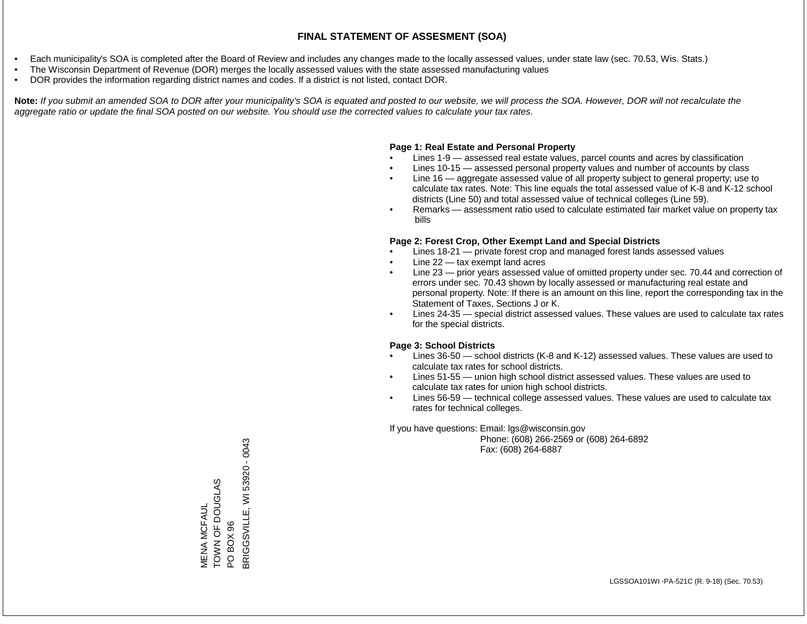- Each municipality's SOA is completed after the Board of Review and includes any changes made to the locally assessed values, under state law (sec. 70.53, Wis. Stats.)
- The Wisconsin Department of Revenue (DOR) merges the locally assessed values with the state assessed manufacturing values
- DOR provides the information regarding district names and codes. If a district is not listed, contact DOR.

Note: If you submit an amended SOA to DOR after your municipality's SOA is equated and posted to our website, we will process the SOA. However, DOR will not recalculate the *aggregate ratio or update the final SOA posted on our website. You should use the corrected values to calculate your tax rates.*

### **Page 1: Real Estate and Personal Property**

- Lines 1-9 assessed real estate values, parcel counts and acres by classification
- Lines 10-15 assessed personal property values and number of accounts by class
- Line 16 aggregate assessed value of all property subject to general property; use to calculate tax rates. Note: This line equals the total assessed value of K-8 and K-12 school districts (Line 50) and total assessed value of technical colleges (Line 59).
- Remarks assessment ratio used to calculate estimated fair market value on property tax bills

### **Page 2: Forest Crop, Other Exempt Land and Special Districts**

- Lines 18-21 private forest crop and managed forest lands assessed values
- Line  $22 -$  tax exempt land acres
- Line 23 prior years assessed value of omitted property under sec. 70.44 and correction of errors under sec. 70.43 shown by locally assessed or manufacturing real estate and personal property. Note: If there is an amount on this line, report the corresponding tax in the Statement of Taxes, Sections J or K.
- Lines 24-35 special district assessed values. These values are used to calculate tax rates for the special districts.

### **Page 3: School Districts**

- Lines 36-50 school districts (K-8 and K-12) assessed values. These values are used to calculate tax rates for school districts.
- Lines 51-55 union high school district assessed values. These values are used to calculate tax rates for union high school districts.
- Lines 56-59 technical college assessed values. These values are used to calculate tax rates for technical colleges.

If you have questions: Email: lgs@wisconsin.gov

 Phone: (608) 266-2569 or (608) 264-6892 Fax: (608) 264-6887

TOWN OF DOUGLAS<br>PO BOX 96<br>3RIGGSVILLE, WI 53920 - 0043 BRIGGSVILLE, WI 53920 - 0043TOWN OF DOUGLAS **VIENA MCFAUL** MENA MCFAUL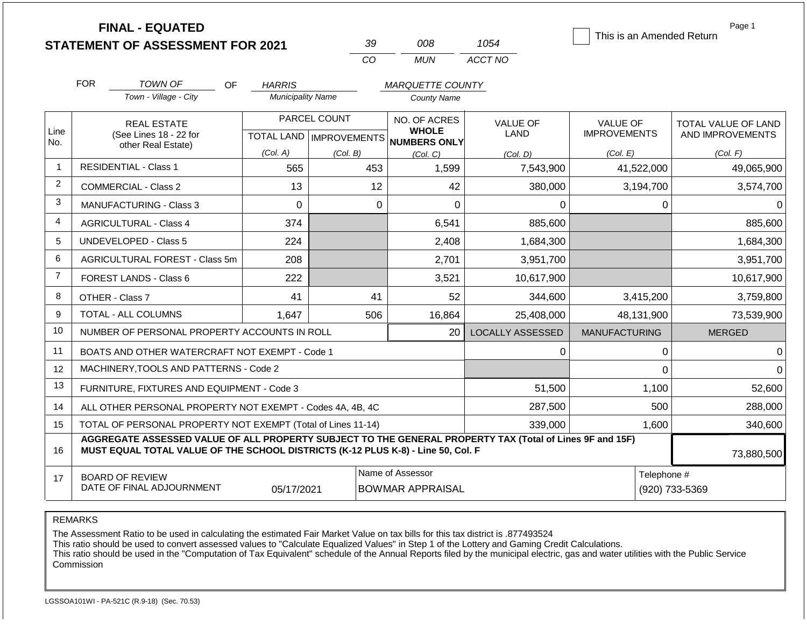|                |                                                              | <b>FINAL - EQUATED</b><br><b>STATEMENT OF ASSESSMENT FOR 2021</b>                                                                                                                            |                          | 39           | 008                                                  | 1054                    | This is an Amended Return | Page 1                     |
|----------------|--------------------------------------------------------------|----------------------------------------------------------------------------------------------------------------------------------------------------------------------------------------------|--------------------------|--------------|------------------------------------------------------|-------------------------|---------------------------|----------------------------|
|                |                                                              |                                                                                                                                                                                              |                          | <b>CO</b>    | <b>MUN</b>                                           | ACCT NO                 |                           |                            |
|                | <b>FOR</b>                                                   | TOWN OF<br><b>OF</b>                                                                                                                                                                         | <b>HARRIS</b>            |              | <b>MARQUETTE COUNTY</b>                              |                         |                           |                            |
|                |                                                              | Town - Village - City                                                                                                                                                                        | <b>Municipality Name</b> |              | <b>County Name</b>                                   |                         |                           |                            |
|                |                                                              | <b>REAL ESTATE</b>                                                                                                                                                                           |                          | PARCEL COUNT | NO. OF ACRES                                         | <b>VALUE OF</b>         | <b>VALUE OF</b>           | <b>TOTAL VALUE OF LAND</b> |
| Line<br>No.    |                                                              | (See Lines 18 - 22 for                                                                                                                                                                       |                          |              | <b>WHOLE</b><br>TOTAL LAND IMPROVEMENTS NUMBERS ONLY | LAND                    | <b>IMPROVEMENTS</b>       | AND IMPROVEMENTS           |
|                |                                                              | other Real Estate)                                                                                                                                                                           | (Col. A)                 | (Col. B)     | (Col. C)                                             | (Col, D)                | (Col. E)                  | (Col. F)                   |
| $\mathbf{1}$   |                                                              | <b>RESIDENTIAL - Class 1</b>                                                                                                                                                                 | 565                      | 453          | 1,599                                                | 7,543,900               | 41,522,000                | 49,065,900                 |
| 2              |                                                              | <b>COMMERCIAL - Class 2</b>                                                                                                                                                                  | 13                       |              | 12<br>42                                             | 380,000                 | 3,194,700                 | 3,574,700                  |
| 3              |                                                              | <b>MANUFACTURING - Class 3</b>                                                                                                                                                               | $\Omega$                 |              | $\Omega$<br>$\Omega$                                 | $\Omega$                | 0                         | $\Omega$                   |
| $\overline{4}$ |                                                              | <b>AGRICULTURAL - Class 4</b>                                                                                                                                                                | 374                      |              | 6,541                                                | 885,600                 |                           | 885,600                    |
| 5              |                                                              | <b>UNDEVELOPED - Class 5</b>                                                                                                                                                                 | 224                      |              | 2,408                                                | 1,684,300               |                           | 1,684,300                  |
| 6              |                                                              | AGRICULTURAL FOREST - Class 5m                                                                                                                                                               | 208                      |              | 2,701                                                | 3,951,700               |                           | 3,951,700                  |
| $\overline{7}$ |                                                              | <b>FOREST LANDS - Class 6</b>                                                                                                                                                                | 222                      |              | 3,521                                                | 10,617,900              |                           | 10,617,900                 |
| 8              |                                                              | OTHER - Class 7                                                                                                                                                                              | 41                       |              | 41<br>52                                             | 344,600                 | 3,415,200                 | 3,759,800                  |
| 9              |                                                              | TOTAL - ALL COLUMNS                                                                                                                                                                          | 1,647                    | 506          | 16,864                                               | 25,408,000              | 48,131,900                | 73,539,900                 |
| 10             |                                                              | NUMBER OF PERSONAL PROPERTY ACCOUNTS IN ROLL                                                                                                                                                 |                          |              | 20                                                   | <b>LOCALLY ASSESSED</b> | <b>MANUFACTURING</b>      | <b>MERGED</b>              |
| 11             |                                                              | BOATS AND OTHER WATERCRAFT NOT EXEMPT - Code 1                                                                                                                                               |                          |              |                                                      | 0                       | 0                         | $\Omega$                   |
| 12             |                                                              | MACHINERY, TOOLS AND PATTERNS - Code 2                                                                                                                                                       |                          |              |                                                      |                         | 0                         | $\Omega$                   |
| 13             |                                                              | FURNITURE, FIXTURES AND EQUIPMENT - Code 3                                                                                                                                                   |                          |              |                                                      | 51,500                  | 1,100                     | 52,600                     |
| 14             |                                                              | ALL OTHER PERSONAL PROPERTY NOT EXEMPT - Codes 4A, 4B, 4C                                                                                                                                    |                          |              | 287,500                                              |                         | 500                       | 288,000                    |
| 15             | TOTAL OF PERSONAL PROPERTY NOT EXEMPT (Total of Lines 11-14) |                                                                                                                                                                                              |                          |              |                                                      | 339,000                 | 1,600                     | 340,600                    |
| 16             |                                                              | AGGREGATE ASSESSED VALUE OF ALL PROPERTY SUBJECT TO THE GENERAL PROPERTY TAX (Total of Lines 9F and 15F)<br>MUST EQUAL TOTAL VALUE OF THE SCHOOL DISTRICTS (K-12 PLUS K-8) - Line 50, Col. F |                          |              |                                                      |                         |                           | 73,880,500                 |
| 17             |                                                              | <b>BOARD OF REVIEW</b>                                                                                                                                                                       |                          |              | Name of Assessor                                     | Telephone #             |                           |                            |

REMARKS

The Assessment Ratio to be used in calculating the estimated Fair Market Value on tax bills for this tax district is .877493524

This ratio should be used to convert assessed values to "Calculate Equalized Values" in Step 1 of the Lottery and Gaming Credit Calculations.

 This ratio should be used in the "Computation of Tax Equivalent" schedule of the Annual Reports filed by the municipal electric, gas and water utilities with the Public Service Commission

05/17/2021 BOWMAR APPRAISAL (920) 733-5369

DATE OF FINAL ADJOURNMENT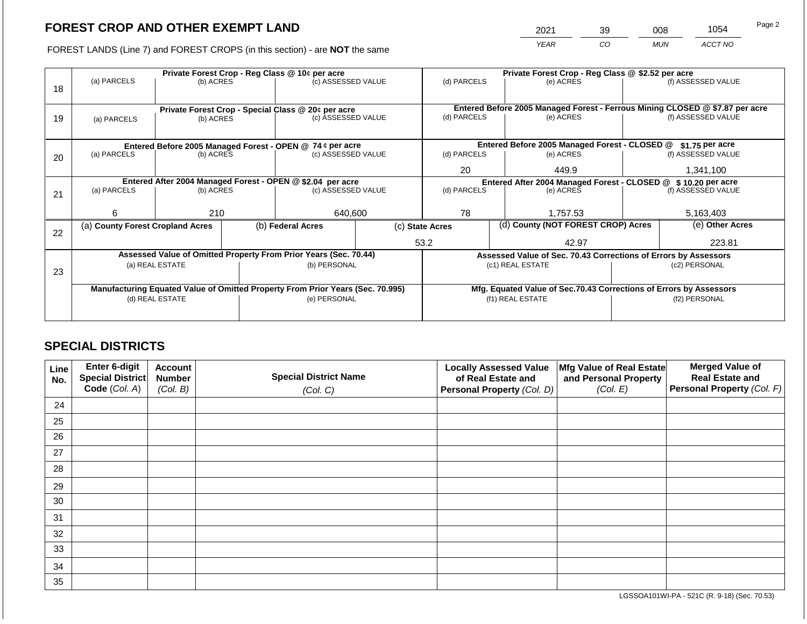2021 39 008 1054

FOREST LANDS (Line 7) and FOREST CROPS (in this section) - are **NOT** the same *YEAR CO MUN ACCT NO*

|    | Private Forest Crop - Reg Class @ 10¢ per acre                                 |                 |  |                                                                  |                                                                    | Private Forest Crop - Reg Class @ \$2.52 per acre |  |                                                                              |               |                    |
|----|--------------------------------------------------------------------------------|-----------------|--|------------------------------------------------------------------|--------------------------------------------------------------------|---------------------------------------------------|--|------------------------------------------------------------------------------|---------------|--------------------|
|    | (a) PARCELS                                                                    | (b) ACRES       |  | (c) ASSESSED VALUE                                               |                                                                    | (d) PARCELS                                       |  | (e) ACRES                                                                    |               | (f) ASSESSED VALUE |
| 18 |                                                                                |                 |  |                                                                  |                                                                    |                                                   |  |                                                                              |               |                    |
|    |                                                                                |                 |  |                                                                  |                                                                    |                                                   |  |                                                                              |               |                    |
|    |                                                                                |                 |  | Private Forest Crop - Special Class @ 20¢ per acre               |                                                                    |                                                   |  | Entered Before 2005 Managed Forest - Ferrous Mining CLOSED @ \$7.87 per acre |               |                    |
| 19 | (a) PARCELS                                                                    | (b) ACRES       |  | (c) ASSESSED VALUE                                               |                                                                    | (d) PARCELS                                       |  | (e) ACRES                                                                    |               | (f) ASSESSED VALUE |
|    |                                                                                |                 |  |                                                                  |                                                                    |                                                   |  |                                                                              |               |                    |
|    |                                                                                |                 |  | Entered Before 2005 Managed Forest - OPEN @ 74 ¢ per acre        |                                                                    |                                                   |  | Entered Before 2005 Managed Forest - CLOSED @                                |               | $$1.75$ per acre   |
| 20 | (a) PARCELS                                                                    | (b) ACRES       |  | (c) ASSESSED VALUE                                               |                                                                    | (d) PARCELS                                       |  | (e) ACRES                                                                    |               | (f) ASSESSED VALUE |
|    |                                                                                |                 |  |                                                                  |                                                                    |                                                   |  |                                                                              |               |                    |
|    |                                                                                |                 |  |                                                                  |                                                                    | 20<br>449.9                                       |  |                                                                              | 1,341,100     |                    |
|    | Entered After 2004 Managed Forest - OPEN @ \$2.04 per acre                     |                 |  |                                                                  | Entered After 2004 Managed Forest - CLOSED @ \$ 10.20 per acre     |                                                   |  |                                                                              |               |                    |
| 21 | (a) PARCELS                                                                    | (b) ACRES       |  | (c) ASSESSED VALUE                                               |                                                                    | (d) PARCELS                                       |  | (e) ACRES                                                                    |               | (f) ASSESSED VALUE |
|    |                                                                                |                 |  |                                                                  |                                                                    |                                                   |  |                                                                              |               |                    |
|    | 6                                                                              | 210             |  | 640,600                                                          |                                                                    | 78                                                |  | 1,757.53                                                                     |               | 5,163,403          |
|    | (a) County Forest Cropland Acres                                               |                 |  | (b) Federal Acres                                                | (c) State Acres                                                    |                                                   |  | (d) County (NOT FOREST CROP) Acres                                           |               | (e) Other Acres    |
| 22 |                                                                                |                 |  |                                                                  |                                                                    |                                                   |  |                                                                              |               |                    |
|    |                                                                                |                 |  |                                                                  |                                                                    | 53.2                                              |  | 42.97                                                                        |               | 223.81             |
|    |                                                                                |                 |  | Assessed Value of Omitted Property From Prior Years (Sec. 70.44) |                                                                    |                                                   |  | Assessed Value of Sec. 70.43 Corrections of Errors by Assessors              |               |                    |
|    |                                                                                | (a) REAL ESTATE |  | (b) PERSONAL                                                     |                                                                    |                                                   |  | (c1) REAL ESTATE                                                             | (c2) PERSONAL |                    |
| 23 |                                                                                |                 |  |                                                                  |                                                                    |                                                   |  |                                                                              |               |                    |
|    | Manufacturing Equated Value of Omitted Property From Prior Years (Sec. 70.995) |                 |  |                                                                  | Mfg. Equated Value of Sec.70.43 Corrections of Errors by Assessors |                                                   |  |                                                                              |               |                    |
|    |                                                                                |                 |  | (e) PERSONAL                                                     |                                                                    |                                                   |  | (f1) REAL ESTATE                                                             | (f2) PERSONAL |                    |
|    | (d) REAL ESTATE                                                                |                 |  |                                                                  |                                                                    |                                                   |  |                                                                              |               |                    |
|    |                                                                                |                 |  |                                                                  |                                                                    |                                                   |  |                                                                              |               |                    |

## **SPECIAL DISTRICTS**

| Line<br>No. | Enter 6-digit<br>Special District | <b>Account</b><br><b>Number</b> | <b>Special District Name</b> | <b>Locally Assessed Value</b><br>of Real Estate and | Mfg Value of Real Estate<br>and Personal Property | <b>Merged Value of</b><br><b>Real Estate and</b> |
|-------------|-----------------------------------|---------------------------------|------------------------------|-----------------------------------------------------|---------------------------------------------------|--------------------------------------------------|
|             | Code (Col. A)                     | (Col. B)                        | (Col. C)                     | Personal Property (Col. D)                          | (Col. E)                                          | Personal Property (Col. F)                       |
| 24          |                                   |                                 |                              |                                                     |                                                   |                                                  |
| 25          |                                   |                                 |                              |                                                     |                                                   |                                                  |
| 26          |                                   |                                 |                              |                                                     |                                                   |                                                  |
| 27          |                                   |                                 |                              |                                                     |                                                   |                                                  |
| 28          |                                   |                                 |                              |                                                     |                                                   |                                                  |
| 29          |                                   |                                 |                              |                                                     |                                                   |                                                  |
| 30          |                                   |                                 |                              |                                                     |                                                   |                                                  |
| 31          |                                   |                                 |                              |                                                     |                                                   |                                                  |
| 32          |                                   |                                 |                              |                                                     |                                                   |                                                  |
| 33          |                                   |                                 |                              |                                                     |                                                   |                                                  |
| 34          |                                   |                                 |                              |                                                     |                                                   |                                                  |
| 35          |                                   |                                 |                              |                                                     |                                                   |                                                  |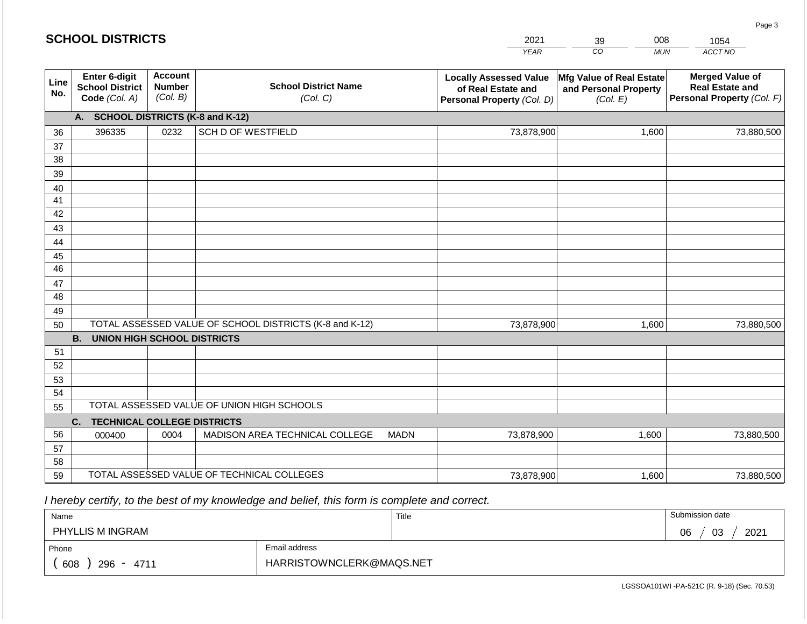|             | <b>SCHOOL DISTRICTS</b>                                                                                                                            |      |                                                         |             | 2021                                                                              | 008<br>39                                                     | 1054                                                                           |  |
|-------------|----------------------------------------------------------------------------------------------------------------------------------------------------|------|---------------------------------------------------------|-------------|-----------------------------------------------------------------------------------|---------------------------------------------------------------|--------------------------------------------------------------------------------|--|
|             |                                                                                                                                                    |      |                                                         |             | <b>YEAR</b>                                                                       | CO<br><b>MUN</b>                                              | ACCT NO                                                                        |  |
| Line<br>No. | Enter 6-digit<br><b>Account</b><br><b>School District Name</b><br><b>Number</b><br><b>School District</b><br>(Col. B)<br>Code (Col. A)<br>(Col. C) |      |                                                         |             | <b>Locally Assessed Value</b><br>of Real Estate and<br>Personal Property (Col. D) | Mfg Value of Real Estate<br>and Personal Property<br>(Col. E) | <b>Merged Value of</b><br><b>Real Estate and</b><br>Personal Property (Col. F) |  |
|             | A. SCHOOL DISTRICTS (K-8 and K-12)                                                                                                                 |      |                                                         |             |                                                                                   |                                                               |                                                                                |  |
| 36          | 396335                                                                                                                                             | 0232 | <b>SCH D OF WESTFIELD</b>                               |             | 73,878,900                                                                        | 1,600                                                         | 73,880,500                                                                     |  |
| 37          |                                                                                                                                                    |      |                                                         |             |                                                                                   |                                                               |                                                                                |  |
| 38          |                                                                                                                                                    |      |                                                         |             |                                                                                   |                                                               |                                                                                |  |
| 39          |                                                                                                                                                    |      |                                                         |             |                                                                                   |                                                               |                                                                                |  |
| 40          |                                                                                                                                                    |      |                                                         |             |                                                                                   |                                                               |                                                                                |  |
| 41<br>42    |                                                                                                                                                    |      |                                                         |             |                                                                                   |                                                               |                                                                                |  |
| 43          |                                                                                                                                                    |      |                                                         |             |                                                                                   |                                                               |                                                                                |  |
| 44          |                                                                                                                                                    |      |                                                         |             |                                                                                   |                                                               |                                                                                |  |
| 45          |                                                                                                                                                    |      |                                                         |             |                                                                                   |                                                               |                                                                                |  |
| 46          |                                                                                                                                                    |      |                                                         |             |                                                                                   |                                                               |                                                                                |  |
| 47          |                                                                                                                                                    |      |                                                         |             |                                                                                   |                                                               |                                                                                |  |
| 48          |                                                                                                                                                    |      |                                                         |             |                                                                                   |                                                               |                                                                                |  |
| 49          |                                                                                                                                                    |      |                                                         |             |                                                                                   |                                                               |                                                                                |  |
| 50          |                                                                                                                                                    |      | TOTAL ASSESSED VALUE OF SCHOOL DISTRICTS (K-8 and K-12) |             | 73,878,900                                                                        | 1,600                                                         | 73,880,500                                                                     |  |
|             | <b>B.</b><br><b>UNION HIGH SCHOOL DISTRICTS</b>                                                                                                    |      |                                                         |             |                                                                                   |                                                               |                                                                                |  |
| 51          |                                                                                                                                                    |      |                                                         |             |                                                                                   |                                                               |                                                                                |  |
| 52<br>53    |                                                                                                                                                    |      |                                                         |             |                                                                                   |                                                               |                                                                                |  |
| 54          |                                                                                                                                                    |      |                                                         |             |                                                                                   |                                                               |                                                                                |  |
| 55          |                                                                                                                                                    |      | TOTAL ASSESSED VALUE OF UNION HIGH SCHOOLS              |             |                                                                                   |                                                               |                                                                                |  |
|             | C.<br><b>TECHNICAL COLLEGE DISTRICTS</b>                                                                                                           |      |                                                         |             |                                                                                   |                                                               |                                                                                |  |
| 56          | 000400                                                                                                                                             | 0004 | MADISON AREA TECHNICAL COLLEGE                          | <b>MADN</b> | 73,878,900                                                                        | 1,600                                                         | 73,880,500                                                                     |  |
| 57          |                                                                                                                                                    |      |                                                         |             |                                                                                   |                                                               |                                                                                |  |
| 58          |                                                                                                                                                    |      |                                                         |             |                                                                                   |                                                               |                                                                                |  |
| 59          |                                                                                                                                                    |      | TOTAL ASSESSED VALUE OF TECHNICAL COLLEGES              | 73,878,900  | 1,600                                                                             | 73,880,500                                                    |                                                                                |  |

**SCHOOL DISTRICTS**

| Name                  |                          | Title | Submission date  |
|-----------------------|--------------------------|-------|------------------|
| PHYLLIS M INGRAM      |                          |       | 2021<br>03<br>06 |
| Phone                 | Email address            |       |                  |
| 608<br>296<br>$-4711$ | HARRISTOWNCLERK@MAQS.NET |       |                  |

Page 3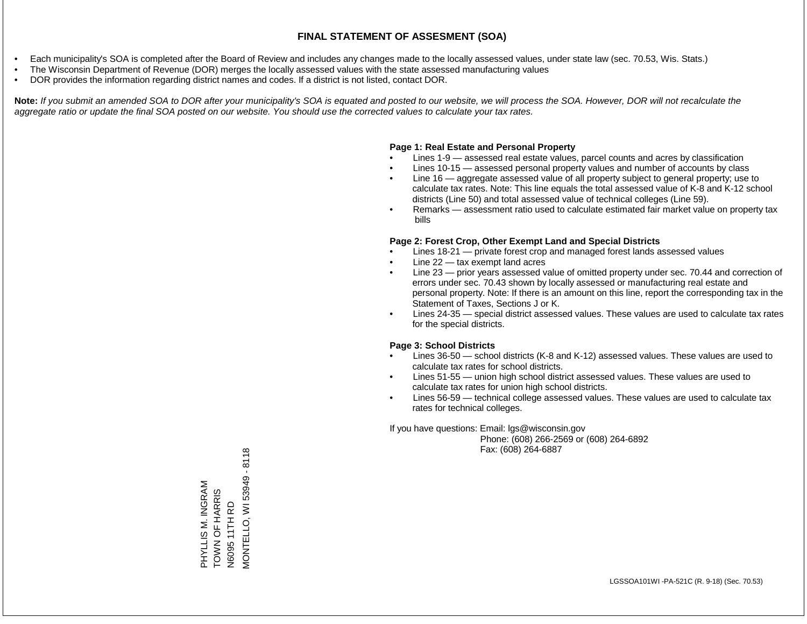- Each municipality's SOA is completed after the Board of Review and includes any changes made to the locally assessed values, under state law (sec. 70.53, Wis. Stats.)
- The Wisconsin Department of Revenue (DOR) merges the locally assessed values with the state assessed manufacturing values
- DOR provides the information regarding district names and codes. If a district is not listed, contact DOR.

Note: If you submit an amended SOA to DOR after your municipality's SOA is equated and posted to our website, we will process the SOA. However, DOR will not recalculate the *aggregate ratio or update the final SOA posted on our website. You should use the corrected values to calculate your tax rates.*

### **Page 1: Real Estate and Personal Property**

- Lines 1-9 assessed real estate values, parcel counts and acres by classification
- Lines 10-15 assessed personal property values and number of accounts by class
- Line 16 aggregate assessed value of all property subject to general property; use to calculate tax rates. Note: This line equals the total assessed value of K-8 and K-12 school districts (Line 50) and total assessed value of technical colleges (Line 59).
- Remarks assessment ratio used to calculate estimated fair market value on property tax bills

### **Page 2: Forest Crop, Other Exempt Land and Special Districts**

- Lines 18-21 private forest crop and managed forest lands assessed values
- Line  $22 -$  tax exempt land acres
- Line 23 prior years assessed value of omitted property under sec. 70.44 and correction of errors under sec. 70.43 shown by locally assessed or manufacturing real estate and personal property. Note: If there is an amount on this line, report the corresponding tax in the Statement of Taxes, Sections J or K.
- Lines 24-35 special district assessed values. These values are used to calculate tax rates for the special districts.

### **Page 3: School Districts**

- Lines 36-50 school districts (K-8 and K-12) assessed values. These values are used to calculate tax rates for school districts.
- Lines 51-55 union high school district assessed values. These values are used to calculate tax rates for union high school districts.
- Lines 56-59 technical college assessed values. These values are used to calculate tax rates for technical colleges.

If you have questions: Email: lgs@wisconsin.gov

 Phone: (608) 266-2569 or (608) 264-6892 Fax: (608) 264-6887

N6095 11TH RD<br>VIONTELLO, WI 53949 - 8118 MONTELLO, WI 53949 - 8118PHYLLIS M. INGRAM<br>TOWN OF HARRIS PHYLLIS M. INGRAM TOWN OF HARRIS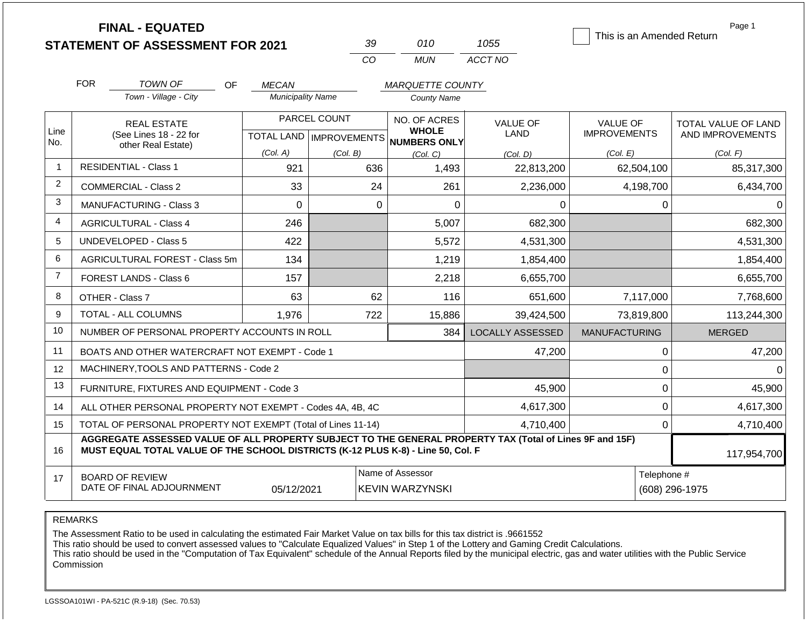**FINAL - EQUATED**

|          | 11(1)                | ממו ו        |
|----------|----------------------|--------------|
| $\cdots$ | <b>INI</b><br>1. A I | ACCT NO<br>. |

This is an Amended Return

Page 1

|                |                                                                                                                                                                                                             |                                                              |                           | CO                        | <b>MUN</b>                   | ACCT NO                 |                      |                     |
|----------------|-------------------------------------------------------------------------------------------------------------------------------------------------------------------------------------------------------------|--------------------------------------------------------------|---------------------------|---------------------------|------------------------------|-------------------------|----------------------|---------------------|
|                | <b>FOR</b>                                                                                                                                                                                                  | TOWN OF                                                      | <b>OF</b><br><b>MECAN</b> |                           | <b>MARQUETTE COUNTY</b>      |                         |                      |                     |
|                |                                                                                                                                                                                                             | Town - Village - City                                        | <b>Municipality Name</b>  |                           | <b>County Name</b>           |                         |                      |                     |
|                |                                                                                                                                                                                                             | <b>REAL ESTATE</b>                                           |                           | PARCEL COUNT              | NO. OF ACRES                 | <b>VALUE OF</b>         | VALUE OF             | TOTAL VALUE OF LAND |
| Line<br>No.    | (See Lines 18 - 22 for<br>other Real Estate)                                                                                                                                                                |                                                              |                           | TOTAL LAND   IMPROVEMENTS | <b>WHOLE</b><br>NUMBERS ONLY | <b>LAND</b>             | <b>IMPROVEMENTS</b>  | AND IMPROVEMENTS    |
|                |                                                                                                                                                                                                             |                                                              | (Col. A)                  | (Col. B)                  | (Col. C)                     | (Col. D)                | (Col. E)             | (Col. F)            |
| $\mathbf{1}$   |                                                                                                                                                                                                             | <b>RESIDENTIAL - Class 1</b>                                 | 921                       | 636                       | 1,493                        | 22,813,200              | 62,504,100           | 85,317,300          |
| $\overline{2}$ |                                                                                                                                                                                                             | <b>COMMERCIAL - Class 2</b>                                  | 33                        | 24                        | 261                          | 2,236,000               | 4,198,700            | 6,434,700           |
| 3              |                                                                                                                                                                                                             | MANUFACTURING - Class 3                                      | 0                         | 0                         | $\overline{0}$               | 0                       | 0                    |                     |
| $\overline{4}$ |                                                                                                                                                                                                             | <b>AGRICULTURAL - Class 4</b>                                | 246                       |                           | 5,007                        | 682,300                 |                      | 682,300             |
| 5              | <b>UNDEVELOPED - Class 5</b>                                                                                                                                                                                |                                                              | 422                       |                           | 5,572                        | 4,531,300               |                      | 4,531,300           |
| $\,6$          | AGRICULTURAL FOREST - Class 5m                                                                                                                                                                              |                                                              | 134                       |                           | 1,219                        | 1,854,400               |                      | 1,854,400           |
| $\overline{7}$ |                                                                                                                                                                                                             | <b>FOREST LANDS - Class 6</b>                                | 157                       |                           | 2,218                        | 6,655,700               |                      | 6,655,700           |
| 8              |                                                                                                                                                                                                             | OTHER - Class 7                                              | 63                        | 62                        | 116                          | 651,600                 | 7,117,000            | 7,768,600           |
| 9              |                                                                                                                                                                                                             | <b>TOTAL - ALL COLUMNS</b>                                   | 1,976                     | 722                       | 15,886                       | 39,424,500              | 73,819,800           | 113,244,300         |
| 10             |                                                                                                                                                                                                             | NUMBER OF PERSONAL PROPERTY ACCOUNTS IN ROLL                 |                           |                           | 384                          | <b>LOCALLY ASSESSED</b> | <b>MANUFACTURING</b> | <b>MERGED</b>       |
| 11             |                                                                                                                                                                                                             | BOATS AND OTHER WATERCRAFT NOT EXEMPT - Code 1               |                           |                           |                              | 47,200                  | 0                    | 47,200              |
| 12             |                                                                                                                                                                                                             | MACHINERY, TOOLS AND PATTERNS - Code 2                       |                           |                           |                              |                         | 0                    | $\Omega$            |
| 13             |                                                                                                                                                                                                             | FURNITURE, FIXTURES AND EQUIPMENT - Code 3                   |                           |                           |                              | 45,900                  | $\mathsf 0$          | 45,900              |
| 14             |                                                                                                                                                                                                             | ALL OTHER PERSONAL PROPERTY NOT EXEMPT - Codes 4A, 4B, 4C    |                           |                           |                              | 4,617,300               | 0                    | 4,617,300           |
| 15             |                                                                                                                                                                                                             | TOTAL OF PERSONAL PROPERTY NOT EXEMPT (Total of Lines 11-14) |                           |                           |                              | 4,710,400               | 0                    | 4,710,400           |
| 16             | AGGREGATE ASSESSED VALUE OF ALL PROPERTY SUBJECT TO THE GENERAL PROPERTY TAX (Total of Lines 9F and 15F)<br>MUST EQUAL TOTAL VALUE OF THE SCHOOL DISTRICTS (K-12 PLUS K-8) - Line 50, Col. F<br>117,954,700 |                                                              |                           |                           |                              |                         |                      |                     |
| 17             |                                                                                                                                                                                                             | <b>BOARD OF REVIEW</b>                                       |                           |                           | Name of Assessor             |                         | Telephone #          |                     |
|                |                                                                                                                                                                                                             | DATE OF FINAL ADJOURNMENT                                    | 05/12/2021                |                           | <b>KEVIN WARZYNSKI</b>       |                         |                      | (608) 296-1975      |

REMARKS

The Assessment Ratio to be used in calculating the estimated Fair Market Value on tax bills for this tax district is .9661552

This ratio should be used to convert assessed values to "Calculate Equalized Values" in Step 1 of the Lottery and Gaming Credit Calculations.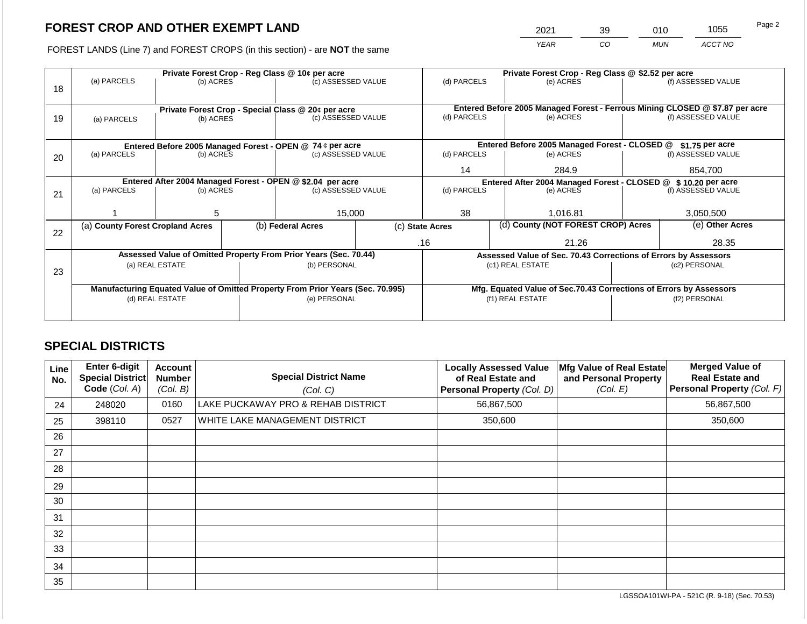2021 39 010 1055

FOREST LANDS (Line 7) and FOREST CROPS (in this section) - are **NOT** the same *YEAR CO MUN ACCT NO*

|    |                                                                                        |                 |                                                           | Private Forest Crop - Reg Class @ 10¢ per acre                           |                                                                            | Private Forest Crop - Reg Class @ \$2.52 per acre |                                               |                                                                              |                 |                    |
|----|----------------------------------------------------------------------------------------|-----------------|-----------------------------------------------------------|--------------------------------------------------------------------------|----------------------------------------------------------------------------|---------------------------------------------------|-----------------------------------------------|------------------------------------------------------------------------------|-----------------|--------------------|
| 18 | (a) PARCELS                                                                            | (b) ACRES       |                                                           | (c) ASSESSED VALUE                                                       |                                                                            | (d) PARCELS                                       |                                               | (e) ACRES                                                                    |                 | (f) ASSESSED VALUE |
|    |                                                                                        |                 |                                                           |                                                                          |                                                                            |                                                   |                                               |                                                                              |                 |                    |
|    |                                                                                        |                 |                                                           |                                                                          |                                                                            |                                                   |                                               | Entered Before 2005 Managed Forest - Ferrous Mining CLOSED @ \$7.87 per acre |                 |                    |
| 19 | (a) PARCELS                                                                            | (b) ACRES       |                                                           | Private Forest Crop - Special Class @ 20¢ per acre<br>(c) ASSESSED VALUE |                                                                            | (d) PARCELS                                       |                                               | (e) ACRES                                                                    |                 | (f) ASSESSED VALUE |
|    |                                                                                        |                 |                                                           |                                                                          |                                                                            |                                                   |                                               |                                                                              |                 |                    |
|    |                                                                                        |                 |                                                           |                                                                          |                                                                            |                                                   |                                               |                                                                              |                 |                    |
|    |                                                                                        |                 | Entered Before 2005 Managed Forest - OPEN @ 74 ¢ per acre |                                                                          |                                                                            |                                                   | Entered Before 2005 Managed Forest - CLOSED @ |                                                                              | \$1.75 per acre |                    |
| 20 | (a) PARCELS<br>(b) ACRES                                                               |                 |                                                           | (c) ASSESSED VALUE                                                       |                                                                            | (d) PARCELS                                       |                                               | (e) ACRES                                                                    |                 | (f) ASSESSED VALUE |
|    |                                                                                        |                 |                                                           |                                                                          | 14                                                                         |                                                   | 284.9                                         |                                                                              | 854.700         |                    |
|    |                                                                                        |                 |                                                           |                                                                          |                                                                            |                                                   |                                               |                                                                              |                 |                    |
|    | Entered After 2004 Managed Forest - OPEN @ \$2.04 per acre<br>(a) PARCELS<br>(b) ACRES |                 | (d) PARCELS                                               |                                                                          | Entered After 2004 Managed Forest - CLOSED @ \$10.20 per acre<br>(e) ACRES |                                                   | (f) ASSESSED VALUE                            |                                                                              |                 |                    |
| 21 |                                                                                        |                 |                                                           |                                                                          | (c) ASSESSED VALUE                                                         |                                                   |                                               |                                                                              |                 |                    |
|    |                                                                                        |                 |                                                           |                                                                          |                                                                            |                                                   |                                               |                                                                              |                 |                    |
|    |                                                                                        | 5               |                                                           | 15,000                                                                   |                                                                            | 38                                                |                                               | 1.016.81                                                                     |                 | 3,050,500          |
|    | (a) County Forest Cropland Acres                                                       |                 |                                                           | (b) Federal Acres                                                        |                                                                            | (c) State Acres                                   |                                               | (d) County (NOT FOREST CROP) Acres                                           |                 | (e) Other Acres    |
| 22 |                                                                                        |                 |                                                           |                                                                          |                                                                            |                                                   |                                               |                                                                              |                 |                    |
|    |                                                                                        |                 |                                                           |                                                                          |                                                                            | .16                                               |                                               | 21.26                                                                        | 28.35           |                    |
|    |                                                                                        |                 |                                                           | Assessed Value of Omitted Property From Prior Years (Sec. 70.44)         |                                                                            |                                                   |                                               | Assessed Value of Sec. 70.43 Corrections of Errors by Assessors              |                 |                    |
|    |                                                                                        | (a) REAL ESTATE |                                                           | (b) PERSONAL                                                             |                                                                            |                                                   |                                               | (c1) REAL ESTATE                                                             |                 | (c2) PERSONAL      |
| 23 |                                                                                        |                 |                                                           |                                                                          |                                                                            |                                                   |                                               |                                                                              |                 |                    |
|    | Manufacturing Equated Value of Omitted Property From Prior Years (Sec. 70.995)         |                 |                                                           |                                                                          |                                                                            |                                                   |                                               | Mfg. Equated Value of Sec.70.43 Corrections of Errors by Assessors           |                 |                    |
|    | (d) REAL ESTATE                                                                        |                 |                                                           | (e) PERSONAL                                                             |                                                                            |                                                   |                                               | (f1) REAL ESTATE                                                             | (f2) PERSONAL   |                    |
|    |                                                                                        |                 |                                                           |                                                                          |                                                                            |                                                   |                                               |                                                                              |                 |                    |
|    |                                                                                        |                 |                                                           |                                                                          |                                                                            |                                                   |                                               |                                                                              |                 |                    |

## **SPECIAL DISTRICTS**

| Line<br>No. | <b>Enter 6-digit</b><br>Special District<br>Code (Col. A) | <b>Account</b><br><b>Number</b><br>(Col. B) | <b>Special District Name</b><br>(Col. C) | <b>Locally Assessed Value</b><br>of Real Estate and<br>Personal Property (Col. D) | Mfg Value of Real Estate<br>and Personal Property<br>(Col. E) | <b>Merged Value of</b><br><b>Real Estate and</b><br>Personal Property (Col. F) |
|-------------|-----------------------------------------------------------|---------------------------------------------|------------------------------------------|-----------------------------------------------------------------------------------|---------------------------------------------------------------|--------------------------------------------------------------------------------|
| 24          | 248020                                                    | 0160                                        | LAKE PUCKAWAY PRO & REHAB DISTRICT       | 56,867,500                                                                        |                                                               | 56,867,500                                                                     |
| 25          | 398110                                                    | 0527                                        | WHITE LAKE MANAGEMENT DISTRICT           | 350,600                                                                           |                                                               | 350,600                                                                        |
| 26          |                                                           |                                             |                                          |                                                                                   |                                                               |                                                                                |
| 27          |                                                           |                                             |                                          |                                                                                   |                                                               |                                                                                |
| 28          |                                                           |                                             |                                          |                                                                                   |                                                               |                                                                                |
| 29          |                                                           |                                             |                                          |                                                                                   |                                                               |                                                                                |
| 30          |                                                           |                                             |                                          |                                                                                   |                                                               |                                                                                |
| 31          |                                                           |                                             |                                          |                                                                                   |                                                               |                                                                                |
| 32          |                                                           |                                             |                                          |                                                                                   |                                                               |                                                                                |
| 33          |                                                           |                                             |                                          |                                                                                   |                                                               |                                                                                |
| 34          |                                                           |                                             |                                          |                                                                                   |                                                               |                                                                                |
| 35          |                                                           |                                             |                                          |                                                                                   |                                                               |                                                                                |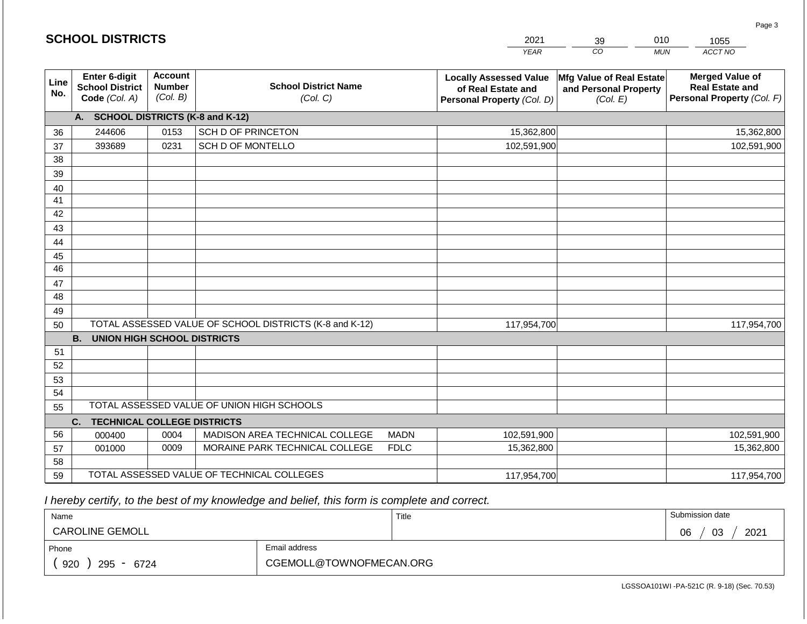|                       | <b>SCHOOL DISTRICTS</b>                                  |                                             |                                                         |             | 2021                                                                              | 39                                                            | 010        | 1055                                                                           |
|-----------------------|----------------------------------------------------------|---------------------------------------------|---------------------------------------------------------|-------------|-----------------------------------------------------------------------------------|---------------------------------------------------------------|------------|--------------------------------------------------------------------------------|
|                       |                                                          |                                             |                                                         |             | <b>YEAR</b>                                                                       | CO                                                            | <b>MUN</b> | ACCT NO                                                                        |
| Line<br>No.           | Enter 6-digit<br><b>School District</b><br>Code (Col. A) | <b>Account</b><br><b>Number</b><br>(Col. B) | <b>School District Name</b><br>(Col. C)                 |             | <b>Locally Assessed Value</b><br>of Real Estate and<br>Personal Property (Col. D) | Mfg Value of Real Estate<br>and Personal Property<br>(Col. E) |            | <b>Merged Value of</b><br><b>Real Estate and</b><br>Personal Property (Col. F) |
|                       | A. SCHOOL DISTRICTS (K-8 and K-12)                       |                                             |                                                         |             |                                                                                   |                                                               |            |                                                                                |
| 36                    | 244606                                                   | 0153                                        | <b>SCH D OF PRINCETON</b>                               |             | 15,362,800                                                                        |                                                               |            | 15,362,800                                                                     |
| 37                    | 393689                                                   | 0231                                        | SCH D OF MONTELLO                                       |             | 102,591,900                                                                       |                                                               |            | 102,591,900                                                                    |
| 38                    |                                                          |                                             |                                                         |             |                                                                                   |                                                               |            |                                                                                |
| 39                    |                                                          |                                             |                                                         |             |                                                                                   |                                                               |            |                                                                                |
| 40                    |                                                          |                                             |                                                         |             |                                                                                   |                                                               |            |                                                                                |
| 41                    |                                                          |                                             |                                                         |             |                                                                                   |                                                               |            |                                                                                |
| 42                    |                                                          |                                             |                                                         |             |                                                                                   |                                                               |            |                                                                                |
| 43                    |                                                          |                                             |                                                         |             |                                                                                   |                                                               |            |                                                                                |
| 44                    |                                                          |                                             |                                                         |             |                                                                                   |                                                               |            |                                                                                |
| 45<br>$\overline{46}$ |                                                          |                                             |                                                         |             |                                                                                   |                                                               |            |                                                                                |
|                       |                                                          |                                             |                                                         |             |                                                                                   |                                                               |            |                                                                                |
| 47<br>48              |                                                          |                                             |                                                         |             |                                                                                   |                                                               |            |                                                                                |
| 49                    |                                                          |                                             |                                                         |             |                                                                                   |                                                               |            |                                                                                |
| 50                    |                                                          |                                             | TOTAL ASSESSED VALUE OF SCHOOL DISTRICTS (K-8 and K-12) |             | 117,954,700                                                                       |                                                               |            | 117,954,700                                                                    |
|                       | <b>B.</b><br><b>UNION HIGH SCHOOL DISTRICTS</b>          |                                             |                                                         |             |                                                                                   |                                                               |            |                                                                                |
| 51                    |                                                          |                                             |                                                         |             |                                                                                   |                                                               |            |                                                                                |
| 52                    |                                                          |                                             |                                                         |             |                                                                                   |                                                               |            |                                                                                |
| 53                    |                                                          |                                             |                                                         |             |                                                                                   |                                                               |            |                                                                                |
| 54                    |                                                          |                                             |                                                         |             |                                                                                   |                                                               |            |                                                                                |
| 55                    |                                                          |                                             | TOTAL ASSESSED VALUE OF UNION HIGH SCHOOLS              |             |                                                                                   |                                                               |            |                                                                                |
|                       | C.<br><b>TECHNICAL COLLEGE DISTRICTS</b>                 |                                             |                                                         |             |                                                                                   |                                                               |            |                                                                                |
| 56                    | 000400                                                   | 0004                                        | MADISON AREA TECHNICAL COLLEGE                          | <b>MADN</b> | 102,591,900                                                                       |                                                               |            | 102,591,900                                                                    |
| 57                    | 001000                                                   | 0009                                        | MORAINE PARK TECHNICAL COLLEGE                          | <b>FDLC</b> | 15,362,800                                                                        |                                                               |            | 15,362,800                                                                     |
| 58                    |                                                          |                                             |                                                         |             |                                                                                   |                                                               |            |                                                                                |
| 59                    |                                                          |                                             | TOTAL ASSESSED VALUE OF TECHNICAL COLLEGES              |             | 117,954,700                                                                       |                                                               |            | 117,954,700                                                                    |

**SCHOOL DISTRICTS**

| Name                   |                         | Title | Submission date  |
|------------------------|-------------------------|-------|------------------|
| <b>CAROLINE GEMOLL</b> |                         |       | 2021<br>03<br>06 |
| Phone                  | Email address           |       |                  |
| 920<br>295<br>6724     | CGEMOLL@TOWNOFMECAN.ORG |       |                  |

Page 3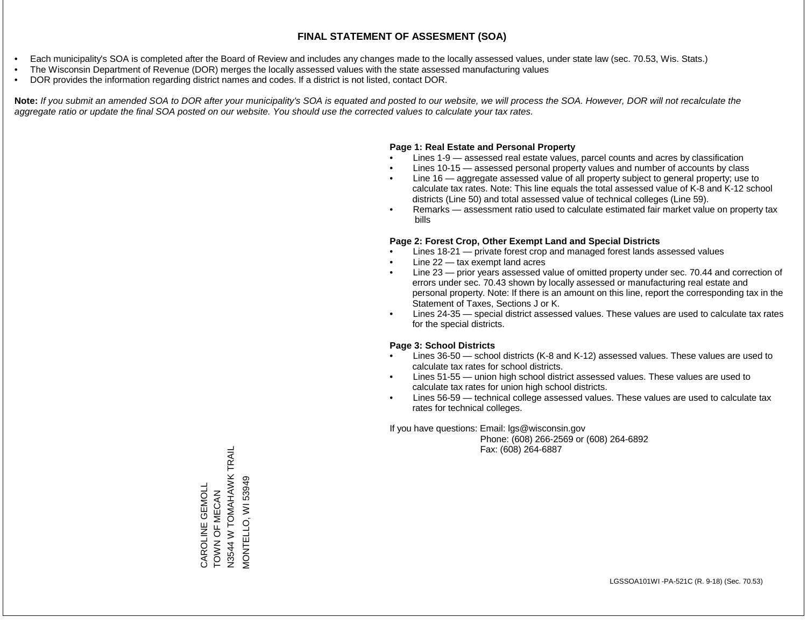- Each municipality's SOA is completed after the Board of Review and includes any changes made to the locally assessed values, under state law (sec. 70.53, Wis. Stats.)
- The Wisconsin Department of Revenue (DOR) merges the locally assessed values with the state assessed manufacturing values
- DOR provides the information regarding district names and codes. If a district is not listed, contact DOR.

Note: If you submit an amended SOA to DOR after your municipality's SOA is equated and posted to our website, we will process the SOA. However, DOR will not recalculate the *aggregate ratio or update the final SOA posted on our website. You should use the corrected values to calculate your tax rates.*

#### **Page 1: Real Estate and Personal Property**

- Lines 1-9 assessed real estate values, parcel counts and acres by classification
- Lines 10-15 assessed personal property values and number of accounts by class
- Line 16 aggregate assessed value of all property subject to general property; use to calculate tax rates. Note: This line equals the total assessed value of K-8 and K-12 school districts (Line 50) and total assessed value of technical colleges (Line 59).
- Remarks assessment ratio used to calculate estimated fair market value on property tax bills

#### **Page 2: Forest Crop, Other Exempt Land and Special Districts**

- Lines 18-21 private forest crop and managed forest lands assessed values
- Line  $22 -$  tax exempt land acres
- Line 23 prior years assessed value of omitted property under sec. 70.44 and correction of errors under sec. 70.43 shown by locally assessed or manufacturing real estate and personal property. Note: If there is an amount on this line, report the corresponding tax in the Statement of Taxes, Sections J or K.
- Lines 24-35 special district assessed values. These values are used to calculate tax rates for the special districts.

#### **Page 3: School Districts**

- Lines 36-50 school districts (K-8 and K-12) assessed values. These values are used to calculate tax rates for school districts.
- Lines 51-55 union high school district assessed values. These values are used to calculate tax rates for union high school districts.
- Lines 56-59 technical college assessed values. These values are used to calculate tax rates for technical colleges.

If you have questions: Email: lgs@wisconsin.gov

 Phone: (608) 266-2569 or (608) 264-6892 Fax: (608) 264-6887

TOWN OF MECAN<br>N3544 W TOMAHAWK TRAIL N3544 W TOMAHAWK TRAIL VIONTELLO, WI 53949 MONTELLO, WI 53949CAROLINE GEMOLL CAROLINE GEMOLL TOWN OF MECAN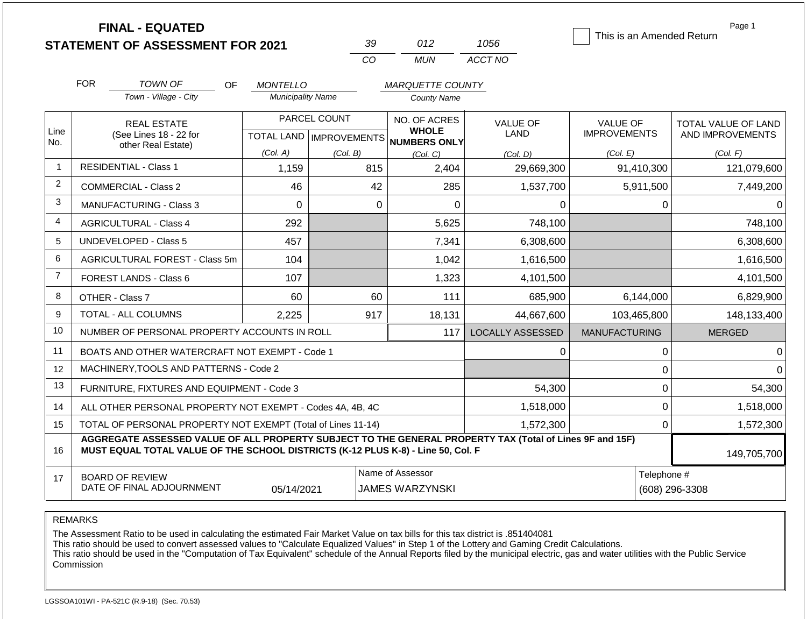|                |            | <b>FINAL - EQUATED</b>                                                                                                                                                                       |                          |                           |             |                                            |                         | Page 1<br>This is an Amended Return |                |                     |
|----------------|------------|----------------------------------------------------------------------------------------------------------------------------------------------------------------------------------------------|--------------------------|---------------------------|-------------|--------------------------------------------|-------------------------|-------------------------------------|----------------|---------------------|
|                |            | <b>STATEMENT OF ASSESSMENT FOR 2021</b>                                                                                                                                                      |                          |                           | 39          | 012                                        | 1056                    |                                     |                |                     |
|                |            |                                                                                                                                                                                              |                          |                           | CO          | <b>MUN</b>                                 | ACCT NO                 |                                     |                |                     |
|                | <b>FOR</b> | <b>TOWN OF</b><br>OF                                                                                                                                                                         | <b>MONTELLO</b>          |                           |             | <b>MARQUETTE COUNTY</b>                    |                         |                                     |                |                     |
|                |            | Town - Village - City                                                                                                                                                                        | <b>Municipality Name</b> |                           |             | <b>County Name</b>                         |                         |                                     |                |                     |
|                |            | <b>REAL ESTATE</b>                                                                                                                                                                           |                          | PARCEL COUNT              |             | NO. OF ACRES                               | <b>VALUE OF</b>         | <b>VALUE OF</b>                     |                | TOTAL VALUE OF LAND |
| Line<br>No.    |            | (See Lines 18 - 22 for                                                                                                                                                                       |                          | TOTAL LAND   IMPROVEMENTS |             | <b>WHOLE</b><br><b>NUMBERS ONLY</b>        | <b>LAND</b>             | <b>IMPROVEMENTS</b>                 |                | AND IMPROVEMENTS    |
|                |            | other Real Estate)                                                                                                                                                                           | (Col. A)                 | (Col. B)                  |             | (Col, C)                                   | (Col. D)                | (Col. E)                            |                | (Col. F)            |
| $\overline{1}$ |            | <b>RESIDENTIAL - Class 1</b>                                                                                                                                                                 | 1,159                    |                           | 815         | 2,404                                      | 29,669,300              | 91,410,300                          |                | 121,079,600         |
| 2              |            | <b>COMMERCIAL - Class 2</b>                                                                                                                                                                  | 46                       |                           | 42          | 285                                        | 1,537,700               | 5,911,500                           |                | 7,449,200           |
| 3              |            | <b>MANUFACTURING - Class 3</b>                                                                                                                                                               | $\Omega$                 |                           | $\mathbf 0$ | $\overline{0}$                             | 0                       |                                     | $\mathbf 0$    | 0                   |
| 4              |            | <b>AGRICULTURAL - Class 4</b>                                                                                                                                                                | 292                      |                           |             | 5,625                                      | 748,100                 |                                     |                | 748,100             |
| 5              |            | <b>UNDEVELOPED - Class 5</b>                                                                                                                                                                 | 457                      |                           |             | 7,341                                      | 6,308,600               |                                     |                | 6,308,600           |
| 6              |            | AGRICULTURAL FOREST - Class 5m                                                                                                                                                               | 104                      |                           |             | 1,042                                      | 1,616,500               |                                     |                | 1,616,500           |
| $\overline{7}$ |            | FOREST LANDS - Class 6                                                                                                                                                                       | 107                      |                           |             | 1,323                                      | 4,101,500               |                                     |                | 4,101,500           |
| 8              |            | OTHER - Class 7                                                                                                                                                                              | 60                       |                           | 60          | 111                                        | 685,900                 | 6,144,000                           |                | 6,829,900           |
| 9              |            | TOTAL - ALL COLUMNS                                                                                                                                                                          | 2,225                    |                           | 917         | 18,131                                     | 44,667,600              | 103,465,800                         |                | 148,133,400         |
| 10             |            | NUMBER OF PERSONAL PROPERTY ACCOUNTS IN ROLL                                                                                                                                                 |                          |                           |             | 117                                        | <b>LOCALLY ASSESSED</b> | <b>MANUFACTURING</b>                |                | <b>MERGED</b>       |
| 11             |            | BOATS AND OTHER WATERCRAFT NOT EXEMPT - Code 1                                                                                                                                               |                          |                           |             |                                            | 0                       |                                     | 0              | ∩                   |
| 12             |            | MACHINERY, TOOLS AND PATTERNS - Code 2                                                                                                                                                       |                          |                           |             |                                            |                         |                                     | 0              |                     |
| 13             |            | FURNITURE, FIXTURES AND EQUIPMENT - Code 3                                                                                                                                                   |                          |                           |             |                                            | 54,300                  |                                     | $\mathbf 0$    | 54,300              |
| 14             |            | ALL OTHER PERSONAL PROPERTY NOT EXEMPT - Codes 4A, 4B, 4C                                                                                                                                    |                          |                           |             |                                            | 1,518,000               |                                     | 0              | 1,518,000           |
| 15             |            | TOTAL OF PERSONAL PROPERTY NOT EXEMPT (Total of Lines 11-14)                                                                                                                                 |                          |                           |             |                                            | 1,572,300               |                                     | $\overline{0}$ | 1,572,300           |
| 16             |            | AGGREGATE ASSESSED VALUE OF ALL PROPERTY SUBJECT TO THE GENERAL PROPERTY TAX (Total of Lines 9F and 15F)<br>MUST EQUAL TOTAL VALUE OF THE SCHOOL DISTRICTS (K-12 PLUS K-8) - Line 50, Col. F |                          |                           |             |                                            |                         |                                     |                | 149,705,700         |
| 17             |            | <b>BOARD OF REVIEW</b><br>DATE OF FINAL ADJOURNMENT                                                                                                                                          | 05/14/2021               |                           |             | Name of Assessor<br><b>JAMES WARZYNSKI</b> |                         |                                     | Telephone #    | (608) 296-3308      |

REMARKS

The Assessment Ratio to be used in calculating the estimated Fair Market Value on tax bills for this tax district is .851404081

This ratio should be used to convert assessed values to "Calculate Equalized Values" in Step 1 of the Lottery and Gaming Credit Calculations.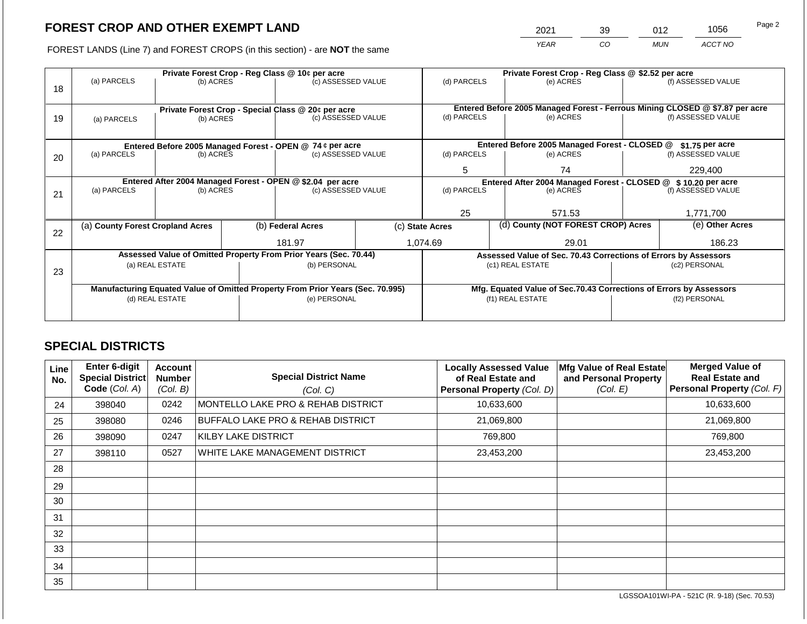2021 39 012 1056

FOREST LANDS (Line 7) and FOREST CROPS (in this section) - are **NOT** the same *YEAR CO MUN ACCT NO*

|    |                                                                                |                 |  | Private Forest Crop - Reg Class @ 10¢ per acre                   |  | Private Forest Crop - Reg Class @ \$2.52 per acre              |                                                                              |                                                                    |  |                    |
|----|--------------------------------------------------------------------------------|-----------------|--|------------------------------------------------------------------|--|----------------------------------------------------------------|------------------------------------------------------------------------------|--------------------------------------------------------------------|--|--------------------|
|    | (a) PARCELS                                                                    | (b) ACRES       |  | (c) ASSESSED VALUE                                               |  | (d) PARCELS                                                    |                                                                              | (e) ACRES                                                          |  | (f) ASSESSED VALUE |
| 18 |                                                                                |                 |  |                                                                  |  |                                                                |                                                                              |                                                                    |  |                    |
|    |                                                                                |                 |  |                                                                  |  |                                                                |                                                                              |                                                                    |  |                    |
|    |                                                                                |                 |  | Private Forest Crop - Special Class @ 20¢ per acre               |  |                                                                | Entered Before 2005 Managed Forest - Ferrous Mining CLOSED @ \$7.87 per acre |                                                                    |  |                    |
| 19 | (a) PARCELS                                                                    | (b) ACRES       |  | (c) ASSESSED VALUE                                               |  | (d) PARCELS                                                    |                                                                              | (e) ACRES                                                          |  | (f) ASSESSED VALUE |
|    |                                                                                |                 |  |                                                                  |  |                                                                |                                                                              |                                                                    |  |                    |
|    |                                                                                |                 |  | Entered Before 2005 Managed Forest - OPEN @ 74 ¢ per acre        |  |                                                                |                                                                              | Entered Before 2005 Managed Forest - CLOSED @                      |  | $$1.75$ per acre   |
| 20 | (a) PARCELS<br>(b) ACRES                                                       |                 |  | (c) ASSESSED VALUE                                               |  | (d) PARCELS                                                    |                                                                              | (e) ACRES                                                          |  | (f) ASSESSED VALUE |
|    |                                                                                |                 |  |                                                                  |  |                                                                |                                                                              |                                                                    |  |                    |
|    |                                                                                |                 |  |                                                                  |  | 5                                                              |                                                                              | 74                                                                 |  | 229,400            |
|    | Entered After 2004 Managed Forest - OPEN @ \$2.04 per acre                     |                 |  |                                                                  |  | Entered After 2004 Managed Forest - CLOSED @ \$ 10.20 per acre |                                                                              |                                                                    |  |                    |
| 21 | (a) PARCELS                                                                    | (b) ACRES       |  | (c) ASSESSED VALUE                                               |  | (d) PARCELS                                                    |                                                                              | (e) ACRES                                                          |  | (f) ASSESSED VALUE |
|    |                                                                                |                 |  |                                                                  |  |                                                                |                                                                              |                                                                    |  |                    |
|    |                                                                                |                 |  |                                                                  |  | 25                                                             |                                                                              | 571.53                                                             |  | 1,771,700          |
|    | (a) County Forest Cropland Acres                                               |                 |  | (b) Federal Acres                                                |  | (c) State Acres                                                |                                                                              | (d) County (NOT FOREST CROP) Acres                                 |  | (e) Other Acres    |
| 22 |                                                                                |                 |  |                                                                  |  |                                                                |                                                                              |                                                                    |  |                    |
|    |                                                                                |                 |  | 181.97                                                           |  | 1,074.69                                                       |                                                                              | 29.01                                                              |  | 186.23             |
|    |                                                                                |                 |  | Assessed Value of Omitted Property From Prior Years (Sec. 70.44) |  |                                                                |                                                                              | Assessed Value of Sec. 70.43 Corrections of Errors by Assessors    |  |                    |
|    |                                                                                | (a) REAL ESTATE |  | (b) PERSONAL                                                     |  |                                                                |                                                                              | (c1) REAL ESTATE                                                   |  | (c2) PERSONAL      |
| 23 |                                                                                |                 |  |                                                                  |  |                                                                |                                                                              |                                                                    |  |                    |
|    | Manufacturing Equated Value of Omitted Property From Prior Years (Sec. 70.995) |                 |  |                                                                  |  |                                                                |                                                                              | Mfg. Equated Value of Sec.70.43 Corrections of Errors by Assessors |  |                    |
|    | (d) REAL ESTATE                                                                |                 |  | (e) PERSONAL                                                     |  | (f1) REAL ESTATE                                               |                                                                              |                                                                    |  | (f2) PERSONAL      |
|    |                                                                                |                 |  |                                                                  |  |                                                                |                                                                              |                                                                    |  |                    |
|    |                                                                                |                 |  |                                                                  |  |                                                                |                                                                              |                                                                    |  |                    |

## **SPECIAL DISTRICTS**

| Line<br>No. | Enter 6-digit<br>Special District<br>Code (Col. A) | <b>Account</b><br><b>Number</b><br>(Col. B) | <b>Special District Name</b><br>(Col. C)     | <b>Locally Assessed Value</b><br>of Real Estate and<br><b>Personal Property (Col. D)</b> | Mfg Value of Real Estate<br>and Personal Property<br>(Col. E) | <b>Merged Value of</b><br><b>Real Estate and</b><br>Personal Property (Col. F) |
|-------------|----------------------------------------------------|---------------------------------------------|----------------------------------------------|------------------------------------------------------------------------------------------|---------------------------------------------------------------|--------------------------------------------------------------------------------|
| 24          | 398040                                             | 0242                                        | MONTELLO LAKE PRO & REHAB DISTRICT           | 10,633,600                                                                               |                                                               | 10,633,600                                                                     |
| 25          | 398080                                             | 0246                                        | <b>BUFFALO LAKE PRO &amp; REHAB DISTRICT</b> | 21,069,800                                                                               |                                                               | 21,069,800                                                                     |
| 26          | 398090                                             | 0247                                        | KILBY LAKE DISTRICT                          | 769,800                                                                                  |                                                               | 769,800                                                                        |
| 27          | 398110                                             | 0527                                        | WHITE LAKE MANAGEMENT DISTRICT               | 23,453,200                                                                               |                                                               | 23,453,200                                                                     |
| 28          |                                                    |                                             |                                              |                                                                                          |                                                               |                                                                                |
| 29          |                                                    |                                             |                                              |                                                                                          |                                                               |                                                                                |
| 30          |                                                    |                                             |                                              |                                                                                          |                                                               |                                                                                |
| 31          |                                                    |                                             |                                              |                                                                                          |                                                               |                                                                                |
| 32          |                                                    |                                             |                                              |                                                                                          |                                                               |                                                                                |
| 33          |                                                    |                                             |                                              |                                                                                          |                                                               |                                                                                |
| 34          |                                                    |                                             |                                              |                                                                                          |                                                               |                                                                                |
| 35          |                                                    |                                             |                                              |                                                                                          |                                                               |                                                                                |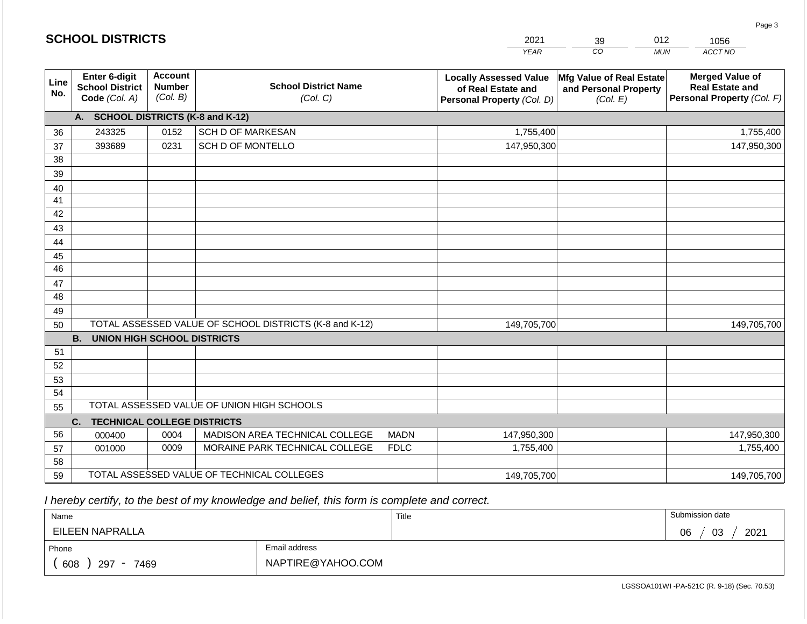|                       | <b>SCHOOL DISTRICTS</b>                                  |                                             |                                                         |             | 2021                                                                              | 39                                                            | 012        | 1056                                                                           |
|-----------------------|----------------------------------------------------------|---------------------------------------------|---------------------------------------------------------|-------------|-----------------------------------------------------------------------------------|---------------------------------------------------------------|------------|--------------------------------------------------------------------------------|
|                       |                                                          |                                             |                                                         |             | <b>YEAR</b>                                                                       | CO                                                            | <b>MUN</b> | ACCT NO                                                                        |
| Line<br>No.           | Enter 6-digit<br><b>School District</b><br>Code (Col. A) | <b>Account</b><br><b>Number</b><br>(Col. B) | <b>School District Name</b><br>(Col. C)                 |             | <b>Locally Assessed Value</b><br>of Real Estate and<br>Personal Property (Col. D) | Mfg Value of Real Estate<br>and Personal Property<br>(Col. E) |            | <b>Merged Value of</b><br><b>Real Estate and</b><br>Personal Property (Col. F) |
|                       | A. SCHOOL DISTRICTS (K-8 and K-12)                       |                                             |                                                         |             |                                                                                   |                                                               |            |                                                                                |
| 36                    | 243325                                                   | 0152                                        | <b>SCH D OF MARKESAN</b>                                |             | 1,755,400                                                                         |                                                               |            | 1,755,400                                                                      |
| 37                    | 393689                                                   | 0231                                        | SCH D OF MONTELLO                                       |             | 147,950,300                                                                       |                                                               |            | 147,950,300                                                                    |
| 38                    |                                                          |                                             |                                                         |             |                                                                                   |                                                               |            |                                                                                |
| 39                    |                                                          |                                             |                                                         |             |                                                                                   |                                                               |            |                                                                                |
| 40                    |                                                          |                                             |                                                         |             |                                                                                   |                                                               |            |                                                                                |
| 41                    |                                                          |                                             |                                                         |             |                                                                                   |                                                               |            |                                                                                |
| 42                    |                                                          |                                             |                                                         |             |                                                                                   |                                                               |            |                                                                                |
| 43                    |                                                          |                                             |                                                         |             |                                                                                   |                                                               |            |                                                                                |
| 44                    |                                                          |                                             |                                                         |             |                                                                                   |                                                               |            |                                                                                |
| 45<br>$\overline{46}$ |                                                          |                                             |                                                         |             |                                                                                   |                                                               |            |                                                                                |
| 47                    |                                                          |                                             |                                                         |             |                                                                                   |                                                               |            |                                                                                |
| 48                    |                                                          |                                             |                                                         |             |                                                                                   |                                                               |            |                                                                                |
| 49                    |                                                          |                                             |                                                         |             |                                                                                   |                                                               |            |                                                                                |
| 50                    |                                                          |                                             | TOTAL ASSESSED VALUE OF SCHOOL DISTRICTS (K-8 and K-12) |             | 149,705,700                                                                       |                                                               |            | 149,705,700                                                                    |
|                       | <b>B.</b><br><b>UNION HIGH SCHOOL DISTRICTS</b>          |                                             |                                                         |             |                                                                                   |                                                               |            |                                                                                |
| 51                    |                                                          |                                             |                                                         |             |                                                                                   |                                                               |            |                                                                                |
| 52                    |                                                          |                                             |                                                         |             |                                                                                   |                                                               |            |                                                                                |
| 53                    |                                                          |                                             |                                                         |             |                                                                                   |                                                               |            |                                                                                |
| 54                    |                                                          |                                             |                                                         |             |                                                                                   |                                                               |            |                                                                                |
| 55                    |                                                          |                                             | TOTAL ASSESSED VALUE OF UNION HIGH SCHOOLS              |             |                                                                                   |                                                               |            |                                                                                |
|                       | C.<br><b>TECHNICAL COLLEGE DISTRICTS</b>                 |                                             |                                                         |             |                                                                                   |                                                               |            |                                                                                |
| 56                    | 000400                                                   | 0004                                        | MADISON AREA TECHNICAL COLLEGE                          | <b>MADN</b> | 147,950,300                                                                       |                                                               |            | 147,950,300                                                                    |
| 57                    | 001000                                                   | 0009                                        | MORAINE PARK TECHNICAL COLLEGE                          | <b>FDLC</b> | 1,755,400                                                                         |                                                               |            | 1,755,400                                                                      |
| 58                    |                                                          |                                             |                                                         |             |                                                                                   |                                                               |            |                                                                                |
| 59                    |                                                          |                                             | TOTAL ASSESSED VALUE OF TECHNICAL COLLEGES              |             | 149,705,700                                                                       |                                                               |            | 149,705,700                                                                    |

**SCHOOL DISTRICTS**

| Name                                           |                   | Title | Submission date  |
|------------------------------------------------|-------------------|-------|------------------|
| EILEEN NAPRALLA                                |                   |       | 03<br>2021<br>06 |
| Phone                                          | Email address     |       |                  |
| 608<br>297<br>7469<br>$\overline{\phantom{a}}$ | NAPTIRE@YAHOO.COM |       |                  |

Page 3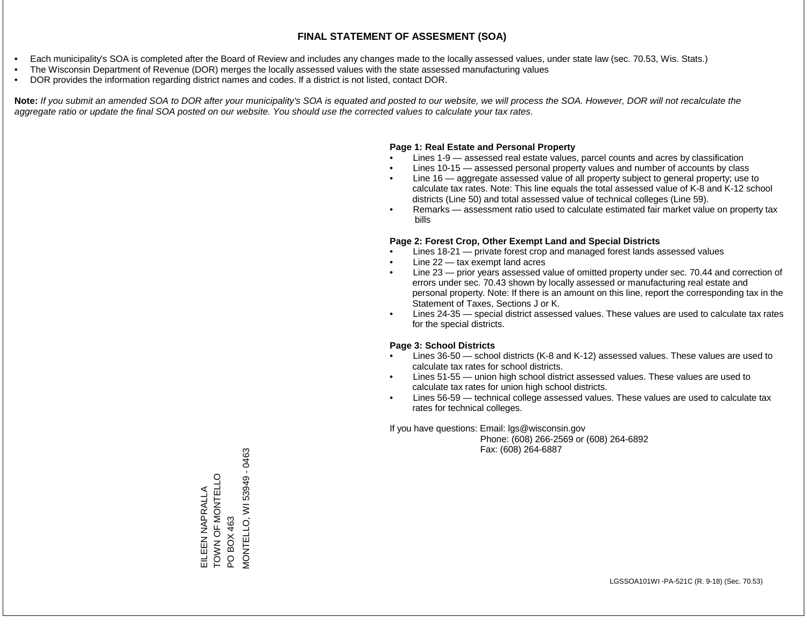- Each municipality's SOA is completed after the Board of Review and includes any changes made to the locally assessed values, under state law (sec. 70.53, Wis. Stats.)
- The Wisconsin Department of Revenue (DOR) merges the locally assessed values with the state assessed manufacturing values
- DOR provides the information regarding district names and codes. If a district is not listed, contact DOR.

Note: If you submit an amended SOA to DOR after your municipality's SOA is equated and posted to our website, we will process the SOA. However, DOR will not recalculate the *aggregate ratio or update the final SOA posted on our website. You should use the corrected values to calculate your tax rates.*

#### **Page 1: Real Estate and Personal Property**

- Lines 1-9 assessed real estate values, parcel counts and acres by classification
- Lines 10-15 assessed personal property values and number of accounts by class
- Line 16 aggregate assessed value of all property subject to general property; use to calculate tax rates. Note: This line equals the total assessed value of K-8 and K-12 school districts (Line 50) and total assessed value of technical colleges (Line 59).
- Remarks assessment ratio used to calculate estimated fair market value on property tax bills

#### **Page 2: Forest Crop, Other Exempt Land and Special Districts**

- Lines 18-21 private forest crop and managed forest lands assessed values
- Line  $22 -$  tax exempt land acres
- Line 23 prior years assessed value of omitted property under sec. 70.44 and correction of errors under sec. 70.43 shown by locally assessed or manufacturing real estate and personal property. Note: If there is an amount on this line, report the corresponding tax in the Statement of Taxes, Sections J or K.
- Lines 24-35 special district assessed values. These values are used to calculate tax rates for the special districts.

#### **Page 3: School Districts**

- Lines 36-50 school districts (K-8 and K-12) assessed values. These values are used to calculate tax rates for school districts.
- Lines 51-55 union high school district assessed values. These values are used to calculate tax rates for union high school districts.
- Lines 56-59 technical college assessed values. These values are used to calculate tax rates for technical colleges.

If you have questions: Email: lgs@wisconsin.gov

 Phone: (608) 266-2569 or (608) 264-6892 Fax: (608) 264-6887

EILEEN NAPRALLA OHN DO MONTELLO EILEEN NAPRALLA<br>TOWN OF MONTELLO<br>PO BOX 463<br>MONTELLO, WI 53949 - 0463 MONTELLO, WI 53949 - 0463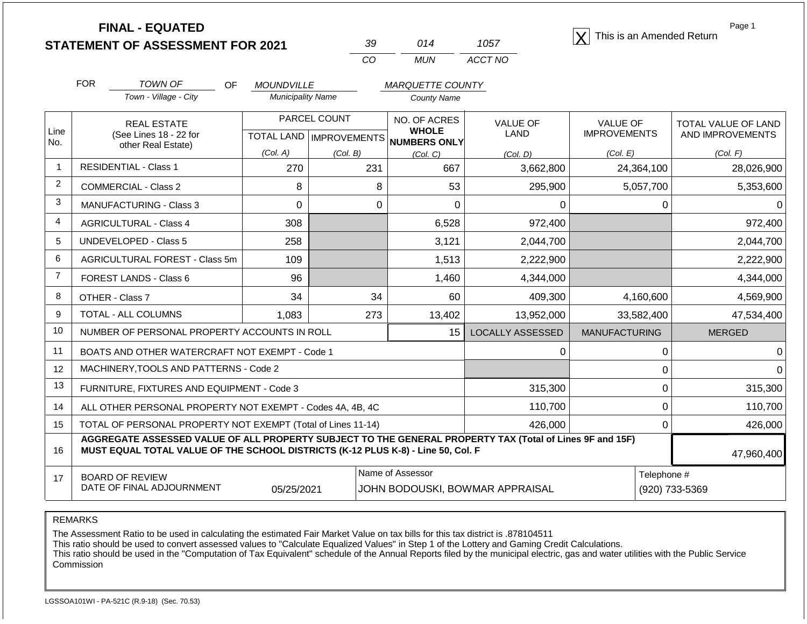**STATEMENT OF ASSESSMENT FOR 2021** 39 014 1057 **X** This is an Amended Return<br> **STATEMENT OF ASSESSMENT FOR 2021** 39 014 1057

| 39. | N14 | 1057    |
|-----|-----|---------|
| CO. | MUN | ACCT NO |

Page 1

|                   | <b>FOR</b><br><b>TOWN OF</b><br><b>OF</b>                                                                                                                                                    | <b>MOUNDVILLE</b>                         |                 | <b>MARQUETTE COUNTY</b>      |                                 |                                        |                                         |
|-------------------|----------------------------------------------------------------------------------------------------------------------------------------------------------------------------------------------|-------------------------------------------|-----------------|------------------------------|---------------------------------|----------------------------------------|-----------------------------------------|
|                   | Town - Village - City                                                                                                                                                                        | <b>Municipality Name</b>                  |                 | <b>County Name</b>           |                                 |                                        |                                         |
| Line              | <b>REAL ESTATE</b><br>(See Lines 18 - 22 for                                                                                                                                                 | PARCEL COUNT<br>TOTAL LAND   IMPROVEMENTS |                 | NO. OF ACRES<br><b>WHOLE</b> | <b>VALUE OF</b><br><b>LAND</b>  | <b>VALUE OF</b><br><b>IMPROVEMENTS</b> | TOTAL VALUE OF LAND<br>AND IMPROVEMENTS |
| No.               | other Real Estate)                                                                                                                                                                           | (Col. A)                                  |                 | NUMBERS ONLY                 |                                 | (Col. E)                               | (Col. F)                                |
| $\mathbf{1}$      | <b>RESIDENTIAL - Class 1</b>                                                                                                                                                                 | 270                                       | (Col. B)<br>231 | (Col, C)<br>667              | (Col, D)<br>3,662,800           | 24,364,100                             | 28,026,900                              |
| $\overline{2}$    | <b>COMMERCIAL - Class 2</b>                                                                                                                                                                  | 8                                         | 8               | 53                           | 295,900                         | 5,057,700                              | 5,353,600                               |
| 3                 | <b>MANUFACTURING - Class 3</b>                                                                                                                                                               | 0                                         | 0               | 0                            | U                               | 0                                      |                                         |
| 4                 | <b>AGRICULTURAL - Class 4</b>                                                                                                                                                                | 308                                       |                 | 6,528                        | 972,400                         |                                        | 972,400                                 |
| 5                 | <b>UNDEVELOPED - Class 5</b>                                                                                                                                                                 | 258                                       |                 | 3,121                        | 2,044,700                       |                                        | 2,044,700                               |
| 6                 | AGRICULTURAL FOREST - Class 5m                                                                                                                                                               | 109                                       |                 | 1,513                        | 2,222,900                       |                                        | 2,222,900                               |
| $\overline{7}$    | FOREST LANDS - Class 6                                                                                                                                                                       | 96                                        |                 | 1,460                        | 4,344,000                       |                                        | 4,344,000                               |
| 8                 | OTHER - Class 7                                                                                                                                                                              | 34                                        | 34              | 60                           | 409,300                         | 4,160,600                              | 4,569,900                               |
| 9                 | <b>TOTAL - ALL COLUMNS</b>                                                                                                                                                                   | 1,083                                     | 273             | 13,402                       | 13,952,000                      | 33,582,400                             | 47,534,400                              |
| 10                | NUMBER OF PERSONAL PROPERTY ACCOUNTS IN ROLL                                                                                                                                                 |                                           |                 | 15                           | <b>LOCALLY ASSESSED</b>         | <b>MANUFACTURING</b>                   | <b>MERGED</b>                           |
| 11                | BOATS AND OTHER WATERCRAFT NOT EXEMPT - Code 1                                                                                                                                               |                                           |                 |                              | U                               | 0                                      |                                         |
| $12 \overline{ }$ | MACHINERY, TOOLS AND PATTERNS - Code 2                                                                                                                                                       |                                           |                 |                              |                                 | 0                                      |                                         |
| 13                | FURNITURE, FIXTURES AND EQUIPMENT - Code 3                                                                                                                                                   |                                           |                 |                              | 315,300                         | 0                                      | 315,300                                 |
| 14                | ALL OTHER PERSONAL PROPERTY NOT EXEMPT - Codes 4A, 4B, 4C                                                                                                                                    |                                           |                 |                              | 110,700                         | 0                                      | 110,700                                 |
| 15                | TOTAL OF PERSONAL PROPERTY NOT EXEMPT (Total of Lines 11-14)                                                                                                                                 |                                           |                 |                              | 426,000                         | $\Omega$                               | 426,000                                 |
| 16                | AGGREGATE ASSESSED VALUE OF ALL PROPERTY SUBJECT TO THE GENERAL PROPERTY TAX (Total of Lines 9F and 15F)<br>MUST EQUAL TOTAL VALUE OF THE SCHOOL DISTRICTS (K-12 PLUS K-8) - Line 50, Col. F |                                           |                 |                              |                                 |                                        | 47,960,400                              |
| 17                | <b>BOARD OF REVIEW</b>                                                                                                                                                                       |                                           |                 | Name of Assessor             |                                 | Telephone #                            |                                         |
|                   | DATE OF FINAL ADJOURNMENT                                                                                                                                                                    | 05/25/2021                                |                 |                              | JOHN BODOUSKI, BOWMAR APPRAISAL |                                        | (920) 733-5369                          |

REMARKS

The Assessment Ratio to be used in calculating the estimated Fair Market Value on tax bills for this tax district is .878104511

This ratio should be used to convert assessed values to "Calculate Equalized Values" in Step 1 of the Lottery and Gaming Credit Calculations.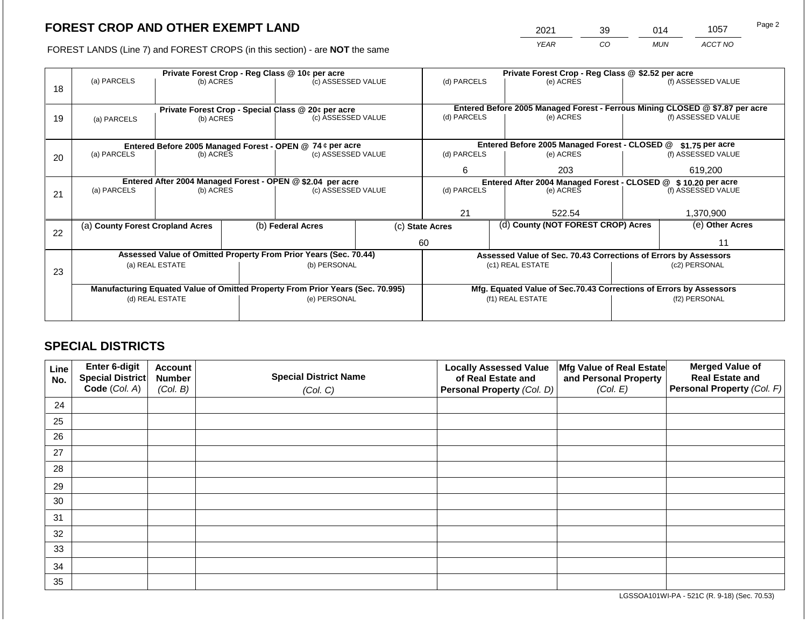2021 39 014 1057

FOREST LANDS (Line 7) and FOREST CROPS (in this section) - are **NOT** the same *YEAR CO MUN ACCT NO*

|    |                                                                                |                 |  | Private Forest Crop - Reg Class @ 10¢ per acre                   |                    | Private Forest Crop - Reg Class @ \$2.52 per acre |  |                                                                              |               |                    |
|----|--------------------------------------------------------------------------------|-----------------|--|------------------------------------------------------------------|--------------------|---------------------------------------------------|--|------------------------------------------------------------------------------|---------------|--------------------|
|    | (a) PARCELS                                                                    | (b) ACRES       |  | (c) ASSESSED VALUE                                               |                    | (d) PARCELS                                       |  | (e) ACRES                                                                    |               | (f) ASSESSED VALUE |
| 18 |                                                                                |                 |  |                                                                  |                    |                                                   |  |                                                                              |               |                    |
|    |                                                                                |                 |  |                                                                  |                    |                                                   |  | Entered Before 2005 Managed Forest - Ferrous Mining CLOSED @ \$7.87 per acre |               |                    |
| 19 |                                                                                |                 |  | Private Forest Crop - Special Class @ 20¢ per acre               | (c) ASSESSED VALUE |                                                   |  | (e) ACRES                                                                    |               | (f) ASSESSED VALUE |
|    | (a) PARCELS                                                                    | (b) ACRES       |  |                                                                  |                    | (d) PARCELS                                       |  |                                                                              |               |                    |
|    |                                                                                |                 |  |                                                                  |                    |                                                   |  |                                                                              |               |                    |
|    |                                                                                |                 |  | Entered Before 2005 Managed Forest - OPEN @ 74 ¢ per acre        |                    |                                                   |  | Entered Before 2005 Managed Forest - CLOSED @                                |               | $$1.75$ per acre   |
| 20 | (a) PARCELS<br>(b) ACRES                                                       |                 |  | (c) ASSESSED VALUE                                               |                    | (d) PARCELS                                       |  | (e) ACRES                                                                    |               | (f) ASSESSED VALUE |
|    |                                                                                |                 |  |                                                                  |                    | 6                                                 |  | 203                                                                          |               | 619,200            |
|    |                                                                                |                 |  |                                                                  |                    |                                                   |  |                                                                              |               |                    |
|    | Entered After 2004 Managed Forest - OPEN @ \$2.04 per acre                     |                 |  |                                                                  |                    | (d) PARCELS                                       |  | Entered After 2004 Managed Forest - CLOSED @ \$10.20 per acre                |               | (f) ASSESSED VALUE |
| 21 | (a) PARCELS                                                                    | (b) ACRES       |  | (c) ASSESSED VALUE                                               |                    |                                                   |  | (e) ACRES                                                                    |               |                    |
|    |                                                                                |                 |  |                                                                  |                    |                                                   |  |                                                                              |               |                    |
|    |                                                                                |                 |  |                                                                  |                    | 21                                                |  | 522.54                                                                       |               | 1,370,900          |
|    | (a) County Forest Cropland Acres                                               |                 |  | (b) Federal Acres                                                |                    | (c) State Acres                                   |  | (d) County (NOT FOREST CROP) Acres                                           |               | (e) Other Acres    |
| 22 |                                                                                |                 |  |                                                                  |                    |                                                   |  |                                                                              |               |                    |
|    |                                                                                |                 |  |                                                                  |                    | 60                                                |  |                                                                              | 11            |                    |
|    |                                                                                |                 |  | Assessed Value of Omitted Property From Prior Years (Sec. 70.44) |                    |                                                   |  | Assessed Value of Sec. 70.43 Corrections of Errors by Assessors              |               |                    |
|    |                                                                                | (a) REAL ESTATE |  | (b) PERSONAL                                                     |                    |                                                   |  | (c1) REAL ESTATE                                                             |               | (c2) PERSONAL      |
| 23 |                                                                                |                 |  |                                                                  |                    |                                                   |  |                                                                              |               |                    |
|    | Manufacturing Equated Value of Omitted Property From Prior Years (Sec. 70.995) |                 |  |                                                                  |                    |                                                   |  | Mfg. Equated Value of Sec.70.43 Corrections of Errors by Assessors           |               |                    |
|    | (d) REAL ESTATE                                                                |                 |  | (e) PERSONAL                                                     |                    |                                                   |  | (f1) REAL ESTATE                                                             | (f2) PERSONAL |                    |
|    |                                                                                |                 |  |                                                                  |                    |                                                   |  |                                                                              |               |                    |
|    |                                                                                |                 |  |                                                                  |                    |                                                   |  |                                                                              |               |                    |

## **SPECIAL DISTRICTS**

| Line<br>No. | Enter 6-digit<br>Special District<br>Code (Col. A) | <b>Account</b><br><b>Number</b><br>(Col. B) | <b>Locally Assessed Value</b><br><b>Special District Name</b><br>of Real Estate and<br><b>Personal Property (Col. D)</b><br>(Col. C) |  | Mfg Value of Real Estate<br>and Personal Property<br>(Col. E) | <b>Merged Value of</b><br><b>Real Estate and</b><br>Personal Property (Col. F) |
|-------------|----------------------------------------------------|---------------------------------------------|--------------------------------------------------------------------------------------------------------------------------------------|--|---------------------------------------------------------------|--------------------------------------------------------------------------------|
| 24          |                                                    |                                             |                                                                                                                                      |  |                                                               |                                                                                |
| 25          |                                                    |                                             |                                                                                                                                      |  |                                                               |                                                                                |
| 26          |                                                    |                                             |                                                                                                                                      |  |                                                               |                                                                                |
| 27          |                                                    |                                             |                                                                                                                                      |  |                                                               |                                                                                |
| 28          |                                                    |                                             |                                                                                                                                      |  |                                                               |                                                                                |
| 29          |                                                    |                                             |                                                                                                                                      |  |                                                               |                                                                                |
| 30          |                                                    |                                             |                                                                                                                                      |  |                                                               |                                                                                |
| 31          |                                                    |                                             |                                                                                                                                      |  |                                                               |                                                                                |
| 32          |                                                    |                                             |                                                                                                                                      |  |                                                               |                                                                                |
| 33          |                                                    |                                             |                                                                                                                                      |  |                                                               |                                                                                |
| 34          |                                                    |                                             |                                                                                                                                      |  |                                                               |                                                                                |
| 35          |                                                    |                                             |                                                                                                                                      |  |                                                               |                                                                                |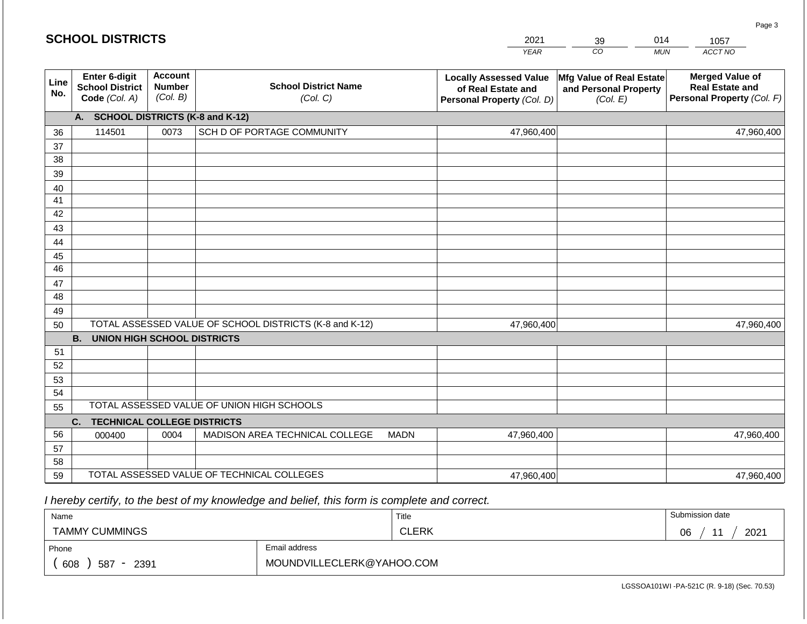|             | <b>SCHOOL DISTRICTS</b>                                         |                                             |                                                         | 2021        | 39                                                                                | 014                                                                  | 1057       |                                                                                |
|-------------|-----------------------------------------------------------------|---------------------------------------------|---------------------------------------------------------|-------------|-----------------------------------------------------------------------------------|----------------------------------------------------------------------|------------|--------------------------------------------------------------------------------|
|             |                                                                 |                                             |                                                         |             | <b>YEAR</b>                                                                       | CO                                                                   | <b>MUN</b> | ACCT NO                                                                        |
| Line<br>No. | <b>Enter 6-digit</b><br><b>School District</b><br>Code (Col. A) | <b>Account</b><br><b>Number</b><br>(Col. B) | <b>School District Name</b><br>(Col. C)                 |             | <b>Locally Assessed Value</b><br>of Real Estate and<br>Personal Property (Col. D) | <b>Mfg Value of Real Estate</b><br>and Personal Property<br>(Col. E) |            | <b>Merged Value of</b><br><b>Real Estate and</b><br>Personal Property (Col. F) |
|             | A.                                                              |                                             | <b>SCHOOL DISTRICTS (K-8 and K-12)</b>                  |             |                                                                                   |                                                                      |            |                                                                                |
| 36          | 114501                                                          | 0073                                        | SCH D OF PORTAGE COMMUNITY                              |             | 47,960,400                                                                        |                                                                      |            | 47,960,400                                                                     |
| 37          |                                                                 |                                             |                                                         |             |                                                                                   |                                                                      |            |                                                                                |
| 38          |                                                                 |                                             |                                                         |             |                                                                                   |                                                                      |            |                                                                                |
| 39          |                                                                 |                                             |                                                         |             |                                                                                   |                                                                      |            |                                                                                |
| 40          |                                                                 |                                             |                                                         |             |                                                                                   |                                                                      |            |                                                                                |
| 41<br>42    |                                                                 |                                             |                                                         |             |                                                                                   |                                                                      |            |                                                                                |
| 43          |                                                                 |                                             |                                                         |             |                                                                                   |                                                                      |            |                                                                                |
| 44          |                                                                 |                                             |                                                         |             |                                                                                   |                                                                      |            |                                                                                |
| 45          |                                                                 |                                             |                                                         |             |                                                                                   |                                                                      |            |                                                                                |
| 46          |                                                                 |                                             |                                                         |             |                                                                                   |                                                                      |            |                                                                                |
| 47          |                                                                 |                                             |                                                         |             |                                                                                   |                                                                      |            |                                                                                |
| 48          |                                                                 |                                             |                                                         |             |                                                                                   |                                                                      |            |                                                                                |
| 49          |                                                                 |                                             |                                                         |             |                                                                                   |                                                                      |            |                                                                                |
| 50          |                                                                 |                                             | TOTAL ASSESSED VALUE OF SCHOOL DISTRICTS (K-8 and K-12) |             | 47,960,400                                                                        |                                                                      |            | 47,960,400                                                                     |
|             | <b>B. UNION HIGH SCHOOL DISTRICTS</b>                           |                                             |                                                         |             |                                                                                   |                                                                      |            |                                                                                |
| 51          |                                                                 |                                             |                                                         |             |                                                                                   |                                                                      |            |                                                                                |
| 52          |                                                                 |                                             |                                                         |             |                                                                                   |                                                                      |            |                                                                                |
| 53          |                                                                 |                                             |                                                         |             |                                                                                   |                                                                      |            |                                                                                |
| 54          |                                                                 |                                             | TOTAL ASSESSED VALUE OF UNION HIGH SCHOOLS              |             |                                                                                   |                                                                      |            |                                                                                |
| 55          |                                                                 |                                             |                                                         |             |                                                                                   |                                                                      |            |                                                                                |
| 56          | C.<br><b>TECHNICAL COLLEGE DISTRICTS</b>                        |                                             |                                                         |             |                                                                                   |                                                                      |            |                                                                                |
| 57          | 000400                                                          | 0004                                        | MADISON AREA TECHNICAL COLLEGE                          | <b>MADN</b> | 47,960,400                                                                        |                                                                      |            | 47,960,400                                                                     |
| 58          |                                                                 |                                             |                                                         |             |                                                                                   |                                                                      |            |                                                                                |
| 59          |                                                                 |                                             | TOTAL ASSESSED VALUE OF TECHNICAL COLLEGES              |             | 47,960,400                                                                        |                                                                      |            | 47,960,400                                                                     |

| Name                   |      |                           | Title        | Submission date |
|------------------------|------|---------------------------|--------------|-----------------|
| <b>TAMMY CUMMINGS</b>  |      |                           | <b>CLERK</b> | 2021<br>06      |
| Email address<br>Phone |      |                           |              |                 |
| 608<br>587             | 2391 | MOUNDVILLECLERK@YAHOO.COM |              |                 |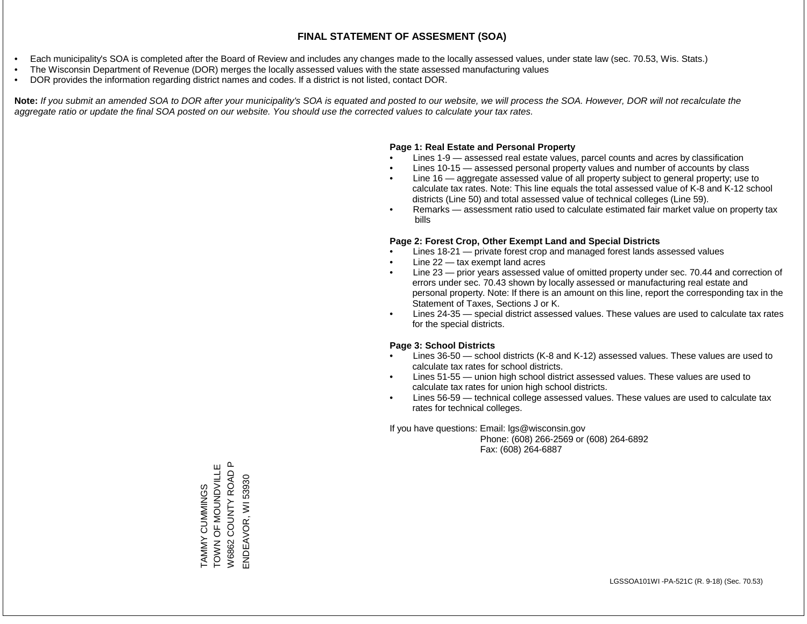- Each municipality's SOA is completed after the Board of Review and includes any changes made to the locally assessed values, under state law (sec. 70.53, Wis. Stats.)
- The Wisconsin Department of Revenue (DOR) merges the locally assessed values with the state assessed manufacturing values
- DOR provides the information regarding district names and codes. If a district is not listed, contact DOR.

Note: If you submit an amended SOA to DOR after your municipality's SOA is equated and posted to our website, we will process the SOA. However, DOR will not recalculate the *aggregate ratio or update the final SOA posted on our website. You should use the corrected values to calculate your tax rates.*

### **Page 1: Real Estate and Personal Property**

- Lines 1-9 assessed real estate values, parcel counts and acres by classification
- Lines 10-15 assessed personal property values and number of accounts by class
- Line 16 aggregate assessed value of all property subject to general property; use to calculate tax rates. Note: This line equals the total assessed value of K-8 and K-12 school districts (Line 50) and total assessed value of technical colleges (Line 59).
- Remarks assessment ratio used to calculate estimated fair market value on property tax bills

### **Page 2: Forest Crop, Other Exempt Land and Special Districts**

- Lines 18-21 private forest crop and managed forest lands assessed values
- Line  $22 -$  tax exempt land acres
- Line 23 prior years assessed value of omitted property under sec. 70.44 and correction of errors under sec. 70.43 shown by locally assessed or manufacturing real estate and personal property. Note: If there is an amount on this line, report the corresponding tax in the Statement of Taxes, Sections J or K.
- Lines 24-35 special district assessed values. These values are used to calculate tax rates for the special districts.

### **Page 3: School Districts**

- Lines 36-50 school districts (K-8 and K-12) assessed values. These values are used to calculate tax rates for school districts.
- Lines 51-55 union high school district assessed values. These values are used to calculate tax rates for union high school districts.
- Lines 56-59 technical college assessed values. These values are used to calculate tax rates for technical colleges.

If you have questions: Email: lgs@wisconsin.gov

 Phone: (608) 266-2569 or (608) 264-6892 Fax: (608) 264-6887

 $\mathbf{a}$ TAMMY CUMMINGS<br>TOWN OF MOUNDVILLE TOWN OF MONDOW AND MULTING W6862 COUNTY ROAD P W6862 COUNTY ROAD ENDEAVOR, WI 53930 ENDEAVOR, WI 53930TAMMY CUMMINGS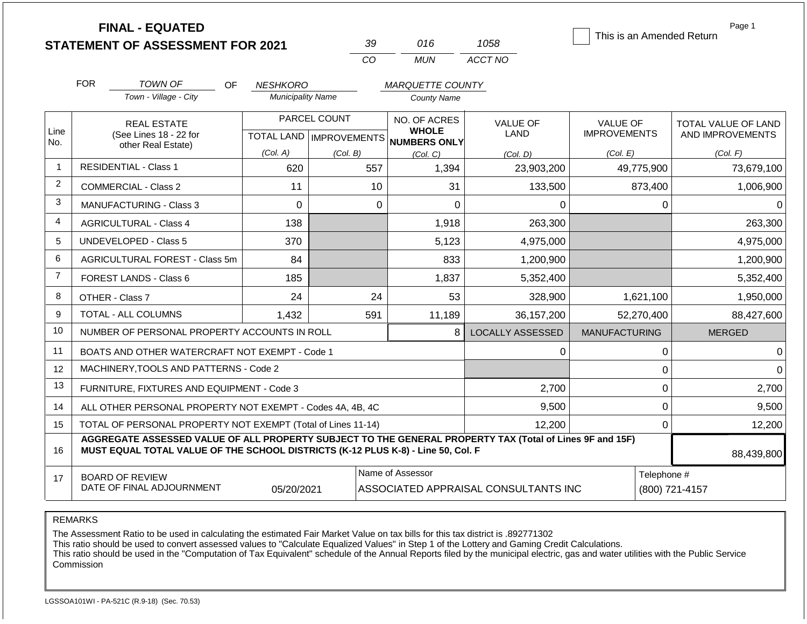|                | <b>FINAL - EQUATED</b><br><b>STATEMENT OF ASSESSMENT FOR 2021</b>                                                                                                                            |                          | 39                                               | 016                                                 | 1058                                 | This is an Amended Return              | Page 1                                  |  |
|----------------|----------------------------------------------------------------------------------------------------------------------------------------------------------------------------------------------|--------------------------|--------------------------------------------------|-----------------------------------------------------|--------------------------------------|----------------------------------------|-----------------------------------------|--|
|                |                                                                                                                                                                                              |                          | CO                                               | <b>MUN</b>                                          | ACCT NO                              |                                        |                                         |  |
|                | <b>FOR</b><br><b>TOWN OF</b><br>OF                                                                                                                                                           | <b>NESHKORO</b>          | <b>MARQUETTE COUNTY</b>                          |                                                     |                                      |                                        |                                         |  |
|                | Town - Village - City                                                                                                                                                                        | <b>Municipality Name</b> |                                                  | <b>County Name</b>                                  |                                      |                                        |                                         |  |
| Line<br>No.    | <b>REAL ESTATE</b><br>(See Lines 18 - 22 for                                                                                                                                                 |                          | PARCEL COUNT<br><b>TOTAL LAND   IMPROVEMENTS</b> | NO. OF ACRES<br><b>WHOLE</b><br><b>NUMBERS ONLY</b> | <b>VALUE OF</b><br>LAND              | <b>VALUE OF</b><br><b>IMPROVEMENTS</b> | TOTAL VALUE OF LAND<br>AND IMPROVEMENTS |  |
|                | other Real Estate)                                                                                                                                                                           | (Col. A)                 | (Col. B)                                         | (Col, C)                                            | (Col, D)                             | (Col. E)                               | (Col. F)                                |  |
| $\overline{1}$ | <b>RESIDENTIAL - Class 1</b>                                                                                                                                                                 | 620                      | 557                                              | 1,394                                               | 23,903,200                           | 49,775,900                             | 73,679,100                              |  |
| $\overline{2}$ | <b>COMMERCIAL - Class 2</b>                                                                                                                                                                  | 11                       | 10                                               | 31                                                  | 133,500                              | 873,400                                | 1,006,900                               |  |
| 3              | <b>MANUFACTURING - Class 3</b>                                                                                                                                                               | $\Omega$                 | $\Omega$                                         | 0                                                   | 0                                    | 0                                      |                                         |  |
| $\overline{4}$ | <b>AGRICULTURAL - Class 4</b>                                                                                                                                                                | 138                      |                                                  | 1,918                                               | 263,300                              |                                        | 263,300                                 |  |
| 5              | <b>UNDEVELOPED - Class 5</b>                                                                                                                                                                 | 370                      |                                                  | 5,123                                               | 4,975,000                            |                                        | 4,975,000                               |  |
| 6              | AGRICULTURAL FOREST - Class 5m                                                                                                                                                               | 84                       |                                                  | 833                                                 | 1,200,900                            |                                        | 1,200,900                               |  |
| $\overline{7}$ | FOREST LANDS - Class 6                                                                                                                                                                       | 185                      |                                                  | 1,837                                               | 5,352,400                            |                                        | 5,352,400                               |  |
| 8              | OTHER - Class 7                                                                                                                                                                              | 24                       | 24                                               | 53                                                  | 328,900                              | 1,621,100                              | 1,950,000                               |  |
| 9              | <b>TOTAL - ALL COLUMNS</b>                                                                                                                                                                   | 1,432                    | 591                                              | 11,189                                              | 36, 157, 200                         | 52,270,400                             | 88,427,600                              |  |
| 10             | NUMBER OF PERSONAL PROPERTY ACCOUNTS IN ROLL                                                                                                                                                 |                          |                                                  | 8                                                   | <b>LOCALLY ASSESSED</b>              | <b>MANUFACTURING</b>                   | <b>MERGED</b>                           |  |
| 11             | BOATS AND OTHER WATERCRAFT NOT EXEMPT - Code 1                                                                                                                                               |                          |                                                  |                                                     | 0                                    | 0                                      | $\Omega$                                |  |
| 12             | MACHINERY, TOOLS AND PATTERNS - Code 2                                                                                                                                                       |                          |                                                  |                                                     |                                      | 0                                      | $\Omega$                                |  |
| 13             | FURNITURE, FIXTURES AND EQUIPMENT - Code 3                                                                                                                                                   |                          |                                                  |                                                     | 2,700                                | 0                                      | 2,700                                   |  |
| 14             | ALL OTHER PERSONAL PROPERTY NOT EXEMPT - Codes 4A, 4B, 4C                                                                                                                                    |                          |                                                  |                                                     | 9,500                                | $\boldsymbol{0}$                       | 9,500                                   |  |
| 15             | TOTAL OF PERSONAL PROPERTY NOT EXEMPT (Total of Lines 11-14)                                                                                                                                 |                          |                                                  | 12,200                                              | $\mathbf 0$                          | 12,200                                 |                                         |  |
| 16             | AGGREGATE ASSESSED VALUE OF ALL PROPERTY SUBJECT TO THE GENERAL PROPERTY TAX (Total of Lines 9F and 15F)<br>MUST EQUAL TOTAL VALUE OF THE SCHOOL DISTRICTS (K-12 PLUS K-8) - Line 50, Col. F |                          |                                                  |                                                     |                                      |                                        | 88,439,800                              |  |
| 17             | <b>BOARD OF REVIEW</b><br>DATE OF FINAL ADJOURNMENT                                                                                                                                          | 05/20/2021               |                                                  | Name of Assessor                                    | ASSOCIATED APPRAISAL CONSULTANTS INC | Telephone #                            | (800) 721-4157                          |  |

### REMARKS

The Assessment Ratio to be used in calculating the estimated Fair Market Value on tax bills for this tax district is .892771302

This ratio should be used to convert assessed values to "Calculate Equalized Values" in Step 1 of the Lottery and Gaming Credit Calculations.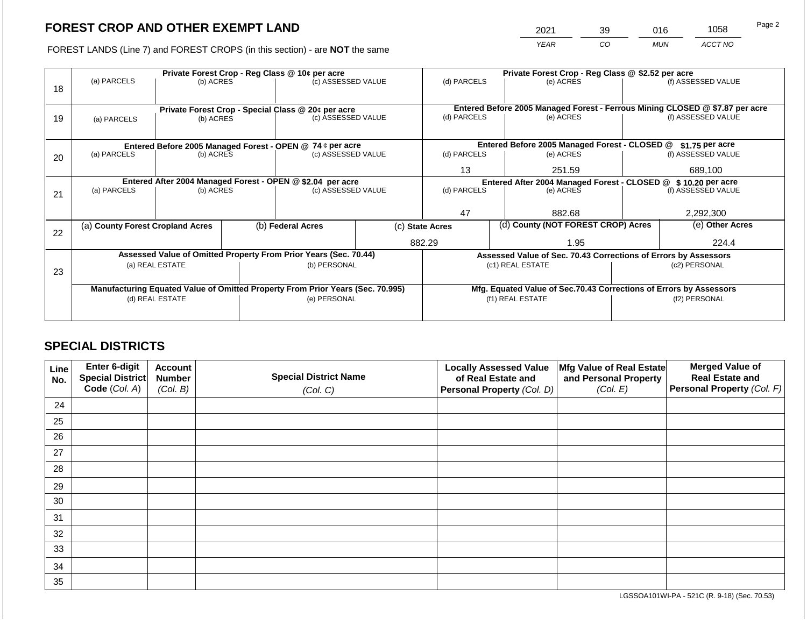2021 39 016 1058

FOREST LANDS (Line 7) and FOREST CROPS (in this section) - are **NOT** the same *YEAR CO MUN ACCT NO*

|    |                                                                                |                 | Private Forest Crop - Reg Class @ \$2.52 per acre |                                                                  |                                               |                                                                              |                  |                                                                    |               |                    |
|----|--------------------------------------------------------------------------------|-----------------|---------------------------------------------------|------------------------------------------------------------------|-----------------------------------------------|------------------------------------------------------------------------------|------------------|--------------------------------------------------------------------|---------------|--------------------|
| 18 | (a) PARCELS                                                                    | (b) ACRES       |                                                   | (c) ASSESSED VALUE                                               |                                               | (d) PARCELS                                                                  |                  | (e) ACRES                                                          |               | (f) ASSESSED VALUE |
|    |                                                                                |                 |                                                   |                                                                  |                                               |                                                                              |                  |                                                                    |               |                    |
|    |                                                                                |                 |                                                   | Private Forest Crop - Special Class @ 20¢ per acre               |                                               | Entered Before 2005 Managed Forest - Ferrous Mining CLOSED @ \$7.87 per acre |                  |                                                                    |               |                    |
| 19 | (a) PARCELS                                                                    | (b) ACRES       |                                                   | (c) ASSESSED VALUE                                               |                                               | (d) PARCELS                                                                  |                  | (e) ACRES                                                          |               | (f) ASSESSED VALUE |
|    |                                                                                |                 |                                                   |                                                                  |                                               |                                                                              |                  |                                                                    |               |                    |
|    | Entered Before 2005 Managed Forest - OPEN @ 74 ¢ per acre                      |                 |                                                   |                                                                  | Entered Before 2005 Managed Forest - CLOSED @ |                                                                              | $$1.75$ per acre |                                                                    |               |                    |
| 20 | (a) PARCELS                                                                    | (b) ACRES       |                                                   | (c) ASSESSED VALUE                                               |                                               | (d) PARCELS                                                                  |                  | (e) ACRES                                                          |               | (f) ASSESSED VALUE |
|    |                                                                                |                 |                                                   | 13                                                               |                                               | 251.59                                                                       |                  | 689,100                                                            |               |                    |
|    |                                                                                |                 |                                                   | Entered After 2004 Managed Forest - OPEN @ \$2.04 per acre       |                                               | Entered After 2004 Managed Forest - CLOSED @ \$10.20 per acre                |                  |                                                                    |               |                    |
| 21 | (a) PARCELS                                                                    | (b) ACRES       |                                                   | (c) ASSESSED VALUE                                               |                                               | (d) PARCELS                                                                  |                  | (e) ACRES                                                          |               | (f) ASSESSED VALUE |
|    |                                                                                |                 |                                                   |                                                                  |                                               |                                                                              |                  |                                                                    |               |                    |
|    |                                                                                |                 |                                                   |                                                                  |                                               | 47                                                                           |                  | 882.68                                                             |               | 2,292,300          |
| 22 | (a) County Forest Cropland Acres                                               |                 |                                                   | (b) Federal Acres                                                |                                               | (c) State Acres                                                              |                  | (d) County (NOT FOREST CROP) Acres                                 |               | (e) Other Acres    |
|    |                                                                                |                 |                                                   |                                                                  |                                               | 882.29                                                                       |                  | 1.95                                                               |               | 224.4              |
|    |                                                                                |                 |                                                   | Assessed Value of Omitted Property From Prior Years (Sec. 70.44) |                                               |                                                                              |                  | Assessed Value of Sec. 70.43 Corrections of Errors by Assessors    |               |                    |
|    |                                                                                | (a) REAL ESTATE |                                                   | (b) PERSONAL                                                     |                                               | (c1) REAL ESTATE                                                             |                  |                                                                    | (c2) PERSONAL |                    |
| 23 |                                                                                |                 |                                                   |                                                                  |                                               |                                                                              |                  |                                                                    |               |                    |
|    | Manufacturing Equated Value of Omitted Property From Prior Years (Sec. 70.995) |                 |                                                   |                                                                  |                                               |                                                                              |                  | Mfg. Equated Value of Sec.70.43 Corrections of Errors by Assessors |               |                    |
|    | (d) REAL ESTATE                                                                |                 |                                                   | (e) PERSONAL                                                     |                                               | (f1) REAL ESTATE                                                             |                  |                                                                    | (f2) PERSONAL |                    |
|    |                                                                                |                 |                                                   |                                                                  |                                               |                                                                              |                  |                                                                    |               |                    |
|    |                                                                                |                 |                                                   |                                                                  |                                               |                                                                              |                  |                                                                    |               |                    |

## **SPECIAL DISTRICTS**

| Line<br>No. | Enter 6-digit<br>Special District<br>Code (Col. A) | <b>Account</b><br><b>Number</b><br>(Col. B) | <b>Locally Assessed Value</b><br><b>Special District Name</b><br>of Real Estate and<br><b>Personal Property (Col. D)</b><br>(Col. C) |  | Mfg Value of Real Estate<br>and Personal Property<br>(Col. E) | <b>Merged Value of</b><br><b>Real Estate and</b><br>Personal Property (Col. F) |
|-------------|----------------------------------------------------|---------------------------------------------|--------------------------------------------------------------------------------------------------------------------------------------|--|---------------------------------------------------------------|--------------------------------------------------------------------------------|
| 24          |                                                    |                                             |                                                                                                                                      |  |                                                               |                                                                                |
| 25          |                                                    |                                             |                                                                                                                                      |  |                                                               |                                                                                |
| 26          |                                                    |                                             |                                                                                                                                      |  |                                                               |                                                                                |
| 27          |                                                    |                                             |                                                                                                                                      |  |                                                               |                                                                                |
| 28          |                                                    |                                             |                                                                                                                                      |  |                                                               |                                                                                |
| 29          |                                                    |                                             |                                                                                                                                      |  |                                                               |                                                                                |
| 30          |                                                    |                                             |                                                                                                                                      |  |                                                               |                                                                                |
| 31          |                                                    |                                             |                                                                                                                                      |  |                                                               |                                                                                |
| 32          |                                                    |                                             |                                                                                                                                      |  |                                                               |                                                                                |
| 33          |                                                    |                                             |                                                                                                                                      |  |                                                               |                                                                                |
| 34          |                                                    |                                             |                                                                                                                                      |  |                                                               |                                                                                |
| 35          |                                                    |                                             |                                                                                                                                      |  |                                                               |                                                                                |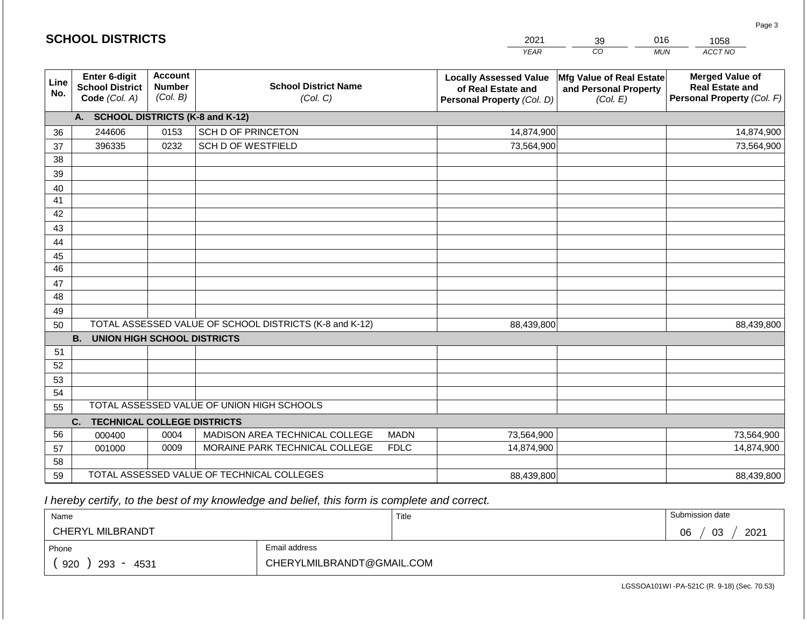| <b>SCHOOL DISTRICTS</b> |                                                                                                         |      |                                                         |                                                                                   | 2021                                                          | 39 | 016                                                                            | 1058       |
|-------------------------|---------------------------------------------------------------------------------------------------------|------|---------------------------------------------------------|-----------------------------------------------------------------------------------|---------------------------------------------------------------|----|--------------------------------------------------------------------------------|------------|
|                         |                                                                                                         |      |                                                         |                                                                                   | <b>YEAR</b>                                                   | CO | <b>MUN</b>                                                                     | ACCT NO    |
| Line<br>No.             | <b>Account</b><br>Enter 6-digit<br><b>Number</b><br><b>School District</b><br>(Col. B)<br>Code (Col. A) |      | <b>School District Name</b><br>(Col. C)                 | <b>Locally Assessed Value</b><br>of Real Estate and<br>Personal Property (Col. D) | Mfg Value of Real Estate<br>and Personal Property<br>(Col. E) |    | <b>Merged Value of</b><br><b>Real Estate and</b><br>Personal Property (Col. F) |            |
|                         | <b>SCHOOL DISTRICTS (K-8 and K-12)</b><br>A.                                                            |      |                                                         |                                                                                   |                                                               |    |                                                                                |            |
| 36                      | 244606                                                                                                  | 0153 | <b>SCH D OF PRINCETON</b>                               |                                                                                   | 14,874,900                                                    |    |                                                                                | 14,874,900 |
| 37                      | 396335                                                                                                  | 0232 | SCH D OF WESTFIELD                                      |                                                                                   | 73,564,900                                                    |    |                                                                                | 73,564,900 |
| 38                      |                                                                                                         |      |                                                         |                                                                                   |                                                               |    |                                                                                |            |
| 39                      |                                                                                                         |      |                                                         |                                                                                   |                                                               |    |                                                                                |            |
| 40                      |                                                                                                         |      |                                                         |                                                                                   |                                                               |    |                                                                                |            |
| 41                      |                                                                                                         |      |                                                         |                                                                                   |                                                               |    |                                                                                |            |
| 42                      |                                                                                                         |      |                                                         |                                                                                   |                                                               |    |                                                                                |            |
| 43                      |                                                                                                         |      |                                                         |                                                                                   |                                                               |    |                                                                                |            |
| 44                      |                                                                                                         |      |                                                         |                                                                                   |                                                               |    |                                                                                |            |
| 45<br>$\overline{46}$   |                                                                                                         |      |                                                         |                                                                                   |                                                               |    |                                                                                |            |
| 47                      |                                                                                                         |      |                                                         |                                                                                   |                                                               |    |                                                                                |            |
| 48                      |                                                                                                         |      |                                                         |                                                                                   |                                                               |    |                                                                                |            |
| 49                      |                                                                                                         |      |                                                         |                                                                                   |                                                               |    |                                                                                |            |
| 50                      |                                                                                                         |      | TOTAL ASSESSED VALUE OF SCHOOL DISTRICTS (K-8 and K-12) |                                                                                   | 88,439,800                                                    |    |                                                                                | 88,439,800 |
|                         | <b>B.</b><br><b>UNION HIGH SCHOOL DISTRICTS</b>                                                         |      |                                                         |                                                                                   |                                                               |    |                                                                                |            |
| 51                      |                                                                                                         |      |                                                         |                                                                                   |                                                               |    |                                                                                |            |
| 52                      |                                                                                                         |      |                                                         |                                                                                   |                                                               |    |                                                                                |            |
| 53                      |                                                                                                         |      |                                                         |                                                                                   |                                                               |    |                                                                                |            |
| 54                      |                                                                                                         |      |                                                         |                                                                                   |                                                               |    |                                                                                |            |
| 55                      |                                                                                                         |      | TOTAL ASSESSED VALUE OF UNION HIGH SCHOOLS              |                                                                                   |                                                               |    |                                                                                |            |
|                         | <b>TECHNICAL COLLEGE DISTRICTS</b><br>C.                                                                |      |                                                         |                                                                                   |                                                               |    |                                                                                |            |
| 56                      | 000400                                                                                                  | 0004 | MADISON AREA TECHNICAL COLLEGE                          | <b>MADN</b>                                                                       | 73,564,900                                                    |    |                                                                                | 73,564,900 |
| 57                      | 001000                                                                                                  | 0009 | MORAINE PARK TECHNICAL COLLEGE                          | <b>FDLC</b>                                                                       | 14,874,900                                                    |    |                                                                                | 14,874,900 |
| 58                      |                                                                                                         |      |                                                         |                                                                                   |                                                               |    |                                                                                |            |
| 59                      |                                                                                                         |      | TOTAL ASSESSED VALUE OF TECHNICAL COLLEGES              |                                                                                   | 88,439,800                                                    |    |                                                                                | 88,439,800 |

**SCHOOL DISTRICTS**

| Name               |                           | Title | Submission date  |
|--------------------|---------------------------|-------|------------------|
| CHERYL MILBRANDT   |                           |       | 03<br>2021<br>06 |
| Phone              | Email address             |       |                  |
| 920<br>293<br>4531 | CHERYLMILBRANDT@GMAIL.COM |       |                  |

LGSSOA101WI -PA-521C (R. 9-18) (Sec. 70.53)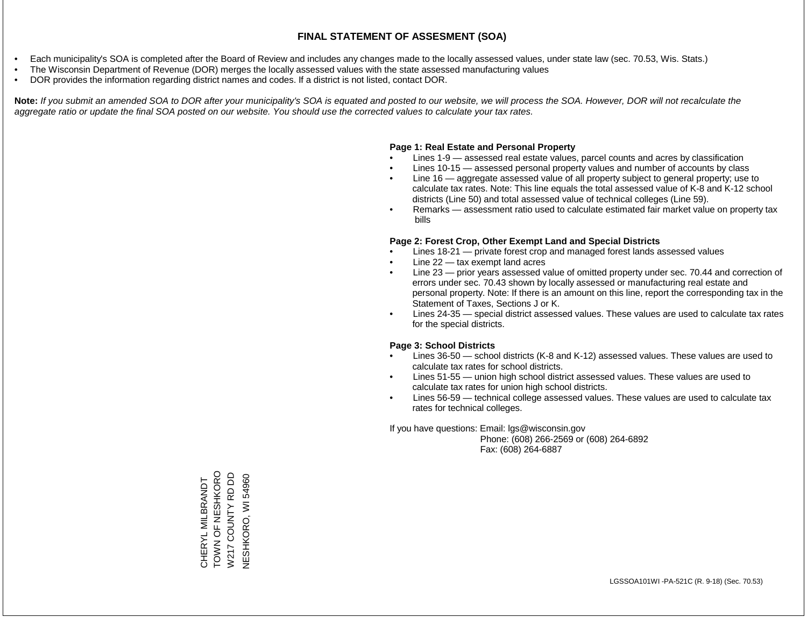- Each municipality's SOA is completed after the Board of Review and includes any changes made to the locally assessed values, under state law (sec. 70.53, Wis. Stats.)
- The Wisconsin Department of Revenue (DOR) merges the locally assessed values with the state assessed manufacturing values
- DOR provides the information regarding district names and codes. If a district is not listed, contact DOR.

Note: If you submit an amended SOA to DOR after your municipality's SOA is equated and posted to our website, we will process the SOA. However, DOR will not recalculate the *aggregate ratio or update the final SOA posted on our website. You should use the corrected values to calculate your tax rates.*

### **Page 1: Real Estate and Personal Property**

- Lines 1-9 assessed real estate values, parcel counts and acres by classification
- Lines 10-15 assessed personal property values and number of accounts by class
- Line 16 aggregate assessed value of all property subject to general property; use to calculate tax rates. Note: This line equals the total assessed value of K-8 and K-12 school districts (Line 50) and total assessed value of technical colleges (Line 59).
- Remarks assessment ratio used to calculate estimated fair market value on property tax bills

### **Page 2: Forest Crop, Other Exempt Land and Special Districts**

- Lines 18-21 private forest crop and managed forest lands assessed values
- Line  $22 -$  tax exempt land acres
- Line 23 prior years assessed value of omitted property under sec. 70.44 and correction of errors under sec. 70.43 shown by locally assessed or manufacturing real estate and personal property. Note: If there is an amount on this line, report the corresponding tax in the Statement of Taxes, Sections J or K.
- Lines 24-35 special district assessed values. These values are used to calculate tax rates for the special districts.

### **Page 3: School Districts**

- Lines 36-50 school districts (K-8 and K-12) assessed values. These values are used to calculate tax rates for school districts.
- Lines 51-55 union high school district assessed values. These values are used to calculate tax rates for union high school districts.
- Lines 56-59 technical college assessed values. These values are used to calculate tax rates for technical colleges.

If you have questions: Email: lgs@wisconsin.gov

 Phone: (608) 266-2569 or (608) 264-6892 Fax: (608) 264-6887

TOWN OF NESHKORO TOWN OF NESHKORO W217 COUNTY RD DD W217 COUNTY RD DD **NESHKORO, WI 54960** NESHKORO, WI 54960CHERYL MILBRANDT CHERYL MILBRANDT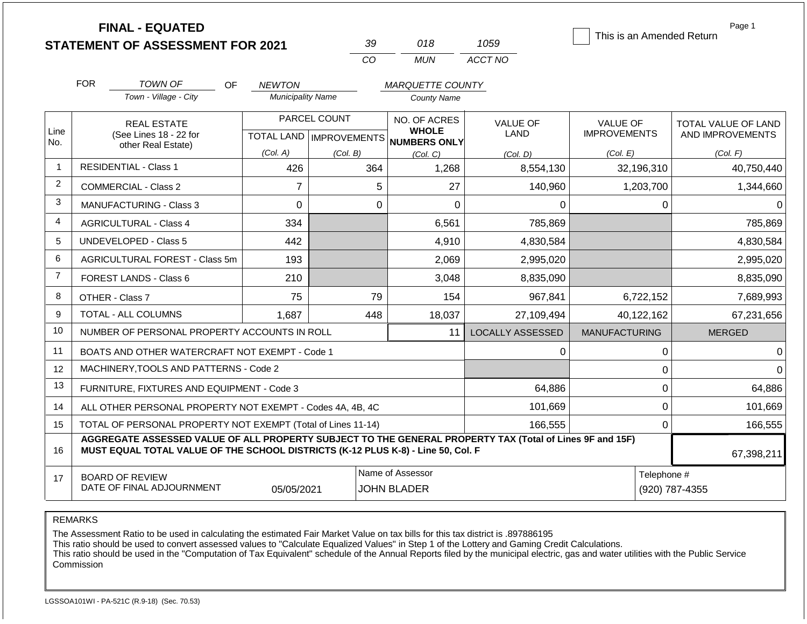|                         | <b>FINAL - EQUATED</b>                                             |                                           |                                 |                                               |                         | This is an Amended Return              | Page 1                                  |
|-------------------------|--------------------------------------------------------------------|-------------------------------------------|---------------------------------|-----------------------------------------------|-------------------------|----------------------------------------|-----------------------------------------|
|                         | <b>STATEMENT OF ASSESSMENT FOR 2021</b>                            |                                           | 39                              | 018                                           | 1059                    |                                        |                                         |
|                         |                                                                    |                                           | CO                              | <b>MUN</b>                                    | ACCT NO                 |                                        |                                         |
|                         | <b>FOR</b><br><b>TOWN OF</b><br><b>OF</b><br>Town - Village - City | <b>NEWTON</b><br><b>Municipality Name</b> |                                 | <b>MARQUETTE COUNTY</b><br><b>County Name</b> |                         |                                        |                                         |
| Line                    | <b>REAL ESTATE</b><br>(See Lines 18 - 22 for                       | PARCEL COUNT<br><b>TOTAL LAND</b>         |                                 | NO. OF ACRES<br><b>WHOLE</b>                  | <b>VALUE OF</b><br>LAND | <b>VALUE OF</b><br><b>IMPROVEMENTS</b> | TOTAL VALUE OF LAND<br>AND IMPROVEMENTS |
| No.                     | other Real Estate)                                                 | (Col. A)                                  | <b>IMPROVEMENTS</b><br>(Col. B) | <b>NUMBERS ONLY</b><br>(Col. C)               | (Col. D)                | (Col. E)                               | (Col. F)                                |
| $\overline{\mathbf{1}}$ | <b>RESIDENTIAL - Class 1</b>                                       | 426                                       | 364                             | 1,268                                         | 8,554,130               | 32,196,310                             | 40,750,440                              |
| $\overline{2}$          | COMMERCIAL - Class 2                                               | 7                                         | 5                               | 27                                            | 140,960                 | 1,203,700                              | 1,344,660                               |
| 3                       | <b>MANUFACTURING - Class 3</b>                                     | 0                                         | 0                               | 0                                             | 0                       |                                        | 0                                       |
| $\overline{4}$          | <b>AGRICULTURAL - Class 4</b>                                      | 334                                       |                                 | 6,561                                         | 785,869                 |                                        | 785,869                                 |
| 5                       | UNDEVELOPED - Class 5                                              | 442                                       |                                 | 4,910                                         | 4,830,584               |                                        | 4,830,584                               |
| 6                       | AGRICULTURAL FOREST - Class 5m                                     | 193                                       |                                 | 2,069                                         | 2,995,020               |                                        | 2,995,020                               |

LOCALLY ASSESSED | MANUFACTURING | MERGED

67,398,211

 0 0 0 0 0 64,886  $0 | 101,669$  $0$  166,555

Name of Assessor **Telephone #** 

05/05/2021 JOHN BLADER (920) 787-4355

 $210$  8,835,090 8,835,090 8,835,090 8,835,090 75 79 154 967,841 6,722,152 7,689,993 1,687 448 18,037 27,109,494 40,122,162 67,231,656

0

 64,886 101,669 166,555

11

BOARD OF REVIEW

DATE OF FINAL ADJOURNMENT

FOREST LANDS - Class 6

TOTAL - ALL COLUMNS

OTHER - Class 7

REMARKS

7

8 9 10

11 12 13

> 14 15

> 16

17

The Assessment Ratio to be used in calculating the estimated Fair Market Value on tax bills for this tax district is .897886195

**MUST EQUAL TOTAL VALUE OF THE SCHOOL DISTRICTS (K-12 PLUS K-8) - Line 50, Col. F**

TOTAL OF PERSONAL PROPERTY NOT EXEMPT (Total of Lines 11-14)

ALL OTHER PERSONAL PROPERTY NOT EXEMPT - Codes 4A, 4B, 4C

NUMBER OF PERSONAL PROPERTY ACCOUNTS IN ROLL BOATS AND OTHER WATERCRAFT NOT EXEMPT - Code 1

MACHINERY,TOOLS AND PATTERNS - Code 2

FURNITURE, FIXTURES AND EQUIPMENT - Code 3

This ratio should be used to convert assessed values to "Calculate Equalized Values" in Step 1 of the Lottery and Gaming Credit Calculations.

**AGGREGATE ASSESSED VALUE OF ALL PROPERTY SUBJECT TO THE GENERAL PROPERTY TAX (Total of Lines 9F and 15F)**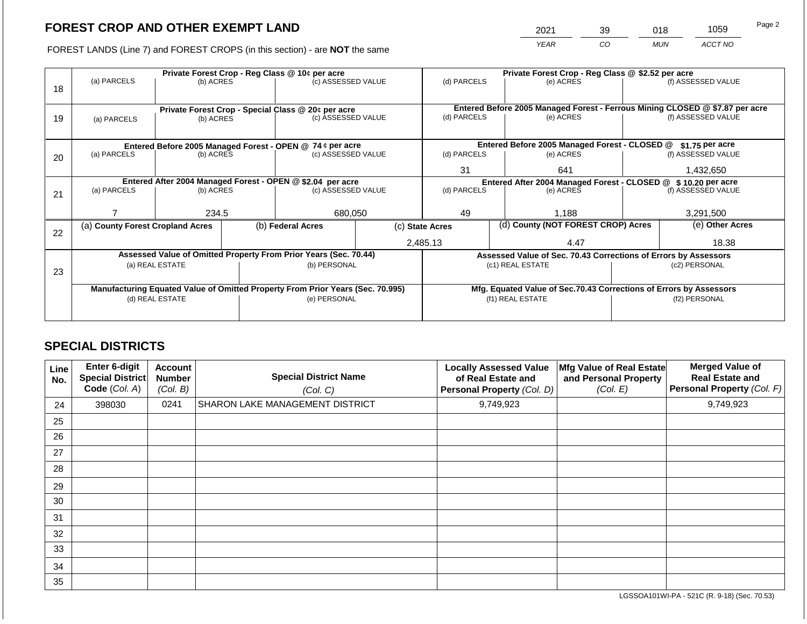2021 39 018 1059

FOREST LANDS (Line 7) and FOREST CROPS (in this section) - are **NOT** the same *YEAR CO MUN ACCT NO*

|    |                                                            | Private Forest Crop - Reg Class @ 10¢ per acre |  | Private Forest Crop - Reg Class @ \$2.52 per acre                              |                                                               |                 |                 |                                                                    |                                                                                                    |                    |
|----|------------------------------------------------------------|------------------------------------------------|--|--------------------------------------------------------------------------------|---------------------------------------------------------------|-----------------|-----------------|--------------------------------------------------------------------|----------------------------------------------------------------------------------------------------|--------------------|
|    | (a) PARCELS                                                | (b) ACRES                                      |  | (c) ASSESSED VALUE                                                             |                                                               | (d) PARCELS     |                 | (e) ACRES                                                          |                                                                                                    | (f) ASSESSED VALUE |
| 18 |                                                            |                                                |  |                                                                                |                                                               |                 |                 |                                                                    |                                                                                                    |                    |
|    |                                                            |                                                |  |                                                                                |                                                               |                 |                 |                                                                    |                                                                                                    |                    |
|    |                                                            |                                                |  | Private Forest Crop - Special Class @ 20¢ per acre<br>(c) ASSESSED VALUE       |                                                               | (d) PARCELS     |                 | (e) ACRES                                                          | Entered Before 2005 Managed Forest - Ferrous Mining CLOSED @ \$7.87 per acre<br>(f) ASSESSED VALUE |                    |
| 19 | (a) PARCELS                                                | (b) ACRES                                      |  |                                                                                |                                                               |                 |                 |                                                                    |                                                                                                    |                    |
|    |                                                            |                                                |  |                                                                                |                                                               |                 |                 |                                                                    |                                                                                                    |                    |
|    | Entered Before 2005 Managed Forest - OPEN @ 74 ¢ per acre  |                                                |  |                                                                                | Entered Before 2005 Managed Forest - CLOSED @                 |                 | \$1.75 per acre |                                                                    |                                                                                                    |                    |
| 20 | (a) PARCELS<br>(b) ACRES                                   |                                                |  | (c) ASSESSED VALUE                                                             |                                                               | (d) PARCELS     |                 | (e) ACRES                                                          |                                                                                                    | (f) ASSESSED VALUE |
|    |                                                            |                                                |  |                                                                                |                                                               |                 |                 |                                                                    |                                                                                                    |                    |
|    |                                                            |                                                |  |                                                                                |                                                               | 31              |                 | 641                                                                |                                                                                                    | 1,432,650          |
|    | Entered After 2004 Managed Forest - OPEN @ \$2.04 per acre |                                                |  |                                                                                | Entered After 2004 Managed Forest - CLOSED @ \$10.20 per acre |                 |                 |                                                                    |                                                                                                    |                    |
| 21 | (a) PARCELS                                                | (b) ACRES                                      |  | (c) ASSESSED VALUE                                                             |                                                               | (d) PARCELS     |                 | (e) ACRES                                                          |                                                                                                    | (f) ASSESSED VALUE |
|    |                                                            |                                                |  |                                                                                |                                                               |                 |                 |                                                                    |                                                                                                    |                    |
|    |                                                            | 234.5                                          |  | 680,050                                                                        |                                                               | 49              |                 | 1,188                                                              |                                                                                                    | 3,291,500          |
|    | (a) County Forest Cropland Acres                           |                                                |  | (b) Federal Acres                                                              |                                                               | (c) State Acres |                 | (d) County (NOT FOREST CROP) Acres                                 |                                                                                                    | (e) Other Acres    |
| 22 |                                                            |                                                |  |                                                                                |                                                               |                 |                 |                                                                    |                                                                                                    |                    |
|    |                                                            |                                                |  |                                                                                |                                                               | 2,485.13        |                 | 4.47                                                               |                                                                                                    | 18.38              |
|    |                                                            |                                                |  | Assessed Value of Omitted Property From Prior Years (Sec. 70.44)               |                                                               |                 |                 | Assessed Value of Sec. 70.43 Corrections of Errors by Assessors    |                                                                                                    |                    |
| 23 |                                                            | (a) REAL ESTATE                                |  | (b) PERSONAL                                                                   |                                                               |                 |                 | (c1) REAL ESTATE                                                   |                                                                                                    | (c2) PERSONAL      |
|    |                                                            |                                                |  |                                                                                |                                                               |                 |                 |                                                                    |                                                                                                    |                    |
|    |                                                            |                                                |  | Manufacturing Equated Value of Omitted Property From Prior Years (Sec. 70.995) |                                                               |                 |                 | Mfg. Equated Value of Sec.70.43 Corrections of Errors by Assessors |                                                                                                    |                    |
|    | (d) REAL ESTATE                                            |                                                |  | (e) PERSONAL                                                                   |                                                               |                 |                 | (f1) REAL ESTATE                                                   | (f2) PERSONAL                                                                                      |                    |
|    |                                                            |                                                |  |                                                                                |                                                               |                 |                 |                                                                    |                                                                                                    |                    |
|    |                                                            |                                                |  |                                                                                |                                                               |                 |                 |                                                                    |                                                                                                    |                    |

## **SPECIAL DISTRICTS**

| Line<br>No. | <b>Enter 6-digit</b><br>Special District<br>Code (Col. A) | <b>Account</b><br><b>Number</b><br>(Col. B) | <b>Special District Name</b><br>(Col. C) | <b>Locally Assessed Value</b><br>of Real Estate and<br>Personal Property (Col. D) | Mfg Value of Real Estate<br>and Personal Property<br>(Col. E) | <b>Merged Value of</b><br><b>Real Estate and</b><br>Personal Property (Col. F) |
|-------------|-----------------------------------------------------------|---------------------------------------------|------------------------------------------|-----------------------------------------------------------------------------------|---------------------------------------------------------------|--------------------------------------------------------------------------------|
| 24          | 398030                                                    | 0241                                        | SHARON LAKE MANAGEMENT DISTRICT          | 9,749,923                                                                         |                                                               | 9,749,923                                                                      |
| 25          |                                                           |                                             |                                          |                                                                                   |                                                               |                                                                                |
| 26          |                                                           |                                             |                                          |                                                                                   |                                                               |                                                                                |
| 27          |                                                           |                                             |                                          |                                                                                   |                                                               |                                                                                |
| 28          |                                                           |                                             |                                          |                                                                                   |                                                               |                                                                                |
| 29          |                                                           |                                             |                                          |                                                                                   |                                                               |                                                                                |
| 30          |                                                           |                                             |                                          |                                                                                   |                                                               |                                                                                |
| 31          |                                                           |                                             |                                          |                                                                                   |                                                               |                                                                                |
| 32          |                                                           |                                             |                                          |                                                                                   |                                                               |                                                                                |
| 33          |                                                           |                                             |                                          |                                                                                   |                                                               |                                                                                |
| 34          |                                                           |                                             |                                          |                                                                                   |                                                               |                                                                                |
| 35          |                                                           |                                             |                                          |                                                                                   |                                                               |                                                                                |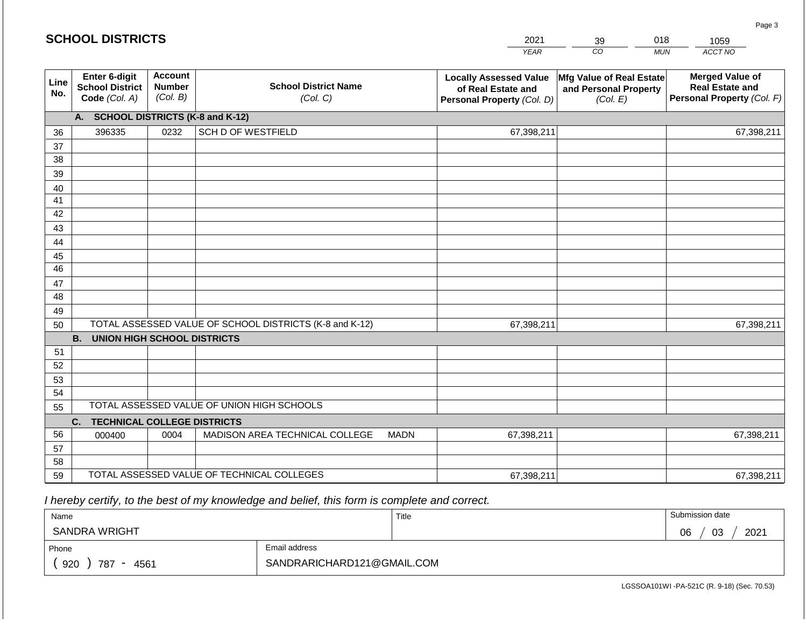| <b>SCHOOL DISTRICTS</b> |                                                                                                         |      |                                                         |                                                                                   | 2021                                                          | 39 | 018                                                                            | 1059       |
|-------------------------|---------------------------------------------------------------------------------------------------------|------|---------------------------------------------------------|-----------------------------------------------------------------------------------|---------------------------------------------------------------|----|--------------------------------------------------------------------------------|------------|
|                         |                                                                                                         |      |                                                         |                                                                                   | <b>YEAR</b>                                                   | CO | <b>MUN</b>                                                                     | ACCT NO    |
| Line<br>No.             | Enter 6-digit<br><b>Account</b><br><b>Number</b><br><b>School District</b><br>(Col. B)<br>Code (Col. A) |      | <b>School District Name</b><br>(Col. C)                 | <b>Locally Assessed Value</b><br>of Real Estate and<br>Personal Property (Col. D) | Mfg Value of Real Estate<br>and Personal Property<br>(Col. E) |    | <b>Merged Value of</b><br><b>Real Estate and</b><br>Personal Property (Col. F) |            |
|                         | A. SCHOOL DISTRICTS (K-8 and K-12)                                                                      |      |                                                         |                                                                                   |                                                               |    |                                                                                |            |
| 36                      | 396335                                                                                                  | 0232 | <b>SCH D OF WESTFIELD</b>                               |                                                                                   | 67,398,211                                                    |    |                                                                                | 67,398,211 |
| 37                      |                                                                                                         |      |                                                         |                                                                                   |                                                               |    |                                                                                |            |
| 38                      |                                                                                                         |      |                                                         |                                                                                   |                                                               |    |                                                                                |            |
| 39                      |                                                                                                         |      |                                                         |                                                                                   |                                                               |    |                                                                                |            |
| 40                      |                                                                                                         |      |                                                         |                                                                                   |                                                               |    |                                                                                |            |
| 41<br>42                |                                                                                                         |      |                                                         |                                                                                   |                                                               |    |                                                                                |            |
| 43                      |                                                                                                         |      |                                                         |                                                                                   |                                                               |    |                                                                                |            |
| 44                      |                                                                                                         |      |                                                         |                                                                                   |                                                               |    |                                                                                |            |
| 45                      |                                                                                                         |      |                                                         |                                                                                   |                                                               |    |                                                                                |            |
| 46                      |                                                                                                         |      |                                                         |                                                                                   |                                                               |    |                                                                                |            |
| 47                      |                                                                                                         |      |                                                         |                                                                                   |                                                               |    |                                                                                |            |
| 48                      |                                                                                                         |      |                                                         |                                                                                   |                                                               |    |                                                                                |            |
| 49                      |                                                                                                         |      |                                                         |                                                                                   |                                                               |    |                                                                                |            |
| 50                      |                                                                                                         |      | TOTAL ASSESSED VALUE OF SCHOOL DISTRICTS (K-8 and K-12) |                                                                                   | 67,398,211                                                    |    |                                                                                | 67,398,211 |
|                         | <b>B.</b><br><b>UNION HIGH SCHOOL DISTRICTS</b>                                                         |      |                                                         |                                                                                   |                                                               |    |                                                                                |            |
| 51                      |                                                                                                         |      |                                                         |                                                                                   |                                                               |    |                                                                                |            |
| 52<br>53                |                                                                                                         |      |                                                         |                                                                                   |                                                               |    |                                                                                |            |
| 54                      |                                                                                                         |      |                                                         |                                                                                   |                                                               |    |                                                                                |            |
| 55                      |                                                                                                         |      | TOTAL ASSESSED VALUE OF UNION HIGH SCHOOLS              |                                                                                   |                                                               |    |                                                                                |            |
|                         | <b>TECHNICAL COLLEGE DISTRICTS</b><br>C.                                                                |      |                                                         |                                                                                   |                                                               |    |                                                                                |            |
| 56                      | 000400                                                                                                  | 0004 | MADISON AREA TECHNICAL COLLEGE                          | <b>MADN</b>                                                                       | 67,398,211                                                    |    |                                                                                | 67,398,211 |
| 57                      |                                                                                                         |      |                                                         |                                                                                   |                                                               |    |                                                                                |            |
| 58                      |                                                                                                         |      |                                                         |                                                                                   |                                                               |    |                                                                                |            |
| 59                      |                                                                                                         |      | TOTAL ASSESSED VALUE OF TECHNICAL COLLEGES              |                                                                                   | 67,398,211                                                    |    |                                                                                | 67,398,211 |

**SCHOOL DISTRICTS**

| Name                                           |                            | Title | Submission date  |
|------------------------------------------------|----------------------------|-------|------------------|
| <b>SANDRA WRIGHT</b>                           |                            |       | 03<br>2021<br>06 |
| Phone                                          | Email address              |       |                  |
| 920<br>787<br>4561<br>$\overline{\phantom{0}}$ | SANDRARICHARD121@GMAIL.COM |       |                  |

LGSSOA101WI -PA-521C (R. 9-18) (Sec. 70.53)

Page 3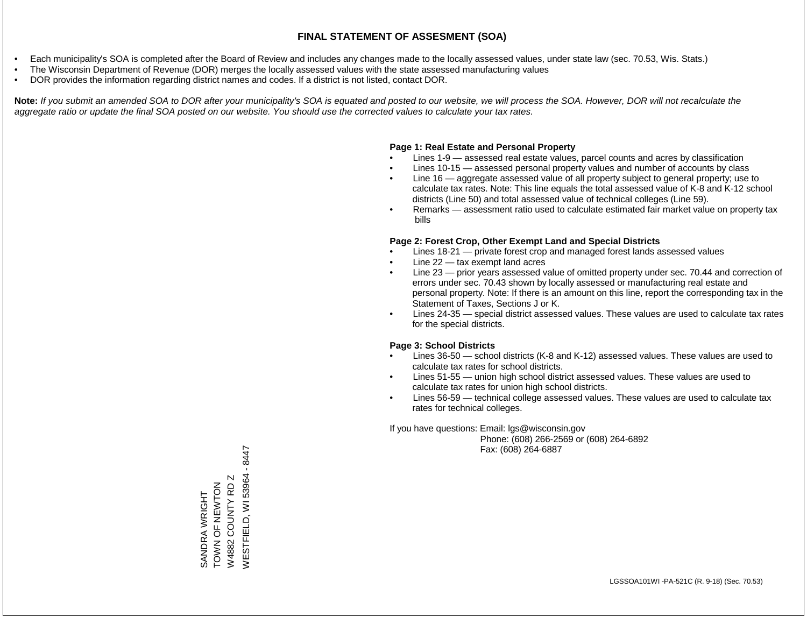- Each municipality's SOA is completed after the Board of Review and includes any changes made to the locally assessed values, under state law (sec. 70.53, Wis. Stats.)
- The Wisconsin Department of Revenue (DOR) merges the locally assessed values with the state assessed manufacturing values
- DOR provides the information regarding district names and codes. If a district is not listed, contact DOR.

Note: If you submit an amended SOA to DOR after your municipality's SOA is equated and posted to our website, we will process the SOA. However, DOR will not recalculate the *aggregate ratio or update the final SOA posted on our website. You should use the corrected values to calculate your tax rates.*

### **Page 1: Real Estate and Personal Property**

- Lines 1-9 assessed real estate values, parcel counts and acres by classification
- Lines 10-15 assessed personal property values and number of accounts by class
- Line 16 aggregate assessed value of all property subject to general property; use to calculate tax rates. Note: This line equals the total assessed value of K-8 and K-12 school districts (Line 50) and total assessed value of technical colleges (Line 59).
- Remarks assessment ratio used to calculate estimated fair market value on property tax bills

### **Page 2: Forest Crop, Other Exempt Land and Special Districts**

- Lines 18-21 private forest crop and managed forest lands assessed values
- Line  $22 -$  tax exempt land acres
- Line 23 prior years assessed value of omitted property under sec. 70.44 and correction of errors under sec. 70.43 shown by locally assessed or manufacturing real estate and personal property. Note: If there is an amount on this line, report the corresponding tax in the Statement of Taxes, Sections J or K.
- Lines 24-35 special district assessed values. These values are used to calculate tax rates for the special districts.

### **Page 3: School Districts**

- Lines 36-50 school districts (K-8 and K-12) assessed values. These values are used to calculate tax rates for school districts.
- Lines 51-55 union high school district assessed values. These values are used to calculate tax rates for union high school districts.
- Lines 56-59 technical college assessed values. These values are used to calculate tax rates for technical colleges.

If you have questions: Email: lgs@wisconsin.gov

 Phone: (608) 266-2569 or (608) 264-6892 Fax: (608) 264-6887

 $-8447$ WESTFIELD, WI 53964 - 8447WESTFIELD, WI 53964  $\mathbb N$ W4882 COUNTY RD Z SANDRA WRIGHT<br>TOWN OF NEWTON ZOLNHZ LO ZNOL W4882 COUNTY RD SANDRA WRIGHT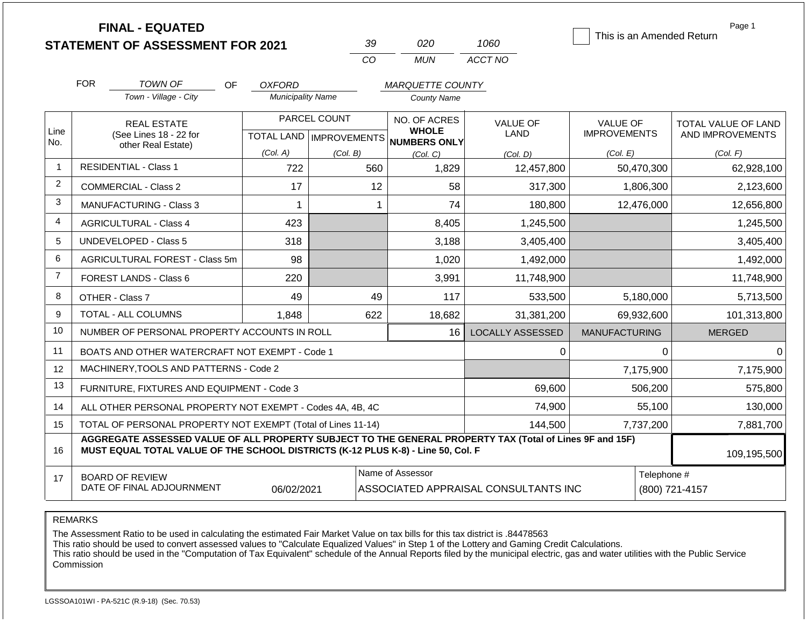**FINAL - EQUATED**

| -39 | กวก | 1060    |
|-----|-----|---------|
| cо  | MUN | ACCT NO |

This is an Amended Return

Page 1

|                 | <b>FOR</b>                                   | <b>TOWN OF</b><br>OF                                                                                                                                                                         | <b>OXFORD</b>            |                           | <b>MARQUETTE COUNTY</b>             |                                      |                      |                     |
|-----------------|----------------------------------------------|----------------------------------------------------------------------------------------------------------------------------------------------------------------------------------------------|--------------------------|---------------------------|-------------------------------------|--------------------------------------|----------------------|---------------------|
|                 |                                              | Town - Village - City                                                                                                                                                                        | <b>Municipality Name</b> |                           | <b>County Name</b>                  |                                      |                      |                     |
|                 |                                              | <b>REAL ESTATE</b>                                                                                                                                                                           |                          | PARCEL COUNT              | NO. OF ACRES                        | <b>VALUE OF</b>                      | <b>VALUE OF</b>      | TOTAL VALUE OF LAND |
| Line<br>No.     | (See Lines 18 - 22 for<br>other Real Estate) |                                                                                                                                                                                              |                          | TOTAL LAND   IMPROVEMENTS | <b>WHOLE</b><br><b>NUMBERS ONLY</b> | <b>LAND</b>                          | <b>IMPROVEMENTS</b>  | AND IMPROVEMENTS    |
|                 |                                              |                                                                                                                                                                                              | (Col. A)                 | (Col. B)                  | (Col. C)                            | (Col, D)                             | (Col. E)             | (Col. F)            |
| $\mathbf{1}$    |                                              | <b>RESIDENTIAL - Class 1</b>                                                                                                                                                                 | 722                      | 560                       | 1,829                               | 12,457,800                           | 50,470,300           | 62,928,100          |
| $\overline{2}$  |                                              | <b>COMMERCIAL - Class 2</b>                                                                                                                                                                  | 17                       | 12                        | 58                                  | 317,300                              | 1,806,300            | 2,123,600           |
| 3               |                                              | MANUFACTURING - Class 3                                                                                                                                                                      |                          |                           | 74                                  | 180,800                              | 12,476,000           | 12,656,800          |
| $\overline{4}$  |                                              | <b>AGRICULTURAL - Class 4</b>                                                                                                                                                                | 423                      |                           | 8,405                               | 1,245,500                            |                      | 1,245,500           |
| 5               | <b>UNDEVELOPED - Class 5</b>                 |                                                                                                                                                                                              | 318                      |                           | 3,188                               | 3,405,400                            |                      | 3,405,400           |
| 6               | AGRICULTURAL FOREST - Class 5m               |                                                                                                                                                                                              | 98                       |                           | 1,020                               | 1,492,000                            |                      | 1,492,000           |
| $\overline{7}$  | FOREST LANDS - Class 6                       |                                                                                                                                                                                              | 220                      |                           | 3,991                               | 11,748,900                           |                      | 11,748,900          |
| 8               |                                              | OTHER - Class 7                                                                                                                                                                              | 49                       | 49                        | 117                                 | 533,500                              | 5,180,000            | 5,713,500           |
| 9               |                                              | TOTAL - ALL COLUMNS                                                                                                                                                                          | 622<br>1,848             |                           | 18,682                              | 31,381,200                           | 69,932,600           | 101,313,800         |
| 10              |                                              | NUMBER OF PERSONAL PROPERTY ACCOUNTS IN ROLL                                                                                                                                                 |                          |                           | 16                                  | <b>LOCALLY ASSESSED</b>              | <b>MANUFACTURING</b> | <b>MERGED</b>       |
| 11              |                                              | BOATS AND OTHER WATERCRAFT NOT EXEMPT - Code 1                                                                                                                                               |                          |                           |                                     | 0                                    | $\Omega$             | 0                   |
| 12 <sup>°</sup> |                                              | MACHINERY, TOOLS AND PATTERNS - Code 2                                                                                                                                                       |                          |                           |                                     |                                      | 7,175,900            | 7,175,900           |
| 13              |                                              | FURNITURE, FIXTURES AND EQUIPMENT - Code 3                                                                                                                                                   |                          |                           |                                     | 69,600                               | 506,200              | 575,800             |
| 14              |                                              | ALL OTHER PERSONAL PROPERTY NOT EXEMPT - Codes 4A, 4B, 4C                                                                                                                                    |                          |                           |                                     | 74,900                               | 55,100               | 130,000             |
| 15              |                                              | TOTAL OF PERSONAL PROPERTY NOT EXEMPT (Total of Lines 11-14)                                                                                                                                 |                          |                           |                                     | 144,500                              | 7,737,200            | 7,881,700           |
| 16              |                                              | AGGREGATE ASSESSED VALUE OF ALL PROPERTY SUBJECT TO THE GENERAL PROPERTY TAX (Total of Lines 9F and 15F)<br>MUST EQUAL TOTAL VALUE OF THE SCHOOL DISTRICTS (K-12 PLUS K-8) - Line 50, Col. F |                          |                           |                                     |                                      |                      | 109,195,500         |
| 17              |                                              | <b>BOARD OF REVIEW</b><br>DATE OF FINAL ADJOURNMENT                                                                                                                                          | 06/02/2021               |                           | Name of Assessor                    | ASSOCIATED APPRAISAL CONSULTANTS INC | Telephone #          | (800) 721-4157      |
|                 |                                              |                                                                                                                                                                                              |                          |                           |                                     |                                      |                      |                     |

REMARKS

The Assessment Ratio to be used in calculating the estimated Fair Market Value on tax bills for this tax district is .84478563

This ratio should be used to convert assessed values to "Calculate Equalized Values" in Step 1 of the Lottery and Gaming Credit Calculations.

 This ratio should be used in the "Computation of Tax Equivalent" schedule of the Annual Reports filed by the municipal electric, gas and water utilities with the Public Service Commission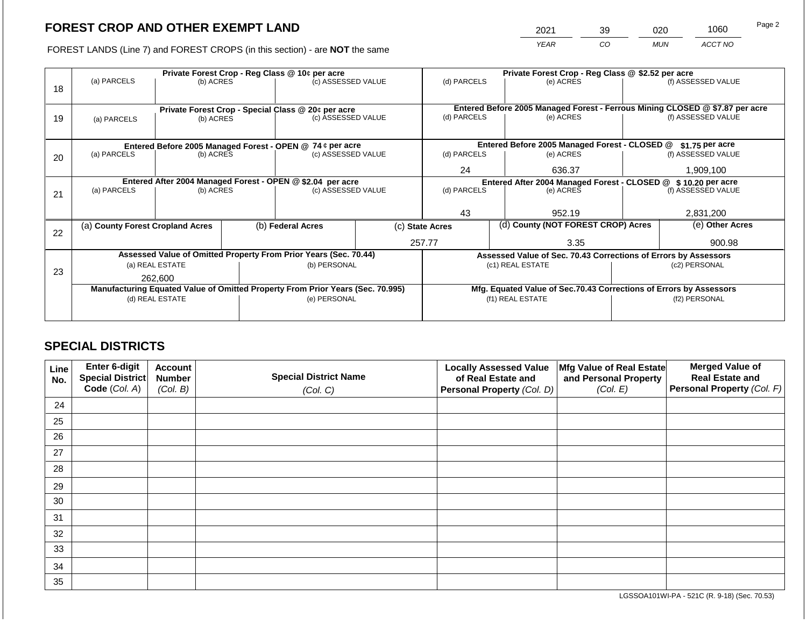2021 39 020 1060

FOREST LANDS (Line 7) and FOREST CROPS (in this section) - are **NOT** the same *YEAR CO MUN ACCT NO*

|    | Private Forest Crop - Reg Class @ 10¢ per acre             |                                 |                                                               |                                                                                |                 | Private Forest Crop - Reg Class @ \$2.52 per acre |  |                                                                    |               |                                                                              |
|----|------------------------------------------------------------|---------------------------------|---------------------------------------------------------------|--------------------------------------------------------------------------------|-----------------|---------------------------------------------------|--|--------------------------------------------------------------------|---------------|------------------------------------------------------------------------------|
| 18 | (a) PARCELS                                                | (b) ACRES                       |                                                               | (c) ASSESSED VALUE                                                             |                 | (d) PARCELS                                       |  | (e) ACRES                                                          |               | (f) ASSESSED VALUE                                                           |
|    |                                                            |                                 |                                                               |                                                                                |                 |                                                   |  |                                                                    |               |                                                                              |
|    |                                                            |                                 |                                                               |                                                                                |                 |                                                   |  |                                                                    |               | Entered Before 2005 Managed Forest - Ferrous Mining CLOSED @ \$7.87 per acre |
| 19 | (a) PARCELS                                                | (b) ACRES                       |                                                               | Private Forest Crop - Special Class @ 20¢ per acre<br>(c) ASSESSED VALUE       |                 | (d) PARCELS                                       |  | (e) ACRES                                                          |               | (f) ASSESSED VALUE                                                           |
|    |                                                            |                                 |                                                               |                                                                                |                 |                                                   |  |                                                                    |               |                                                                              |
|    |                                                            |                                 |                                                               |                                                                                |                 |                                                   |  |                                                                    |               |                                                                              |
|    | Entered Before 2005 Managed Forest - OPEN @ 74 ¢ per acre  |                                 |                                                               |                                                                                |                 |                                                   |  | Entered Before 2005 Managed Forest - CLOSED @                      |               | \$1.75 per acre                                                              |
| 20 | (a) PARCELS                                                | (c) ASSESSED VALUE<br>(b) ACRES |                                                               | (d) PARCELS                                                                    |                 | (e) ACRES                                         |  | (f) ASSESSED VALUE                                                 |               |                                                                              |
|    |                                                            |                                 |                                                               |                                                                                |                 | 24                                                |  | 636.37                                                             |               | 1,909,100                                                                    |
|    | Entered After 2004 Managed Forest - OPEN @ \$2.04 per acre |                                 | Entered After 2004 Managed Forest - CLOSED @ \$10.20 per acre |                                                                                |                 |                                                   |  |                                                                    |               |                                                                              |
| 21 | (a) PARCELS                                                | (b) ACRES                       |                                                               | (c) ASSESSED VALUE                                                             |                 | (d) PARCELS<br>(e) ACRES                          |  |                                                                    |               | (f) ASSESSED VALUE                                                           |
|    |                                                            |                                 |                                                               |                                                                                |                 |                                                   |  |                                                                    |               |                                                                              |
|    |                                                            |                                 |                                                               |                                                                                |                 | 43                                                |  | 952.19                                                             | 2,831,200     |                                                                              |
|    | (a) County Forest Cropland Acres                           |                                 |                                                               | (b) Federal Acres                                                              | (c) State Acres |                                                   |  | (d) County (NOT FOREST CROP) Acres                                 |               | (e) Other Acres                                                              |
| 22 |                                                            |                                 |                                                               |                                                                                |                 |                                                   |  |                                                                    |               |                                                                              |
|    |                                                            |                                 |                                                               |                                                                                |                 | 257.77                                            |  | 3.35                                                               |               | 900.98                                                                       |
|    |                                                            |                                 |                                                               | Assessed Value of Omitted Property From Prior Years (Sec. 70.44)               |                 |                                                   |  | Assessed Value of Sec. 70.43 Corrections of Errors by Assessors    |               |                                                                              |
|    |                                                            | (a) REAL ESTATE                 |                                                               | (b) PERSONAL                                                                   |                 |                                                   |  | (c1) REAL ESTATE                                                   |               | (c2) PERSONAL                                                                |
| 23 |                                                            | 262,600                         |                                                               |                                                                                |                 |                                                   |  |                                                                    |               |                                                                              |
|    |                                                            |                                 |                                                               | Manufacturing Equated Value of Omitted Property From Prior Years (Sec. 70.995) |                 |                                                   |  | Mfg. Equated Value of Sec.70.43 Corrections of Errors by Assessors |               |                                                                              |
|    |                                                            | (d) REAL ESTATE                 |                                                               | (e) PERSONAL                                                                   |                 |                                                   |  | (f1) REAL ESTATE                                                   | (f2) PERSONAL |                                                                              |
|    |                                                            |                                 |                                                               |                                                                                |                 |                                                   |  |                                                                    |               |                                                                              |
|    |                                                            |                                 |                                                               |                                                                                |                 |                                                   |  |                                                                    |               |                                                                              |

## **SPECIAL DISTRICTS**

| Line<br>No. | <b>Enter 6-digit</b><br>Special District | <b>Account</b><br><b>Number</b> | <b>Special District Name</b> | <b>Locally Assessed Value</b><br>of Real Estate and | Mfg Value of Real Estate<br>and Personal Property | <b>Merged Value of</b><br><b>Real Estate and</b> |
|-------------|------------------------------------------|---------------------------------|------------------------------|-----------------------------------------------------|---------------------------------------------------|--------------------------------------------------|
|             | Code (Col. A)                            | (Col. B)                        | (Col. C)                     | Personal Property (Col. D)                          | (Col. E)                                          | Personal Property (Col. F)                       |
| 24          |                                          |                                 |                              |                                                     |                                                   |                                                  |
| 25          |                                          |                                 |                              |                                                     |                                                   |                                                  |
| 26          |                                          |                                 |                              |                                                     |                                                   |                                                  |
| 27          |                                          |                                 |                              |                                                     |                                                   |                                                  |
| 28          |                                          |                                 |                              |                                                     |                                                   |                                                  |
| 29          |                                          |                                 |                              |                                                     |                                                   |                                                  |
| 30          |                                          |                                 |                              |                                                     |                                                   |                                                  |
| 31          |                                          |                                 |                              |                                                     |                                                   |                                                  |
| 32          |                                          |                                 |                              |                                                     |                                                   |                                                  |
| 33          |                                          |                                 |                              |                                                     |                                                   |                                                  |
| 34          |                                          |                                 |                              |                                                     |                                                   |                                                  |
| 35          |                                          |                                 |                              |                                                     |                                                   |                                                  |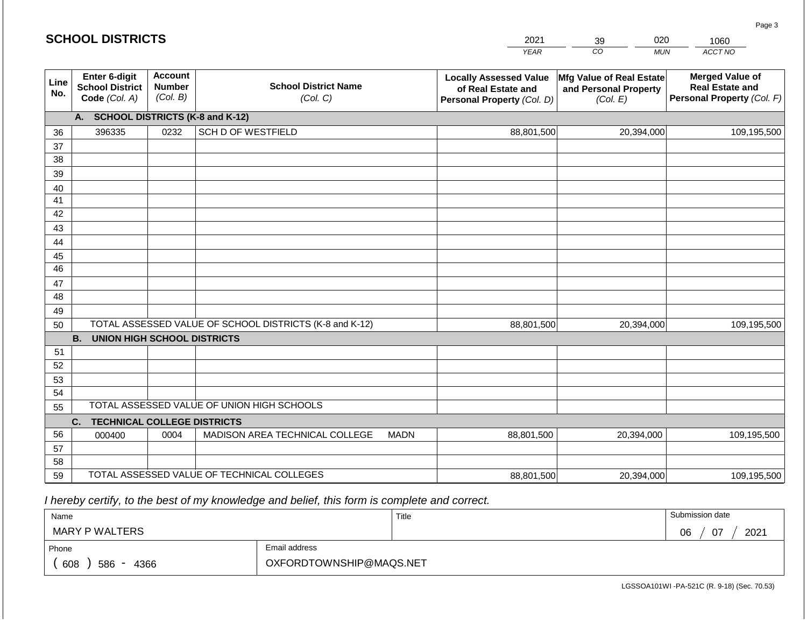|                 | <b>SCHOOL DISTRICTS</b>                                  |                                             |                                                         |             | 2021                                                                              | 020<br>39                                                     | 1060                                                                           |
|-----------------|----------------------------------------------------------|---------------------------------------------|---------------------------------------------------------|-------------|-----------------------------------------------------------------------------------|---------------------------------------------------------------|--------------------------------------------------------------------------------|
|                 |                                                          |                                             |                                                         |             | <b>YEAR</b>                                                                       | CO<br><b>MUN</b>                                              | ACCT NO                                                                        |
| Line<br>No.     | Enter 6-digit<br><b>School District</b><br>Code (Col. A) | <b>Account</b><br><b>Number</b><br>(Col. B) | <b>School District Name</b><br>(Col. C)                 |             | <b>Locally Assessed Value</b><br>of Real Estate and<br>Personal Property (Col. D) | Mfg Value of Real Estate<br>and Personal Property<br>(Col. E) | <b>Merged Value of</b><br><b>Real Estate and</b><br>Personal Property (Col. F) |
|                 | A. SCHOOL DISTRICTS (K-8 and K-12)                       |                                             |                                                         |             |                                                                                   |                                                               |                                                                                |
| 36              | 396335                                                   | 0232                                        | <b>SCH D OF WESTFIELD</b>                               |             | 88,801,500                                                                        | 20,394,000                                                    | 109,195,500                                                                    |
| 37              |                                                          |                                             |                                                         |             |                                                                                   |                                                               |                                                                                |
| 38              |                                                          |                                             |                                                         |             |                                                                                   |                                                               |                                                                                |
| 39              |                                                          |                                             |                                                         |             |                                                                                   |                                                               |                                                                                |
| 40              |                                                          |                                             |                                                         |             |                                                                                   |                                                               |                                                                                |
| 41<br>42        |                                                          |                                             |                                                         |             |                                                                                   |                                                               |                                                                                |
| 43              |                                                          |                                             |                                                         |             |                                                                                   |                                                               |                                                                                |
| 44              |                                                          |                                             |                                                         |             |                                                                                   |                                                               |                                                                                |
| 45              |                                                          |                                             |                                                         |             |                                                                                   |                                                               |                                                                                |
| $\overline{46}$ |                                                          |                                             |                                                         |             |                                                                                   |                                                               |                                                                                |
| 47              |                                                          |                                             |                                                         |             |                                                                                   |                                                               |                                                                                |
| 48              |                                                          |                                             |                                                         |             |                                                                                   |                                                               |                                                                                |
| 49              |                                                          |                                             |                                                         |             |                                                                                   |                                                               |                                                                                |
| 50              |                                                          |                                             | TOTAL ASSESSED VALUE OF SCHOOL DISTRICTS (K-8 and K-12) |             | 88,801,500                                                                        | 20,394,000                                                    | 109,195,500                                                                    |
|                 | <b>B.</b><br><b>UNION HIGH SCHOOL DISTRICTS</b>          |                                             |                                                         |             |                                                                                   |                                                               |                                                                                |
| 51<br>52        |                                                          |                                             |                                                         |             |                                                                                   |                                                               |                                                                                |
| 53              |                                                          |                                             |                                                         |             |                                                                                   |                                                               |                                                                                |
| 54              |                                                          |                                             |                                                         |             |                                                                                   |                                                               |                                                                                |
| 55              |                                                          |                                             | TOTAL ASSESSED VALUE OF UNION HIGH SCHOOLS              |             |                                                                                   |                                                               |                                                                                |
|                 | <b>TECHNICAL COLLEGE DISTRICTS</b><br>C.                 |                                             |                                                         |             |                                                                                   |                                                               |                                                                                |
| 56              | 000400                                                   | 0004                                        | MADISON AREA TECHNICAL COLLEGE                          | <b>MADN</b> | 88,801,500                                                                        | 20,394,000                                                    | 109,195,500                                                                    |
| 57              |                                                          |                                             |                                                         |             |                                                                                   |                                                               |                                                                                |
| 58              |                                                          |                                             |                                                         |             |                                                                                   |                                                               |                                                                                |
| 59              |                                                          |                                             | TOTAL ASSESSED VALUE OF TECHNICAL COLLEGES              |             | 88,801,500                                                                        | 20,394,000                                                    | 109,195,500                                                                    |

 *I hereby certify, to the best of my knowledge and belief, this form is complete and correct.*

**SCHOOL DISTRICTS**

| Name               |                         | Title | Submission date  |
|--------------------|-------------------------|-------|------------------|
| MARY P WALTERS     |                         |       | 2021<br>07<br>06 |
| Phone              | Email address           |       |                  |
| 608<br>586<br>4366 | OXFORDTOWNSHIP@MAQS.NET |       |                  |

Page 3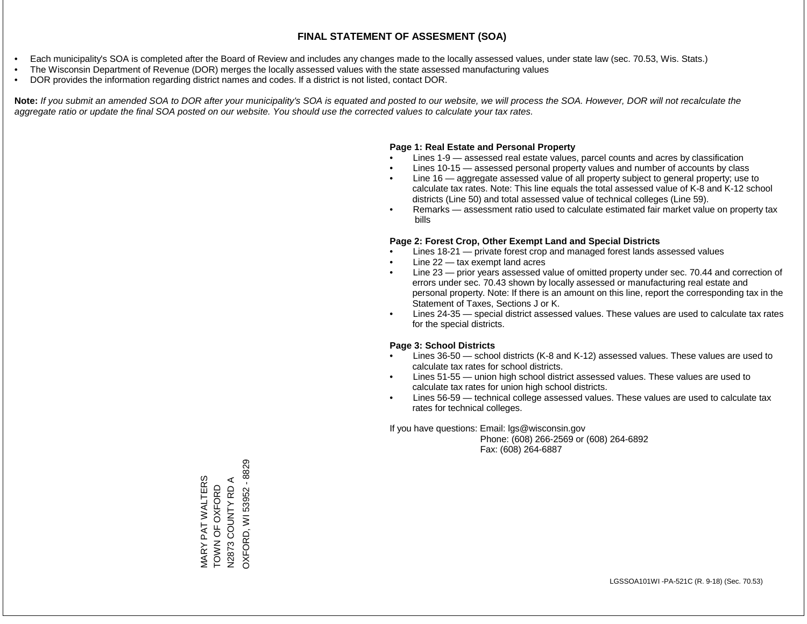- Each municipality's SOA is completed after the Board of Review and includes any changes made to the locally assessed values, under state law (sec. 70.53, Wis. Stats.)
- The Wisconsin Department of Revenue (DOR) merges the locally assessed values with the state assessed manufacturing values
- DOR provides the information regarding district names and codes. If a district is not listed, contact DOR.

Note: If you submit an amended SOA to DOR after your municipality's SOA is equated and posted to our website, we will process the SOA. However, DOR will not recalculate the *aggregate ratio or update the final SOA posted on our website. You should use the corrected values to calculate your tax rates.*

#### **Page 1: Real Estate and Personal Property**

- Lines 1-9 assessed real estate values, parcel counts and acres by classification
- Lines 10-15 assessed personal property values and number of accounts by class
- Line 16 aggregate assessed value of all property subject to general property; use to calculate tax rates. Note: This line equals the total assessed value of K-8 and K-12 school districts (Line 50) and total assessed value of technical colleges (Line 59).
- Remarks assessment ratio used to calculate estimated fair market value on property tax bills

#### **Page 2: Forest Crop, Other Exempt Land and Special Districts**

- Lines 18-21 private forest crop and managed forest lands assessed values
- Line  $22 -$  tax exempt land acres
- Line 23 prior years assessed value of omitted property under sec. 70.44 and correction of errors under sec. 70.43 shown by locally assessed or manufacturing real estate and personal property. Note: If there is an amount on this line, report the corresponding tax in the Statement of Taxes, Sections J or K.
- Lines 24-35 special district assessed values. These values are used to calculate tax rates for the special districts.

#### **Page 3: School Districts**

- Lines 36-50 school districts (K-8 and K-12) assessed values. These values are used to calculate tax rates for school districts.
- Lines 51-55 union high school district assessed values. These values are used to calculate tax rates for union high school districts.
- Lines 56-59 technical college assessed values. These values are used to calculate tax rates for technical colleges.

If you have questions: Email: lgs@wisconsin.gov

 Phone: (608) 266-2569 or (608) 264-6892 Fax: (608) 264-6887

OXFORD, WI 53952 - 8829 OXFORD, WI 53952 - 8829MARY PAT WALTERS<br>TOWN OF OXFORD<br>N2873 COUNTY RD A MARY PAT WALTERS N2873 COUNTY RD A TOWN OF OXFORD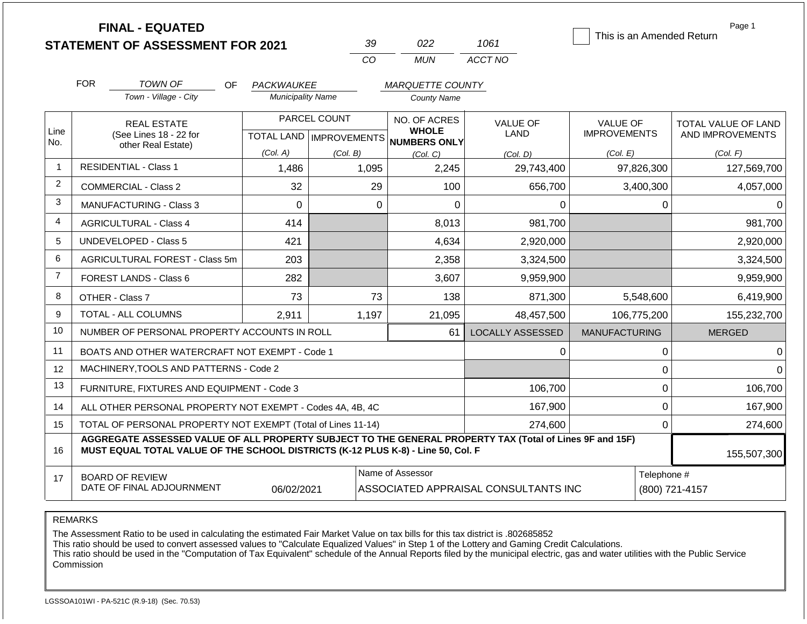|                |                                                              | <b>FINAL - EQUATED</b><br><b>STATEMENT OF ASSESSMENT FOR 2021</b>                                                                                                                            |                                                  |          | 39                           | 022                      | 1061                                 | This is an Amended Return              | Page 1                                  |  |  |
|----------------|--------------------------------------------------------------|----------------------------------------------------------------------------------------------------------------------------------------------------------------------------------------------|--------------------------------------------------|----------|------------------------------|--------------------------|--------------------------------------|----------------------------------------|-----------------------------------------|--|--|
|                |                                                              |                                                                                                                                                                                              |                                                  |          | CO                           | <b>MUN</b>               | ACCT NO                              |                                        |                                         |  |  |
|                | <b>FOR</b>                                                   | <b>TOWN OF</b><br>OF.                                                                                                                                                                        | PACKWAUKEE                                       |          |                              | <b>MARQUETTE COUNTY</b>  |                                      |                                        |                                         |  |  |
|                |                                                              | Town - Village - City                                                                                                                                                                        | <b>Municipality Name</b>                         |          | <b>County Name</b>           |                          |                                      |                                        |                                         |  |  |
| Line           |                                                              | <b>REAL ESTATE</b><br>(See Lines 18 - 22 for                                                                                                                                                 | PARCEL COUNT<br><b>TOTAL LAND   IMPROVEMENTS</b> |          | NO. OF ACRES<br><b>WHOLE</b> |                          | <b>VALUE OF</b><br><b>LAND</b>       | <b>VALUE OF</b><br><b>IMPROVEMENTS</b> | TOTAL VALUE OF LAND<br>AND IMPROVEMENTS |  |  |
| No.            |                                                              | other Real Estate)                                                                                                                                                                           | (Col. A)                                         | (Col. B) |                              | NUMBERS ONLY<br>(Col. C) | (Col. D)                             | (Col. E)                               | (Col. F)                                |  |  |
| $\mathbf{1}$   |                                                              | <b>RESIDENTIAL - Class 1</b>                                                                                                                                                                 | 1,486                                            |          | 1,095                        | 2,245                    | 29,743,400                           | 97,826,300                             | 127,569,700                             |  |  |
| $\overline{2}$ |                                                              | <b>COMMERCIAL - Class 2</b>                                                                                                                                                                  | 32                                               |          | 29                           | 100                      | 656,700                              | 3,400,300                              | 4,057,000                               |  |  |
| 3              |                                                              | <b>MANUFACTURING - Class 3</b>                                                                                                                                                               | $\Omega$                                         |          | $\Omega$                     | 0                        | 0                                    | 0                                      | $\Omega$                                |  |  |
| 4              |                                                              | <b>AGRICULTURAL - Class 4</b>                                                                                                                                                                | 414                                              |          |                              | 8,013                    | 981,700                              |                                        | 981,700                                 |  |  |
| 5              |                                                              | <b>UNDEVELOPED - Class 5</b>                                                                                                                                                                 | 421                                              |          |                              | 4,634                    | 2,920,000                            |                                        | 2,920,000                               |  |  |
| 6              |                                                              | AGRICULTURAL FOREST - Class 5m                                                                                                                                                               | 203                                              |          |                              | 2,358                    | 3,324,500                            |                                        | 3,324,500                               |  |  |
| $\overline{7}$ |                                                              | <b>FOREST LANDS - Class 6</b>                                                                                                                                                                | 282                                              |          |                              | 3,607                    | 9,959,900                            |                                        | 9,959,900                               |  |  |
| 8              |                                                              | OTHER - Class 7                                                                                                                                                                              | 73                                               |          | 73                           | 138                      | 871,300                              | 5,548,600                              | 6,419,900                               |  |  |
| 9              |                                                              | <b>TOTAL - ALL COLUMNS</b>                                                                                                                                                                   | 2,911                                            |          | 1,197                        | 21,095                   | 48,457,500                           | 106,775,200                            | 155,232,700                             |  |  |
| 10             |                                                              | NUMBER OF PERSONAL PROPERTY ACCOUNTS IN ROLL                                                                                                                                                 |                                                  |          |                              | 61                       | <b>LOCALLY ASSESSED</b>              | <b>MANUFACTURING</b>                   | <b>MERGED</b>                           |  |  |
| 11             |                                                              | BOATS AND OTHER WATERCRAFT NOT EXEMPT - Code 1                                                                                                                                               |                                                  |          |                              |                          | 0                                    | 0                                      | 0                                       |  |  |
| 12             |                                                              | MACHINERY, TOOLS AND PATTERNS - Code 2                                                                                                                                                       |                                                  |          |                              |                          |                                      | $\mathbf 0$                            | ∩                                       |  |  |
| 13             |                                                              | FURNITURE, FIXTURES AND EQUIPMENT - Code 3                                                                                                                                                   |                                                  |          |                              |                          | 106,700                              | $\pmb{0}$                              | 106,700                                 |  |  |
| 14             |                                                              | ALL OTHER PERSONAL PROPERTY NOT EXEMPT - Codes 4A, 4B, 4C                                                                                                                                    |                                                  |          |                              |                          | 167,900                              | $\pmb{0}$                              | 167,900                                 |  |  |
| 15             | TOTAL OF PERSONAL PROPERTY NOT EXEMPT (Total of Lines 11-14) |                                                                                                                                                                                              |                                                  |          |                              |                          | 274,600                              | $\mathbf 0$                            | 274,600                                 |  |  |
| 16             |                                                              | AGGREGATE ASSESSED VALUE OF ALL PROPERTY SUBJECT TO THE GENERAL PROPERTY TAX (Total of Lines 9F and 15F)<br>MUST EQUAL TOTAL VALUE OF THE SCHOOL DISTRICTS (K-12 PLUS K-8) - Line 50, Col. F |                                                  |          |                              |                          |                                      |                                        | 155,507,300                             |  |  |
| 17             |                                                              | <b>BOARD OF REVIEW</b>                                                                                                                                                                       |                                                  |          |                              | Name of Assessor         |                                      | Telephone #                            |                                         |  |  |
|                |                                                              | DATE OF FINAL ADJOURNMENT                                                                                                                                                                    | 06/02/2021                                       |          |                              |                          | ASSOCIATED APPRAISAL CONSULTANTS INC |                                        | (800) 721-4157                          |  |  |

REMARKS

The Assessment Ratio to be used in calculating the estimated Fair Market Value on tax bills for this tax district is .802685852

This ratio should be used to convert assessed values to "Calculate Equalized Values" in Step 1 of the Lottery and Gaming Credit Calculations.

 This ratio should be used in the "Computation of Tax Equivalent" schedule of the Annual Reports filed by the municipal electric, gas and water utilities with the Public Service Commission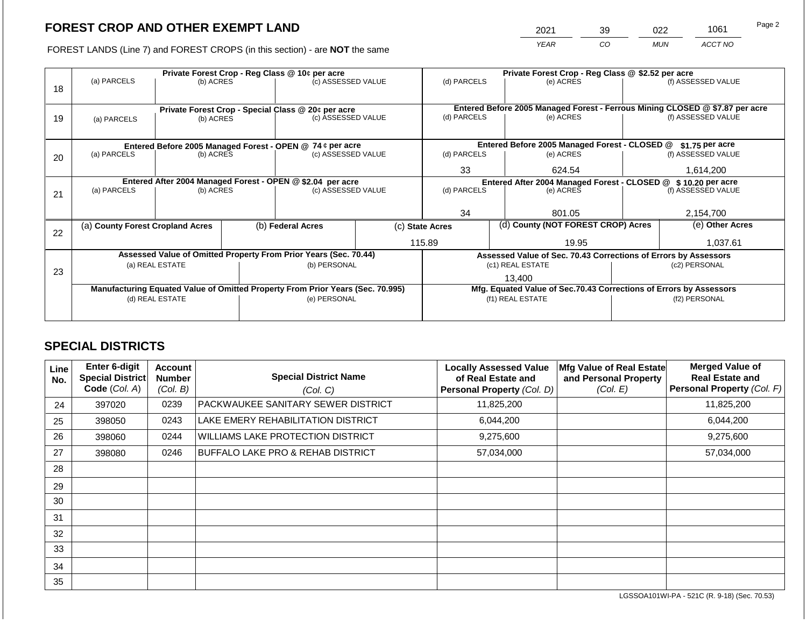2021 39 022 1061

FOREST LANDS (Line 7) and FOREST CROPS (in this section) - are **NOT** the same *YEAR CO MUN ACCT NO*

|    | Private Forest Crop - Reg Class @ 10¢ per acre            |                 |  |                                                                                |                 | Private Forest Crop - Reg Class @ \$2.52 per acre             |  |                                                                    |                    |                                                                              |
|----|-----------------------------------------------------------|-----------------|--|--------------------------------------------------------------------------------|-----------------|---------------------------------------------------------------|--|--------------------------------------------------------------------|--------------------|------------------------------------------------------------------------------|
| 18 | (a) PARCELS                                               | (b) ACRES       |  | (c) ASSESSED VALUE                                                             |                 | (d) PARCELS                                                   |  | (e) ACRES                                                          |                    | (f) ASSESSED VALUE                                                           |
|    |                                                           |                 |  |                                                                                |                 |                                                               |  |                                                                    |                    |                                                                              |
|    |                                                           |                 |  | Private Forest Crop - Special Class @ 20¢ per acre                             |                 |                                                               |  |                                                                    |                    | Entered Before 2005 Managed Forest - Ferrous Mining CLOSED @ \$7.87 per acre |
| 19 | (a) PARCELS                                               | (b) ACRES       |  | (c) ASSESSED VALUE                                                             |                 | (d) PARCELS                                                   |  | (e) ACRES                                                          |                    | (f) ASSESSED VALUE                                                           |
|    |                                                           |                 |  |                                                                                |                 |                                                               |  |                                                                    |                    |                                                                              |
|    |                                                           |                 |  |                                                                                |                 |                                                               |  |                                                                    |                    |                                                                              |
|    | Entered Before 2005 Managed Forest - OPEN @ 74 ¢ per acre |                 |  |                                                                                |                 |                                                               |  | Entered Before 2005 Managed Forest - CLOSED @                      |                    | \$1.75 per acre                                                              |
| 20 | (a) PARCELS                                               | (b) ACRES       |  | (c) ASSESSED VALUE                                                             |                 | (d) PARCELS                                                   |  | (e) ACRES                                                          |                    | (f) ASSESSED VALUE                                                           |
|    |                                                           |                 |  |                                                                                |                 | 33                                                            |  | 624.54                                                             |                    | 1,614,200                                                                    |
|    |                                                           |                 |  | Entered After 2004 Managed Forest - OPEN @ \$2.04 per acre                     |                 | Entered After 2004 Managed Forest - CLOSED @ \$10.20 per acre |  |                                                                    |                    |                                                                              |
| 21 | (a) PARCELS                                               | (b) ACRES       |  | (c) ASSESSED VALUE                                                             |                 | (d) PARCELS<br>(e) ACRES                                      |  |                                                                    | (f) ASSESSED VALUE |                                                                              |
|    |                                                           |                 |  |                                                                                |                 |                                                               |  |                                                                    |                    |                                                                              |
|    |                                                           |                 |  |                                                                                |                 | 34                                                            |  | 801.05                                                             |                    | 2,154,700                                                                    |
|    | (a) County Forest Cropland Acres                          |                 |  | (b) Federal Acres                                                              | (c) State Acres |                                                               |  | (d) County (NOT FOREST CROP) Acres                                 |                    | (e) Other Acres                                                              |
| 22 |                                                           |                 |  |                                                                                |                 |                                                               |  |                                                                    |                    |                                                                              |
|    |                                                           |                 |  |                                                                                |                 | 115.89                                                        |  | 19.95                                                              |                    | 1,037.61                                                                     |
|    |                                                           |                 |  | Assessed Value of Omitted Property From Prior Years (Sec. 70.44)               |                 |                                                               |  | Assessed Value of Sec. 70.43 Corrections of Errors by Assessors    |                    |                                                                              |
| 23 |                                                           | (a) REAL ESTATE |  | (b) PERSONAL                                                                   |                 |                                                               |  | (c1) REAL ESTATE                                                   |                    | (c2) PERSONAL                                                                |
|    |                                                           |                 |  |                                                                                |                 |                                                               |  | 13,400                                                             |                    |                                                                              |
|    |                                                           |                 |  | Manufacturing Equated Value of Omitted Property From Prior Years (Sec. 70.995) |                 |                                                               |  | Mfg. Equated Value of Sec.70.43 Corrections of Errors by Assessors |                    |                                                                              |
|    |                                                           | (d) REAL ESTATE |  | (e) PERSONAL                                                                   |                 |                                                               |  | (f1) REAL ESTATE                                                   | (f2) PERSONAL      |                                                                              |
|    |                                                           |                 |  |                                                                                |                 |                                                               |  |                                                                    |                    |                                                                              |
|    |                                                           |                 |  |                                                                                |                 |                                                               |  |                                                                    |                    |                                                                              |

## **SPECIAL DISTRICTS**

| Line<br>No. | Enter 6-digit<br>Special District<br>Code (Col. A) | <b>Account</b><br><b>Number</b><br>(Col. B) | <b>Special District Name</b><br>(Col. C)     | <b>Locally Assessed Value</b><br>of Real Estate and<br><b>Personal Property (Col. D)</b> | Mfg Value of Real Estate<br>and Personal Property<br>(Col. E) | <b>Merged Value of</b><br><b>Real Estate and</b><br>Personal Property (Col. F) |
|-------------|----------------------------------------------------|---------------------------------------------|----------------------------------------------|------------------------------------------------------------------------------------------|---------------------------------------------------------------|--------------------------------------------------------------------------------|
| 24          | 397020                                             | 0239                                        | PACKWAUKEE SANITARY SEWER DISTRICT           | 11,825,200                                                                               |                                                               | 11,825,200                                                                     |
| 25          | 398050                                             | 0243                                        | LAKE EMERY REHABILITATION DISTRICT           | 6,044,200                                                                                |                                                               | 6,044,200                                                                      |
| 26          | 398060                                             | 0244                                        | WILLIAMS LAKE PROTECTION DISTRICT            | 9,275,600                                                                                |                                                               | 9,275,600                                                                      |
| 27          | 398080                                             | 0246                                        | <b>BUFFALO LAKE PRO &amp; REHAB DISTRICT</b> | 57,034,000                                                                               |                                                               | 57,034,000                                                                     |
| 28          |                                                    |                                             |                                              |                                                                                          |                                                               |                                                                                |
| 29          |                                                    |                                             |                                              |                                                                                          |                                                               |                                                                                |
| 30          |                                                    |                                             |                                              |                                                                                          |                                                               |                                                                                |
| 31          |                                                    |                                             |                                              |                                                                                          |                                                               |                                                                                |
| 32          |                                                    |                                             |                                              |                                                                                          |                                                               |                                                                                |
| 33          |                                                    |                                             |                                              |                                                                                          |                                                               |                                                                                |
| 34          |                                                    |                                             |                                              |                                                                                          |                                                               |                                                                                |
| 35          |                                                    |                                             |                                              |                                                                                          |                                                               |                                                                                |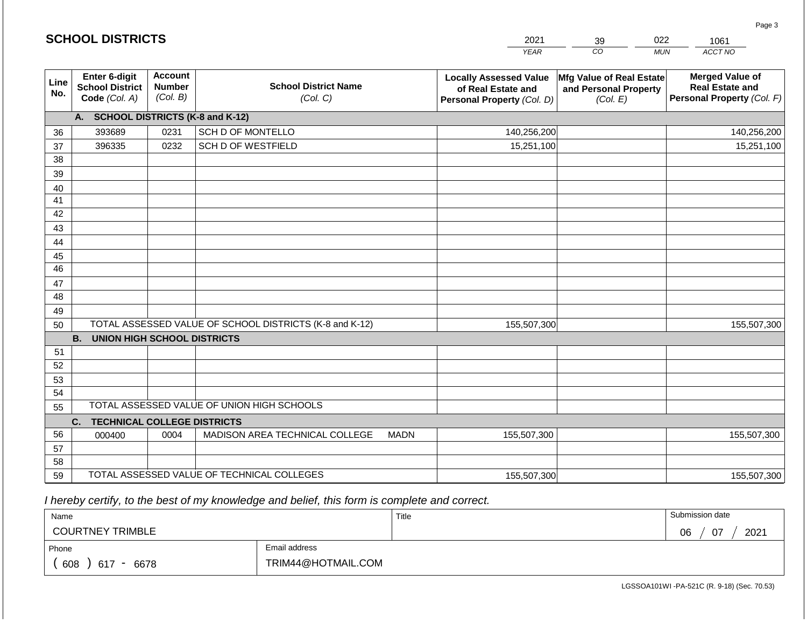|             | <b>SCHOOL DISTRICTS</b>                                  |                                             |                                                         |             | 2021                                                                              | 39                                                            | 022<br>1061 |                                                                                |
|-------------|----------------------------------------------------------|---------------------------------------------|---------------------------------------------------------|-------------|-----------------------------------------------------------------------------------|---------------------------------------------------------------|-------------|--------------------------------------------------------------------------------|
|             |                                                          |                                             |                                                         |             | <b>YEAR</b>                                                                       | $\overline{co}$                                               | <b>MUN</b>  | ACCT NO                                                                        |
| Line<br>No. | Enter 6-digit<br><b>School District</b><br>Code (Col. A) | <b>Account</b><br><b>Number</b><br>(Col. B) | <b>School District Name</b><br>(Col. C)                 |             | <b>Locally Assessed Value</b><br>of Real Estate and<br>Personal Property (Col. D) | Mfg Value of Real Estate<br>and Personal Property<br>(Col. E) |             | <b>Merged Value of</b><br><b>Real Estate and</b><br>Personal Property (Col. F) |
|             | A. SCHOOL DISTRICTS (K-8 and K-12)                       |                                             |                                                         |             |                                                                                   |                                                               |             |                                                                                |
| 36          | 393689                                                   | 0231                                        | SCH D OF MONTELLO                                       |             | 140,256,200                                                                       |                                                               |             | 140,256,200                                                                    |
| 37          | 396335                                                   | 0232                                        | SCH D OF WESTFIELD                                      |             | 15,251,100                                                                        |                                                               |             | 15,251,100                                                                     |
| 38          |                                                          |                                             |                                                         |             |                                                                                   |                                                               |             |                                                                                |
| 39          |                                                          |                                             |                                                         |             |                                                                                   |                                                               |             |                                                                                |
| 40          |                                                          |                                             |                                                         |             |                                                                                   |                                                               |             |                                                                                |
| 41          |                                                          |                                             |                                                         |             |                                                                                   |                                                               |             |                                                                                |
| 42          |                                                          |                                             |                                                         |             |                                                                                   |                                                               |             |                                                                                |
| 43          |                                                          |                                             |                                                         |             |                                                                                   |                                                               |             |                                                                                |
| 44          |                                                          |                                             |                                                         |             |                                                                                   |                                                               |             |                                                                                |
| 45<br>46    |                                                          |                                             |                                                         |             |                                                                                   |                                                               |             |                                                                                |
| 47          |                                                          |                                             |                                                         |             |                                                                                   |                                                               |             |                                                                                |
| 48          |                                                          |                                             |                                                         |             |                                                                                   |                                                               |             |                                                                                |
| 49          |                                                          |                                             |                                                         |             |                                                                                   |                                                               |             |                                                                                |
| 50          |                                                          |                                             | TOTAL ASSESSED VALUE OF SCHOOL DISTRICTS (K-8 and K-12) |             | 155,507,300                                                                       |                                                               |             | 155,507,300                                                                    |
|             | <b>B.</b><br><b>UNION HIGH SCHOOL DISTRICTS</b>          |                                             |                                                         |             |                                                                                   |                                                               |             |                                                                                |
| 51          |                                                          |                                             |                                                         |             |                                                                                   |                                                               |             |                                                                                |
| 52          |                                                          |                                             |                                                         |             |                                                                                   |                                                               |             |                                                                                |
| 53          |                                                          |                                             |                                                         |             |                                                                                   |                                                               |             |                                                                                |
| 54          |                                                          |                                             |                                                         |             |                                                                                   |                                                               |             |                                                                                |
| 55          |                                                          |                                             | TOTAL ASSESSED VALUE OF UNION HIGH SCHOOLS              |             |                                                                                   |                                                               |             |                                                                                |
|             | <b>TECHNICAL COLLEGE DISTRICTS</b><br>C.                 |                                             |                                                         |             |                                                                                   |                                                               |             |                                                                                |
| 56          | 000400                                                   | 0004                                        | MADISON AREA TECHNICAL COLLEGE                          | <b>MADN</b> | 155,507,300                                                                       |                                                               |             | 155,507,300                                                                    |
| 57          |                                                          |                                             |                                                         |             |                                                                                   |                                                               |             |                                                                                |
| 58          |                                                          |                                             |                                                         |             |                                                                                   |                                                               |             |                                                                                |
| 59          |                                                          |                                             | TOTAL ASSESSED VALUE OF TECHNICAL COLLEGES              |             | 155,507,300                                                                       |                                                               |             | 155,507,300                                                                    |

2021

 *I hereby certify, to the best of my knowledge and belief, this form is complete and correct.*

**SCHOOL DISTRICTS**

| Name                                           |                    | Title | Submission date            |
|------------------------------------------------|--------------------|-------|----------------------------|
| <b>COURTNEY TRIMBLE</b>                        |                    |       | $\sim$<br>2021<br>06<br>U7 |
| Phone                                          | Email address      |       |                            |
| 608<br>6678<br>617<br>$\overline{\phantom{a}}$ | TRIM44@HOTMAIL.COM |       |                            |

LGSSOA101WI -PA-521C (R. 9-18) (Sec. 70.53)

Page 3

022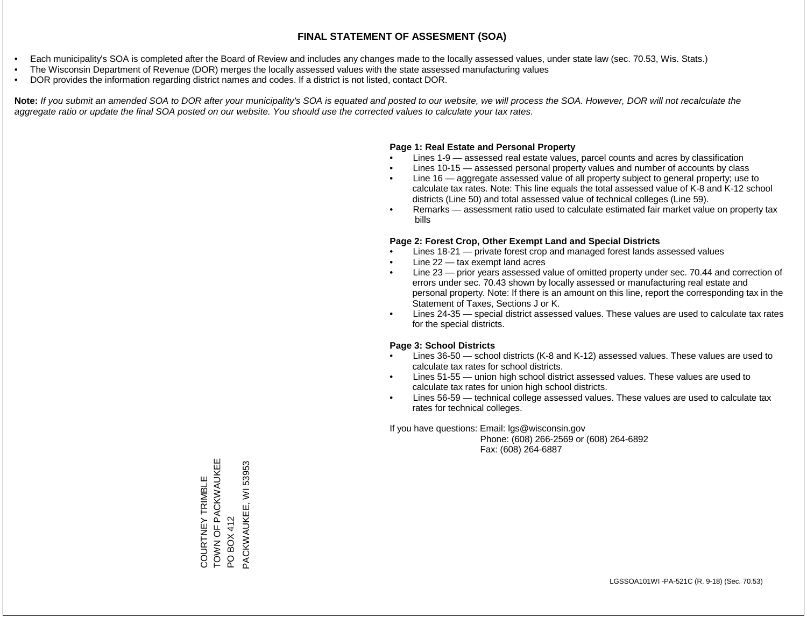- Each municipality's SOA is completed after the Board of Review and includes any changes made to the locally assessed values, under state law (sec. 70.53, Wis. Stats.)
- The Wisconsin Department of Revenue (DOR) merges the locally assessed values with the state assessed manufacturing values
- DOR provides the information regarding district names and codes. If a district is not listed, contact DOR.

Note: If you submit an amended SOA to DOR after your municipality's SOA is equated and posted to our website, we will process the SOA. However, DOR will not recalculate the *aggregate ratio or update the final SOA posted on our website. You should use the corrected values to calculate your tax rates.*

### **Page 1: Real Estate and Personal Property**

- Lines 1-9 assessed real estate values, parcel counts and acres by classification
- Lines 10-15 assessed personal property values and number of accounts by class
- Line 16 aggregate assessed value of all property subject to general property; use to calculate tax rates. Note: This line equals the total assessed value of K-8 and K-12 school districts (Line 50) and total assessed value of technical colleges (Line 59).
- Remarks assessment ratio used to calculate estimated fair market value on property tax bills

### **Page 2: Forest Crop, Other Exempt Land and Special Districts**

- Lines 18-21 private forest crop and managed forest lands assessed values
- Line  $22 -$  tax exempt land acres
- Line 23 prior years assessed value of omitted property under sec. 70.44 and correction of errors under sec. 70.43 shown by locally assessed or manufacturing real estate and personal property. Note: If there is an amount on this line, report the corresponding tax in the Statement of Taxes, Sections J or K.
- Lines 24-35 special district assessed values. These values are used to calculate tax rates for the special districts.

### **Page 3: School Districts**

- Lines 36-50 school districts (K-8 and K-12) assessed values. These values are used to calculate tax rates for school districts.
- Lines 51-55 union high school district assessed values. These values are used to calculate tax rates for union high school districts.
- Lines 56-59 technical college assessed values. These values are used to calculate tax rates for technical colleges.

If you have questions: Email: lgs@wisconsin.gov

 Phone: (608) 266-2569 or (608) 264-6892 Fax: (608) 264-6887

COURTNEY TRIMBLE TOWN OF PACKWAUKEE COURTNEY TRIMBLE<br>TOWN OF PACKWAUKEE<br>PO BOX 412<br>PACKWAUKEE, WI 53953 PACKWAUKEE, WI 53953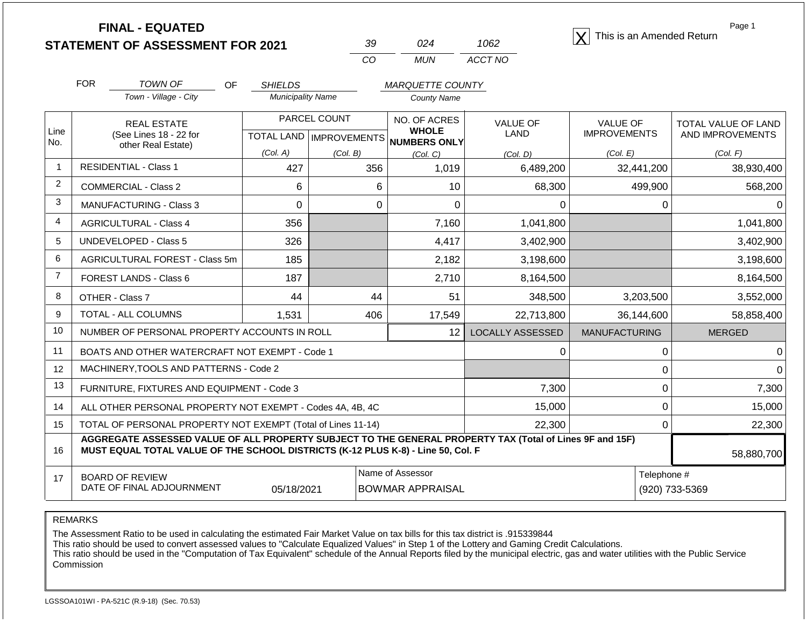**STATEMENT OF ASSESSMENT FOR 2021 FINAL - EQUATED** <sup>X</sup> This is an Amended Return

| -39 | በ24   | 1062    |
|-----|-------|---------|
| cо  | MI IN | ACCT NO |

|                | <b>FOR</b>                                                                       | <b>TOWN OF</b><br><b>OF</b>                                                                              | <b>SHIELDS</b>           |                                                         | <b>MARQUETTE COUNTY</b>      |                         |                      |                     |
|----------------|----------------------------------------------------------------------------------|----------------------------------------------------------------------------------------------------------|--------------------------|---------------------------------------------------------|------------------------------|-------------------------|----------------------|---------------------|
|                |                                                                                  | Town - Village - City                                                                                    | <b>Municipality Name</b> |                                                         | <b>County Name</b>           |                         |                      |                     |
|                |                                                                                  | <b>REAL ESTATE</b>                                                                                       |                          | PARCEL COUNT                                            | NO. OF ACRES<br><b>WHOLE</b> | <b>VALUE OF</b>         | <b>VALUE OF</b>      | TOTAL VALUE OF LAND |
| Line<br>No.    |                                                                                  | (See Lines 18 - 22 for<br>other Real Estate)                                                             |                          | <b>TOTAL LAND   IMPROVEMENTS</b><br><b>NUMBERS ONLY</b> |                              | <b>LAND</b>             | <b>IMPROVEMENTS</b>  | AND IMPROVEMENTS    |
|                |                                                                                  |                                                                                                          | (Col. A)                 | (Col. B)                                                | (Col, C)                     | (Col. D)                | (Col. E)             | (Col. F)            |
| $\mathbf{1}$   | <b>RESIDENTIAL - Class 1</b>                                                     |                                                                                                          | 427                      | 356                                                     | 1,019                        | 6,489,200               | 32,441,200           | 38,930,400          |
| $\overline{2}$ |                                                                                  | <b>COMMERCIAL - Class 2</b>                                                                              | 6                        | 6                                                       | 10                           | 68,300                  | 499,900              | 568,200             |
| 3              |                                                                                  | <b>MANUFACTURING - Class 3</b>                                                                           | $\Omega$                 | $\mathbf{0}$                                            | $\Omega$                     | 0                       | 0                    | $\overline{0}$      |
| $\overline{4}$ |                                                                                  | <b>AGRICULTURAL - Class 4</b>                                                                            | 356                      |                                                         | 7,160                        | 1,041,800               |                      | 1,041,800           |
| 5              |                                                                                  | <b>UNDEVELOPED - Class 5</b>                                                                             | 326                      |                                                         | 4,417                        | 3,402,900               |                      | 3,402,900           |
| 6              |                                                                                  | AGRICULTURAL FOREST - Class 5m                                                                           | 185                      |                                                         | 2,182<br>3,198,600           |                         |                      | 3,198,600           |
| $\overline{7}$ |                                                                                  | FOREST LANDS - Class 6                                                                                   | 187                      |                                                         | 2,710                        | 8,164,500               |                      | 8,164,500           |
| 8              |                                                                                  | OTHER - Class 7                                                                                          | 44                       | 44                                                      | 51                           | 348,500                 | 3,203,500            | 3,552,000           |
| 9              |                                                                                  | TOTAL - ALL COLUMNS                                                                                      | 1,531                    | 406                                                     | 17,549                       | 22,713,800              | 36,144,600           | 58,858,400          |
| 10             |                                                                                  | NUMBER OF PERSONAL PROPERTY ACCOUNTS IN ROLL                                                             |                          |                                                         | 12 <sup>2</sup>              | <b>LOCALLY ASSESSED</b> | <b>MANUFACTURING</b> | <b>MERGED</b>       |
| 11             |                                                                                  | BOATS AND OTHER WATERCRAFT NOT EXEMPT - Code 1                                                           |                          |                                                         |                              | 0                       | $\Omega$             | $\Omega$            |
| 12             |                                                                                  | MACHINERY, TOOLS AND PATTERNS - Code 2                                                                   |                          |                                                         |                              |                         | 0                    | $\overline{0}$      |
| 13             |                                                                                  | FURNITURE, FIXTURES AND EQUIPMENT - Code 3                                                               |                          |                                                         |                              | 7,300                   | 0                    | 7,300               |
| 14             |                                                                                  | ALL OTHER PERSONAL PROPERTY NOT EXEMPT - Codes 4A, 4B, 4C                                                |                          |                                                         |                              | 15,000                  | 0                    | 15,000              |
| 15             |                                                                                  | TOTAL OF PERSONAL PROPERTY NOT EXEMPT (Total of Lines 11-14)                                             |                          |                                                         |                              | 22,300                  | 0                    | 22,300              |
| 16             | MUST EQUAL TOTAL VALUE OF THE SCHOOL DISTRICTS (K-12 PLUS K-8) - Line 50, Col. F | AGGREGATE ASSESSED VALUE OF ALL PROPERTY SUBJECT TO THE GENERAL PROPERTY TAX (Total of Lines 9F and 15F) | 58,880,700               |                                                         |                              |                         |                      |                     |
| 17             |                                                                                  | <b>BOARD OF REVIEW</b>                                                                                   |                          |                                                         | Name of Assessor             |                         | Telephone #          |                     |

REMARKS

The Assessment Ratio to be used in calculating the estimated Fair Market Value on tax bills for this tax district is .915339844

This ratio should be used to convert assessed values to "Calculate Equalized Values" in Step 1 of the Lottery and Gaming Credit Calculations.

 This ratio should be used in the "Computation of Tax Equivalent" schedule of the Annual Reports filed by the municipal electric, gas and water utilities with the Public Service Commission

05/18/2021 BOWMAR APPRAISAL (920) 733-5369

DATE OF FINAL ADJOURNMENT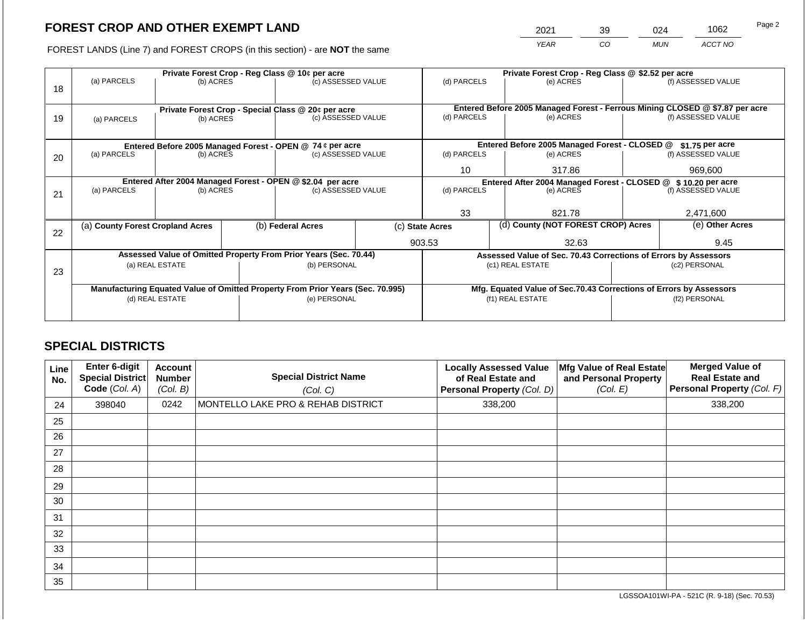2021 39 024 1062

FOREST LANDS (Line 7) and FOREST CROPS (in this section) - are **NOT** the same *YEAR CO MUN ACCT NO*

|    |                                                            |                 |  | Private Forest Crop - Reg Class @ 10¢ per acre                                 |                                               | Private Forest Crop - Reg Class @ \$2.52 per acre |                  |                                                                              |                    |                    |
|----|------------------------------------------------------------|-----------------|--|--------------------------------------------------------------------------------|-----------------------------------------------|---------------------------------------------------|------------------|------------------------------------------------------------------------------|--------------------|--------------------|
| 18 | (a) PARCELS                                                | (b) ACRES       |  | (c) ASSESSED VALUE                                                             |                                               | (d) PARCELS                                       |                  | (e) ACRES                                                                    |                    | (f) ASSESSED VALUE |
|    |                                                            |                 |  | Private Forest Crop - Special Class @ 20¢ per acre                             |                                               |                                                   |                  | Entered Before 2005 Managed Forest - Ferrous Mining CLOSED @ \$7.87 per acre |                    |                    |
| 19 | (a) PARCELS                                                | (b) ACRES       |  | (c) ASSESSED VALUE                                                             |                                               | (d) PARCELS                                       |                  | (e) ACRES                                                                    |                    | (f) ASSESSED VALUE |
|    |                                                            |                 |  |                                                                                |                                               |                                                   |                  |                                                                              |                    |                    |
|    | Entered Before 2005 Managed Forest - OPEN @ 74 ¢ per acre  |                 |  |                                                                                | Entered Before 2005 Managed Forest - CLOSED @ |                                                   | $$1.75$ per acre |                                                                              |                    |                    |
| 20 | (a) PARCELS<br>(b) ACRES                                   |                 |  | (c) ASSESSED VALUE                                                             |                                               | (d) PARCELS                                       |                  | (e) ACRES                                                                    |                    | (f) ASSESSED VALUE |
|    |                                                            |                 |  |                                                                                |                                               | 10                                                |                  | 317.86                                                                       |                    | 969,600            |
|    | Entered After 2004 Managed Forest - OPEN @ \$2.04 per acre |                 |  |                                                                                |                                               |                                                   |                  | Entered After 2004 Managed Forest - CLOSED @ \$10.20 per acre                |                    |                    |
| 21 | (a) PARCELS                                                | (b) ACRES       |  | (c) ASSESSED VALUE                                                             | (d) PARCELS                                   |                                                   | (e) ACRES        |                                                                              | (f) ASSESSED VALUE |                    |
|    |                                                            |                 |  |                                                                                |                                               |                                                   |                  |                                                                              |                    |                    |
|    |                                                            |                 |  |                                                                                |                                               | 33                                                |                  | 821.78                                                                       |                    | 2,471,600          |
| 22 | (a) County Forest Cropland Acres                           |                 |  | (b) Federal Acres                                                              | (c) State Acres                               |                                                   |                  | (d) County (NOT FOREST CROP) Acres                                           |                    | (e) Other Acres    |
|    |                                                            |                 |  |                                                                                |                                               | 903.53<br>32.63                                   |                  |                                                                              |                    | 9.45               |
|    |                                                            |                 |  | Assessed Value of Omitted Property From Prior Years (Sec. 70.44)               |                                               |                                                   |                  | Assessed Value of Sec. 70.43 Corrections of Errors by Assessors              |                    |                    |
| 23 |                                                            | (a) REAL ESTATE |  | (b) PERSONAL                                                                   |                                               |                                                   |                  | (c1) REAL ESTATE                                                             |                    | (c2) PERSONAL      |
|    |                                                            |                 |  |                                                                                |                                               |                                                   |                  |                                                                              |                    |                    |
|    |                                                            |                 |  | Manufacturing Equated Value of Omitted Property From Prior Years (Sec. 70.995) |                                               |                                                   |                  | Mfg. Equated Value of Sec.70.43 Corrections of Errors by Assessors           |                    |                    |
|    |                                                            | (d) REAL ESTATE |  | (e) PERSONAL                                                                   |                                               |                                                   |                  | (f1) REAL ESTATE                                                             | (f2) PERSONAL      |                    |
|    |                                                            |                 |  |                                                                                |                                               |                                                   |                  |                                                                              |                    |                    |
|    |                                                            |                 |  |                                                                                |                                               |                                                   |                  |                                                                              |                    |                    |

# **SPECIAL DISTRICTS**

| Line<br>No. | <b>Enter 6-digit</b><br>Special District<br>Code (Col. A) | <b>Account</b><br><b>Number</b><br>(Col. B) | <b>Special District Name</b><br>(Col. C) | <b>Locally Assessed Value</b><br>of Real Estate and<br>Personal Property (Col. D) | Mfg Value of Real Estate<br>and Personal Property<br>(Col. E) | <b>Merged Value of</b><br><b>Real Estate and</b><br>Personal Property (Col. F) |
|-------------|-----------------------------------------------------------|---------------------------------------------|------------------------------------------|-----------------------------------------------------------------------------------|---------------------------------------------------------------|--------------------------------------------------------------------------------|
| 24          | 398040                                                    | 0242                                        | MONTELLO LAKE PRO & REHAB DISTRICT       | 338,200                                                                           |                                                               | 338,200                                                                        |
| 25          |                                                           |                                             |                                          |                                                                                   |                                                               |                                                                                |
| 26          |                                                           |                                             |                                          |                                                                                   |                                                               |                                                                                |
| 27          |                                                           |                                             |                                          |                                                                                   |                                                               |                                                                                |
| 28          |                                                           |                                             |                                          |                                                                                   |                                                               |                                                                                |
| 29          |                                                           |                                             |                                          |                                                                                   |                                                               |                                                                                |
| 30          |                                                           |                                             |                                          |                                                                                   |                                                               |                                                                                |
| 31          |                                                           |                                             |                                          |                                                                                   |                                                               |                                                                                |
| 32          |                                                           |                                             |                                          |                                                                                   |                                                               |                                                                                |
| 33          |                                                           |                                             |                                          |                                                                                   |                                                               |                                                                                |
| 34          |                                                           |                                             |                                          |                                                                                   |                                                               |                                                                                |
| 35          |                                                           |                                             |                                          |                                                                                   |                                                               |                                                                                |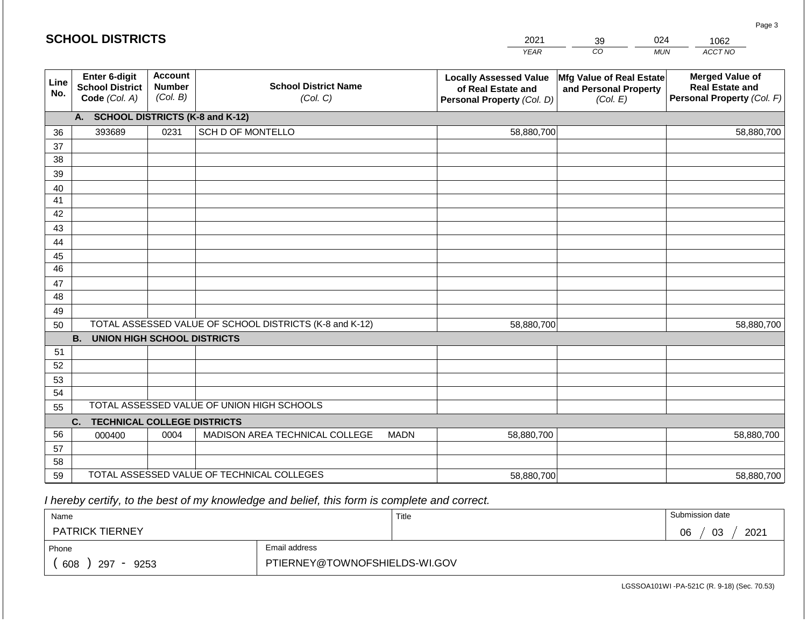|                 |                                                          |                                             |                                                         |             | <b>YEAR</b>                                                                       | $\overline{co}$<br><b>MUN</b>                                 | ACCT NO                                                                        |
|-----------------|----------------------------------------------------------|---------------------------------------------|---------------------------------------------------------|-------------|-----------------------------------------------------------------------------------|---------------------------------------------------------------|--------------------------------------------------------------------------------|
| Line<br>No.     | Enter 6-digit<br><b>School District</b><br>Code (Col. A) | <b>Account</b><br><b>Number</b><br>(Col. B) | <b>School District Name</b><br>(Col. C)                 |             | <b>Locally Assessed Value</b><br>of Real Estate and<br>Personal Property (Col. D) | Mfg Value of Real Estate<br>and Personal Property<br>(Col. E) | <b>Merged Value of</b><br><b>Real Estate and</b><br>Personal Property (Col. F) |
|                 | A.                                                       |                                             | <b>SCHOOL DISTRICTS (K-8 and K-12)</b>                  |             |                                                                                   |                                                               |                                                                                |
| 36              | 393689                                                   | 0231                                        | SCH D OF MONTELLO                                       |             | 58,880,700                                                                        |                                                               | 58,880,700                                                                     |
| 37              |                                                          |                                             |                                                         |             |                                                                                   |                                                               |                                                                                |
| 38              |                                                          |                                             |                                                         |             |                                                                                   |                                                               |                                                                                |
| 39              |                                                          |                                             |                                                         |             |                                                                                   |                                                               |                                                                                |
| 40              |                                                          |                                             |                                                         |             |                                                                                   |                                                               |                                                                                |
| 41              |                                                          |                                             |                                                         |             |                                                                                   |                                                               |                                                                                |
| 42              |                                                          |                                             |                                                         |             |                                                                                   |                                                               |                                                                                |
| 43              |                                                          |                                             |                                                         |             |                                                                                   |                                                               |                                                                                |
| 44              |                                                          |                                             |                                                         |             |                                                                                   |                                                               |                                                                                |
| 45              |                                                          |                                             |                                                         |             |                                                                                   |                                                               |                                                                                |
| $\overline{46}$ |                                                          |                                             |                                                         |             |                                                                                   |                                                               |                                                                                |
| 47<br>48        |                                                          |                                             |                                                         |             |                                                                                   |                                                               |                                                                                |
|                 |                                                          |                                             |                                                         |             |                                                                                   |                                                               |                                                                                |
| 49<br>50        |                                                          |                                             | TOTAL ASSESSED VALUE OF SCHOOL DISTRICTS (K-8 and K-12) |             | 58,880,700                                                                        |                                                               | 58,880,700                                                                     |
|                 | <b>B.</b><br><b>UNION HIGH SCHOOL DISTRICTS</b>          |                                             |                                                         |             |                                                                                   |                                                               |                                                                                |
| 51              |                                                          |                                             |                                                         |             |                                                                                   |                                                               |                                                                                |
| 52              |                                                          |                                             |                                                         |             |                                                                                   |                                                               |                                                                                |
| 53              |                                                          |                                             |                                                         |             |                                                                                   |                                                               |                                                                                |
| 54              |                                                          |                                             |                                                         |             |                                                                                   |                                                               |                                                                                |
| 55              |                                                          |                                             | TOTAL ASSESSED VALUE OF UNION HIGH SCHOOLS              |             |                                                                                   |                                                               |                                                                                |
|                 | C.<br><b>TECHNICAL COLLEGE DISTRICTS</b>                 |                                             |                                                         |             |                                                                                   |                                                               |                                                                                |
| 56              | 000400                                                   | 0004                                        | MADISON AREA TECHNICAL COLLEGE                          | <b>MADN</b> | 58,880,700                                                                        |                                                               | 58,880,700                                                                     |
| 57              |                                                          |                                             |                                                         |             |                                                                                   |                                                               |                                                                                |
| 58              |                                                          |                                             |                                                         |             |                                                                                   |                                                               |                                                                                |
| 59              |                                                          |                                             | TOTAL ASSESSED VALUE OF TECHNICAL COLLEGES              |             | 58,880,700                                                                        |                                                               | 58,880,700                                                                     |

2021

39

024

1062

Page 3

 *I hereby certify, to the best of my knowledge and belief, this form is complete and correct.*

**SCHOOL DISTRICTS**

| Name                                           |                               | Title | Submission date  |
|------------------------------------------------|-------------------------------|-------|------------------|
| <b>PATRICK TIERNEY</b>                         |                               |       | 2021<br>03<br>06 |
| Phone                                          | Email address                 |       |                  |
| 608<br>297<br>9253<br>$\overline{\phantom{0}}$ | PTIERNEY@TOWNOFSHIELDS-WI.GOV |       |                  |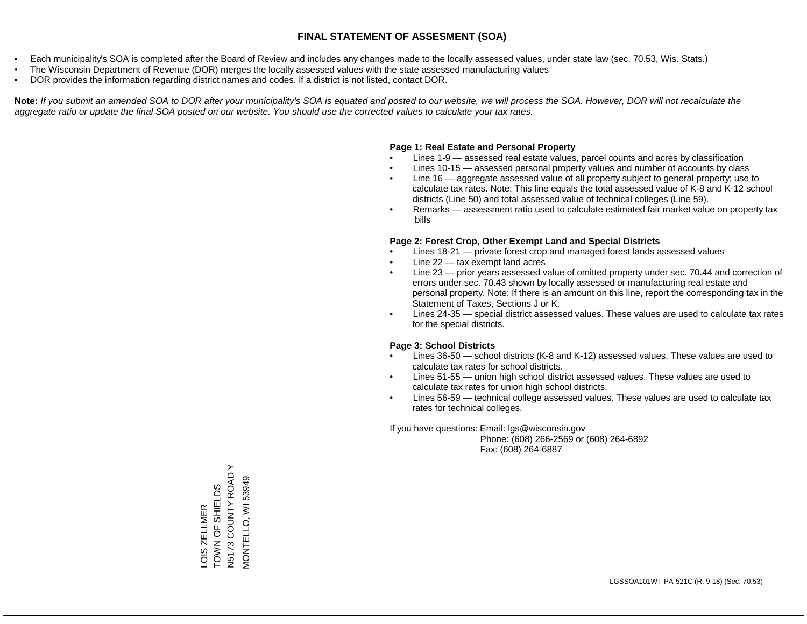- Each municipality's SOA is completed after the Board of Review and includes any changes made to the locally assessed values, under state law (sec. 70.53, Wis. Stats.)
- The Wisconsin Department of Revenue (DOR) merges the locally assessed values with the state assessed manufacturing values
- DOR provides the information regarding district names and codes. If a district is not listed, contact DOR.

Note: If you submit an amended SOA to DOR after your municipality's SOA is equated and posted to our website, we will process the SOA. However, DOR will not recalculate the *aggregate ratio or update the final SOA posted on our website. You should use the corrected values to calculate your tax rates.*

### **Page 1: Real Estate and Personal Property**

- Lines 1-9 assessed real estate values, parcel counts and acres by classification
- Lines 10-15 assessed personal property values and number of accounts by class
- Line 16 aggregate assessed value of all property subject to general property; use to calculate tax rates. Note: This line equals the total assessed value of K-8 and K-12 school districts (Line 50) and total assessed value of technical colleges (Line 59).
- Remarks assessment ratio used to calculate estimated fair market value on property tax bills

### **Page 2: Forest Crop, Other Exempt Land and Special Districts**

- Lines 18-21 private forest crop and managed forest lands assessed values
- Line  $22 -$  tax exempt land acres
- Line 23 prior years assessed value of omitted property under sec. 70.44 and correction of errors under sec. 70.43 shown by locally assessed or manufacturing real estate and personal property. Note: If there is an amount on this line, report the corresponding tax in the Statement of Taxes, Sections J or K.
- Lines 24-35 special district assessed values. These values are used to calculate tax rates for the special districts.

### **Page 3: School Districts**

- Lines 36-50 school districts (K-8 and K-12) assessed values. These values are used to calculate tax rates for school districts.
- Lines 51-55 union high school district assessed values. These values are used to calculate tax rates for union high school districts.
- Lines 56-59 technical college assessed values. These values are used to calculate tax rates for technical colleges.

If you have questions: Email: lgs@wisconsin.gov

 Phone: (608) 266-2569 or (608) 264-6892 Fax: (608) 264-6887

LOIS ZELLMER<br>TOWN OF SHIELDS<br>N5173 COUNTY ROAD Y N5173 COUNTY ROAD Y VIONTELLO, WI 53949 MONTELLO, WI 53949TOWN OF SHIELDS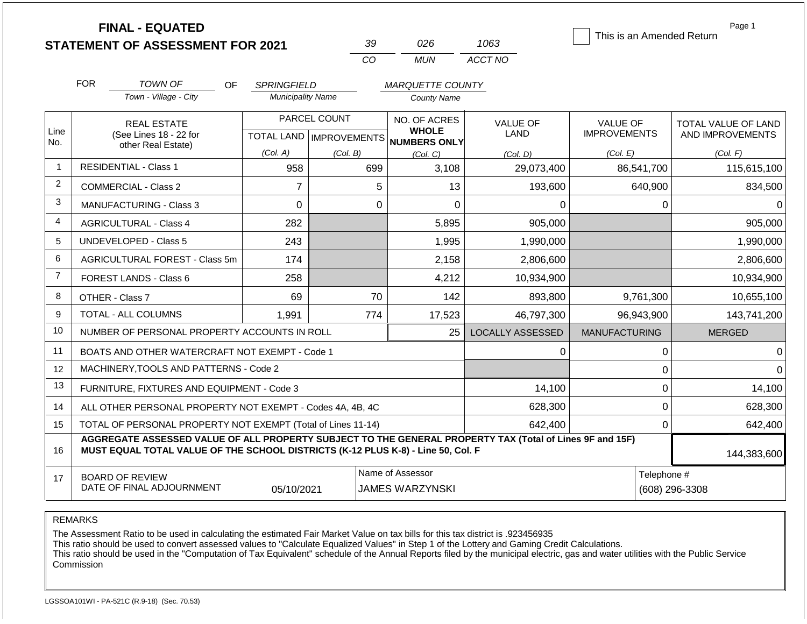|                |                    | <b>FINAL - EQUATED</b><br><b>STATEMENT OF ASSESSMENT FOR 2021</b>                                                                                                                            |                          | 39             | 026                                                  | 1063                    | This is an Amended Return | Page 1                     |  |
|----------------|--------------------|----------------------------------------------------------------------------------------------------------------------------------------------------------------------------------------------|--------------------------|----------------|------------------------------------------------------|-------------------------|---------------------------|----------------------------|--|
|                |                    |                                                                                                                                                                                              |                          | CO             | <b>MUN</b>                                           | ACCT NO                 |                           |                            |  |
|                | <b>FOR</b>         | <b>TOWN OF</b><br>OF.                                                                                                                                                                        | <b>SPRINGFIELD</b>       |                | <b>MARQUETTE COUNTY</b>                              |                         |                           |                            |  |
|                |                    | Town - Village - City                                                                                                                                                                        | <b>Municipality Name</b> |                | County Name                                          |                         |                           |                            |  |
|                |                    | <b>REAL ESTATE</b>                                                                                                                                                                           |                          | PARCEL COUNT   | NO. OF ACRES                                         | <b>VALUE OF</b>         | <b>VALUE OF</b>           | <b>TOTAL VALUE OF LAND</b> |  |
| Line<br>No.    |                    | (See Lines 18 - 22 for                                                                                                                                                                       |                          |                | <b>WHOLE</b><br>TOTAL LAND IMPROVEMENTS NUMBERS ONLY | LAND                    | <b>IMPROVEMENTS</b>       | AND IMPROVEMENTS           |  |
|                | other Real Estate) |                                                                                                                                                                                              | (Col. A)                 | (Col. B)       | (Col, C)                                             | (Col, D)                | (Col. E)                  | (Col. F)                   |  |
| 1              |                    | <b>RESIDENTIAL - Class 1</b>                                                                                                                                                                 | 958                      | 699            | 3,108                                                | 29,073,400              | 86,541,700                | 115,615,100                |  |
| 2              |                    | <b>COMMERCIAL - Class 2</b>                                                                                                                                                                  | 7                        |                | 5<br>13                                              | 193,600                 | 640,900                   | 834,500                    |  |
| 3              |                    | <b>MANUFACTURING - Class 3</b>                                                                                                                                                               | 0                        |                | $\Omega$<br>$\overline{0}$                           | 0                       | $\mathbf 0$               | 0                          |  |
| 4              |                    | <b>AGRICULTURAL - Class 4</b>                                                                                                                                                                | 282                      |                | 5,895                                                | 905,000                 |                           | 905,000                    |  |
| 5              |                    | <b>UNDEVELOPED - Class 5</b>                                                                                                                                                                 | 243                      |                | 1,995                                                | 1,990,000               |                           | 1,990,000                  |  |
| 6              |                    | AGRICULTURAL FOREST - Class 5m                                                                                                                                                               | 174                      |                | 2,158                                                | 2,806,600               |                           | 2,806,600                  |  |
| $\overline{7}$ |                    | FOREST LANDS - Class 6                                                                                                                                                                       | 258                      |                | 4,212                                                | 10,934,900              |                           | 10,934,900                 |  |
| 8              |                    | OTHER - Class 7                                                                                                                                                                              | 69                       | 70             | 142                                                  | 893,800                 | 9,761,300                 | 10,655,100                 |  |
| 9              |                    | TOTAL - ALL COLUMNS                                                                                                                                                                          | 1,991                    | 774            | 17,523                                               | 46,797,300              | 96,943,900                | 143,741,200                |  |
| 10             |                    | NUMBER OF PERSONAL PROPERTY ACCOUNTS IN ROLL                                                                                                                                                 |                          |                | 25                                                   | <b>LOCALLY ASSESSED</b> | <b>MANUFACTURING</b>      | <b>MERGED</b>              |  |
| 11             |                    | BOATS AND OTHER WATERCRAFT NOT EXEMPT - Code 1                                                                                                                                               |                          |                |                                                      | 0                       | $\mathsf 0$               | 0                          |  |
| 12             |                    | MACHINERY, TOOLS AND PATTERNS - Code 2                                                                                                                                                       |                          |                |                                                      |                         | 0                         | 0                          |  |
| 13             |                    | FURNITURE, FIXTURES AND EQUIPMENT - Code 3                                                                                                                                                   |                          |                |                                                      | 14,100                  | $\mathsf 0$               | 14,100                     |  |
| 14             |                    | ALL OTHER PERSONAL PROPERTY NOT EXEMPT - Codes 4A, 4B, 4C                                                                                                                                    |                          |                |                                                      | 628,300                 | 0                         | 628,300                    |  |
| 15             |                    | TOTAL OF PERSONAL PROPERTY NOT EXEMPT (Total of Lines 11-14)                                                                                                                                 |                          |                |                                                      | 642,400                 | $\mathbf{0}$              | 642,400                    |  |
| 16             |                    | AGGREGATE ASSESSED VALUE OF ALL PROPERTY SUBJECT TO THE GENERAL PROPERTY TAX (Total of Lines 9F and 15F)<br>MUST EQUAL TOTAL VALUE OF THE SCHOOL DISTRICTS (K-12 PLUS K-8) - Line 50, Col. F |                          |                |                                                      |                         |                           | 144,383,600                |  |
| 17             |                    | <b>BOARD OF REVIEW</b><br>DATE OF FINAL ADJOURNMENT                                                                                                                                          | Telephone #              | (608) 296-3308 |                                                      |                         |                           |                            |  |

#### REMARKS

The Assessment Ratio to be used in calculating the estimated Fair Market Value on tax bills for this tax district is .923456935

This ratio should be used to convert assessed values to "Calculate Equalized Values" in Step 1 of the Lottery and Gaming Credit Calculations.

 This ratio should be used in the "Computation of Tax Equivalent" schedule of the Annual Reports filed by the municipal electric, gas and water utilities with the Public Service Commission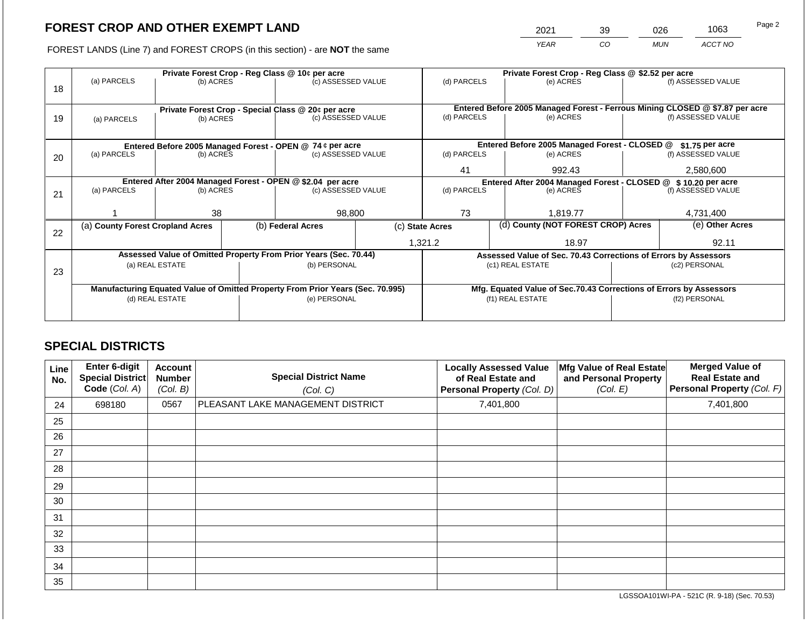2021 39 026 1063

FOREST LANDS (Line 7) and FOREST CROPS (in this section) - are **NOT** the same *YEAR CO MUN ACCT NO*

|    |                                                                                                   | Private Forest Crop - Reg Class @ 10¢ per acre |  |                                                                  |                                                                    |                                                               |                  | Private Forest Crop - Reg Class @ \$2.52 per acre               |  |                                                                              |  |  |
|----|---------------------------------------------------------------------------------------------------|------------------------------------------------|--|------------------------------------------------------------------|--------------------------------------------------------------------|---------------------------------------------------------------|------------------|-----------------------------------------------------------------|--|------------------------------------------------------------------------------|--|--|
|    | (a) PARCELS                                                                                       | (b) ACRES                                      |  | (c) ASSESSED VALUE                                               |                                                                    | (d) PARCELS                                                   |                  | (e) ACRES                                                       |  | (f) ASSESSED VALUE                                                           |  |  |
| 18 |                                                                                                   |                                                |  |                                                                  |                                                                    |                                                               |                  |                                                                 |  |                                                                              |  |  |
|    |                                                                                                   |                                                |  |                                                                  |                                                                    |                                                               |                  |                                                                 |  |                                                                              |  |  |
|    |                                                                                                   |                                                |  | Private Forest Crop - Special Class @ 20¢ per acre               |                                                                    |                                                               |                  |                                                                 |  | Entered Before 2005 Managed Forest - Ferrous Mining CLOSED @ \$7.87 per acre |  |  |
| 19 | (a) PARCELS                                                                                       | (b) ACRES                                      |  | (c) ASSESSED VALUE                                               |                                                                    | (d) PARCELS                                                   |                  | (e) ACRES                                                       |  | (f) ASSESSED VALUE                                                           |  |  |
|    |                                                                                                   |                                                |  |                                                                  |                                                                    |                                                               |                  |                                                                 |  |                                                                              |  |  |
|    | Entered Before 2005 Managed Forest - OPEN @ 74 ¢ per acre                                         |                                                |  |                                                                  | Entered Before 2005 Managed Forest - CLOSED @                      |                                                               | $$1.75$ per acre |                                                                 |  |                                                                              |  |  |
| 20 | (a) PARCELS                                                                                       | (b) ACRES                                      |  | (c) ASSESSED VALUE                                               |                                                                    | (d) PARCELS                                                   |                  | (e) ACRES                                                       |  | (f) ASSESSED VALUE                                                           |  |  |
|    |                                                                                                   |                                                |  |                                                                  |                                                                    |                                                               |                  |                                                                 |  |                                                                              |  |  |
|    |                                                                                                   |                                                |  |                                                                  |                                                                    | 41                                                            |                  | 992.43                                                          |  | 2,580,600                                                                    |  |  |
|    | Entered After 2004 Managed Forest - OPEN @ \$2.04 per acre                                        |                                                |  |                                                                  |                                                                    | Entered After 2004 Managed Forest - CLOSED @ \$10.20 per acre |                  |                                                                 |  |                                                                              |  |  |
| 21 | (a) PARCELS                                                                                       | (b) ACRES                                      |  | (c) ASSESSED VALUE                                               |                                                                    | (d) PARCELS                                                   |                  | (e) ACRES                                                       |  | (f) ASSESSED VALUE                                                           |  |  |
|    |                                                                                                   |                                                |  |                                                                  |                                                                    |                                                               |                  |                                                                 |  |                                                                              |  |  |
|    |                                                                                                   | 38                                             |  | 98,800                                                           |                                                                    | 73                                                            |                  | 1,819.77                                                        |  | 4,731,400                                                                    |  |  |
|    | (a) County Forest Cropland Acres                                                                  |                                                |  | (b) Federal Acres                                                |                                                                    | (d) County (NOT FOREST CROP) Acres<br>(c) State Acres         |                  |                                                                 |  | (e) Other Acres                                                              |  |  |
| 22 |                                                                                                   |                                                |  |                                                                  |                                                                    |                                                               |                  |                                                                 |  |                                                                              |  |  |
|    |                                                                                                   |                                                |  |                                                                  |                                                                    | 1,321.2                                                       |                  | 18.97                                                           |  | 92.11                                                                        |  |  |
|    |                                                                                                   |                                                |  | Assessed Value of Omitted Property From Prior Years (Sec. 70.44) |                                                                    |                                                               |                  | Assessed Value of Sec. 70.43 Corrections of Errors by Assessors |  |                                                                              |  |  |
|    |                                                                                                   | (a) REAL ESTATE                                |  | (b) PERSONAL                                                     |                                                                    |                                                               |                  | (c1) REAL ESTATE                                                |  | (c2) PERSONAL                                                                |  |  |
| 23 |                                                                                                   |                                                |  |                                                                  |                                                                    |                                                               |                  |                                                                 |  |                                                                              |  |  |
|    |                                                                                                   |                                                |  |                                                                  | Mfg. Equated Value of Sec.70.43 Corrections of Errors by Assessors |                                                               |                  |                                                                 |  |                                                                              |  |  |
|    | Manufacturing Equated Value of Omitted Property From Prior Years (Sec. 70.995)<br>(d) REAL ESTATE |                                                |  | (e) PERSONAL                                                     |                                                                    |                                                               |                  | (f1) REAL ESTATE                                                |  | (f2) PERSONAL                                                                |  |  |
|    |                                                                                                   |                                                |  |                                                                  |                                                                    |                                                               |                  |                                                                 |  |                                                                              |  |  |
|    |                                                                                                   |                                                |  |                                                                  |                                                                    |                                                               |                  |                                                                 |  |                                                                              |  |  |

# **SPECIAL DISTRICTS**

| Line<br>No. | <b>Enter 6-digit</b><br>Special District<br>Code (Col. A) | <b>Account</b><br><b>Number</b><br>(Col. B) | <b>Special District Name</b><br>(Col. C) | <b>Locally Assessed Value</b><br>of Real Estate and<br>Personal Property (Col. D) | Mfg Value of Real Estate<br>and Personal Property<br>(Col. E) | <b>Merged Value of</b><br><b>Real Estate and</b><br><b>Personal Property (Col. F)</b> |
|-------------|-----------------------------------------------------------|---------------------------------------------|------------------------------------------|-----------------------------------------------------------------------------------|---------------------------------------------------------------|---------------------------------------------------------------------------------------|
| 24          | 698180                                                    | 0567                                        | PLEASANT LAKE MANAGEMENT DISTRICT        | 7,401,800                                                                         |                                                               | 7,401,800                                                                             |
| 25          |                                                           |                                             |                                          |                                                                                   |                                                               |                                                                                       |
| 26          |                                                           |                                             |                                          |                                                                                   |                                                               |                                                                                       |
| 27          |                                                           |                                             |                                          |                                                                                   |                                                               |                                                                                       |
| 28          |                                                           |                                             |                                          |                                                                                   |                                                               |                                                                                       |
| 29          |                                                           |                                             |                                          |                                                                                   |                                                               |                                                                                       |
| 30          |                                                           |                                             |                                          |                                                                                   |                                                               |                                                                                       |
| 31          |                                                           |                                             |                                          |                                                                                   |                                                               |                                                                                       |
| 32          |                                                           |                                             |                                          |                                                                                   |                                                               |                                                                                       |
| 33          |                                                           |                                             |                                          |                                                                                   |                                                               |                                                                                       |
| 34          |                                                           |                                             |                                          |                                                                                   |                                                               |                                                                                       |
| 35          |                                                           |                                             |                                          |                                                                                   |                                                               |                                                                                       |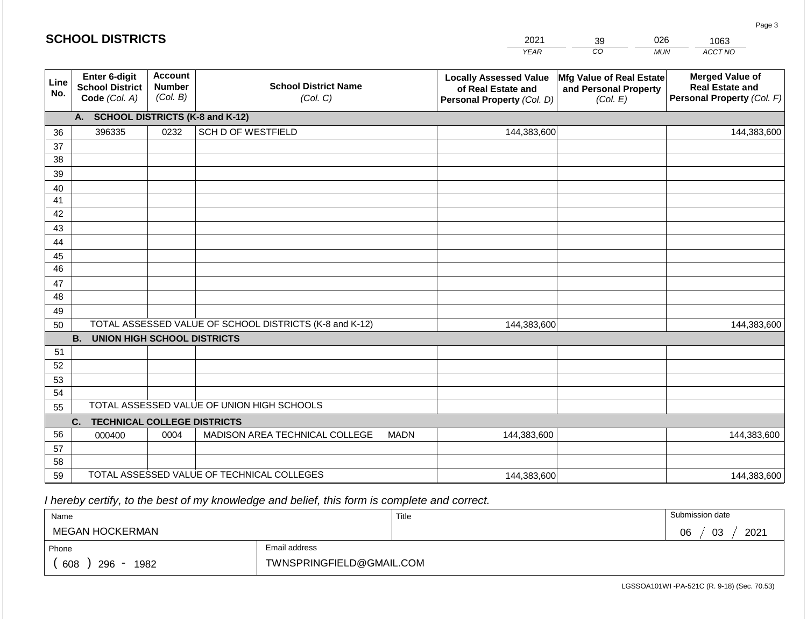|             | <b>SCHOOL DISTRICTS</b>                                  |                                             |                                                         |             | 2021                                                                              | 39                                                            | 026        | 1063                                                                           |
|-------------|----------------------------------------------------------|---------------------------------------------|---------------------------------------------------------|-------------|-----------------------------------------------------------------------------------|---------------------------------------------------------------|------------|--------------------------------------------------------------------------------|
|             |                                                          |                                             |                                                         |             | <b>YEAR</b>                                                                       | CO                                                            | <b>MUN</b> | ACCT NO                                                                        |
| Line<br>No. | Enter 6-digit<br><b>School District</b><br>Code (Col. A) | <b>Account</b><br><b>Number</b><br>(Col. B) | <b>School District Name</b><br>(Col. C)                 |             | <b>Locally Assessed Value</b><br>of Real Estate and<br>Personal Property (Col. D) | Mfg Value of Real Estate<br>and Personal Property<br>(Col. E) |            | <b>Merged Value of</b><br><b>Real Estate and</b><br>Personal Property (Col. F) |
|             | A. SCHOOL DISTRICTS (K-8 and K-12)                       |                                             |                                                         |             |                                                                                   |                                                               |            |                                                                                |
| 36          | 396335                                                   | 0232                                        | <b>SCH D OF WESTFIELD</b>                               |             | 144,383,600                                                                       |                                                               |            | 144,383,600                                                                    |
| 37          |                                                          |                                             |                                                         |             |                                                                                   |                                                               |            |                                                                                |
| 38          |                                                          |                                             |                                                         |             |                                                                                   |                                                               |            |                                                                                |
| 39          |                                                          |                                             |                                                         |             |                                                                                   |                                                               |            |                                                                                |
| 40          |                                                          |                                             |                                                         |             |                                                                                   |                                                               |            |                                                                                |
| 41<br>42    |                                                          |                                             |                                                         |             |                                                                                   |                                                               |            |                                                                                |
| 43          |                                                          |                                             |                                                         |             |                                                                                   |                                                               |            |                                                                                |
| 44          |                                                          |                                             |                                                         |             |                                                                                   |                                                               |            |                                                                                |
| 45          |                                                          |                                             |                                                         |             |                                                                                   |                                                               |            |                                                                                |
| 46          |                                                          |                                             |                                                         |             |                                                                                   |                                                               |            |                                                                                |
| 47          |                                                          |                                             |                                                         |             |                                                                                   |                                                               |            |                                                                                |
| 48          |                                                          |                                             |                                                         |             |                                                                                   |                                                               |            |                                                                                |
| 49          |                                                          |                                             |                                                         |             |                                                                                   |                                                               |            |                                                                                |
| 50          |                                                          |                                             | TOTAL ASSESSED VALUE OF SCHOOL DISTRICTS (K-8 and K-12) |             | 144,383,600                                                                       |                                                               |            | 144,383,600                                                                    |
|             | <b>B.</b><br><b>UNION HIGH SCHOOL DISTRICTS</b>          |                                             |                                                         |             |                                                                                   |                                                               |            |                                                                                |
| 51          |                                                          |                                             |                                                         |             |                                                                                   |                                                               |            |                                                                                |
| 52<br>53    |                                                          |                                             |                                                         |             |                                                                                   |                                                               |            |                                                                                |
| 54          |                                                          |                                             |                                                         |             |                                                                                   |                                                               |            |                                                                                |
| 55          |                                                          |                                             | TOTAL ASSESSED VALUE OF UNION HIGH SCHOOLS              |             |                                                                                   |                                                               |            |                                                                                |
|             | C.<br><b>TECHNICAL COLLEGE DISTRICTS</b>                 |                                             |                                                         |             |                                                                                   |                                                               |            |                                                                                |
| 56          | 000400                                                   | 0004                                        | MADISON AREA TECHNICAL COLLEGE                          | <b>MADN</b> | 144,383,600                                                                       |                                                               |            | 144,383,600                                                                    |
| 57          |                                                          |                                             |                                                         |             |                                                                                   |                                                               |            |                                                                                |
| 58          |                                                          |                                             |                                                         |             |                                                                                   |                                                               |            |                                                                                |
| 59          |                                                          |                                             | TOTAL ASSESSED VALUE OF TECHNICAL COLLEGES              |             | 144,383,600                                                                       |                                                               |            | 144,383,600                                                                    |

 *I hereby certify, to the best of my knowledge and belief, this form is complete and correct.*

**SCHOOL DISTRICTS**

| Name               |                          | Title | Submission date  |
|--------------------|--------------------------|-------|------------------|
| MEGAN HOCKERMAN    |                          |       | 2021<br>03<br>06 |
| Phone              | Email address            |       |                  |
| 608<br>296<br>1982 | TWNSPRINGFIELD@GMAIL.COM |       |                  |

Page 3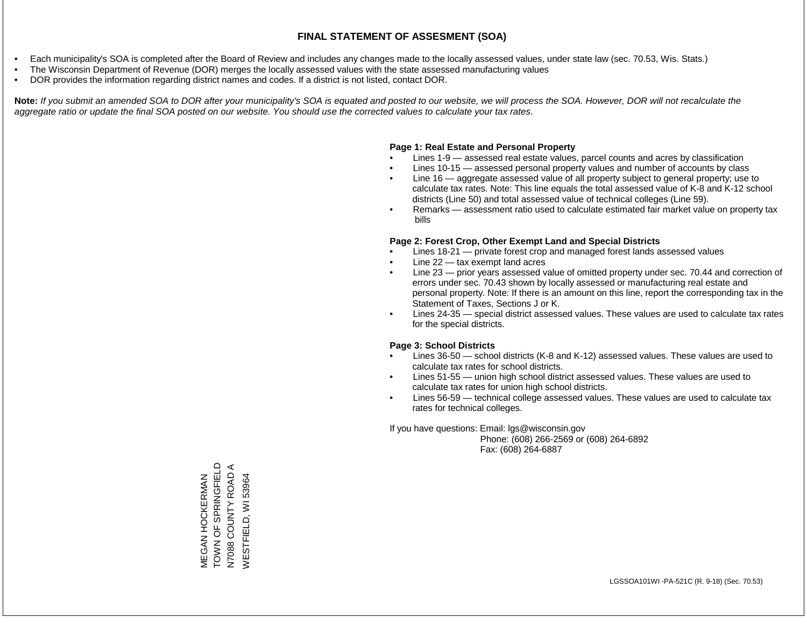- Each municipality's SOA is completed after the Board of Review and includes any changes made to the locally assessed values, under state law (sec. 70.53, Wis. Stats.)
- The Wisconsin Department of Revenue (DOR) merges the locally assessed values with the state assessed manufacturing values
- DOR provides the information regarding district names and codes. If a district is not listed, contact DOR.

Note: If you submit an amended SOA to DOR after your municipality's SOA is equated and posted to our website, we will process the SOA. However, DOR will not recalculate the *aggregate ratio or update the final SOA posted on our website. You should use the corrected values to calculate your tax rates.*

### **Page 1: Real Estate and Personal Property**

- Lines 1-9 assessed real estate values, parcel counts and acres by classification
- Lines 10-15 assessed personal property values and number of accounts by class
- Line 16 aggregate assessed value of all property subject to general property; use to calculate tax rates. Note: This line equals the total assessed value of K-8 and K-12 school districts (Line 50) and total assessed value of technical colleges (Line 59).
- Remarks assessment ratio used to calculate estimated fair market value on property tax bills

### **Page 2: Forest Crop, Other Exempt Land and Special Districts**

- Lines 18-21 private forest crop and managed forest lands assessed values
- Line  $22 -$  tax exempt land acres
- Line 23 prior years assessed value of omitted property under sec. 70.44 and correction of errors under sec. 70.43 shown by locally assessed or manufacturing real estate and personal property. Note: If there is an amount on this line, report the corresponding tax in the Statement of Taxes, Sections J or K.
- Lines 24-35 special district assessed values. These values are used to calculate tax rates for the special districts.

### **Page 3: School Districts**

- Lines 36-50 school districts (K-8 and K-12) assessed values. These values are used to calculate tax rates for school districts.
- Lines 51-55 union high school district assessed values. These values are used to calculate tax rates for union high school districts.
- Lines 56-59 technical college assessed values. These values are used to calculate tax rates for technical colleges.

If you have questions: Email: lgs@wisconsin.gov

 Phone: (608) 266-2569 or (608) 264-6892 Fax: (608) 264-6887

MEGAN HOCKERMAN<br>TOWN OF SPRINGFIELD TOWN OF SPRINGFIELD  $\blacktriangleleft$ N7088 COUNTY ROAD A COUNTY ROAD 53964 WESTFIELD, WI 53964MEGAN HOCKERMAN **WESTFIELD, WI** N7088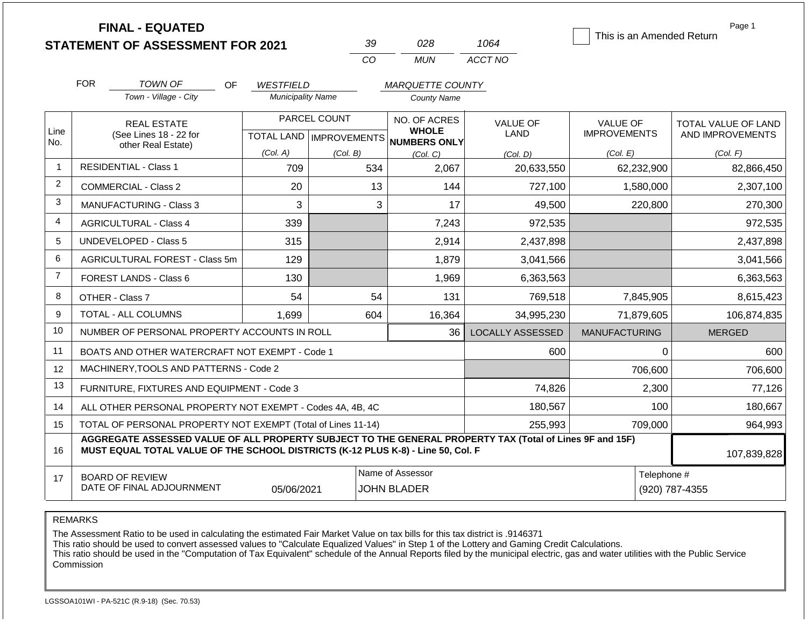|                | <b>FINAL - EQUATED</b>                                                                                                                                                                       |                          | 39                        | 028                                 | 1064                    | This is an Amended Return | Page 1              |
|----------------|----------------------------------------------------------------------------------------------------------------------------------------------------------------------------------------------|--------------------------|---------------------------|-------------------------------------|-------------------------|---------------------------|---------------------|
|                | <b>STATEMENT OF ASSESSMENT FOR 2021</b>                                                                                                                                                      |                          | CO                        | <b>MUN</b>                          | ACCT NO                 |                           |                     |
|                |                                                                                                                                                                                              |                          |                           |                                     |                         |                           |                     |
|                | <b>FOR</b><br>TOWN OF<br><b>OF</b>                                                                                                                                                           | <b>WESTFIELD</b>         |                           | <b>MARQUETTE COUNTY</b>             |                         |                           |                     |
|                | Town - Village - City                                                                                                                                                                        | <b>Municipality Name</b> |                           | <b>County Name</b>                  |                         |                           |                     |
|                | <b>REAL ESTATE</b>                                                                                                                                                                           |                          | PARCEL COUNT              | NO. OF ACRES                        | <b>VALUE OF</b>         | <b>VALUE OF</b>           | TOTAL VALUE OF LAND |
| Line<br>No.    | (See Lines 18 - 22 for                                                                                                                                                                       |                          | TOTAL LAND   IMPROVEMENTS | <b>WHOLE</b><br><b>NUMBERS ONLY</b> | LAND                    | <b>IMPROVEMENTS</b>       | AND IMPROVEMENTS    |
|                | other Real Estate)                                                                                                                                                                           | (Col. A)                 | (Col. B)                  | (Col. C)                            | (Col. D)                | (Col. E)                  | (Col. F)            |
| $\mathbf{1}$   | <b>RESIDENTIAL - Class 1</b>                                                                                                                                                                 | 709                      | 534                       | 2,067                               | 20,633,550              | 62,232,900                | 82,866,450          |
| $\overline{2}$ | <b>COMMERCIAL - Class 2</b>                                                                                                                                                                  | 20                       | 13                        | 144                                 | 727,100                 | 1,580,000                 | 2,307,100           |
| 3              | <b>MANUFACTURING - Class 3</b>                                                                                                                                                               | 3                        | 3                         | 17                                  | 49,500                  | 220,800                   | 270,300             |
| 4              | <b>AGRICULTURAL - Class 4</b>                                                                                                                                                                | 339                      |                           | 7,243                               | 972,535                 |                           | 972,535             |
| 5              | <b>UNDEVELOPED - Class 5</b>                                                                                                                                                                 | 315                      |                           | 2,914                               | 2,437,898               |                           | 2,437,898           |
| 6              | AGRICULTURAL FOREST - Class 5m                                                                                                                                                               | 129                      |                           | 1,879                               | 3,041,566               |                           | 3,041,566           |
| $\overline{7}$ | FOREST LANDS - Class 6                                                                                                                                                                       | 130                      |                           | 1,969                               | 6,363,563               |                           | 6,363,563           |
| 8              | OTHER - Class 7                                                                                                                                                                              | 54                       | 54                        | 131                                 | 769,518                 | 7,845,905                 | 8,615,423           |
| 9              | <b>TOTAL - ALL COLUMNS</b>                                                                                                                                                                   | 1.699                    | 604                       | 16,364                              | 34.995.230              | 71.879.605                | 106,874,835         |
| 10             | NUMBER OF PERSONAL PROPERTY ACCOUNTS IN ROLL                                                                                                                                                 |                          |                           | 36                                  | <b>LOCALLY ASSESSED</b> | <b>MANUFACTURING</b>      | <b>MERGED</b>       |
| 11             | BOATS AND OTHER WATERCRAFT NOT EXEMPT - Code 1                                                                                                                                               |                          |                           |                                     | 600                     | 0                         | 600                 |
| 12             | MACHINERY, TOOLS AND PATTERNS - Code 2                                                                                                                                                       |                          |                           |                                     |                         | 706,600                   | 706,600             |
| 13             | FURNITURE, FIXTURES AND EQUIPMENT - Code 3                                                                                                                                                   |                          |                           |                                     | 74,826                  | 2,300                     | 77,126              |
| 14             | ALL OTHER PERSONAL PROPERTY NOT EXEMPT - Codes 4A, 4B, 4C                                                                                                                                    |                          |                           | 180,567                             | 100                     | 180,667                   |                     |
| 15             | TOTAL OF PERSONAL PROPERTY NOT EXEMPT (Total of Lines 11-14)                                                                                                                                 |                          |                           |                                     | 255,993                 | 709,000                   | 964,993             |
| 16             | AGGREGATE ASSESSED VALUE OF ALL PROPERTY SUBJECT TO THE GENERAL PROPERTY TAX (Total of Lines 9F and 15F)<br>MUST EQUAL TOTAL VALUE OF THE SCHOOL DISTRICTS (K-12 PLUS K-8) - Line 50, Col. F | 107,839,828              |                           |                                     |                         |                           |                     |

| $\overline{\phantom{0}}$ | <b>BOARD OF REVIEW</b>    |            | Assessor<br>Name        | I elephone # |               |
|--------------------------|---------------------------|------------|-------------------------|--------------|---------------|
|                          | DATE OF FINAL ADJOURNMENT | 05/06/2021 | <b>JOHN</b><br>I BLADER | (920)        | 7-4355<br>787 |

REMARKS

The Assessment Ratio to be used in calculating the estimated Fair Market Value on tax bills for this tax district is .9146371

This ratio should be used to convert assessed values to "Calculate Equalized Values" in Step 1 of the Lottery and Gaming Credit Calculations.

 This ratio should be used in the "Computation of Tax Equivalent" schedule of the Annual Reports filed by the municipal electric, gas and water utilities with the Public Service Commission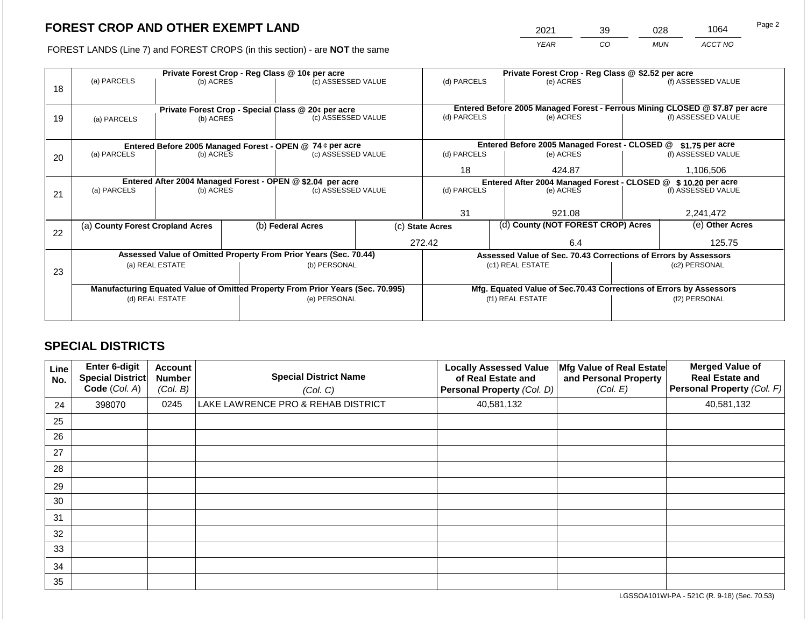2021 39 028 1064

FOREST LANDS (Line 7) and FOREST CROPS (in this section) - are **NOT** the same *YEAR CO MUN ACCT NO*

|    |                                                                                |                                 |  | Private Forest Crop - Reg Class @ 10¢ per acre                           |                                                                    | Private Forest Crop - Reg Class @ \$2.52 per acre |                                    |                                                                              |  |                    |
|----|--------------------------------------------------------------------------------|---------------------------------|--|--------------------------------------------------------------------------|--------------------------------------------------------------------|---------------------------------------------------|------------------------------------|------------------------------------------------------------------------------|--|--------------------|
| 18 | (a) PARCELS                                                                    | (b) ACRES                       |  | (c) ASSESSED VALUE                                                       |                                                                    | (d) PARCELS                                       |                                    | (e) ACRES                                                                    |  | (f) ASSESSED VALUE |
|    |                                                                                |                                 |  |                                                                          |                                                                    |                                                   |                                    |                                                                              |  |                    |
|    |                                                                                |                                 |  |                                                                          |                                                                    |                                                   |                                    | Entered Before 2005 Managed Forest - Ferrous Mining CLOSED @ \$7.87 per acre |  |                    |
| 19 |                                                                                | (b) ACRES                       |  | Private Forest Crop - Special Class @ 20¢ per acre<br>(c) ASSESSED VALUE |                                                                    | (d) PARCELS                                       |                                    | (e) ACRES                                                                    |  | (f) ASSESSED VALUE |
|    | (a) PARCELS                                                                    |                                 |  |                                                                          |                                                                    |                                                   |                                    |                                                                              |  |                    |
|    |                                                                                |                                 |  |                                                                          |                                                                    |                                                   |                                    |                                                                              |  |                    |
|    |                                                                                |                                 |  | Entered Before 2005 Managed Forest - OPEN @ 74 ¢ per acre                |                                                                    |                                                   |                                    | Entered Before 2005 Managed Forest - CLOSED @                                |  | $$1.75$ per acre   |
| 20 | (a) PARCELS                                                                    | (c) ASSESSED VALUE<br>(b) ACRES |  | (d) PARCELS                                                              |                                                                    | (e) ACRES                                         |                                    | (f) ASSESSED VALUE                                                           |  |                    |
|    |                                                                                |                                 |  |                                                                          |                                                                    | 18                                                |                                    | 424.87                                                                       |  | 1,106,506          |
|    |                                                                                |                                 |  |                                                                          |                                                                    |                                                   |                                    |                                                                              |  |                    |
|    | Entered After 2004 Managed Forest - OPEN @ \$2.04 per acre                     |                                 |  |                                                                          |                                                                    |                                                   |                                    | Entered After 2004 Managed Forest - CLOSED @ \$10.20 per acre                |  |                    |
| 21 | (a) PARCELS                                                                    | (b) ACRES                       |  | (c) ASSESSED VALUE                                                       |                                                                    | (d) PARCELS                                       |                                    | (e) ACRES                                                                    |  | (f) ASSESSED VALUE |
|    |                                                                                |                                 |  |                                                                          |                                                                    |                                                   |                                    |                                                                              |  |                    |
|    |                                                                                |                                 |  |                                                                          |                                                                    | 31                                                |                                    | 921.08                                                                       |  | 2,241,472          |
|    | (a) County Forest Cropland Acres                                               |                                 |  | (b) Federal Acres<br>(c) State Acres                                     |                                                                    |                                                   | (d) County (NOT FOREST CROP) Acres |                                                                              |  | (e) Other Acres    |
| 22 |                                                                                |                                 |  |                                                                          |                                                                    |                                                   |                                    |                                                                              |  |                    |
|    |                                                                                |                                 |  |                                                                          |                                                                    | 272.42                                            |                                    | 6.4                                                                          |  | 125.75             |
|    |                                                                                |                                 |  | Assessed Value of Omitted Property From Prior Years (Sec. 70.44)         |                                                                    |                                                   |                                    | Assessed Value of Sec. 70.43 Corrections of Errors by Assessors              |  |                    |
|    |                                                                                | (a) REAL ESTATE                 |  | (b) PERSONAL                                                             |                                                                    |                                                   |                                    | (c1) REAL ESTATE                                                             |  | (c2) PERSONAL      |
| 23 |                                                                                |                                 |  |                                                                          |                                                                    |                                                   |                                    |                                                                              |  |                    |
|    | Manufacturing Equated Value of Omitted Property From Prior Years (Sec. 70.995) |                                 |  |                                                                          | Mfg. Equated Value of Sec.70.43 Corrections of Errors by Assessors |                                                   |                                    |                                                                              |  |                    |
|    |                                                                                | (d) REAL ESTATE                 |  | (e) PERSONAL                                                             |                                                                    |                                                   |                                    | (f1) REAL ESTATE                                                             |  | (f2) PERSONAL      |
|    |                                                                                |                                 |  |                                                                          |                                                                    |                                                   |                                    |                                                                              |  |                    |
|    |                                                                                |                                 |  |                                                                          |                                                                    |                                                   |                                    |                                                                              |  |                    |

# **SPECIAL DISTRICTS**

| Line<br>No. | <b>Enter 6-digit</b><br>Special District<br>Code (Col. A) | <b>Account</b><br><b>Number</b><br>(Col. B) | <b>Special District Name</b><br>(Col. C) | <b>Locally Assessed Value</b><br>of Real Estate and<br>Personal Property (Col. D) | Mfg Value of Real Estate<br>and Personal Property<br>(Col. E) | <b>Merged Value of</b><br><b>Real Estate and</b><br>Personal Property (Col. F) |
|-------------|-----------------------------------------------------------|---------------------------------------------|------------------------------------------|-----------------------------------------------------------------------------------|---------------------------------------------------------------|--------------------------------------------------------------------------------|
| 24          | 398070                                                    | 0245                                        | LAKE LAWRENCE PRO & REHAB DISTRICT       | 40,581,132                                                                        |                                                               | 40,581,132                                                                     |
| 25          |                                                           |                                             |                                          |                                                                                   |                                                               |                                                                                |
| 26          |                                                           |                                             |                                          |                                                                                   |                                                               |                                                                                |
| 27          |                                                           |                                             |                                          |                                                                                   |                                                               |                                                                                |
| 28          |                                                           |                                             |                                          |                                                                                   |                                                               |                                                                                |
| 29          |                                                           |                                             |                                          |                                                                                   |                                                               |                                                                                |
| 30          |                                                           |                                             |                                          |                                                                                   |                                                               |                                                                                |
| 31          |                                                           |                                             |                                          |                                                                                   |                                                               |                                                                                |
| 32          |                                                           |                                             |                                          |                                                                                   |                                                               |                                                                                |
| 33          |                                                           |                                             |                                          |                                                                                   |                                                               |                                                                                |
| 34          |                                                           |                                             |                                          |                                                                                   |                                                               |                                                                                |
| 35          |                                                           |                                             |                                          |                                                                                   |                                                               |                                                                                |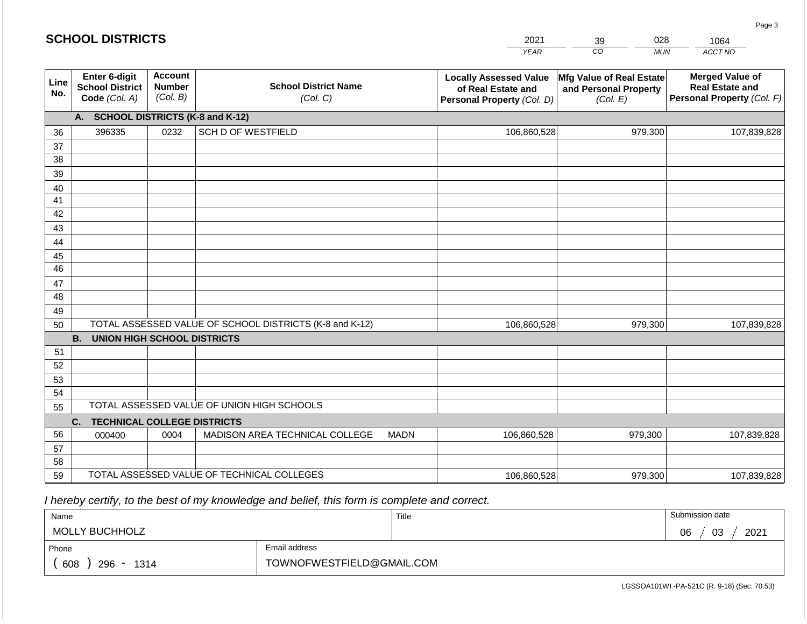|             | <b>SCHOOL DISTRICTS</b>                                  |                                             |                                                         | 2021        | 028<br>39                                                                         | 1064                                                          |                                                                                |
|-------------|----------------------------------------------------------|---------------------------------------------|---------------------------------------------------------|-------------|-----------------------------------------------------------------------------------|---------------------------------------------------------------|--------------------------------------------------------------------------------|
|             |                                                          |                                             |                                                         |             | <b>YEAR</b>                                                                       | CO<br><b>MUN</b>                                              | ACCT NO                                                                        |
| Line<br>No. | Enter 6-digit<br><b>School District</b><br>Code (Col. A) | <b>Account</b><br><b>Number</b><br>(Col. B) | <b>School District Name</b><br>(Col. C)                 |             | <b>Locally Assessed Value</b><br>of Real Estate and<br>Personal Property (Col. D) | Mfg Value of Real Estate<br>and Personal Property<br>(Col. E) | <b>Merged Value of</b><br><b>Real Estate and</b><br>Personal Property (Col. F) |
|             | <b>SCHOOL DISTRICTS (K-8 and K-12)</b><br>А.             |                                             |                                                         |             |                                                                                   |                                                               |                                                                                |
| 36          | 396335                                                   | 0232                                        | <b>SCH D OF WESTFIELD</b>                               |             | 106,860,528                                                                       | 979,300                                                       | 107,839,828                                                                    |
| 37          |                                                          |                                             |                                                         |             |                                                                                   |                                                               |                                                                                |
| 38          |                                                          |                                             |                                                         |             |                                                                                   |                                                               |                                                                                |
| 39          |                                                          |                                             |                                                         |             |                                                                                   |                                                               |                                                                                |
| 40          |                                                          |                                             |                                                         |             |                                                                                   |                                                               |                                                                                |
| 41          |                                                          |                                             |                                                         |             |                                                                                   |                                                               |                                                                                |
| 42          |                                                          |                                             |                                                         |             |                                                                                   |                                                               |                                                                                |
| 43<br>44    |                                                          |                                             |                                                         |             |                                                                                   |                                                               |                                                                                |
| 45          |                                                          |                                             |                                                         |             |                                                                                   |                                                               |                                                                                |
| 46          |                                                          |                                             |                                                         |             |                                                                                   |                                                               |                                                                                |
| 47          |                                                          |                                             |                                                         |             |                                                                                   |                                                               |                                                                                |
| 48          |                                                          |                                             |                                                         |             |                                                                                   |                                                               |                                                                                |
| 49          |                                                          |                                             |                                                         |             |                                                                                   |                                                               |                                                                                |
| 50          |                                                          |                                             | TOTAL ASSESSED VALUE OF SCHOOL DISTRICTS (K-8 and K-12) |             | 106,860,528                                                                       | 979,300                                                       | 107,839,828                                                                    |
|             | <b>B.</b><br><b>UNION HIGH SCHOOL DISTRICTS</b>          |                                             |                                                         |             |                                                                                   |                                                               |                                                                                |
| 51          |                                                          |                                             |                                                         |             |                                                                                   |                                                               |                                                                                |
| 52          |                                                          |                                             |                                                         |             |                                                                                   |                                                               |                                                                                |
| 53          |                                                          |                                             |                                                         |             |                                                                                   |                                                               |                                                                                |
| 54          |                                                          |                                             | TOTAL ASSESSED VALUE OF UNION HIGH SCHOOLS              |             |                                                                                   |                                                               |                                                                                |
| 55          |                                                          |                                             |                                                         |             |                                                                                   |                                                               |                                                                                |
| 56          | <b>TECHNICAL COLLEGE DISTRICTS</b><br>C.                 | 0004                                        | MADISON AREA TECHNICAL COLLEGE                          | <b>MADN</b> |                                                                                   |                                                               |                                                                                |
| 57          | 000400                                                   |                                             |                                                         |             | 106,860,528                                                                       | 979,300                                                       | 107,839,828                                                                    |
| 58          |                                                          |                                             |                                                         |             |                                                                                   |                                                               |                                                                                |
| 59          |                                                          |                                             | TOTAL ASSESSED VALUE OF TECHNICAL COLLEGES              |             | 106,860,528                                                                       | 979,300                                                       | 107,839,828                                                                    |

 *I hereby certify, to the best of my knowledge and belief, this form is complete and correct.*

| Name                   |                           | Title | Submission date  |
|------------------------|---------------------------|-------|------------------|
| <b>MOLLY BUCHHOLZ</b>  |                           |       | 03<br>2021<br>06 |
| Phone                  | Email address             |       |                  |
| 608<br>$296 -$<br>1314 | TOWNOFWESTFIELD@GMAIL.COM |       |                  |

Page 3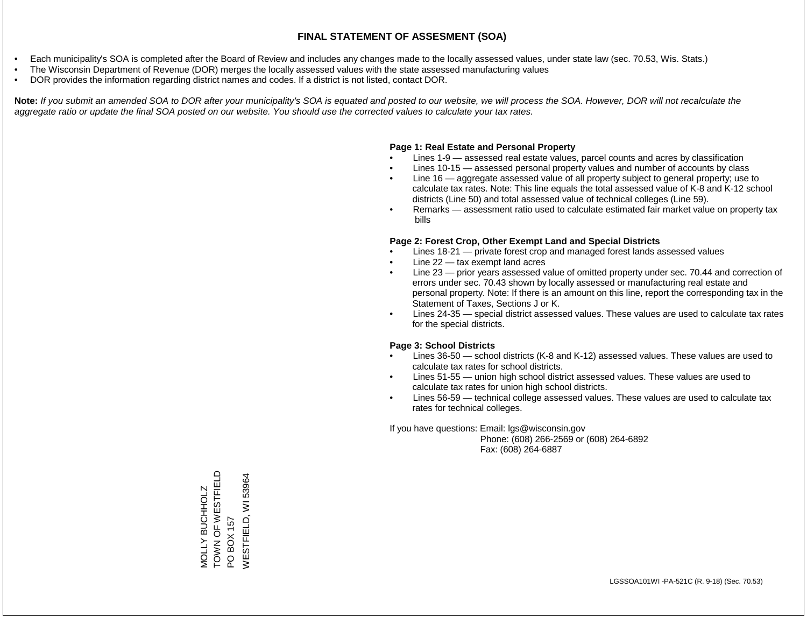- Each municipality's SOA is completed after the Board of Review and includes any changes made to the locally assessed values, under state law (sec. 70.53, Wis. Stats.)
- The Wisconsin Department of Revenue (DOR) merges the locally assessed values with the state assessed manufacturing values
- DOR provides the information regarding district names and codes. If a district is not listed, contact DOR.

Note: If you submit an amended SOA to DOR after your municipality's SOA is equated and posted to our website, we will process the SOA. However, DOR will not recalculate the *aggregate ratio or update the final SOA posted on our website. You should use the corrected values to calculate your tax rates.*

#### **Page 1: Real Estate and Personal Property**

- Lines 1-9 assessed real estate values, parcel counts and acres by classification
- Lines 10-15 assessed personal property values and number of accounts by class
- Line 16 aggregate assessed value of all property subject to general property; use to calculate tax rates. Note: This line equals the total assessed value of K-8 and K-12 school districts (Line 50) and total assessed value of technical colleges (Line 59).
- Remarks assessment ratio used to calculate estimated fair market value on property tax bills

#### **Page 2: Forest Crop, Other Exempt Land and Special Districts**

- Lines 18-21 private forest crop and managed forest lands assessed values
- Line  $22 -$  tax exempt land acres
- Line 23 prior years assessed value of omitted property under sec. 70.44 and correction of errors under sec. 70.43 shown by locally assessed or manufacturing real estate and personal property. Note: If there is an amount on this line, report the corresponding tax in the Statement of Taxes, Sections J or K.
- Lines 24-35 special district assessed values. These values are used to calculate tax rates for the special districts.

#### **Page 3: School Districts**

- Lines 36-50 school districts (K-8 and K-12) assessed values. These values are used to calculate tax rates for school districts.
- Lines 51-55 union high school district assessed values. These values are used to calculate tax rates for union high school districts.
- Lines 56-59 technical college assessed values. These values are used to calculate tax rates for technical colleges.

If you have questions: Email: lgs@wisconsin.gov

 Phone: (608) 266-2569 or (608) 264-6892 Fax: (608) 264-6887

TOWN OF WESTELD TOWN OF WESTFIELD PO BOX 157<br>WESTFIELD, WI 53964 WESTFIELD, WI 53964**VOLLY BUCHHOLZ** MOLLY BUCHHOLZ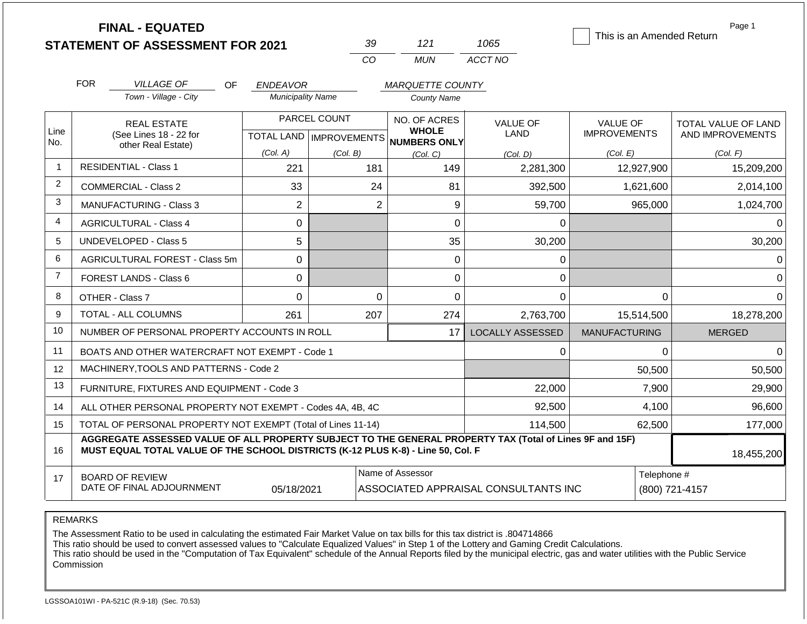|                | <b>FINAL - EQUATED</b>                                                                                                                                                                       |                          |                           |                                     |                                      |                           | Page 1              |  |
|----------------|----------------------------------------------------------------------------------------------------------------------------------------------------------------------------------------------|--------------------------|---------------------------|-------------------------------------|--------------------------------------|---------------------------|---------------------|--|
|                | <b>STATEMENT OF ASSESSMENT FOR 2021</b>                                                                                                                                                      |                          | 39                        | 121                                 | 1065                                 | This is an Amended Return |                     |  |
|                |                                                                                                                                                                                              |                          | CO                        | <b>MUN</b>                          | ACCT NO                              |                           |                     |  |
|                | <b>FOR</b><br><b>VILLAGE OF</b><br>OF.                                                                                                                                                       | <b>ENDEAVOR</b>          |                           | <b>MARQUETTE COUNTY</b>             |                                      |                           |                     |  |
|                | Town - Village - City                                                                                                                                                                        | <b>Municipality Name</b> |                           | <b>County Name</b>                  |                                      |                           |                     |  |
|                | <b>REAL ESTATE</b>                                                                                                                                                                           |                          | PARCEL COUNT              | NO. OF ACRES                        | <b>VALUE OF</b>                      | <b>VALUE OF</b>           | TOTAL VALUE OF LAND |  |
| Line<br>No.    | (See Lines 18 - 22 for                                                                                                                                                                       |                          | TOTAL LAND   IMPROVEMENTS | <b>WHOLE</b><br><b>NUMBERS ONLY</b> | <b>LAND</b>                          | <b>IMPROVEMENTS</b>       | AND IMPROVEMENTS    |  |
|                | other Real Estate)                                                                                                                                                                           | (Col. A)                 | (Col. B)                  | (Col, C)                            | (Col. D)                             | (Col. E)                  | (Col. F)            |  |
| $\overline{1}$ | <b>RESIDENTIAL - Class 1</b>                                                                                                                                                                 | 221                      | 181                       | 149                                 | 2,281,300                            | 12,927,900                | 15,209,200          |  |
| 2              | <b>COMMERCIAL - Class 2</b>                                                                                                                                                                  | 33                       | 24                        | 81                                  | 392,500                              | 1,621,600                 | 2,014,100           |  |
| 3              | <b>MANUFACTURING - Class 3</b>                                                                                                                                                               | $\overline{2}$           | $\overline{2}$            | 9                                   | 59,700                               | 965,000                   | 1,024,700           |  |
| $\overline{4}$ | <b>AGRICULTURAL - Class 4</b>                                                                                                                                                                | $\Omega$                 |                           | 0                                   | $\Omega$                             |                           | $\Omega$            |  |
| 5              | <b>UNDEVELOPED - Class 5</b>                                                                                                                                                                 | 5                        |                           | 35                                  | 30,200                               |                           | 30,200              |  |
| 6              | AGRICULTURAL FOREST - Class 5m                                                                                                                                                               | 0                        |                           | 0                                   | 0                                    |                           | 0                   |  |
| $\overline{7}$ | FOREST LANDS - Class 6                                                                                                                                                                       | 0                        |                           | 0                                   | 0                                    |                           | 0                   |  |
| 8              | OTHER - Class 7                                                                                                                                                                              | 0                        | $\mathbf 0$               | 0                                   | $\Omega$                             | 0                         | $\Omega$            |  |
| 9              | <b>TOTAL - ALL COLUMNS</b>                                                                                                                                                                   | 261                      | 207                       | 274                                 | 2,763,700                            | 15,514,500                | 18,278,200          |  |
| 10             | NUMBER OF PERSONAL PROPERTY ACCOUNTS IN ROLL                                                                                                                                                 |                          |                           | 17                                  | <b>LOCALLY ASSESSED</b>              | <b>MANUFACTURING</b>      | <b>MERGED</b>       |  |
| 11             | BOATS AND OTHER WATERCRAFT NOT EXEMPT - Code 1                                                                                                                                               |                          |                           |                                     | 0                                    | 0                         | $\Omega$            |  |
| 12             | MACHINERY, TOOLS AND PATTERNS - Code 2                                                                                                                                                       |                          |                           |                                     |                                      | 50,500                    | 50,500              |  |
| 13             | FURNITURE, FIXTURES AND EQUIPMENT - Code 3                                                                                                                                                   |                          |                           |                                     | 22,000                               | 7,900                     | 29,900              |  |
| 14             | ALL OTHER PERSONAL PROPERTY NOT EXEMPT - Codes 4A, 4B, 4C                                                                                                                                    |                          |                           |                                     | 92,500                               | 4,100                     | 96,600              |  |
| 15             | TOTAL OF PERSONAL PROPERTY NOT EXEMPT (Total of Lines 11-14)                                                                                                                                 |                          |                           |                                     | 114,500                              | 62,500                    | 177,000             |  |
| 16             | AGGREGATE ASSESSED VALUE OF ALL PROPERTY SUBJECT TO THE GENERAL PROPERTY TAX (Total of Lines 9F and 15F)<br>MUST EQUAL TOTAL VALUE OF THE SCHOOL DISTRICTS (K-12 PLUS K-8) - Line 50, Col. F |                          |                           |                                     |                                      |                           |                     |  |
| 17             | <b>BOARD OF REVIEW</b>                                                                                                                                                                       |                          |                           | Name of Assessor                    |                                      | Telephone #               |                     |  |
|                | DATE OF FINAL ADJOURNMENT                                                                                                                                                                    | 05/18/2021               |                           |                                     | ASSOCIATED APPRAISAL CONSULTANTS INC | (800) 721-4157            |                     |  |

REMARKS

The Assessment Ratio to be used in calculating the estimated Fair Market Value on tax bills for this tax district is .804714866

This ratio should be used to convert assessed values to "Calculate Equalized Values" in Step 1 of the Lottery and Gaming Credit Calculations.

 This ratio should be used in the "Computation of Tax Equivalent" schedule of the Annual Reports filed by the municipal electric, gas and water utilities with the Public Service Commission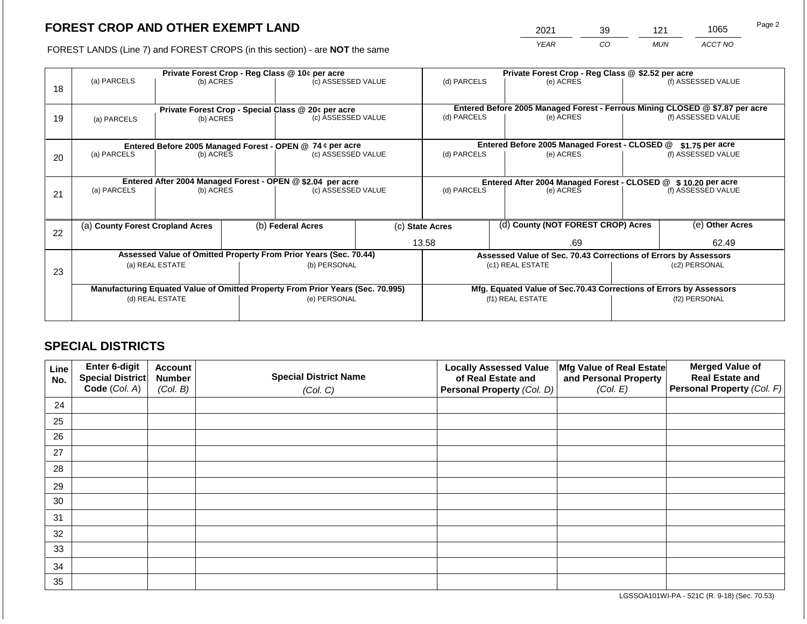2021 39 121 1065

FOREST LANDS (Line 7) and FOREST CROPS (in this section) - are **NOT** the same *YEAR CO MUN ACCT NO*

|    |                                  |                                 |                                 | Private Forest Crop - Reg Class @ 10¢ per acre                                 |             | Private Forest Crop - Reg Class @ \$2.52 per acre                            |           |                                                                    |                    |                    |  |
|----|----------------------------------|---------------------------------|---------------------------------|--------------------------------------------------------------------------------|-------------|------------------------------------------------------------------------------|-----------|--------------------------------------------------------------------|--------------------|--------------------|--|
| 18 | (a) PARCELS                      | (b) ACRES                       |                                 | (c) ASSESSED VALUE                                                             |             | (d) PARCELS                                                                  |           | (e) ACRES                                                          |                    | (f) ASSESSED VALUE |  |
|    |                                  |                                 |                                 | Private Forest Crop - Special Class @ 20¢ per acre                             |             | Entered Before 2005 Managed Forest - Ferrous Mining CLOSED @ \$7.87 per acre |           |                                                                    |                    |                    |  |
| 19 | (a) PARCELS                      |                                 | (c) ASSESSED VALUE<br>(b) ACRES |                                                                                |             | (d) PARCELS<br>(e) ACRES                                                     |           |                                                                    |                    | (f) ASSESSED VALUE |  |
|    |                                  |                                 |                                 |                                                                                |             |                                                                              |           |                                                                    |                    |                    |  |
|    |                                  |                                 |                                 | Entered Before 2005 Managed Forest - OPEN @ 74 ¢ per acre                      |             |                                                                              |           | Entered Before 2005 Managed Forest - CLOSED @                      |                    | $$1.75$ per acre   |  |
| 20 | (a) PARCELS                      | (b) ACRES                       |                                 | (c) ASSESSED VALUE                                                             |             | (d) PARCELS                                                                  |           | (e) ACRES                                                          |                    | (f) ASSESSED VALUE |  |
|    |                                  |                                 |                                 |                                                                                |             |                                                                              |           |                                                                    |                    |                    |  |
|    |                                  |                                 |                                 | Entered After 2004 Managed Forest - OPEN @ \$2.04 per acre                     |             |                                                                              |           | Entered After 2004 Managed Forest - CLOSED @ \$10.20 per acre      |                    |                    |  |
| 21 | (a) PARCELS                      | (c) ASSESSED VALUE<br>(b) ACRES |                                 |                                                                                | (d) PARCELS |                                                                              | (e) ACRES |                                                                    | (f) ASSESSED VALUE |                    |  |
|    |                                  |                                 |                                 |                                                                                |             |                                                                              |           |                                                                    |                    |                    |  |
| 22 | (a) County Forest Cropland Acres |                                 |                                 | (b) Federal Acres                                                              |             | (c) State Acres                                                              |           | (d) County (NOT FOREST CROP) Acres                                 |                    | (e) Other Acres    |  |
|    |                                  |                                 |                                 |                                                                                |             | 13.58<br>.69                                                                 |           |                                                                    |                    | 62.49              |  |
|    |                                  |                                 |                                 | Assessed Value of Omitted Property From Prior Years (Sec. 70.44)               |             |                                                                              |           | Assessed Value of Sec. 70.43 Corrections of Errors by Assessors    |                    |                    |  |
| 23 |                                  | (a) REAL ESTATE                 |                                 | (b) PERSONAL                                                                   |             |                                                                              |           | (c1) REAL ESTATE                                                   |                    | (c2) PERSONAL      |  |
|    |                                  |                                 |                                 |                                                                                |             |                                                                              |           |                                                                    |                    |                    |  |
|    |                                  |                                 |                                 | Manufacturing Equated Value of Omitted Property From Prior Years (Sec. 70.995) |             |                                                                              |           | Mfg. Equated Value of Sec.70.43 Corrections of Errors by Assessors |                    |                    |  |
|    |                                  | (d) REAL ESTATE                 |                                 | (e) PERSONAL                                                                   |             | (f1) REAL ESTATE                                                             |           |                                                                    | (f2) PERSONAL      |                    |  |
|    |                                  |                                 |                                 |                                                                                |             |                                                                              |           |                                                                    |                    |                    |  |

## **SPECIAL DISTRICTS**

| Line<br>No. | Enter 6-digit<br>Special District<br>Code (Col. A) | <b>Account</b><br><b>Number</b><br>(Col. B) | <b>Special District Name</b><br>(Col. C) | <b>Locally Assessed Value</b><br>of Real Estate and<br><b>Personal Property (Col. D)</b> | Mfg Value of Real Estate<br>and Personal Property<br>(Col. E) | <b>Merged Value of</b><br><b>Real Estate and</b><br>Personal Property (Col. F) |
|-------------|----------------------------------------------------|---------------------------------------------|------------------------------------------|------------------------------------------------------------------------------------------|---------------------------------------------------------------|--------------------------------------------------------------------------------|
| 24          |                                                    |                                             |                                          |                                                                                          |                                                               |                                                                                |
| 25          |                                                    |                                             |                                          |                                                                                          |                                                               |                                                                                |
| 26          |                                                    |                                             |                                          |                                                                                          |                                                               |                                                                                |
| 27          |                                                    |                                             |                                          |                                                                                          |                                                               |                                                                                |
| 28          |                                                    |                                             |                                          |                                                                                          |                                                               |                                                                                |
| 29          |                                                    |                                             |                                          |                                                                                          |                                                               |                                                                                |
| 30          |                                                    |                                             |                                          |                                                                                          |                                                               |                                                                                |
| 31          |                                                    |                                             |                                          |                                                                                          |                                                               |                                                                                |
| 32          |                                                    |                                             |                                          |                                                                                          |                                                               |                                                                                |
| 33          |                                                    |                                             |                                          |                                                                                          |                                                               |                                                                                |
| 34          |                                                    |                                             |                                          |                                                                                          |                                                               |                                                                                |
| 35          |                                                    |                                             |                                          |                                                                                          |                                                               |                                                                                |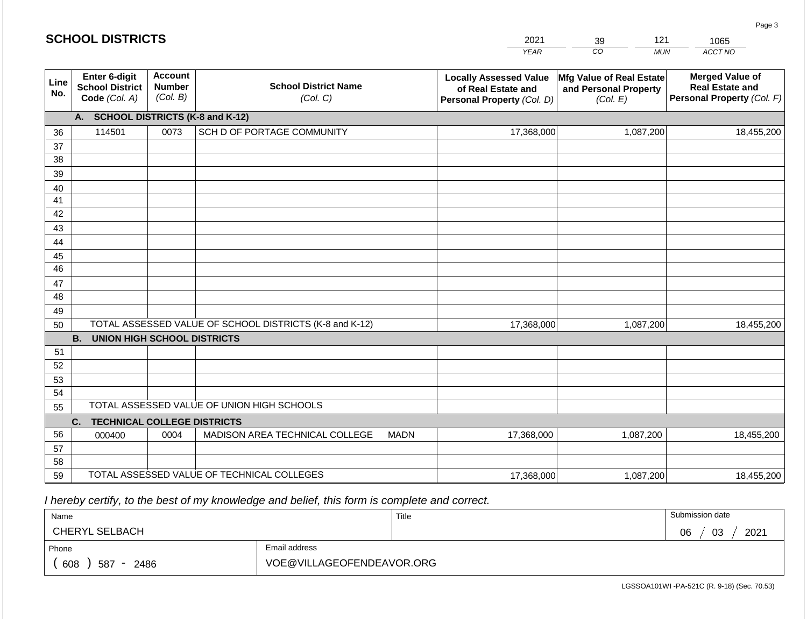#### *YEAR*  2021  $\overline{co}$ 39 *MUN ACCT NO*  1065 **Line No. Enter 6-digit School District Code** *(Col. A)* **Account Number** *(Col. B)* **School District Name** *(Col. C)* **Locally Assessed Value of Real Estate and Personal Property** *(Col. D)* **Mfg Value of Real Estate and Personal Property** *(Col. E)* **Merged Value of Real Estate and Personal Property** *(Col. F)* **A. SCHOOL DISTRICTS (K-8 and K-12)** 36 37 38 39 40 41 42 43 44 45 46 47 48 49 50 TOTAL ASSESSED VALUE OF SCHOOL DISTRICTS (K-8 and K-12) **B. UNION HIGH SCHOOL DISTRICTS** 51 52 53 54 55 **C. TECHNICAL COLLEGE DISTRICTS** 56 57 58 59 TOTAL ASSESSED VALUE OF TECHNICAL COLLEGES TOTAL ASSESSED VALUE OF UNION HIGH SCHOOLS 114501 0073 SCH D OF PORTAGE COMMUNITY 14501 17,368,000 17,368,000 000400 | 0004 | MADISON AREA TECHNICAL COLLEGE MADN 17,368,000 1,087,200 18,455,200 1,087,200 18,455,200 1,087,200 18,455,200 17,368,000 1,087,200 18,455,200

 *I hereby certify, to the best of my knowledge and belief, this form is complete and correct.*

| Name                 |                           | Title | Submission date  |
|----------------------|---------------------------|-------|------------------|
| CHERYL SELBACH       |                           |       | 03<br>2021<br>06 |
| Phone                | Email address             |       |                  |
| 608<br>587 -<br>2486 | VOE@VILLAGEOFENDEAVOR.ORG |       |                  |

LGSSOA101WI -PA-521C (R. 9-18) (Sec. 70.53)

Page 3

|  |  |  | <b>SCHOOL DISTRICTS</b> |  |  |  |
|--|--|--|-------------------------|--|--|--|
|  |  |  |                         |  |  |  |

121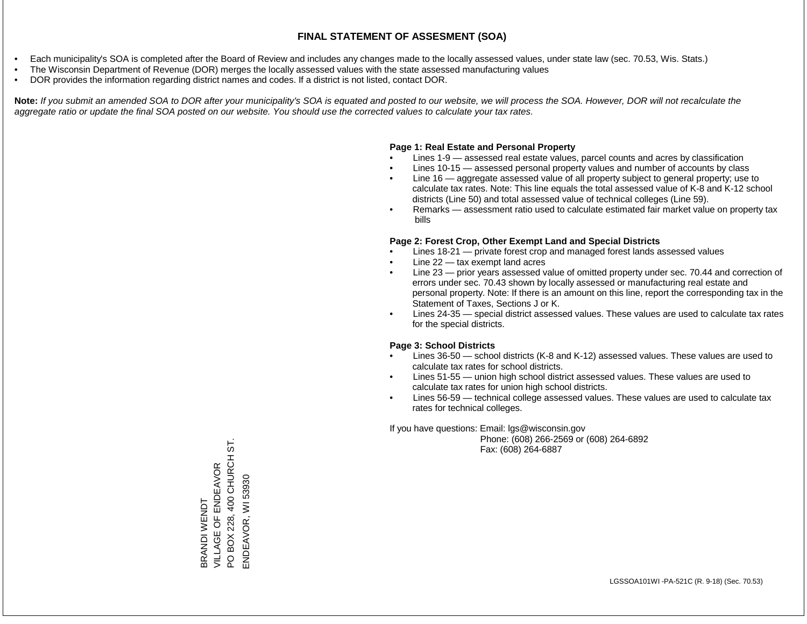- Each municipality's SOA is completed after the Board of Review and includes any changes made to the locally assessed values, under state law (sec. 70.53, Wis. Stats.)
- The Wisconsin Department of Revenue (DOR) merges the locally assessed values with the state assessed manufacturing values
- DOR provides the information regarding district names and codes. If a district is not listed, contact DOR.

Note: If you submit an amended SOA to DOR after your municipality's SOA is equated and posted to our website, we will process the SOA. However, DOR will not recalculate the *aggregate ratio or update the final SOA posted on our website. You should use the corrected values to calculate your tax rates.*

### **Page 1: Real Estate and Personal Property**

- Lines 1-9 assessed real estate values, parcel counts and acres by classification
- Lines 10-15 assessed personal property values and number of accounts by class
- Line 16 aggregate assessed value of all property subject to general property; use to calculate tax rates. Note: This line equals the total assessed value of K-8 and K-12 school districts (Line 50) and total assessed value of technical colleges (Line 59).
- Remarks assessment ratio used to calculate estimated fair market value on property tax bills

### **Page 2: Forest Crop, Other Exempt Land and Special Districts**

- Lines 18-21 private forest crop and managed forest lands assessed values
- Line  $22 -$  tax exempt land acres
- Line 23 prior years assessed value of omitted property under sec. 70.44 and correction of errors under sec. 70.43 shown by locally assessed or manufacturing real estate and personal property. Note: If there is an amount on this line, report the corresponding tax in the Statement of Taxes, Sections J or K.
- Lines 24-35 special district assessed values. These values are used to calculate tax rates for the special districts.

### **Page 3: School Districts**

- Lines 36-50 school districts (K-8 and K-12) assessed values. These values are used to calculate tax rates for school districts.
- Lines 51-55 union high school district assessed values. These values are used to calculate tax rates for union high school districts.
- Lines 56-59 technical college assessed values. These values are used to calculate tax rates for technical colleges.

If you have questions: Email: lgs@wisconsin.gov

 Phone: (608) 266-2569 or (608) 264-6892 Fax: (608) 264-6887

BOX 228, 400 CHURCH ST. PO BOX 228, 400 CHURCH ST. VILLAGE OF ENDEAVOR BRANDI WENDT<br>VILLAGE OF ENDEAVOR WI 53930 ENDEAVOR, WI 53930BRANDI WENDT ENDEAVOR,  $\overline{Q}$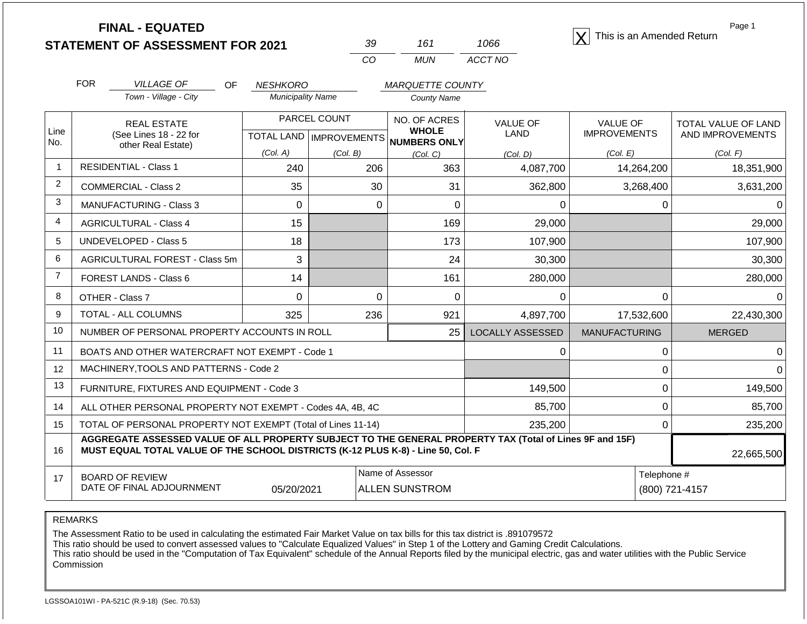**STATEMENT OF ASSESSMENT FOR 2021** 39 161 1066 **X** This is an Amended Return<br> **STATEMENT OF ASSESSMENT FOR 2021** 39 161 1066 **X** This is an Amended Return

| -30 | 161 | 1066    |
|-----|-----|---------|
| CO. | MUN | ACCT NO |

Page 1

|                | <b>FOR</b> | <b>VILLAGE OF</b><br>OF                                                                                                                                                                      | <b>NESHKORO</b>          |                              | <b>MARQUETTE COUNTY</b>                             |                                |                                        |                                                |
|----------------|------------|----------------------------------------------------------------------------------------------------------------------------------------------------------------------------------------------|--------------------------|------------------------------|-----------------------------------------------------|--------------------------------|----------------------------------------|------------------------------------------------|
|                |            | Town - Village - City                                                                                                                                                                        | <b>Municipality Name</b> |                              | <b>County Name</b>                                  |                                |                                        |                                                |
| Line<br>No.    |            | <b>REAL ESTATE</b><br>(See Lines 18 - 22 for<br>other Real Estate)                                                                                                                           | <b>TOTAL LAND</b>        | PARCEL COUNT<br>IMPROVEMENTS | NO. OF ACRES<br><b>WHOLE</b><br><b>NUMBERS ONLY</b> | <b>VALUE OF</b><br><b>LAND</b> | <b>VALUE OF</b><br><b>IMPROVEMENTS</b> | <b>TOTAL VALUE OF LAND</b><br>AND IMPROVEMENTS |
|                |            |                                                                                                                                                                                              | (Col. A)                 | (Col, B)                     | (Col, C)                                            | (Col, D)                       | (Col. E)                               | (Col. F)                                       |
| $\mathbf{1}$   |            | <b>RESIDENTIAL - Class 1</b>                                                                                                                                                                 | 240                      | 206                          | 363                                                 | 4,087,700                      | 14,264,200                             | 18,351,900                                     |
| $\overline{2}$ |            | <b>COMMERCIAL - Class 2</b>                                                                                                                                                                  | 35                       | 30                           | 31                                                  | 362,800                        | 3,268,400                              | 3,631,200                                      |
| 3              |            | <b>MANUFACTURING - Class 3</b>                                                                                                                                                               | $\Omega$                 | 0                            | $\Omega$                                            | $\Omega$                       | 0                                      | $\Omega$                                       |
| 4              |            | <b>AGRICULTURAL - Class 4</b>                                                                                                                                                                | 15                       |                              | 169                                                 | 29,000                         |                                        | 29,000                                         |
| 5              |            | <b>UNDEVELOPED - Class 5</b>                                                                                                                                                                 | 18                       |                              | 173                                                 | 107,900                        |                                        | 107,900                                        |
| 6              |            | AGRICULTURAL FOREST - Class 5m                                                                                                                                                               | 3                        |                              | 24                                                  | 30,300                         |                                        | 30,300                                         |
| $\overline{7}$ |            | <b>FOREST LANDS - Class 6</b>                                                                                                                                                                | 14                       |                              | 161                                                 | 280,000                        |                                        | 280,000                                        |
| 8              |            | OTHER - Class 7                                                                                                                                                                              | $\Omega$                 | $\Omega$                     | 0                                                   | 0                              | 0                                      | $\Omega$                                       |
| 9              |            | TOTAL - ALL COLUMNS                                                                                                                                                                          | 325                      | 236                          | 921                                                 | 4,897,700                      | 17,532,600                             | 22,430,300                                     |
| 10             |            | NUMBER OF PERSONAL PROPERTY ACCOUNTS IN ROLL                                                                                                                                                 |                          |                              | 25                                                  | <b>LOCALLY ASSESSED</b>        | <b>MANUFACTURING</b>                   | <b>MERGED</b>                                  |
| 11             |            | BOATS AND OTHER WATERCRAFT NOT EXEMPT - Code 1                                                                                                                                               |                          |                              |                                                     | 0                              | 0                                      | 0                                              |
| 12             |            | MACHINERY, TOOLS AND PATTERNS - Code 2                                                                                                                                                       |                          |                              |                                                     |                                | 0                                      | $\mathbf 0$                                    |
| 13             |            | FURNITURE, FIXTURES AND EQUIPMENT - Code 3                                                                                                                                                   |                          |                              |                                                     | 149,500                        | 0                                      | 149,500                                        |
| 14             |            | ALL OTHER PERSONAL PROPERTY NOT EXEMPT - Codes 4A, 4B, 4C                                                                                                                                    |                          |                              |                                                     | 85,700                         | 0                                      | 85,700                                         |
| 15             |            | TOTAL OF PERSONAL PROPERTY NOT EXEMPT (Total of Lines 11-14)                                                                                                                                 |                          |                              |                                                     | 235,200                        | $\Omega$                               | 235,200                                        |
| 16             |            | AGGREGATE ASSESSED VALUE OF ALL PROPERTY SUBJECT TO THE GENERAL PROPERTY TAX (Total of Lines 9F and 15F)<br>MUST EQUAL TOTAL VALUE OF THE SCHOOL DISTRICTS (K-12 PLUS K-8) - Line 50, Col. F |                          |                              |                                                     |                                |                                        | 22,665,500                                     |
| 17             |            | <b>BOARD OF REVIEW</b>                                                                                                                                                                       |                          |                              | Name of Assessor                                    |                                | Telephone #                            |                                                |

REMARKS

The Assessment Ratio to be used in calculating the estimated Fair Market Value on tax bills for this tax district is .891079572

This ratio should be used to convert assessed values to "Calculate Equalized Values" in Step 1 of the Lottery and Gaming Credit Calculations.

 This ratio should be used in the "Computation of Tax Equivalent" schedule of the Annual Reports filed by the municipal electric, gas and water utilities with the Public Service Commission

05/20/2021 | ALLEN SUNSTROM | (800) 721-4157

DATE OF FINAL ADJOURNMENT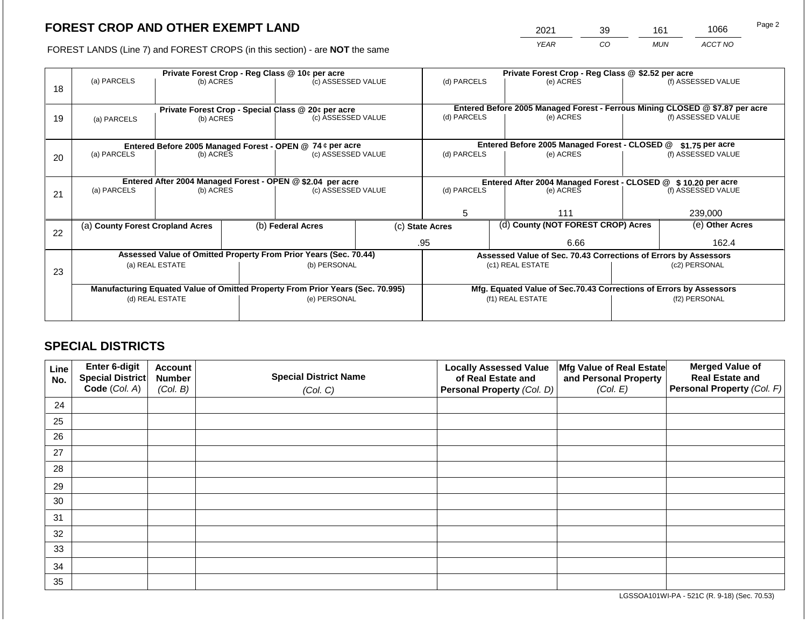2021 39 161 1066

FOREST LANDS (Line 7) and FOREST CROPS (in this section) - are **NOT** the same *YEAR CO MUN ACCT NO*

|    |                                                                                |           |              | Private Forest Crop - Reg Class @ 10¢ per acre                   |                                                               | Private Forest Crop - Reg Class @ \$2.52 per acre                            |                  |                                                                 |                                                                    |                    |  |
|----|--------------------------------------------------------------------------------|-----------|--------------|------------------------------------------------------------------|---------------------------------------------------------------|------------------------------------------------------------------------------|------------------|-----------------------------------------------------------------|--------------------------------------------------------------------|--------------------|--|
| 18 | (a) PARCELS                                                                    | (b) ACRES |              | (c) ASSESSED VALUE                                               |                                                               | (d) PARCELS                                                                  |                  | (e) ACRES                                                       |                                                                    | (f) ASSESSED VALUE |  |
|    |                                                                                |           |              |                                                                  |                                                               |                                                                              |                  |                                                                 |                                                                    |                    |  |
|    |                                                                                |           |              | Private Forest Crop - Special Class @ 20¢ per acre               |                                                               | Entered Before 2005 Managed Forest - Ferrous Mining CLOSED @ \$7.87 per acre |                  |                                                                 |                                                                    |                    |  |
| 19 | (a) PARCELS                                                                    | (b) ACRES |              | (c) ASSESSED VALUE                                               |                                                               | (d) PARCELS                                                                  |                  | (e) ACRES                                                       |                                                                    | (f) ASSESSED VALUE |  |
|    |                                                                                |           |              |                                                                  |                                                               |                                                                              |                  |                                                                 |                                                                    |                    |  |
|    | Entered Before 2005 Managed Forest - OPEN @ 74 ¢ per acre                      |           |              |                                                                  | Entered Before 2005 Managed Forest - CLOSED @                 |                                                                              | $$1.75$ per acre |                                                                 |                                                                    |                    |  |
| 20 | (a) PARCELS<br>(b) ACRES                                                       |           |              | (c) ASSESSED VALUE                                               |                                                               | (d) PARCELS                                                                  |                  | (e) ACRES                                                       |                                                                    | (f) ASSESSED VALUE |  |
|    |                                                                                |           |              |                                                                  |                                                               |                                                                              |                  |                                                                 |                                                                    |                    |  |
|    |                                                                                |           |              | Entered After 2004 Managed Forest - OPEN @ \$2.04 per acre       | Entered After 2004 Managed Forest - CLOSED @ \$10.20 per acre |                                                                              |                  |                                                                 |                                                                    |                    |  |
| 21 | (a) PARCELS                                                                    | (b) ACRES |              | (c) ASSESSED VALUE                                               |                                                               | (d) PARCELS                                                                  |                  | (e) ACRES                                                       |                                                                    | (f) ASSESSED VALUE |  |
|    |                                                                                |           |              |                                                                  |                                                               |                                                                              |                  |                                                                 |                                                                    |                    |  |
|    |                                                                                |           |              |                                                                  |                                                               | 5                                                                            |                  | 111                                                             |                                                                    | 239,000            |  |
| 22 | (a) County Forest Cropland Acres                                               |           |              | (b) Federal Acres                                                |                                                               | (c) State Acres                                                              |                  | (d) County (NOT FOREST CROP) Acres                              |                                                                    | (e) Other Acres    |  |
|    |                                                                                |           |              |                                                                  |                                                               | .95                                                                          |                  | 6.66                                                            |                                                                    | 162.4              |  |
|    |                                                                                |           |              | Assessed Value of Omitted Property From Prior Years (Sec. 70.44) |                                                               |                                                                              |                  | Assessed Value of Sec. 70.43 Corrections of Errors by Assessors |                                                                    |                    |  |
|    | (a) REAL ESTATE                                                                |           |              | (b) PERSONAL                                                     |                                                               |                                                                              |                  | (c1) REAL ESTATE                                                | (c2) PERSONAL                                                      |                    |  |
| 23 |                                                                                |           |              |                                                                  |                                                               |                                                                              |                  |                                                                 |                                                                    |                    |  |
|    | Manufacturing Equated Value of Omitted Property From Prior Years (Sec. 70.995) |           |              |                                                                  |                                                               |                                                                              |                  |                                                                 | Mfg. Equated Value of Sec.70.43 Corrections of Errors by Assessors |                    |  |
|    | (d) REAL ESTATE                                                                |           | (e) PERSONAL |                                                                  |                                                               | (f1) REAL ESTATE                                                             |                  | (f2) PERSONAL                                                   |                                                                    |                    |  |
|    |                                                                                |           |              |                                                                  |                                                               |                                                                              |                  |                                                                 |                                                                    |                    |  |
|    |                                                                                |           |              |                                                                  |                                                               |                                                                              |                  |                                                                 |                                                                    |                    |  |

### **SPECIAL DISTRICTS**

| Line<br>No. | Enter 6-digit<br>Special District | <b>Account</b><br><b>Number</b> | <b>Special District Name</b> | <b>Locally Assessed Value</b><br>of Real Estate and | Mfg Value of Real Estate<br>and Personal Property | <b>Merged Value of</b><br><b>Real Estate and</b> |
|-------------|-----------------------------------|---------------------------------|------------------------------|-----------------------------------------------------|---------------------------------------------------|--------------------------------------------------|
|             | Code (Col. A)                     | (Col. B)                        | (Col. C)                     | Personal Property (Col. D)                          | (Col. E)                                          | Personal Property (Col. F)                       |
| 24          |                                   |                                 |                              |                                                     |                                                   |                                                  |
| 25          |                                   |                                 |                              |                                                     |                                                   |                                                  |
| 26          |                                   |                                 |                              |                                                     |                                                   |                                                  |
| 27          |                                   |                                 |                              |                                                     |                                                   |                                                  |
| 28          |                                   |                                 |                              |                                                     |                                                   |                                                  |
| 29          |                                   |                                 |                              |                                                     |                                                   |                                                  |
| 30          |                                   |                                 |                              |                                                     |                                                   |                                                  |
| 31          |                                   |                                 |                              |                                                     |                                                   |                                                  |
| 32          |                                   |                                 |                              |                                                     |                                                   |                                                  |
| 33          |                                   |                                 |                              |                                                     |                                                   |                                                  |
| 34          |                                   |                                 |                              |                                                     |                                                   |                                                  |
| 35          |                                   |                                 |                              |                                                     |                                                   |                                                  |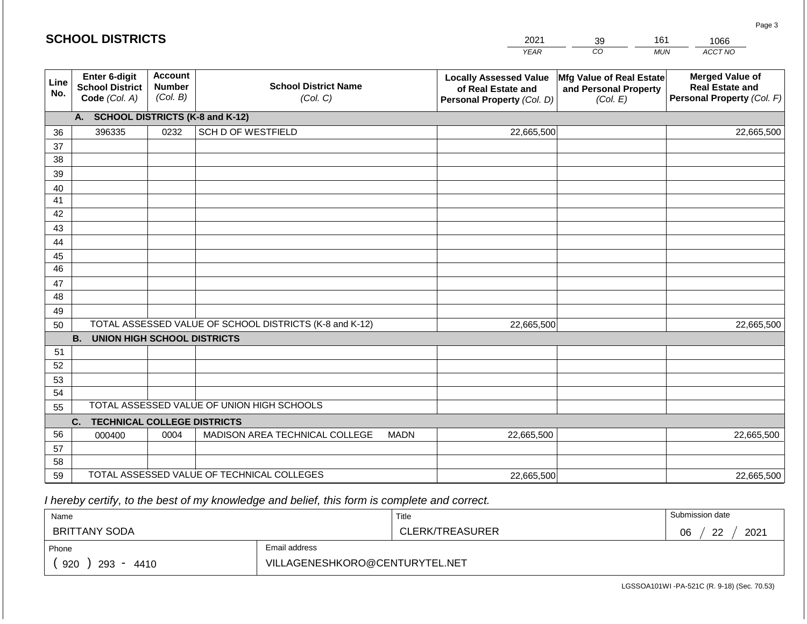|             | <b>SCHOOL DISTRICTS</b>                                  |                                             |                                                         |             | 2021                                                                              | 39                                                            | 161        | 1066                                                                           |
|-------------|----------------------------------------------------------|---------------------------------------------|---------------------------------------------------------|-------------|-----------------------------------------------------------------------------------|---------------------------------------------------------------|------------|--------------------------------------------------------------------------------|
|             |                                                          |                                             |                                                         |             | <b>YEAR</b>                                                                       | CO                                                            | <b>MUN</b> | ACCT NO                                                                        |
| Line<br>No. | Enter 6-digit<br><b>School District</b><br>Code (Col. A) | <b>Account</b><br><b>Number</b><br>(Col. B) | <b>School District Name</b><br>(Col. C)                 |             | <b>Locally Assessed Value</b><br>of Real Estate and<br>Personal Property (Col. D) | Mfg Value of Real Estate<br>and Personal Property<br>(Col. E) |            | <b>Merged Value of</b><br><b>Real Estate and</b><br>Personal Property (Col. F) |
|             | A. SCHOOL DISTRICTS (K-8 and K-12)                       |                                             |                                                         |             |                                                                                   |                                                               |            |                                                                                |
| 36          | 396335                                                   | 0232                                        | <b>SCH D OF WESTFIELD</b>                               |             | 22,665,500                                                                        |                                                               |            | 22,665,500                                                                     |
| 37          |                                                          |                                             |                                                         |             |                                                                                   |                                                               |            |                                                                                |
| 38          |                                                          |                                             |                                                         |             |                                                                                   |                                                               |            |                                                                                |
| 39          |                                                          |                                             |                                                         |             |                                                                                   |                                                               |            |                                                                                |
| 40          |                                                          |                                             |                                                         |             |                                                                                   |                                                               |            |                                                                                |
| 41          |                                                          |                                             |                                                         |             |                                                                                   |                                                               |            |                                                                                |
| 42          |                                                          |                                             |                                                         |             |                                                                                   |                                                               |            |                                                                                |
| 43<br>44    |                                                          |                                             |                                                         |             |                                                                                   |                                                               |            |                                                                                |
| 45          |                                                          |                                             |                                                         |             |                                                                                   |                                                               |            |                                                                                |
| 46          |                                                          |                                             |                                                         |             |                                                                                   |                                                               |            |                                                                                |
| 47          |                                                          |                                             |                                                         |             |                                                                                   |                                                               |            |                                                                                |
| 48          |                                                          |                                             |                                                         |             |                                                                                   |                                                               |            |                                                                                |
| 49          |                                                          |                                             |                                                         |             |                                                                                   |                                                               |            |                                                                                |
| 50          |                                                          |                                             | TOTAL ASSESSED VALUE OF SCHOOL DISTRICTS (K-8 and K-12) |             | 22,665,500                                                                        |                                                               |            | 22,665,500                                                                     |
|             | <b>B.</b><br><b>UNION HIGH SCHOOL DISTRICTS</b>          |                                             |                                                         |             |                                                                                   |                                                               |            |                                                                                |
| 51          |                                                          |                                             |                                                         |             |                                                                                   |                                                               |            |                                                                                |
| 52          |                                                          |                                             |                                                         |             |                                                                                   |                                                               |            |                                                                                |
| 53          |                                                          |                                             |                                                         |             |                                                                                   |                                                               |            |                                                                                |
| 54          |                                                          |                                             | TOTAL ASSESSED VALUE OF UNION HIGH SCHOOLS              |             |                                                                                   |                                                               |            |                                                                                |
| 55          |                                                          |                                             |                                                         |             |                                                                                   |                                                               |            |                                                                                |
| 56          | C.<br><b>TECHNICAL COLLEGE DISTRICTS</b>                 | 0004                                        | MADISON AREA TECHNICAL COLLEGE                          | <b>MADN</b> | 22,665,500                                                                        |                                                               |            | 22,665,500                                                                     |
| 57          | 000400                                                   |                                             |                                                         |             |                                                                                   |                                                               |            |                                                                                |
| 58          |                                                          |                                             |                                                         |             |                                                                                   |                                                               |            |                                                                                |
| 59          |                                                          |                                             | TOTAL ASSESSED VALUE OF TECHNICAL COLLEGES              |             | 22,665,500                                                                        |                                                               |            | 22,665,500                                                                     |

 *I hereby certify, to the best of my knowledge and belief, this form is complete and correct.*

**SCHOOL DISTRICTS**

| Name                 |                                | Title                  | Submission date         |
|----------------------|--------------------------------|------------------------|-------------------------|
| <b>BRITTANY SODA</b> |                                | <b>CLERK/TREASURER</b> | 2021<br>ົດດ<br>∩ഭ<br>vv |
| Phone                | Email address                  |                        |                         |
| 920<br>293<br>4410   | VILLAGENESHKORO@CENTURYTEL.NET |                        |                         |

LGSSOA101WI -PA-521C (R. 9-18) (Sec. 70.53)

Page 3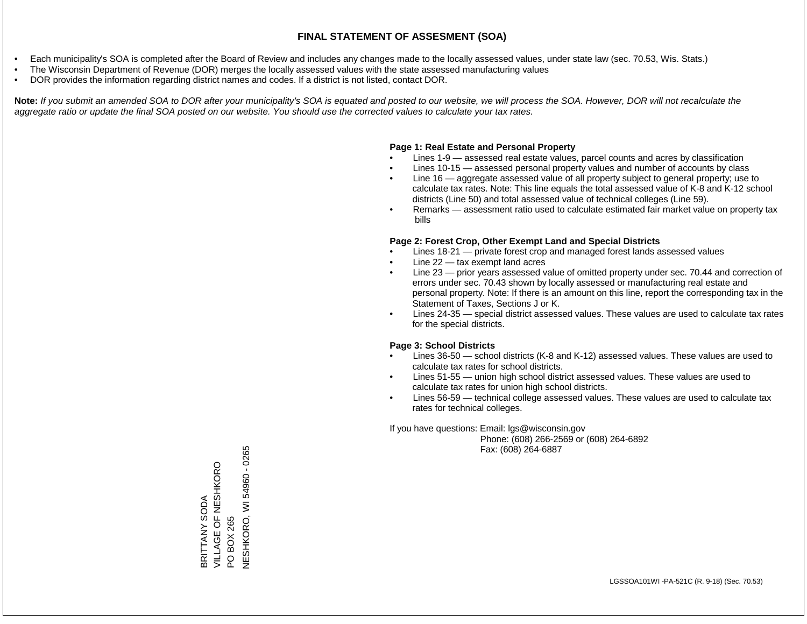- Each municipality's SOA is completed after the Board of Review and includes any changes made to the locally assessed values, under state law (sec. 70.53, Wis. Stats.)
- The Wisconsin Department of Revenue (DOR) merges the locally assessed values with the state assessed manufacturing values
- DOR provides the information regarding district names and codes. If a district is not listed, contact DOR.

Note: If you submit an amended SOA to DOR after your municipality's SOA is equated and posted to our website, we will process the SOA. However, DOR will not recalculate the *aggregate ratio or update the final SOA posted on our website. You should use the corrected values to calculate your tax rates.*

#### **Page 1: Real Estate and Personal Property**

- Lines 1-9 assessed real estate values, parcel counts and acres by classification
- Lines 10-15 assessed personal property values and number of accounts by class
- Line 16 aggregate assessed value of all property subject to general property; use to calculate tax rates. Note: This line equals the total assessed value of K-8 and K-12 school districts (Line 50) and total assessed value of technical colleges (Line 59).
- Remarks assessment ratio used to calculate estimated fair market value on property tax bills

#### **Page 2: Forest Crop, Other Exempt Land and Special Districts**

- Lines 18-21 private forest crop and managed forest lands assessed values
- Line  $22 -$  tax exempt land acres
- Line 23 prior years assessed value of omitted property under sec. 70.44 and correction of errors under sec. 70.43 shown by locally assessed or manufacturing real estate and personal property. Note: If there is an amount on this line, report the corresponding tax in the Statement of Taxes, Sections J or K.
- Lines 24-35 special district assessed values. These values are used to calculate tax rates for the special districts.

#### **Page 3: School Districts**

- Lines 36-50 school districts (K-8 and K-12) assessed values. These values are used to calculate tax rates for school districts.
- Lines 51-55 union high school district assessed values. These values are used to calculate tax rates for union high school districts.
- Lines 56-59 technical college assessed values. These values are used to calculate tax rates for technical colleges.

If you have questions: Email: lgs@wisconsin.gov

 Phone: (608) 266-2569 or (608) 264-6892 Fax: (608) 264-6887

BRITTANY SODA VILLAGE OF NESHKORO BRITTANY SODA<br>VILLAGE OF NESHKORO<br>PO BOX 265<br>NESHKORO, WI 54960 - 0265 NESHKORO, WESHSO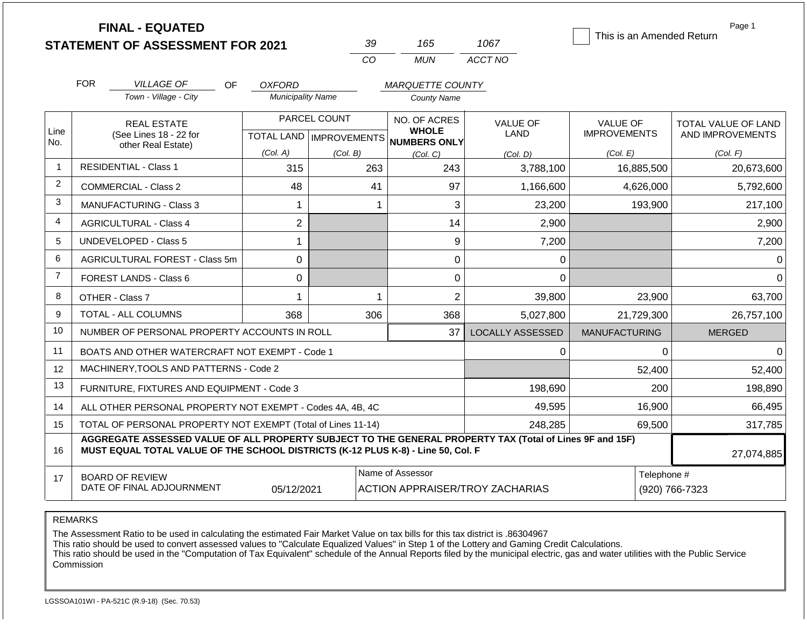|      | <b>FINAL - EQUATED</b>                                                                                                                                                                       |                           |              |                              |                                        |                           | Page 1              |
|------|----------------------------------------------------------------------------------------------------------------------------------------------------------------------------------------------|---------------------------|--------------|------------------------------|----------------------------------------|---------------------------|---------------------|
|      | <b>STATEMENT OF ASSESSMENT FOR 2021</b>                                                                                                                                                      |                           | 39           | 165                          | 1067                                   | This is an Amended Return |                     |
|      |                                                                                                                                                                                              |                           | CO           | <b>MUN</b>                   | ACCT NO                                |                           |                     |
|      | <b>FOR</b><br><b>VILLAGE OF</b><br><b>OF</b>                                                                                                                                                 | <b>OXFORD</b>             |              | <b>MARQUETTE COUNTY</b>      |                                        |                           |                     |
|      | Town - Village - City                                                                                                                                                                        | <b>Municipality Name</b>  |              | <b>County Name</b>           |                                        |                           |                     |
|      | <b>REAL ESTATE</b>                                                                                                                                                                           |                           | PARCEL COUNT | NO. OF ACRES                 | <b>VALUE OF</b>                        | <b>VALUE OF</b>           | TOTAL VALUE OF LAND |
| Line | (See Lines 18 - 22 for                                                                                                                                                                       | TOTAL LAND   IMPROVEMENTS |              | <b>WHOLE</b><br>NUMBERS ONLY | <b>LAND</b>                            | <b>IMPROVEMENTS</b>       | AND IMPROVEMENTS    |
| No.  | other Real Estate)                                                                                                                                                                           | (Col. A)                  | (Col. B)     | (Col. C)                     | (Col. D)                               | (Col. E)                  | (Col. F)            |
| -1   | <b>RESIDENTIAL - Class 1</b>                                                                                                                                                                 | 315                       | 263          | 243                          | 3,788,100                              | 16,885,500                | 20,673,600          |
| 2    | <b>COMMERCIAL - Class 2</b>                                                                                                                                                                  | 48                        | 41           | 97                           | 1,166,600                              | 4,626,000                 | 5,792,600           |
| 3    | MANUFACTURING - Class 3                                                                                                                                                                      | 1                         | 1            | 3                            | 23,200                                 | 193,900                   | 217,100             |
| 4    | <b>AGRICULTURAL - Class 4</b>                                                                                                                                                                | $\overline{2}$            |              | 14                           | 2,900                                  |                           | 2,900               |
| 5    | <b>UNDEVELOPED - Class 5</b>                                                                                                                                                                 | 1                         |              | 9                            | 7,200                                  |                           | 7,200               |
| 6    | AGRICULTURAL FOREST - Class 5m                                                                                                                                                               | $\mathbf 0$               |              | $\boldsymbol{0}$             | 0                                      |                           | 0                   |
| 7    | <b>FOREST LANDS - Class 6</b>                                                                                                                                                                | $\mathbf 0$               |              | 0                            | $\Omega$                               |                           | ∩                   |
| 8    | OTHER - Class 7                                                                                                                                                                              | 1                         | 1            | $\overline{2}$               | 39,800                                 | 23,900                    | 63,700              |
| 9    | <b>TOTAL - ALL COLUMNS</b>                                                                                                                                                                   | 368                       | 306          | 368                          | 5,027,800                              | 21,729,300                | 26,757,100          |
| 10   | NUMBER OF PERSONAL PROPERTY ACCOUNTS IN ROLL                                                                                                                                                 |                           |              | 37                           | <b>LOCALLY ASSESSED</b>                | <b>MANUFACTURING</b>      | <b>MERGED</b>       |
| 11   | BOATS AND OTHER WATERCRAFT NOT EXEMPT - Code 1                                                                                                                                               |                           |              |                              | 0                                      | $\Omega$                  | ∩                   |
| 12   | MACHINERY, TOOLS AND PATTERNS - Code 2                                                                                                                                                       |                           |              |                              |                                        | 52,400                    | 52,400              |
| 13   | FURNITURE, FIXTURES AND EQUIPMENT - Code 3                                                                                                                                                   |                           |              |                              | 198,690                                | 200                       | 198,890             |
| 14   | ALL OTHER PERSONAL PROPERTY NOT EXEMPT - Codes 4A, 4B, 4C                                                                                                                                    |                           |              |                              | 49,595                                 | 16,900                    | 66,495              |
| 15   | TOTAL OF PERSONAL PROPERTY NOT EXEMPT (Total of Lines 11-14)                                                                                                                                 |                           |              |                              | 248,285                                | 69,500                    | 317,785             |
| 16   | AGGREGATE ASSESSED VALUE OF ALL PROPERTY SUBJECT TO THE GENERAL PROPERTY TAX (Total of Lines 9F and 15F)<br>MUST EQUAL TOTAL VALUE OF THE SCHOOL DISTRICTS (K-12 PLUS K-8) - Line 50, Col. F |                           |              |                              |                                        |                           | 27,074,885          |
| 17   | <b>BOARD OF REVIEW</b>                                                                                                                                                                       |                           |              | Name of Assessor             |                                        | Telephone #               |                     |
|      | DATE OF FINAL ADJOURNMENT                                                                                                                                                                    | 05/12/2021                |              |                              | <b>ACTION APPRAISER/TROY ZACHARIAS</b> |                           | (920) 766-7323      |

REMARKS

The Assessment Ratio to be used in calculating the estimated Fair Market Value on tax bills for this tax district is .86304967

This ratio should be used to convert assessed values to "Calculate Equalized Values" in Step 1 of the Lottery and Gaming Credit Calculations.

 This ratio should be used in the "Computation of Tax Equivalent" schedule of the Annual Reports filed by the municipal electric, gas and water utilities with the Public Service Commission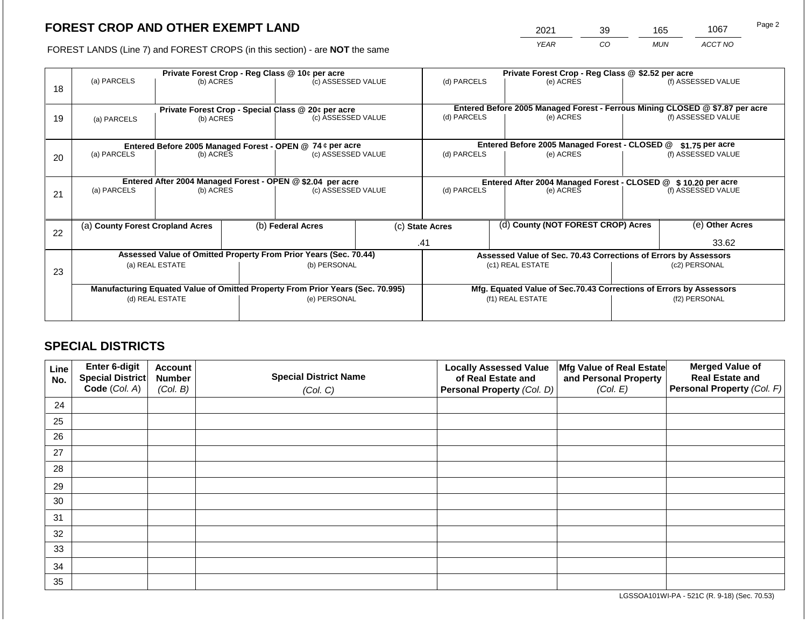2021 39 165 1067

FOREST LANDS (Line 7) and FOREST CROPS (in this section) - are **NOT** the same *YEAR CO MUN ACCT NO*

| 18 | (a) PARCELS                      | (b) ACRES       |                   | Private Forest Crop - Reg Class @ 10¢ per acre<br>(c) ASSESSED VALUE           |  |                          | Private Forest Crop - Reg Class @ \$2.52 per acre<br>(d) PARCELS<br>(e) ACRES |                                               |                                                                 | (f) ASSESSED VALUE                                                                                 |  |
|----|----------------------------------|-----------------|-------------------|--------------------------------------------------------------------------------|--|--------------------------|-------------------------------------------------------------------------------|-----------------------------------------------|-----------------------------------------------------------------|----------------------------------------------------------------------------------------------------|--|
| 19 | (a) PARCELS                      | (b) ACRES       |                   | Private Forest Crop - Special Class @ 20¢ per acre<br>(c) ASSESSED VALUE       |  | (d) PARCELS              |                                                                               | (e) ACRES                                     |                                                                 | Entered Before 2005 Managed Forest - Ferrous Mining CLOSED @ \$7.87 per acre<br>(f) ASSESSED VALUE |  |
|    |                                  |                 |                   | Entered Before 2005 Managed Forest - OPEN @ 74 ¢ per acre                      |  |                          |                                                                               | Entered Before 2005 Managed Forest - CLOSED @ |                                                                 | $$1.75$ per acre                                                                                   |  |
| 20 | (a) PARCELS<br>(b) ACRES         |                 |                   | (c) ASSESSED VALUE                                                             |  | (d) PARCELS<br>(e) ACRES |                                                                               |                                               |                                                                 | (f) ASSESSED VALUE                                                                                 |  |
|    |                                  |                 |                   | Entered After 2004 Managed Forest - OPEN @ \$2.04 per acre                     |  |                          | Entered After 2004 Managed Forest - CLOSED @ \$10.20 per acre                 |                                               |                                                                 |                                                                                                    |  |
| 21 | (a) PARCELS                      | (b) ACRES       |                   | (c) ASSESSED VALUE                                                             |  | (d) PARCELS              |                                                                               | (e) ACRES                                     |                                                                 | (f) ASSESSED VALUE                                                                                 |  |
|    |                                  |                 |                   |                                                                                |  |                          |                                                                               |                                               |                                                                 |                                                                                                    |  |
| 22 | (a) County Forest Cropland Acres |                 | (b) Federal Acres |                                                                                |  | (c) State Acres          | (d) County (NOT FOREST CROP) Acres                                            |                                               |                                                                 | (e) Other Acres                                                                                    |  |
|    |                                  |                 |                   |                                                                                |  | .41                      |                                                                               | 33.62                                         |                                                                 |                                                                                                    |  |
|    |                                  |                 |                   | Assessed Value of Omitted Property From Prior Years (Sec. 70.44)               |  |                          |                                                                               |                                               | Assessed Value of Sec. 70.43 Corrections of Errors by Assessors |                                                                                                    |  |
| 23 |                                  | (a) REAL ESTATE |                   | (b) PERSONAL                                                                   |  |                          |                                                                               | (c1) REAL ESTATE                              | (c2) PERSONAL                                                   |                                                                                                    |  |
|    |                                  |                 |                   |                                                                                |  |                          |                                                                               |                                               |                                                                 |                                                                                                    |  |
|    |                                  |                 |                   | Manufacturing Equated Value of Omitted Property From Prior Years (Sec. 70.995) |  |                          | Mfg. Equated Value of Sec.70.43 Corrections of Errors by Assessors            |                                               |                                                                 |                                                                                                    |  |
|    |                                  | (d) REAL ESTATE |                   | (e) PERSONAL                                                                   |  |                          | (f1) REAL ESTATE                                                              |                                               |                                                                 | (f2) PERSONAL                                                                                      |  |
|    |                                  |                 |                   |                                                                                |  |                          |                                                                               |                                               |                                                                 |                                                                                                    |  |

## **SPECIAL DISTRICTS**

| Line<br>No. | <b>Enter 6-digit</b><br>Special District | <b>Account</b><br><b>Number</b> | <b>Special District Name</b> | <b>Locally Assessed Value</b><br>of Real Estate and | Mfg Value of Real Estate<br>and Personal Property | <b>Merged Value of</b><br><b>Real Estate and</b> |
|-------------|------------------------------------------|---------------------------------|------------------------------|-----------------------------------------------------|---------------------------------------------------|--------------------------------------------------|
|             | Code (Col. A)                            | (Col. B)                        | (Col. C)                     | Personal Property (Col. D)                          | (Col. E)                                          | Personal Property (Col. F)                       |
| 24          |                                          |                                 |                              |                                                     |                                                   |                                                  |
| 25          |                                          |                                 |                              |                                                     |                                                   |                                                  |
| 26          |                                          |                                 |                              |                                                     |                                                   |                                                  |
| 27          |                                          |                                 |                              |                                                     |                                                   |                                                  |
| 28          |                                          |                                 |                              |                                                     |                                                   |                                                  |
| 29          |                                          |                                 |                              |                                                     |                                                   |                                                  |
| 30          |                                          |                                 |                              |                                                     |                                                   |                                                  |
| 31          |                                          |                                 |                              |                                                     |                                                   |                                                  |
| 32          |                                          |                                 |                              |                                                     |                                                   |                                                  |
| 33          |                                          |                                 |                              |                                                     |                                                   |                                                  |
| 34          |                                          |                                 |                              |                                                     |                                                   |                                                  |
| 35          |                                          |                                 |                              |                                                     |                                                   |                                                  |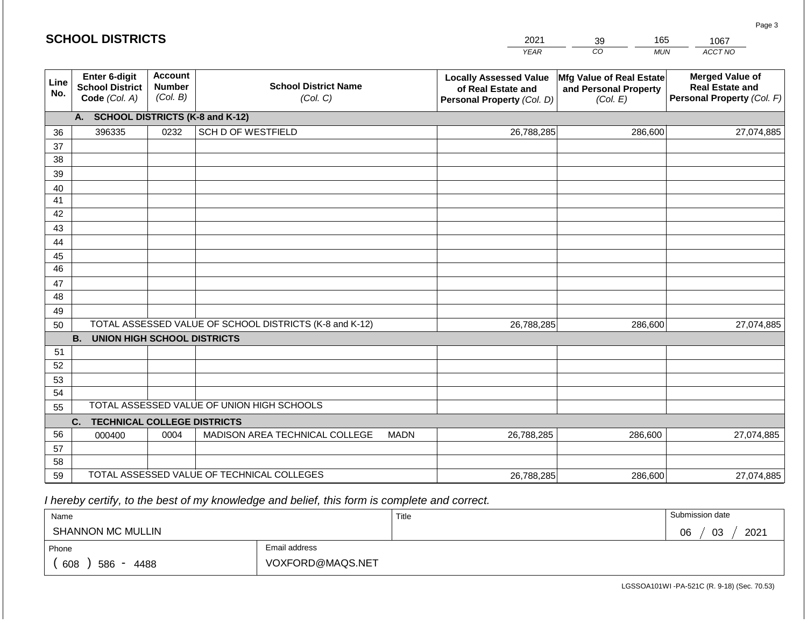|                 |                                                          |                                             |                                                         |             | <b>YEAR</b>                                                                       | CO<br><b>MUN</b>                                              | ACCT NO                                                                        |
|-----------------|----------------------------------------------------------|---------------------------------------------|---------------------------------------------------------|-------------|-----------------------------------------------------------------------------------|---------------------------------------------------------------|--------------------------------------------------------------------------------|
| Line<br>No.     | Enter 6-digit<br><b>School District</b><br>Code (Col. A) | <b>Account</b><br><b>Number</b><br>(Col. B) | <b>School District Name</b><br>(Col. C)                 |             | <b>Locally Assessed Value</b><br>of Real Estate and<br>Personal Property (Col. D) | Mfg Value of Real Estate<br>and Personal Property<br>(Col. E) | <b>Merged Value of</b><br><b>Real Estate and</b><br>Personal Property (Col. F) |
|                 | A.                                                       |                                             | <b>SCHOOL DISTRICTS (K-8 and K-12)</b>                  |             |                                                                                   |                                                               |                                                                                |
| 36              | 396335                                                   | 0232                                        | SCH D OF WESTFIELD                                      |             | 26,788,285                                                                        | 286,600                                                       | 27,074,885                                                                     |
| 37              |                                                          |                                             |                                                         |             |                                                                                   |                                                               |                                                                                |
| 38              |                                                          |                                             |                                                         |             |                                                                                   |                                                               |                                                                                |
| 39              |                                                          |                                             |                                                         |             |                                                                                   |                                                               |                                                                                |
| 40              |                                                          |                                             |                                                         |             |                                                                                   |                                                               |                                                                                |
| 41              |                                                          |                                             |                                                         |             |                                                                                   |                                                               |                                                                                |
| 42              |                                                          |                                             |                                                         |             |                                                                                   |                                                               |                                                                                |
| 43              |                                                          |                                             |                                                         |             |                                                                                   |                                                               |                                                                                |
| 44<br>45        |                                                          |                                             |                                                         |             |                                                                                   |                                                               |                                                                                |
| $\overline{46}$ |                                                          |                                             |                                                         |             |                                                                                   |                                                               |                                                                                |
| 47              |                                                          |                                             |                                                         |             |                                                                                   |                                                               |                                                                                |
| 48              |                                                          |                                             |                                                         |             |                                                                                   |                                                               |                                                                                |
| 49              |                                                          |                                             |                                                         |             |                                                                                   |                                                               |                                                                                |
| 50              |                                                          |                                             | TOTAL ASSESSED VALUE OF SCHOOL DISTRICTS (K-8 and K-12) |             | 26,788,285                                                                        | 286,600                                                       | 27,074,885                                                                     |
|                 | <b>B.</b><br><b>UNION HIGH SCHOOL DISTRICTS</b>          |                                             |                                                         |             |                                                                                   |                                                               |                                                                                |
| 51              |                                                          |                                             |                                                         |             |                                                                                   |                                                               |                                                                                |
| 52              |                                                          |                                             |                                                         |             |                                                                                   |                                                               |                                                                                |
| 53              |                                                          |                                             |                                                         |             |                                                                                   |                                                               |                                                                                |
| 54              |                                                          |                                             |                                                         |             |                                                                                   |                                                               |                                                                                |
| 55              |                                                          |                                             | TOTAL ASSESSED VALUE OF UNION HIGH SCHOOLS              |             |                                                                                   |                                                               |                                                                                |
|                 | C.<br><b>TECHNICAL COLLEGE DISTRICTS</b>                 |                                             |                                                         |             |                                                                                   |                                                               |                                                                                |
| 56              | 000400                                                   | 0004                                        | MADISON AREA TECHNICAL COLLEGE                          | <b>MADN</b> | 26,788,285                                                                        | 286,600                                                       | 27,074,885                                                                     |
| 57<br>58        |                                                          |                                             |                                                         |             |                                                                                   |                                                               |                                                                                |
| 59              |                                                          |                                             | TOTAL ASSESSED VALUE OF TECHNICAL COLLEGES              |             | 26,788,285                                                                        | 286,600                                                       | 27,074,885                                                                     |

2021

39

165

 *I hereby certify, to the best of my knowledge and belief, this form is complete and correct.*

**SCHOOL DISTRICTS**

| Name                     |                  | Title | Submission date        |
|--------------------------|------------------|-------|------------------------|
| <b>SHANNON MC MULLIN</b> |                  |       | 2021<br>03<br>∩≧<br>νυ |
| Phone                    | Email address    |       |                        |
| 608<br>586<br>4488       | VOXFORD@MAQS.NET |       |                        |

Page 3

1067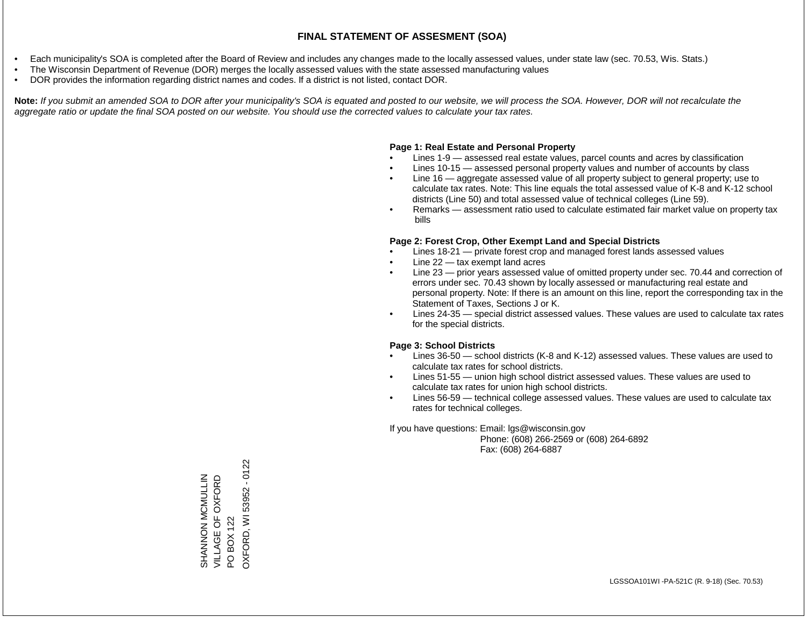- Each municipality's SOA is completed after the Board of Review and includes any changes made to the locally assessed values, under state law (sec. 70.53, Wis. Stats.)
- The Wisconsin Department of Revenue (DOR) merges the locally assessed values with the state assessed manufacturing values
- DOR provides the information regarding district names and codes. If a district is not listed, contact DOR.

Note: If you submit an amended SOA to DOR after your municipality's SOA is equated and posted to our website, we will process the SOA. However, DOR will not recalculate the *aggregate ratio or update the final SOA posted on our website. You should use the corrected values to calculate your tax rates.*

#### **Page 1: Real Estate and Personal Property**

- Lines 1-9 assessed real estate values, parcel counts and acres by classification
- Lines 10-15 assessed personal property values and number of accounts by class
- Line 16 aggregate assessed value of all property subject to general property; use to calculate tax rates. Note: This line equals the total assessed value of K-8 and K-12 school districts (Line 50) and total assessed value of technical colleges (Line 59).
- Remarks assessment ratio used to calculate estimated fair market value on property tax bills

#### **Page 2: Forest Crop, Other Exempt Land and Special Districts**

- Lines 18-21 private forest crop and managed forest lands assessed values
- Line  $22 -$  tax exempt land acres
- Line 23 prior years assessed value of omitted property under sec. 70.44 and correction of errors under sec. 70.43 shown by locally assessed or manufacturing real estate and personal property. Note: If there is an amount on this line, report the corresponding tax in the Statement of Taxes, Sections J or K.
- Lines 24-35 special district assessed values. These values are used to calculate tax rates for the special districts.

#### **Page 3: School Districts**

- Lines 36-50 school districts (K-8 and K-12) assessed values. These values are used to calculate tax rates for school districts.
- Lines 51-55 union high school district assessed values. These values are used to calculate tax rates for union high school districts.
- Lines 56-59 technical college assessed values. These values are used to calculate tax rates for technical colleges.

If you have questions: Email: lgs@wisconsin.gov

 Phone: (608) 266-2569 or (608) 264-6892 Fax: (608) 264-6887

OXFORD, WI 53952 - 0122 OXFORD, WI 53952 - 0122SHANNON MCMULLIN<br>VILLAGE OF OXFORD<br>PO BOX 122 VILLAGE OF OXFORD SHANNON MCMULLIN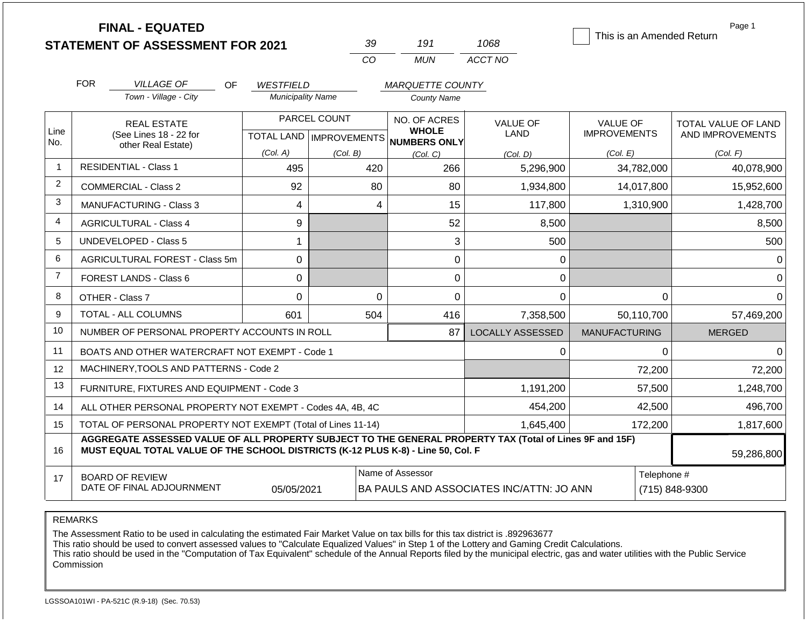|                | <b>FINAL - EQUATED</b><br><b>STATEMENT OF ASSESSMENT FOR 2021</b>                                                                                                                            |                                              | 39                        | 191                                           | 1068                                     | This is an Amended Return | Page 1              |  |  |  |  |
|----------------|----------------------------------------------------------------------------------------------------------------------------------------------------------------------------------------------|----------------------------------------------|---------------------------|-----------------------------------------------|------------------------------------------|---------------------------|---------------------|--|--|--|--|
|                |                                                                                                                                                                                              |                                              | CO                        | <b>MUN</b>                                    | ACCT NO                                  |                           |                     |  |  |  |  |
|                |                                                                                                                                                                                              |                                              |                           |                                               |                                          |                           |                     |  |  |  |  |
|                | <b>FOR</b><br><b>VILLAGE OF</b><br>OF.<br>Town - Village - City                                                                                                                              | <b>WESTFIELD</b><br><b>Municipality Name</b> |                           | <b>MARQUETTE COUNTY</b><br><b>County Name</b> |                                          |                           |                     |  |  |  |  |
|                |                                                                                                                                                                                              |                                              |                           |                                               |                                          |                           |                     |  |  |  |  |
|                | <b>REAL ESTATE</b>                                                                                                                                                                           |                                              | PARCEL COUNT              | NO. OF ACRES<br><b>WHOLE</b>                  | <b>VALUE OF</b>                          | <b>VALUE OF</b>           | TOTAL VALUE OF LAND |  |  |  |  |
| Line<br>No.    | (See Lines 18 - 22 for<br>other Real Estate)                                                                                                                                                 |                                              | TOTAL LAND   IMPROVEMENTS | <b>NUMBERS ONLY</b>                           | LAND                                     | <b>IMPROVEMENTS</b>       | AND IMPROVEMENTS    |  |  |  |  |
|                |                                                                                                                                                                                              | (Col. A)                                     | (Col. B)                  | (Col, C)                                      | (Col. D)                                 | (Col. E)                  | (Col. F)            |  |  |  |  |
| -1             | <b>RESIDENTIAL - Class 1</b>                                                                                                                                                                 | 495                                          | 420                       | 266                                           | 5,296,900                                | 34,782,000                | 40,078,900          |  |  |  |  |
| 2              | <b>COMMERCIAL - Class 2</b>                                                                                                                                                                  | 92                                           | 80                        | 80                                            | 1,934,800                                | 14,017,800                | 15,952,600          |  |  |  |  |
| 3              | <b>MANUFACTURING - Class 3</b>                                                                                                                                                               | $\overline{4}$                               | 4                         | 15                                            | 117,800                                  | 1,310,900                 | 1,428,700           |  |  |  |  |
| $\overline{4}$ | <b>AGRICULTURAL - Class 4</b>                                                                                                                                                                | 9                                            |                           | 52                                            | 8,500                                    |                           | 8,500               |  |  |  |  |
| 5              | <b>UNDEVELOPED - Class 5</b>                                                                                                                                                                 | $\mathbf 1$                                  |                           | 3                                             | 500                                      |                           | 500                 |  |  |  |  |
| 6              | <b>AGRICULTURAL FOREST - Class 5m</b>                                                                                                                                                        | 0                                            |                           | $\mathbf 0$                                   | 0                                        |                           | 0                   |  |  |  |  |
| $\overline{7}$ | <b>FOREST LANDS - Class 6</b>                                                                                                                                                                | $\mathbf 0$                                  |                           | $\boldsymbol{0}$                              | $\mathbf 0$                              |                           | $\Omega$            |  |  |  |  |
| 8              | OTHER - Class 7                                                                                                                                                                              | $\mathbf 0$                                  | $\mathbf 0$               | $\overline{0}$                                | $\Omega$                                 | 0                         | $\Omega$            |  |  |  |  |
| 9              | TOTAL - ALL COLUMNS                                                                                                                                                                          | 601                                          | 504                       | 416                                           | 7,358,500                                | 50,110,700                | 57,469,200          |  |  |  |  |
| 10             | NUMBER OF PERSONAL PROPERTY ACCOUNTS IN ROLL                                                                                                                                                 |                                              |                           | 87                                            | <b>LOCALLY ASSESSED</b>                  | <b>MANUFACTURING</b>      | <b>MERGED</b>       |  |  |  |  |
| 11             | BOATS AND OTHER WATERCRAFT NOT EXEMPT - Code 1                                                                                                                                               |                                              |                           |                                               | $\Omega$                                 | $\Omega$                  | $\Omega$            |  |  |  |  |
| 12             | MACHINERY, TOOLS AND PATTERNS - Code 2                                                                                                                                                       |                                              |                           |                                               |                                          | 72,200                    | 72,200              |  |  |  |  |
| 13             | FURNITURE, FIXTURES AND EQUIPMENT - Code 3                                                                                                                                                   |                                              |                           |                                               | 1,191,200                                | 57,500                    | 1,248,700           |  |  |  |  |
| 14             | ALL OTHER PERSONAL PROPERTY NOT EXEMPT - Codes 4A, 4B, 4C                                                                                                                                    |                                              |                           |                                               | 454,200                                  | 42,500                    | 496,700             |  |  |  |  |
| 15             | TOTAL OF PERSONAL PROPERTY NOT EXEMPT (Total of Lines 11-14)                                                                                                                                 |                                              |                           |                                               | 1,645,400                                | 172,200                   | 1,817,600           |  |  |  |  |
| 16             | AGGREGATE ASSESSED VALUE OF ALL PROPERTY SUBJECT TO THE GENERAL PROPERTY TAX (Total of Lines 9F and 15F)<br>MUST EQUAL TOTAL VALUE OF THE SCHOOL DISTRICTS (K-12 PLUS K-8) - Line 50, Col. F |                                              |                           |                                               |                                          |                           |                     |  |  |  |  |
| 17             | <b>BOARD OF REVIEW</b>                                                                                                                                                                       |                                              |                           | Name of Assessor                              |                                          | Telephone #               |                     |  |  |  |  |
|                | DATE OF FINAL ADJOURNMENT                                                                                                                                                                    | 05/05/2021                                   |                           |                                               | BA PAULS AND ASSOCIATES INC/ATTN: JO ANN |                           | (715) 848-9300      |  |  |  |  |

### REMARKS

The Assessment Ratio to be used in calculating the estimated Fair Market Value on tax bills for this tax district is .892963677

This ratio should be used to convert assessed values to "Calculate Equalized Values" in Step 1 of the Lottery and Gaming Credit Calculations.

 This ratio should be used in the "Computation of Tax Equivalent" schedule of the Annual Reports filed by the municipal electric, gas and water utilities with the Public Service Commission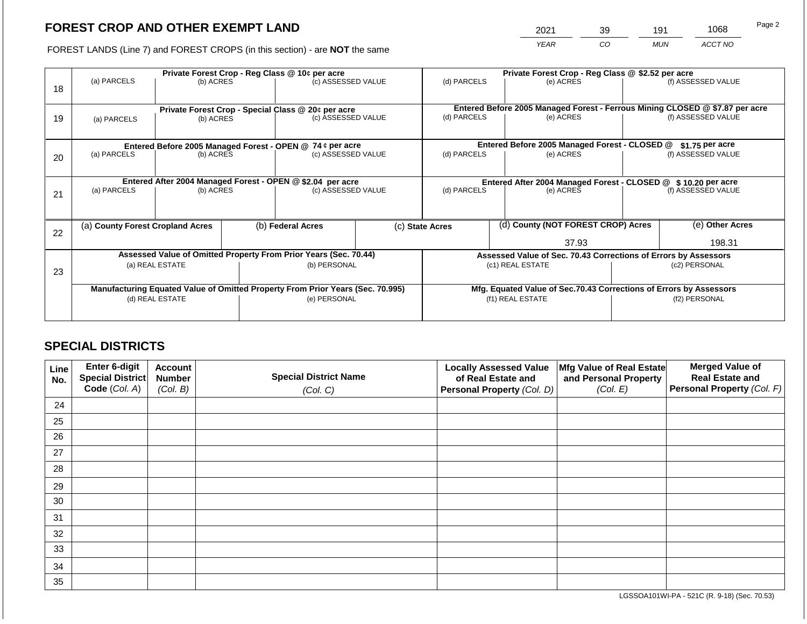2021 39 191 1068

FOREST LANDS (Line 7) and FOREST CROPS (in this section) - are **NOT** the same *YEAR CO MUN ACCT NO*

|                          |             |                                                                        |                        |                                                | Private Forest Crop - Reg Class @ \$2.52 per acre                                                                                                                                                                                                                                                                                                                                                                     |                                                                              |               |                  |                                                                                                                                                                                                                                                                                               |  |
|--------------------------|-------------|------------------------------------------------------------------------|------------------------|------------------------------------------------|-----------------------------------------------------------------------------------------------------------------------------------------------------------------------------------------------------------------------------------------------------------------------------------------------------------------------------------------------------------------------------------------------------------------------|------------------------------------------------------------------------------|---------------|------------------|-----------------------------------------------------------------------------------------------------------------------------------------------------------------------------------------------------------------------------------------------------------------------------------------------|--|
|                          |             |                                                                        |                        |                                                | (d) PARCELS                                                                                                                                                                                                                                                                                                                                                                                                           |                                                                              | (e) ACRES     |                  | (f) ASSESSED VALUE                                                                                                                                                                                                                                                                            |  |
|                          |             |                                                                        |                        |                                                |                                                                                                                                                                                                                                                                                                                                                                                                                       | Entered Before 2005 Managed Forest - Ferrous Mining CLOSED @ \$7.87 per acre |               |                  |                                                                                                                                                                                                                                                                                               |  |
| (b) ACRES<br>(a) PARCELS |             |                                                                        |                        |                                                | (d) PARCELS                                                                                                                                                                                                                                                                                                                                                                                                           |                                                                              | (e) ACRES     |                  | (f) ASSESSED VALUE                                                                                                                                                                                                                                                                            |  |
|                          |             |                                                                        |                        |                                                |                                                                                                                                                                                                                                                                                                                                                                                                                       |                                                                              |               |                  |                                                                                                                                                                                                                                                                                               |  |
|                          |             |                                                                        |                        |                                                |                                                                                                                                                                                                                                                                                                                                                                                                                       |                                                                              |               |                  | $$1.75$ per acre                                                                                                                                                                                                                                                                              |  |
| (a) PARCELS<br>(b) ACRES |             |                                                                        |                        |                                                | (d) PARCELS                                                                                                                                                                                                                                                                                                                                                                                                           |                                                                              | (e) ACRES     |                  | (f) ASSESSED VALUE                                                                                                                                                                                                                                                                            |  |
|                          |             |                                                                        |                        |                                                |                                                                                                                                                                                                                                                                                                                                                                                                                       |                                                                              |               |                  |                                                                                                                                                                                                                                                                                               |  |
|                          |             |                                                                        |                        |                                                |                                                                                                                                                                                                                                                                                                                                                                                                                       |                                                                              |               |                  |                                                                                                                                                                                                                                                                                               |  |
| (a) PARCELS              |             |                                                                        | (c) ASSESSED VALUE     |                                                |                                                                                                                                                                                                                                                                                                                                                                                                                       |                                                                              | (e) ACRES     |                  | (f) ASSESSED VALUE                                                                                                                                                                                                                                                                            |  |
|                          |             |                                                                        |                        |                                                |                                                                                                                                                                                                                                                                                                                                                                                                                       |                                                                              |               |                  |                                                                                                                                                                                                                                                                                               |  |
|                          |             |                                                                        | (b) Federal Acres      |                                                |                                                                                                                                                                                                                                                                                                                                                                                                                       |                                                                              |               |                  | (e) Other Acres                                                                                                                                                                                                                                                                               |  |
|                          |             |                                                                        |                        |                                                | 37.93                                                                                                                                                                                                                                                                                                                                                                                                                 |                                                                              |               |                  | 198.31                                                                                                                                                                                                                                                                                        |  |
|                          |             |                                                                        |                        |                                                |                                                                                                                                                                                                                                                                                                                                                                                                                       |                                                                              |               |                  |                                                                                                                                                                                                                                                                                               |  |
|                          |             |                                                                        |                        |                                                |                                                                                                                                                                                                                                                                                                                                                                                                                       |                                                                              |               | (c2) PERSONAL    |                                                                                                                                                                                                                                                                                               |  |
|                          |             |                                                                        |                        |                                                |                                                                                                                                                                                                                                                                                                                                                                                                                       |                                                                              |               |                  |                                                                                                                                                                                                                                                                                               |  |
|                          |             |                                                                        |                        |                                                |                                                                                                                                                                                                                                                                                                                                                                                                                       |                                                                              |               |                  |                                                                                                                                                                                                                                                                                               |  |
|                          |             | (e) PERSONAL                                                           |                        | (f1) REAL ESTATE                               |                                                                                                                                                                                                                                                                                                                                                                                                                       |                                                                              | (f2) PERSONAL |                  |                                                                                                                                                                                                                                                                                               |  |
|                          |             |                                                                        |                        |                                                |                                                                                                                                                                                                                                                                                                                                                                                                                       |                                                                              |               |                  |                                                                                                                                                                                                                                                                                               |  |
|                          | (a) PARCELS | (a) County Forest Cropland Acres<br>(a) REAL ESTATE<br>(d) REAL ESTATE | (b) ACRES<br>(b) ACRES | Private Forest Crop - Reg Class @ 10¢ per acre | (c) ASSESSED VALUE<br>Private Forest Crop - Special Class @ 20¢ per acre<br>(c) ASSESSED VALUE<br>Entered Before 2005 Managed Forest - OPEN @ 74 ¢ per acre<br>(c) ASSESSED VALUE<br>Entered After 2004 Managed Forest - OPEN @ \$2.04 per acre<br>Assessed Value of Omitted Property From Prior Years (Sec. 70.44)<br>(b) PERSONAL<br>Manufacturing Equated Value of Omitted Property From Prior Years (Sec. 70.995) | (c) State Acres                                                              | (d) PARCELS   | (c1) REAL ESTATE | Entered Before 2005 Managed Forest - CLOSED @<br>Entered After 2004 Managed Forest - CLOSED @ \$10.20 per acre<br>(d) County (NOT FOREST CROP) Acres<br>Assessed Value of Sec. 70.43 Corrections of Errors by Assessors<br>Mfg. Equated Value of Sec.70.43 Corrections of Errors by Assessors |  |

## **SPECIAL DISTRICTS**

| Line<br>No. | <b>Enter 6-digit</b><br>Special District | <b>Account</b><br><b>Number</b> | <b>Special District Name</b> | <b>Locally Assessed Value</b><br>of Real Estate and | Mfg Value of Real Estate<br>and Personal Property | <b>Merged Value of</b><br><b>Real Estate and</b> |
|-------------|------------------------------------------|---------------------------------|------------------------------|-----------------------------------------------------|---------------------------------------------------|--------------------------------------------------|
|             | Code (Col. A)                            | (Col. B)                        | (Col. C)                     | Personal Property (Col. D)                          | (Col. E)                                          | Personal Property (Col. F)                       |
| 24          |                                          |                                 |                              |                                                     |                                                   |                                                  |
| 25          |                                          |                                 |                              |                                                     |                                                   |                                                  |
| 26          |                                          |                                 |                              |                                                     |                                                   |                                                  |
| 27          |                                          |                                 |                              |                                                     |                                                   |                                                  |
| 28          |                                          |                                 |                              |                                                     |                                                   |                                                  |
| 29          |                                          |                                 |                              |                                                     |                                                   |                                                  |
| 30          |                                          |                                 |                              |                                                     |                                                   |                                                  |
| 31          |                                          |                                 |                              |                                                     |                                                   |                                                  |
| 32          |                                          |                                 |                              |                                                     |                                                   |                                                  |
| 33          |                                          |                                 |                              |                                                     |                                                   |                                                  |
| 34          |                                          |                                 |                              |                                                     |                                                   |                                                  |
| 35          |                                          |                                 |                              |                                                     |                                                   |                                                  |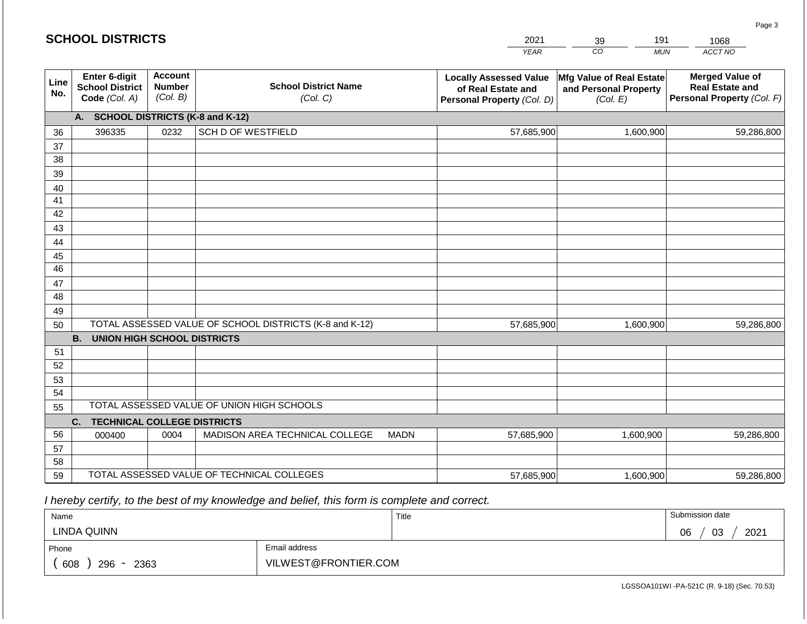| CO<br><b>YEAR</b><br><b>MUN</b><br><b>Account</b><br>Enter 6-digit<br><b>Locally Assessed Value</b><br>Mfg Value of Real Estate<br>Line<br><b>School District Name</b><br><b>Number</b><br><b>School District</b><br>and Personal Property<br>of Real Estate and<br>No.<br>(Col. B)<br>Code (Col. A)<br>(Col. C)<br>Personal Property (Col. D)<br>(Col. E)<br><b>SCHOOL DISTRICTS (K-8 and K-12)</b><br>A. | ACCT NO<br><b>Merged Value of</b><br><b>Real Estate and</b><br>Personal Property (Col. F)<br>59,286,800 |  |  |  |
|------------------------------------------------------------------------------------------------------------------------------------------------------------------------------------------------------------------------------------------------------------------------------------------------------------------------------------------------------------------------------------------------------------|---------------------------------------------------------------------------------------------------------|--|--|--|
|                                                                                                                                                                                                                                                                                                                                                                                                            |                                                                                                         |  |  |  |
|                                                                                                                                                                                                                                                                                                                                                                                                            |                                                                                                         |  |  |  |
|                                                                                                                                                                                                                                                                                                                                                                                                            |                                                                                                         |  |  |  |
| <b>SCH D OF WESTFIELD</b><br>396335<br>0232<br>57,685,900<br>1,600,900<br>36                                                                                                                                                                                                                                                                                                                               |                                                                                                         |  |  |  |
| 37                                                                                                                                                                                                                                                                                                                                                                                                         |                                                                                                         |  |  |  |
| 38                                                                                                                                                                                                                                                                                                                                                                                                         |                                                                                                         |  |  |  |
| 39                                                                                                                                                                                                                                                                                                                                                                                                         |                                                                                                         |  |  |  |
| 40                                                                                                                                                                                                                                                                                                                                                                                                         |                                                                                                         |  |  |  |
| 41<br>42                                                                                                                                                                                                                                                                                                                                                                                                   |                                                                                                         |  |  |  |
| 43                                                                                                                                                                                                                                                                                                                                                                                                         |                                                                                                         |  |  |  |
| 44                                                                                                                                                                                                                                                                                                                                                                                                         |                                                                                                         |  |  |  |
| 45                                                                                                                                                                                                                                                                                                                                                                                                         |                                                                                                         |  |  |  |
| 46                                                                                                                                                                                                                                                                                                                                                                                                         |                                                                                                         |  |  |  |
| 47                                                                                                                                                                                                                                                                                                                                                                                                         |                                                                                                         |  |  |  |
| 48                                                                                                                                                                                                                                                                                                                                                                                                         |                                                                                                         |  |  |  |
| 49                                                                                                                                                                                                                                                                                                                                                                                                         |                                                                                                         |  |  |  |
| TOTAL ASSESSED VALUE OF SCHOOL DISTRICTS (K-8 and K-12)<br>57,685,900<br>1,600,900<br>50                                                                                                                                                                                                                                                                                                                   |                                                                                                         |  |  |  |
| <b>B.</b><br><b>UNION HIGH SCHOOL DISTRICTS</b>                                                                                                                                                                                                                                                                                                                                                            |                                                                                                         |  |  |  |
| 51                                                                                                                                                                                                                                                                                                                                                                                                         |                                                                                                         |  |  |  |
| 52                                                                                                                                                                                                                                                                                                                                                                                                         |                                                                                                         |  |  |  |
| 53                                                                                                                                                                                                                                                                                                                                                                                                         |                                                                                                         |  |  |  |
| 54                                                                                                                                                                                                                                                                                                                                                                                                         |                                                                                                         |  |  |  |
| TOTAL ASSESSED VALUE OF UNION HIGH SCHOOLS<br>55                                                                                                                                                                                                                                                                                                                                                           |                                                                                                         |  |  |  |
| <b>TECHNICAL COLLEGE DISTRICTS</b><br>C.                                                                                                                                                                                                                                                                                                                                                                   |                                                                                                         |  |  |  |
| 56<br>MADISON AREA TECHNICAL COLLEGE<br><b>MADN</b><br>0004<br>57,685,900<br>1,600,900<br>000400                                                                                                                                                                                                                                                                                                           | 59,286,800                                                                                              |  |  |  |
| 57<br>58                                                                                                                                                                                                                                                                                                                                                                                                   |                                                                                                         |  |  |  |
| TOTAL ASSESSED VALUE OF TECHNICAL COLLEGES<br>59<br>57,685,900<br>1,600,900                                                                                                                                                                                                                                                                                                                                | 59,286,800                                                                                              |  |  |  |

 *I hereby certify, to the best of my knowledge and belief, this form is complete and correct.*

| Name               |                      | Title | Submission date        |
|--------------------|----------------------|-------|------------------------|
| <b>LINDA QUINN</b> |                      |       | 2021<br>03<br>∩ഭ<br>vv |
| Phone              | Email address        |       |                        |
| 608<br>2363<br>296 | VILWEST@FRONTIER.COM |       |                        |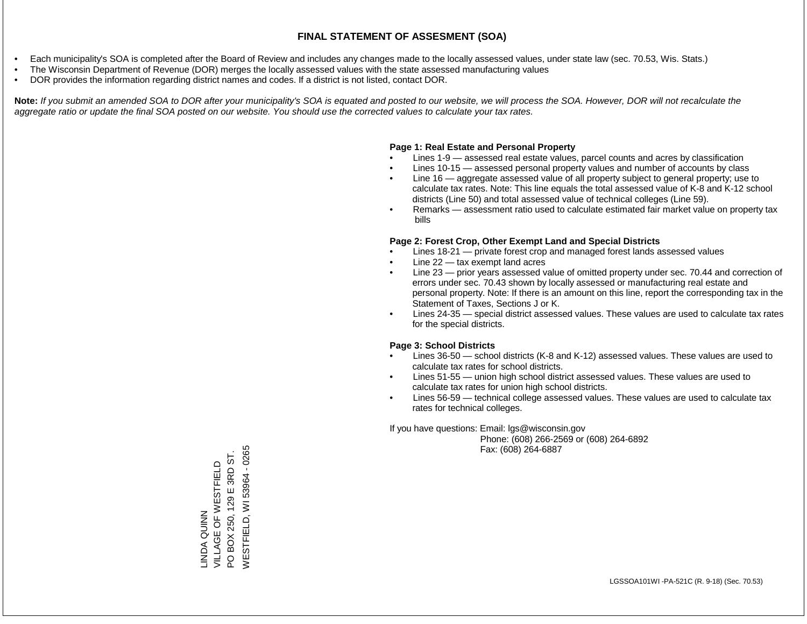- Each municipality's SOA is completed after the Board of Review and includes any changes made to the locally assessed values, under state law (sec. 70.53, Wis. Stats.)
- The Wisconsin Department of Revenue (DOR) merges the locally assessed values with the state assessed manufacturing values
- DOR provides the information regarding district names and codes. If a district is not listed, contact DOR.

Note: If you submit an amended SOA to DOR after your municipality's SOA is equated and posted to our website, we will process the SOA. However, DOR will not recalculate the *aggregate ratio or update the final SOA posted on our website. You should use the corrected values to calculate your tax rates.*

### **Page 1: Real Estate and Personal Property**

- Lines 1-9 assessed real estate values, parcel counts and acres by classification
- Lines 10-15 assessed personal property values and number of accounts by class
- Line 16 aggregate assessed value of all property subject to general property; use to calculate tax rates. Note: This line equals the total assessed value of K-8 and K-12 school districts (Line 50) and total assessed value of technical colleges (Line 59).
- Remarks assessment ratio used to calculate estimated fair market value on property tax bills

### **Page 2: Forest Crop, Other Exempt Land and Special Districts**

- Lines 18-21 private forest crop and managed forest lands assessed values
- Line  $22 -$  tax exempt land acres
- Line 23 prior years assessed value of omitted property under sec. 70.44 and correction of errors under sec. 70.43 shown by locally assessed or manufacturing real estate and personal property. Note: If there is an amount on this line, report the corresponding tax in the Statement of Taxes, Sections J or K.
- Lines 24-35 special district assessed values. These values are used to calculate tax rates for the special districts.

### **Page 3: School Districts**

- Lines 36-50 school districts (K-8 and K-12) assessed values. These values are used to calculate tax rates for school districts.
- Lines 51-55 union high school district assessed values. These values are used to calculate tax rates for union high school districts.
- Lines 56-59 technical college assessed values. These values are used to calculate tax rates for technical colleges.

If you have questions: Email: lgs@wisconsin.gov

 Phone: (608) 266-2569 or (608) 264-6892 Fax: (608) 264-6887

**WESTFIELD, WI 53964 - 0265** WESTFIELD, WI 53964 - 0265PO BOX 250, 129 E 3RD ST. PO BOX 250, 129 E 3RD ST. VILLAGE OF WESTFIELD LINDA QUINN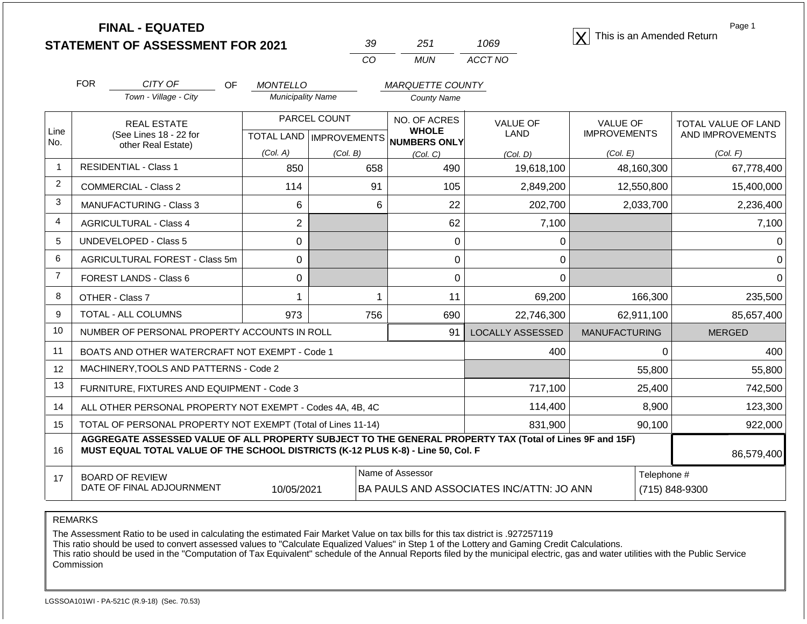**STATEMENT OF ASSESSMENT FOR 2021** 39 251 1069 **X** This is an Amended Return<br> **STATEMENT OF ASSESSMENT FOR 2021** 39 251 1069 **X** This is an Amended Return

| שצ | 251 | 1069    |
|----|-----|---------|
| ΓO | MUN | ACCT NO |

Page 1

|                                                                                 | <b>FOR</b>                                                         | CITY OF<br><b>OF</b>                                                                                                                                                                         | <b>MONTELLO</b>          |                                         | <b>MARQUETTE COUNTY</b>      |                         |                                        |                                                |
|---------------------------------------------------------------------------------|--------------------------------------------------------------------|----------------------------------------------------------------------------------------------------------------------------------------------------------------------------------------------|--------------------------|-----------------------------------------|------------------------------|-------------------------|----------------------------------------|------------------------------------------------|
|                                                                                 |                                                                    | Town - Village - City                                                                                                                                                                        | <b>Municipality Name</b> |                                         | County Name                  |                         |                                        |                                                |
| Line                                                                            | <b>REAL ESTATE</b><br>(See Lines 18 - 22 for<br>other Real Estate) |                                                                                                                                                                                              |                          | PARCEL COUNT                            | NO. OF ACRES<br><b>WHOLE</b> | <b>VALUE OF</b><br>LAND | <b>VALUE OF</b><br><b>IMPROVEMENTS</b> | <b>TOTAL VALUE OF LAND</b><br>AND IMPROVEMENTS |
| No.                                                                             |                                                                    |                                                                                                                                                                                              | (Col. A)                 | TOTAL LAND   IMPROVEMENTS  <br>(Col. B) | NUMBERS ONLY<br>(Col, C)     |                         | (Col. E)                               | (Col. F)                                       |
| 1                                                                               |                                                                    | <b>RESIDENTIAL - Class 1</b>                                                                                                                                                                 | 850                      | 658                                     | 490                          | (Col, D)<br>19,618,100  | 48,160,300                             | 67,778,400                                     |
| $\overline{2}$                                                                  |                                                                    | <b>COMMERCIAL - Class 2</b>                                                                                                                                                                  | 114                      | 91                                      | 105                          | 2,849,200               | 12,550,800                             | 15,400,000                                     |
| 3                                                                               |                                                                    | MANUFACTURING - Class 3                                                                                                                                                                      | 6                        | 6                                       | 22                           | 202,700                 | 2,033,700                              | 2,236,400                                      |
| $\overline{4}$                                                                  |                                                                    | <b>AGRICULTURAL - Class 4</b>                                                                                                                                                                | $\overline{2}$           |                                         | 62                           | 7,100                   |                                        | 7,100                                          |
| 5                                                                               |                                                                    | <b>UNDEVELOPED - Class 5</b>                                                                                                                                                                 | $\Omega$                 |                                         | 0                            | 0                       |                                        | $\Omega$                                       |
| 6                                                                               |                                                                    | AGRICULTURAL FOREST - Class 5m                                                                                                                                                               | 0                        |                                         | 0                            | 0                       |                                        | 0                                              |
| $\overline{7}$                                                                  |                                                                    | <b>FOREST LANDS - Class 6</b>                                                                                                                                                                | $\Omega$                 |                                         | 0                            | $\Omega$                |                                        | $\Omega$                                       |
| 8                                                                               |                                                                    | OTHER - Class 7                                                                                                                                                                              |                          | 1                                       | 11                           | 69,200                  | 166,300                                | 235,500                                        |
| 9                                                                               |                                                                    | TOTAL - ALL COLUMNS                                                                                                                                                                          | 973                      | 756                                     | 690                          | 22,746,300              | 62,911,100                             | 85,657,400                                     |
| 10                                                                              | NUMBER OF PERSONAL PROPERTY ACCOUNTS IN ROLL                       |                                                                                                                                                                                              |                          |                                         | 91                           | <b>LOCALLY ASSESSED</b> | <b>MANUFACTURING</b>                   | <b>MERGED</b>                                  |
| 11                                                                              | BOATS AND OTHER WATERCRAFT NOT EXEMPT - Code 1                     |                                                                                                                                                                                              |                          |                                         |                              | 400                     | $\Omega$                               | 400                                            |
| 12                                                                              |                                                                    | MACHINERY, TOOLS AND PATTERNS - Code 2                                                                                                                                                       |                          |                                         |                              |                         | 55,800                                 | 55,800                                         |
| 13                                                                              | FURNITURE, FIXTURES AND EQUIPMENT - Code 3                         |                                                                                                                                                                                              |                          |                                         |                              | 717,100                 | 25,400                                 | 742,500                                        |
| 14                                                                              | ALL OTHER PERSONAL PROPERTY NOT EXEMPT - Codes 4A, 4B, 4C          |                                                                                                                                                                                              |                          |                                         |                              | 114,400                 | 8,900<br>123,300                       |                                                |
| 15                                                                              | TOTAL OF PERSONAL PROPERTY NOT EXEMPT (Total of Lines 11-14)       |                                                                                                                                                                                              |                          |                                         |                              | 831,900                 | 90,100                                 | 922,000                                        |
| 16                                                                              |                                                                    | AGGREGATE ASSESSED VALUE OF ALL PROPERTY SUBJECT TO THE GENERAL PROPERTY TAX (Total of Lines 9F and 15F)<br>MUST EQUAL TOTAL VALUE OF THE SCHOOL DISTRICTS (K-12 PLUS K-8) - Line 50, Col. F |                          |                                         |                              |                         |                                        | 86,579,400                                     |
| 17                                                                              |                                                                    | <b>BOARD OF REVIEW</b><br>DATE OF FINAL ADJOURNMENT                                                                                                                                          |                          |                                         | Name of Assessor             |                         | Telephone #                            |                                                |
| (715) 848-9300<br>10/05/2021<br><b>BA PAULS AND ASSOCIATES INC/ATTN: JO ANN</b> |                                                                    |                                                                                                                                                                                              |                          |                                         |                              |                         |                                        |                                                |

REMARKS

The Assessment Ratio to be used in calculating the estimated Fair Market Value on tax bills for this tax district is .927257119

This ratio should be used to convert assessed values to "Calculate Equalized Values" in Step 1 of the Lottery and Gaming Credit Calculations.

 This ratio should be used in the "Computation of Tax Equivalent" schedule of the Annual Reports filed by the municipal electric, gas and water utilities with the Public Service Commission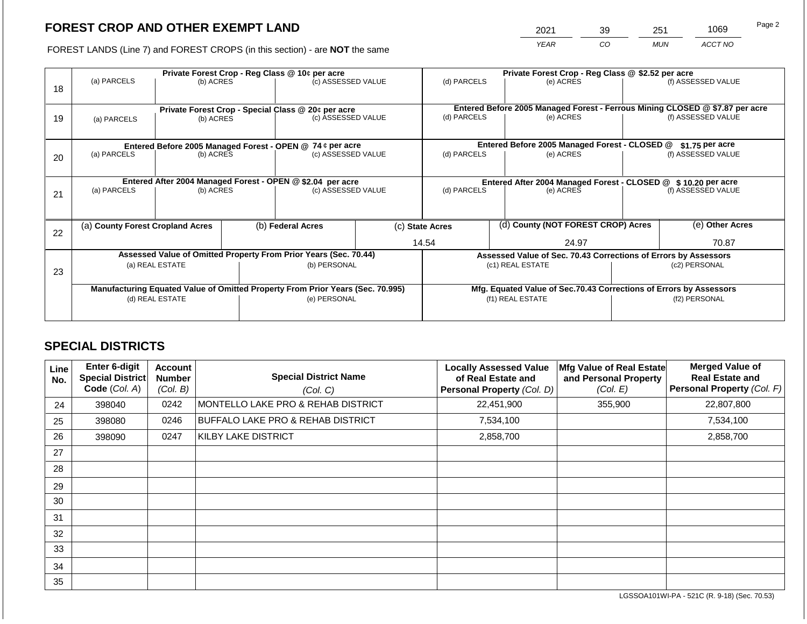# **FOREST CROP AND OTHER EXEMPT LAND**

2021 39 251 1069

FOREST LANDS (Line 7) and FOREST CROPS (in this section) - are **NOT** the same *YEAR CO MUN ACCT NO*

|    | Private Forest Crop - Reg Class @ 10¢ per acre                                 |                                                            |  |                                                           |  | Private Forest Crop - Reg Class @ \$2.52 per acre                                           |                                                               |                                               |                    |                    |  |
|----|--------------------------------------------------------------------------------|------------------------------------------------------------|--|-----------------------------------------------------------|--|---------------------------------------------------------------------------------------------|---------------------------------------------------------------|-----------------------------------------------|--------------------|--------------------|--|
|    | (a) PARCELS                                                                    | (b) ACRES                                                  |  | (c) ASSESSED VALUE                                        |  | (d) PARCELS                                                                                 |                                                               | (e) ACRES                                     |                    | (f) ASSESSED VALUE |  |
| 18 |                                                                                |                                                            |  |                                                           |  |                                                                                             |                                                               |                                               |                    |                    |  |
|    |                                                                                |                                                            |  |                                                           |  |                                                                                             |                                                               |                                               |                    |                    |  |
|    |                                                                                |                                                            |  | Private Forest Crop - Special Class @ 20¢ per acre        |  | Entered Before 2005 Managed Forest - Ferrous Mining CLOSED @ \$7.87 per acre<br>(d) PARCELS |                                                               |                                               | (f) ASSESSED VALUE |                    |  |
| 19 | (a) PARCELS                                                                    | (b) ACRES                                                  |  | (c) ASSESSED VALUE                                        |  |                                                                                             |                                                               | (e) ACRES                                     |                    |                    |  |
|    |                                                                                |                                                            |  |                                                           |  |                                                                                             |                                                               |                                               |                    |                    |  |
|    |                                                                                |                                                            |  | Entered Before 2005 Managed Forest - OPEN @ 74 ¢ per acre |  |                                                                                             |                                                               | Entered Before 2005 Managed Forest - CLOSED @ |                    | \$1.75 per acre    |  |
| 20 | (a) PARCELS                                                                    | (b) ACRES                                                  |  | (c) ASSESSED VALUE                                        |  | (d) PARCELS                                                                                 |                                                               | (e) ACRES                                     |                    | (f) ASSESSED VALUE |  |
|    |                                                                                |                                                            |  |                                                           |  |                                                                                             |                                                               |                                               |                    |                    |  |
|    |                                                                                |                                                            |  |                                                           |  |                                                                                             |                                                               |                                               |                    |                    |  |
|    |                                                                                | Entered After 2004 Managed Forest - OPEN @ \$2.04 per acre |  |                                                           |  |                                                                                             | Entered After 2004 Managed Forest - CLOSED @ \$10.20 per acre |                                               |                    |                    |  |
| 21 | (a) PARCELS                                                                    | (b) ACRES                                                  |  | (c) ASSESSED VALUE                                        |  | (d) PARCELS                                                                                 |                                                               | (e) ACRES                                     |                    | (f) ASSESSED VALUE |  |
|    |                                                                                |                                                            |  |                                                           |  |                                                                                             |                                                               |                                               |                    |                    |  |
|    |                                                                                |                                                            |  |                                                           |  |                                                                                             |                                                               |                                               |                    |                    |  |
|    | (a) County Forest Cropland Acres                                               |                                                            |  | (b) Federal Acres                                         |  | (c) State Acres                                                                             |                                                               | (d) County (NOT FOREST CROP) Acres            |                    | (e) Other Acres    |  |
| 22 |                                                                                |                                                            |  |                                                           |  |                                                                                             |                                                               |                                               |                    |                    |  |
|    |                                                                                |                                                            |  |                                                           |  | 14.54<br>24.97                                                                              |                                                               |                                               |                    | 70.87              |  |
|    | Assessed Value of Omitted Property From Prior Years (Sec. 70.44)               |                                                            |  |                                                           |  | Assessed Value of Sec. 70.43 Corrections of Errors by Assessors                             |                                                               |                                               |                    |                    |  |
|    |                                                                                | (a) REAL ESTATE                                            |  | (b) PERSONAL                                              |  | (c1) REAL ESTATE                                                                            |                                                               |                                               |                    | (c2) PERSONAL      |  |
| 23 |                                                                                |                                                            |  |                                                           |  |                                                                                             |                                                               |                                               |                    |                    |  |
|    | Manufacturing Equated Value of Omitted Property From Prior Years (Sec. 70.995) |                                                            |  |                                                           |  | Mfg. Equated Value of Sec.70.43 Corrections of Errors by Assessors                          |                                                               |                                               |                    |                    |  |
|    | (d) REAL ESTATE                                                                |                                                            |  | (e) PERSONAL                                              |  | (f1) REAL ESTATE                                                                            |                                                               |                                               | (f2) PERSONAL      |                    |  |
|    |                                                                                |                                                            |  |                                                           |  |                                                                                             |                                                               |                                               |                    |                    |  |
|    |                                                                                |                                                            |  |                                                           |  |                                                                                             |                                                               |                                               |                    |                    |  |

## **SPECIAL DISTRICTS**

| Line<br>No. | Enter 6-digit<br>Special District<br>Code (Col. A) | Account<br><b>Number</b><br>(Col. B) | <b>Special District Name</b><br>(Col. C) | <b>Locally Assessed Value</b><br>of Real Estate and<br>Personal Property (Col. D) | Mfg Value of Real Estate<br>and Personal Property<br>(Col. E) | <b>Merged Value of</b><br><b>Real Estate and</b><br>Personal Property (Col. F) |
|-------------|----------------------------------------------------|--------------------------------------|------------------------------------------|-----------------------------------------------------------------------------------|---------------------------------------------------------------|--------------------------------------------------------------------------------|
| 24          | 398040                                             | 0242                                 | MONTELLO LAKE PRO & REHAB DISTRICT       | 22,451,900                                                                        | 355,900                                                       | 22,807,800                                                                     |
| 25          | 398080                                             | 0246                                 | BUFFALO LAKE PRO & REHAB DISTRICT        | 7,534,100                                                                         |                                                               | 7,534,100                                                                      |
| 26          | 398090                                             | 0247                                 | <b>KILBY LAKE DISTRICT</b>               | 2,858,700                                                                         |                                                               | 2,858,700                                                                      |
| 27          |                                                    |                                      |                                          |                                                                                   |                                                               |                                                                                |
| 28          |                                                    |                                      |                                          |                                                                                   |                                                               |                                                                                |
| 29          |                                                    |                                      |                                          |                                                                                   |                                                               |                                                                                |
| 30          |                                                    |                                      |                                          |                                                                                   |                                                               |                                                                                |
| 31          |                                                    |                                      |                                          |                                                                                   |                                                               |                                                                                |
| 32          |                                                    |                                      |                                          |                                                                                   |                                                               |                                                                                |
| 33          |                                                    |                                      |                                          |                                                                                   |                                                               |                                                                                |
| 34          |                                                    |                                      |                                          |                                                                                   |                                                               |                                                                                |
| 35          |                                                    |                                      |                                          |                                                                                   |                                                               |                                                                                |

LGSSOA101WI-PA - 521C (R. 9-18) (Sec. 70.53)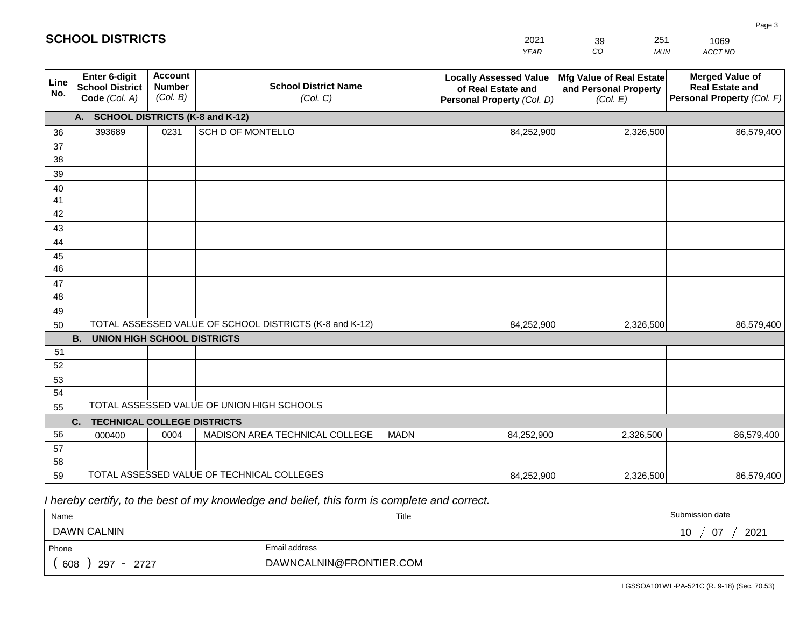| <b>SCHOOL DISTRICTS</b> |                                                          |                                             |                                                         |                                                                                   | 2021                                                          | 251<br>39                                                                      | 1069       |  |  |  |  |  |
|-------------------------|----------------------------------------------------------|---------------------------------------------|---------------------------------------------------------|-----------------------------------------------------------------------------------|---------------------------------------------------------------|--------------------------------------------------------------------------------|------------|--|--|--|--|--|
|                         |                                                          |                                             |                                                         |                                                                                   | <b>YEAR</b>                                                   | CO<br><b>MUN</b>                                                               | ACCT NO    |  |  |  |  |  |
| Line<br>No.             | Enter 6-digit<br><b>School District</b><br>Code (Col. A) | <b>Account</b><br><b>Number</b><br>(Col. B) | <b>School District Name</b><br>(Col. C)                 | <b>Locally Assessed Value</b><br>of Real Estate and<br>Personal Property (Col. D) | Mfg Value of Real Estate<br>and Personal Property<br>(Col. E) | <b>Merged Value of</b><br><b>Real Estate and</b><br>Personal Property (Col. F) |            |  |  |  |  |  |
|                         | <b>SCHOOL DISTRICTS (K-8 and K-12)</b><br>A.             |                                             |                                                         |                                                                                   |                                                               |                                                                                |            |  |  |  |  |  |
| 36                      | 393689                                                   | 0231                                        | <b>SCH D OF MONTELLO</b>                                |                                                                                   | 84,252,900                                                    | 2,326,500                                                                      | 86,579,400 |  |  |  |  |  |
| 37                      |                                                          |                                             |                                                         |                                                                                   |                                                               |                                                                                |            |  |  |  |  |  |
| 38                      |                                                          |                                             |                                                         |                                                                                   |                                                               |                                                                                |            |  |  |  |  |  |
| 39                      |                                                          |                                             |                                                         |                                                                                   |                                                               |                                                                                |            |  |  |  |  |  |
| 40                      |                                                          |                                             |                                                         |                                                                                   |                                                               |                                                                                |            |  |  |  |  |  |
| 41                      |                                                          |                                             |                                                         |                                                                                   |                                                               |                                                                                |            |  |  |  |  |  |
| 42                      |                                                          |                                             |                                                         |                                                                                   |                                                               |                                                                                |            |  |  |  |  |  |
| 43<br>44                |                                                          |                                             |                                                         |                                                                                   |                                                               |                                                                                |            |  |  |  |  |  |
| 45                      |                                                          |                                             |                                                         |                                                                                   |                                                               |                                                                                |            |  |  |  |  |  |
| $\overline{46}$         |                                                          |                                             |                                                         |                                                                                   |                                                               |                                                                                |            |  |  |  |  |  |
| 47                      |                                                          |                                             |                                                         |                                                                                   |                                                               |                                                                                |            |  |  |  |  |  |
| 48                      |                                                          |                                             |                                                         |                                                                                   |                                                               |                                                                                |            |  |  |  |  |  |
| 49                      |                                                          |                                             |                                                         |                                                                                   |                                                               |                                                                                |            |  |  |  |  |  |
| 50                      |                                                          |                                             | TOTAL ASSESSED VALUE OF SCHOOL DISTRICTS (K-8 and K-12) | 84,252,900                                                                        | 2,326,500                                                     | 86,579,400                                                                     |            |  |  |  |  |  |
|                         | <b>B.</b><br><b>UNION HIGH SCHOOL DISTRICTS</b>          |                                             |                                                         |                                                                                   |                                                               |                                                                                |            |  |  |  |  |  |
| 51                      |                                                          |                                             |                                                         |                                                                                   |                                                               |                                                                                |            |  |  |  |  |  |
| 52                      |                                                          |                                             |                                                         |                                                                                   |                                                               |                                                                                |            |  |  |  |  |  |
| 53                      |                                                          |                                             |                                                         |                                                                                   |                                                               |                                                                                |            |  |  |  |  |  |
| 54                      |                                                          |                                             |                                                         |                                                                                   |                                                               |                                                                                |            |  |  |  |  |  |
| 55                      |                                                          |                                             | TOTAL ASSESSED VALUE OF UNION HIGH SCHOOLS              |                                                                                   |                                                               |                                                                                |            |  |  |  |  |  |
|                         | <b>TECHNICAL COLLEGE DISTRICTS</b><br>C.                 |                                             |                                                         |                                                                                   |                                                               |                                                                                |            |  |  |  |  |  |
| 56                      | 000400                                                   | 0004                                        | MADISON AREA TECHNICAL COLLEGE                          | <b>MADN</b>                                                                       | 84,252,900                                                    | 2,326,500                                                                      | 86,579,400 |  |  |  |  |  |
| 57<br>58                |                                                          |                                             |                                                         |                                                                                   |                                                               |                                                                                |            |  |  |  |  |  |
| 59                      |                                                          |                                             | TOTAL ASSESSED VALUE OF TECHNICAL COLLEGES              | 84,252,900                                                                        | 2,326,500                                                     | 86,579,400                                                                     |            |  |  |  |  |  |
|                         |                                                          |                                             |                                                         |                                                                                   |                                                               |                                                                                |            |  |  |  |  |  |

 *I hereby certify, to the best of my knowledge and belief, this form is complete and correct.*

| Name                                           |                         | Title | Submission date    |
|------------------------------------------------|-------------------------|-------|--------------------|
| <b>DAWN CALNIN</b>                             |                         |       | 2021<br>- 07<br>10 |
| Phone                                          | Email address           |       |                    |
| 608<br>297<br>2727<br>$\overline{\phantom{0}}$ | DAWNCALNIN@FRONTIER.COM |       |                    |

LGSSOA101WI -PA-521C (R. 9-18) (Sec. 70.53)

Page 3